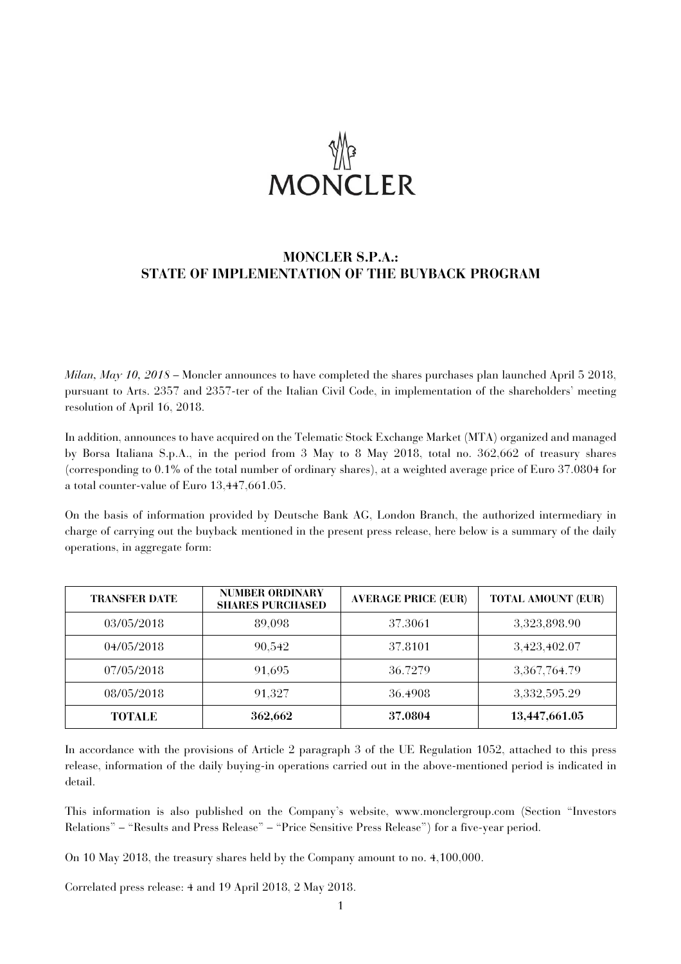

# **MONCLER S.P.A.: STATE OF IMPLEMENTATION OF THE BUYBACK PROGRAM**

*Milan, May 10, 2018* – Moncler announces to have completed the shares purchases plan launched April 5 2018, pursuant to Arts. 2357 and 2357-ter of the Italian Civil Code, in implementation of the shareholders' meeting resolution of April 16, 2018.

In addition, announces to have acquired on the Telematic Stock Exchange Market (MTA) organized and managed by Borsa Italiana S.p.A., in the period from 3 May to 8 May 2018, total no. 362,662 of treasury shares (corresponding to 0.1% of the total number of ordinary shares), at a weighted average price of Euro 37.0804 for a total counter-value of Euro 13,447,661.05.

On the basis of information provided by Deutsche Bank AG, London Branch, the authorized intermediary in charge of carrying out the buyback mentioned in the present press release, here below is a summary of the daily operations, in aggregate form:

| <b>TRANSFER DATE</b> | <b>NUMBER ORDINARY</b><br><b>SHARES PURCHASED</b> | <b>AVERAGE PRICE (EUR)</b> | <b>TOTAL AMOUNT (EUR)</b> |
|----------------------|---------------------------------------------------|----------------------------|---------------------------|
| 03/05/2018           | 89,098                                            | 37.3061                    | 3,323,898.90              |
| 04/05/2018           | 90,542                                            | 37.8101                    | 3,423,402.07              |
| 07/05/2018           | 91.695                                            | 36.7279                    | 3,367,764.79              |
| 08/05/2018           | 91.327                                            | 36.4908                    | 3,332,595.29              |
| <b>TOTALE</b>        | 362,662                                           | 37.0804                    | 13,447,661.05             |

In accordance with the provisions of Article 2 paragraph 3 of the UE Regulation 1052, attached to this press release, information of the daily buying-in operations carried out in the above-mentioned period is indicated in detail.

This information is also published on the Company's website, www.monclergroup.com (Section "Investors Relations" – "Results and Press Release" – "Price Sensitive Press Release") for a five-year period.

On 10 May 2018, the treasury shares held by the Company amount to no. 4,100,000.

Correlated press release: 4 and 19 April 2018, 2 May 2018.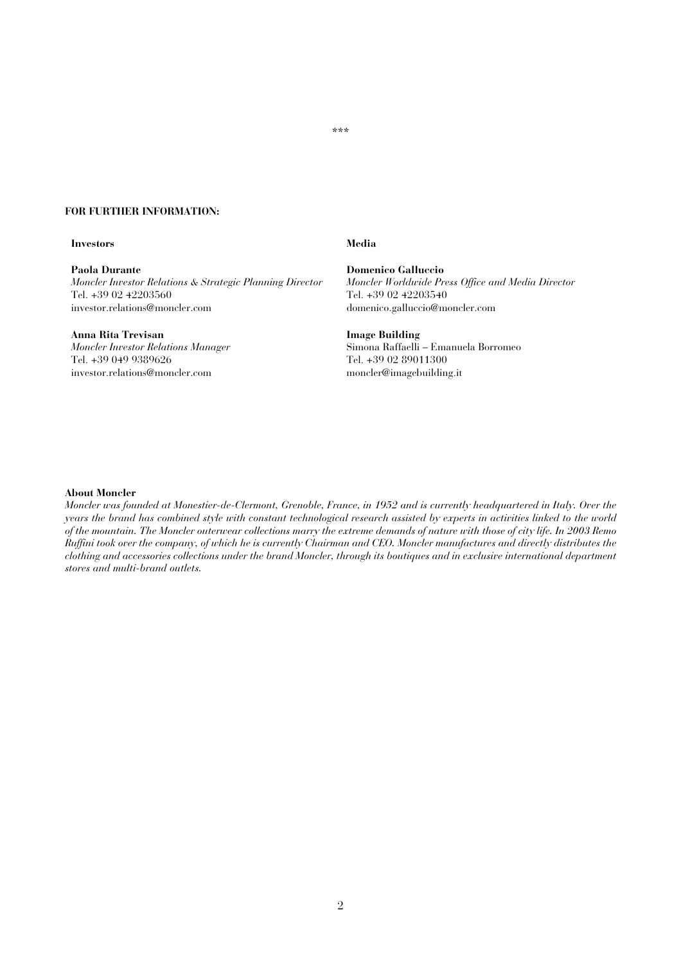## \*\*\*

## **FOR FURTHER INFORMATION:**

## **Investors** Media

**Paola Durante**  *Moncler Investor Relations & Strategic Planning Director*  Tel. +39 02 42203560 investor.relations@moncler.com

## **Anna Rita Trevisan**

*Moncler Investor Relations Manager*  Tel. +39 049 9389626 investor.relations@moncler.com

**Domenico Galluccio**  *Moncler Worldwide Press Office and Media Director*  Tel. +39 02 42203540 domenico.galluccio@moncler.com

**Image Building**  Simona Raffaelli – Emanuela Borromeo Tel. +39 02 89011300 moncler@imagebuilding.it

### **About Moncler**

*Moncler was founded at Monestier-de-Clermont, Grenoble, France, in 1952 and is currently headquartered in Italy. Over the years the brand has combined style with constant technological research assisted by experts in activities linked to the world of the mountain. The Moncler outerwear collections marry the extreme demands of nature with those of city life. In 2003 Remo Ruffini took over the company, of which he is currently Chairman and CEO. Moncler manufactures and directly distributes the clothing and accessories collections under the brand Moncler, through its boutiques and in exclusive international department stores and multi-brand outlets.*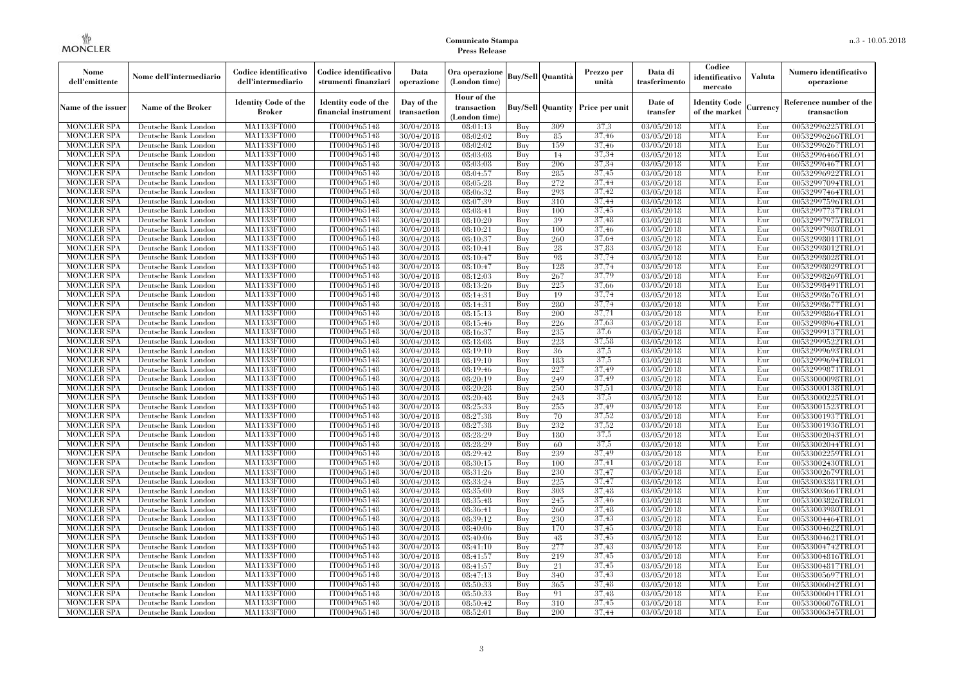| Nome<br>dell'emittente                   | Nome dell'intermediario                      | Codice identificativo<br>dell'intermediario  | Codice identificativo<br>strumenti finanziari | Data<br>operazione        | Ora operazione<br>(London time)             |            | <b>Buy/Sell   Quantità</b> | Prezzo per<br>unità | Data di<br>trasferimento | Codice<br>identificativo<br>mercato   | <b>Valuta</b> | Numero identificativo<br>operazione    |
|------------------------------------------|----------------------------------------------|----------------------------------------------|-----------------------------------------------|---------------------------|---------------------------------------------|------------|----------------------------|---------------------|--------------------------|---------------------------------------|---------------|----------------------------------------|
| Name of the issuer                       | Name of the Broker                           | <b>Identity Code of the</b><br><b>Broker</b> | Identity code of the<br>financial instrument  | Day of the<br>transaction | Hour of the<br>transaction<br>(London time) |            | <b>Buy/Sell Quantity</b>   | Price per unit      | Date of<br>transfer      | <b>Identity Code</b><br>of the market | Currencv      | Reference number of the<br>transaction |
| <b>MONCLER SPA</b>                       | Deutsche Bank London                         | MA1133FT000                                  | IT0004965148                                  | 30/04/2018                | 08:01:13                                    | Buy        | 309                        | 37,3                | 03/05/2018               | <b>MTA</b>                            | Eur           | 00532996225TRLO1                       |
| <b>MONCLER SPA</b>                       | Deutsche Bank London                         | <b>MA1133FT000</b>                           | IT0004965148                                  | 30/04/2018                | 08:02:02                                    | Buy        | 85                         | 37,46               | 03/05/2018               | <b>MTA</b>                            | Eur           | 00532996266TRLO1                       |
| <b>MONCLER SPA</b>                       | Deutsche Bank London                         | MA1133FT000                                  | IT0004965148                                  | 30/04/2018                | 08:02:02                                    | Buv        | 159                        | 37,46               | 03/05/2018               | <b>MTA</b>                            | Eur           | 00532996267TRLO1                       |
| <b>MONCLER SPA</b>                       | Deutsche Bank London                         | MA1133FT000                                  | IT0004965148                                  | 30/04/2018                | 08:03:08                                    | Buy        | 14                         | 37.34               | 03/05/2018               | <b>MTA</b>                            | Eur           | 00532996466TRLO1                       |
| <b>MONCLER SPA</b>                       | Deutsche Bank London                         | MA1133FT000<br><b>MA1133FT000</b>            | IT0004965148                                  | 30/04/2018                | 08:03:08                                    | Buy        | 206<br>285                 | 37.34<br>37,45      | 03/05/2018               | <b>MTA</b><br><b>MTA</b>              | Eur           | 00532996467TRLO1                       |
| <b>MONCLER SPA</b><br><b>MONCLER SPA</b> | Deutsche Bank London<br>Deutsche Bank London | MA1133FT000                                  | IT0004965148<br>IT0004965148                  | 30/04/2018<br>30/04/2018  | 08:04:57<br>08:05:28                        | Buy<br>Buy | 272                        | 37,44               | 03/05/2018<br>03/05/2018 | <b>MTA</b>                            | Eur<br>Eur    | 00532996922TRLO1<br>00532997094TRLO1   |
| <b>MONCLER SPA</b>                       | Deutsche Bank London                         | MA1133FT000                                  | IT0004965148                                  | 30/04/2018                | 08:06:32                                    | Buy        | 293                        | 37,42               | 03/05/2018               | <b>MTA</b>                            | Eur           | 00532997464TRLO1                       |
| <b>MONCLER SPA</b>                       | Deutsche Bank London                         | MA1133FT000                                  | IT0004965148                                  | 30/04/2018                | 08:07:39                                    | Buy        | 310                        | 37,44               | 03/05/2018               | <b>MTA</b>                            | Eur           | 00532997596TRLO1                       |
| <b>MONCLER SPA</b>                       | Deutsche Bank London                         | MA1133FT000                                  | IT0004965148                                  | 30/04/2018                | 08:08:41                                    | Buy        | 100                        | 37,45               | 03/05/2018               | <b>MTA</b>                            | Eur           | 00532997737TRLO1                       |
| <b>MONCLER SPA</b>                       | Deutsche Bank London                         | <b>MA1133FT000</b>                           | IT0004965148                                  | 30/04/2018                | 08:10:20                                    | Buy        | 39                         | 37,48               | 03/05/2018               | <b>MTA</b>                            | Eur           | 00532997975TRLO1                       |
| <b>MONCLER SPA</b>                       | Deutsche Bank London                         | MA1133FT000                                  | IT0004965148                                  | 30/04/2018                | 08:10:21                                    | Buy        | 100                        | 37,46               | 03/05/2018               | <b>MTA</b>                            | Eur           | 00532997980TRLO1                       |
| <b>MONCLER SPA</b>                       | Deutsche Bank London                         | MA1133FT000                                  | IT0004965148                                  | 30/04/2018                | 08:10:37                                    | Buy        | 260                        | 37.64               | 03/05/2018               | <b>MTA</b>                            | Eur           | 00532998011TRLO1                       |
| <b>MONCLER SPA</b>                       | Deutsche Bank London                         | MA1133FT000                                  | IT0004965148                                  | 30/04/2018                | 08:10:41                                    | Buy        | 28                         | 37,83               | 03/05/2018               | <b>MTA</b>                            | Eur           | 00532998012TRLO1                       |
| <b>MONCLER SPA</b>                       | Deutsche Bank London                         | MA1133FT000                                  | IT0004965148                                  | 30/04/2018                | 08:10:47                                    | Buy        | 98                         | 37,74               | 03/05/2018               | <b>MTA</b>                            | Eur           | 00532998028TRLO1                       |
| <b>MONCLER SPA</b>                       | Deutsche Bank London                         | MA1133FT000                                  | IT0004965148                                  | 30/04/2018                | 08:10:47                                    | Buy        | 128                        | 37,74               | 03/05/2018               | <b>MTA</b>                            | Eur           | 00532998029TRLO1                       |
| <b>MONCLER SPA</b>                       | Deutsche Bank London                         | MA1133FT000                                  | IT0004965148                                  | 30/04/2018                | 08:12:03                                    | Buy        | 267                        | 37,79               | 03/05/2018               | <b>MTA</b>                            | Eur           | 00532998269TRLO1                       |
| <b>MONCLER SPA</b>                       | Deutsche Bank London                         | MA1133FT000                                  | IT0004965148                                  | 30/04/2018                | 08:13:26                                    | Buy        | 225                        | 37,66               | 03/05/2018               | <b>MTA</b>                            | Eur           | 00532998491TRLO1                       |
| <b>MONCLER SPA</b>                       | Deutsche Bank London                         | MA1133FT000                                  | IT0004965148                                  | 30/04/2018                | 08:14:31                                    | Buy        | 19                         | 37,74               | 03/05/2018               | <b>MTA</b>                            | Eur           | 00532998676TRLO1                       |
| <b>MONCLER SPA</b>                       | Deutsche Bank London                         | MA1133FT000                                  | IT0004965148                                  | 30/04/2018                | 08:14:31                                    | Buy        | 280                        | 37.74               | 03/05/2018               | <b>MTA</b>                            | Eur           | 00532998677TRLO1                       |
| <b>MONCLER SPA</b>                       | Deutsche Bank London                         | MA1133FT000                                  | IT0004965148                                  | 30/04/2018                | 08:15:13                                    | Buy        | 200                        | 37,71               | 03/05/2018               | <b>MTA</b>                            | Eur           | 00532998864TRLO1                       |
| <b>MONCLER SPA</b>                       | Deutsche Bank London                         | MA1133FT000                                  | IT0004965148                                  | 30/04/2018                | 08:15:46                                    | Buy        | 226                        | 37,63               | $\sqrt{03}/05/2018$      | <b>MTA</b>                            | Eur           | 00532998964TRLO1                       |
| <b>MONCLER SPA</b>                       | Deutsche Bank London                         | MA1133FT000                                  | IT0004965148                                  | 30/04/2018                | 08:16:37                                    | Buy        | 235                        | 37.6                | 03/05/2018               | <b>MTA</b>                            | Eur           | 00532999137TRLO1                       |
| <b>MONCLER SPA</b>                       | Deutsche Bank London                         | MA1133FT000                                  | IT0004965148<br>IT0004965148                  | 30/04/2018                | 08:18:08                                    | Buy        | 223<br>36                  | 37,58<br>37,5       | 03/05/2018<br>03/05/2018 | <b>MTA</b><br><b>MTA</b>              | Eur           | 00532999522TRLO1                       |
| <b>MONCLER SPA</b><br><b>MONCLER SPA</b> | Deutsche Bank London<br>Deutsche Bank London | MA1133FT000<br>MA1133FT000                   | IT0004965148                                  | 30/04/2018<br>30/04/2018  | 08:19:10<br>08:19:10                        | Buy<br>Buy | 183                        | 37,5                | 03/05/2018               | <b>MTA</b>                            | Eur<br>Eur    | 00532999693TRLO1<br>00532999694TRLO1   |
| <b>MONCLER SPA</b>                       | Deutsche Bank London                         | MA1133FT000                                  | IT0004965148                                  | 30/04/2018                | 08:19:46                                    | Buy        | 227                        | 37,49               | 03/05/2018               | <b>MTA</b>                            | Eur           | 00532999871TRLO1                       |
| <b>MONCLER SPA</b>                       | Deutsche Bank London                         | MA1133FT000                                  | IT0004965148                                  | 30/04/2018                | 08:20:19                                    | Buy        | 249                        | 37.49               | 03/05/2018               | <b>MTA</b>                            | Eur           | 00533000098TRLO1                       |
| <b>MONCLER SPA</b>                       | Deutsche Bank London                         | MA1133FT000                                  | IT0004965148                                  | 30/04/2018                | 08:20:28                                    | Buy        | 250                        | 37,51               | 03/05/2018               | <b>MTA</b>                            | Eur           | 00533000138TRLO1                       |
| <b>MONCLER SPA</b>                       | Deutsche Bank London                         | <b>MA1133FT000</b>                           | IT0004965148                                  | 30/04/2018                | 08:20:48                                    | Buy        | 243                        | 37,5                | 03/05/2018               | <b>MTA</b>                            | Eur           | 00533000225TRLO1                       |
| <b>MONCLER SPA</b>                       | Deutsche Bank London                         | MA1133FT000                                  | IT0004965148                                  | 30/04/2018                | 08:25:33                                    | Buy        | 255                        | 37,49               | 03/05/2018               | <b>MTA</b>                            | Eur           | 00533001523TRLO1                       |
| <b>MONCLER SPA</b>                       | Deutsche Bank London                         | MA1133FT000                                  | IT0004965148                                  | 30/04/2018                | 08:27:38                                    | Buy        | 70                         | 37,52               | 03/05/2018               | <b>MTA</b>                            | Eur           | 00533001937TRLO1                       |
| <b>MONCLER SPA</b>                       | Deutsche Bank London                         | MA1133FT000                                  | IT0004965148                                  | 30/04/2018                | 08:27:38                                    | Buy        | 232                        | 37,52               | 03/05/2018               | <b>MTA</b>                            | Eur           | 00533001936TRLO1                       |
| <b>MONCLER SPA</b>                       | Deutsche Bank London                         | MA1133FT000                                  | IT0004965148                                  | 30/04/2018                | 08:28:29                                    | Buy        | 180                        | 37,5                | 03/05/2018               | <b>MTA</b>                            | Eur           | 00533002043TRLO1                       |
| <b>MONCLER SPA</b>                       | Deutsche Bank London                         | MA1133FT000                                  | IT0004965148                                  | 30/04/2018                | 08:28:29                                    | Buy        | 60                         | 37,5                | 03/05/2018               | <b>MTA</b>                            | Eur           | 00533002044TRLO1                       |
| <b>MONCLER SPA</b>                       | Deutsche Bank London                         | MA1133FT000                                  | IT0004965148                                  | 30/04/2018                | 08:29:42                                    | Buy        | 239                        | 37,49               | 03/05/2018               | <b>MTA</b>                            | Eur           | 00533002259TRLO1                       |
| <b>MONCLER SPA</b>                       | Deutsche Bank London                         | MA1133FT000                                  | IT0004965148                                  | 30/04/2018                | 08:30:15                                    | Buy        | 100                        | 37,41               | 03/05/2018               | <b>MTA</b>                            | Eur           | 00533002430TRLO1                       |
| <b>MONCLER SPA</b>                       | Deutsche Bank London                         | <b>MA1133FT000</b>                           | IT0004965148                                  | 30/04/2018                | 08:31:26                                    | Buy        | 230                        | 37,47               | 03/05/2018               | <b>MTA</b>                            | Eur           | 00533002679TRLO1                       |
| <b>MONCLER SPA</b>                       | Deutsche Bank London                         | MA1133FT000                                  | IT0004965148                                  | 30/04/2018                | 08:33:24                                    | Buy        | 225                        | 37,47               | 03/05/2018               | <b>MTA</b>                            | Eur           | 00533003381TRLO1                       |
| <b>MONCLER SPA</b>                       | Deutsche Bank London                         | <b>MA1133FT000</b>                           | IT0004965148                                  | 30/04/2018                | 08:35:00                                    | Buy        | 303                        | 37,48               | 03/05/2018               | <b>MTA</b>                            | Eur           | 00533003661TRLO1                       |
| <b>MONCLER SPA</b>                       | Deutsche Bank London                         | MA1133FT000                                  | IT0004965148                                  | 30/04/2018                | 08:35:48                                    | Buy        | 245                        | 37,46               | 03/05/2018               | <b>MTA</b>                            | Eur           | 00533003826TRLO1                       |
| <b>MONCLER SPA</b>                       | Deutsche Bank London                         | MA1133FT000                                  | IT0004965148                                  | 30/04/2018                | 08:36:41                                    | Buy        | 260                        | 37,48               | 03/05/2018               | <b>MTA</b>                            | Eur           | 00533003980TRLO1                       |
| <b>MONCLER SPA</b>                       | Deutsche Bank London                         | MA1133FT000                                  | IT0004965148                                  | 30/04/2018                | 08:39:12                                    | Buy        | 230                        | 37,43               | 03/05/2018               | <b>MTA</b>                            | Eur           | 00533004464TRLO1                       |
| <b>MONCLER SPA</b>                       | Deutsche Bank London                         | MA1133FT000                                  | IT0004965148                                  | 30/04/2018                | 08:40:06                                    | Buy<br>Buy | 170                        | 37,45<br>37,45      | 03/05/2018               | <b>MTA</b><br><b>MTA</b>              | Eur<br>Eur    | 00533004622TRLO1                       |
| <b>MONCLER SPA</b><br><b>MONCLER SPA</b> | Deutsche Bank London                         | MA1133FT000<br>MA1133FT000                   | IT0004965148<br>IT0004965148                  | 30/04/2018                | 08:40:06                                    | Buy        | 48<br>277                  | 37,43               | 03/05/2018               | <b>MTA</b>                            | Eur           | 00533004621TRLO1                       |
| <b>MONCLER SPA</b>                       | Deutsche Bank London<br>Deutsche Bank London | MA1133FT000                                  | IT0004965148                                  | 30/04/2018<br>30/04/2018  | 08:41:10<br>08:41:57                        | Buy        | 219                        | 37.45               | 03/05/2018<br>03/05/2018 | <b>MTA</b>                            | Eur           | 00533004742TRLO1<br>00533004816TRLO1   |
| <b>MONCLER SPA</b>                       | Deutsche Bank London                         | MA1133FT000                                  | IT0004965148                                  | 30/04/2018                | 08:41:57                                    | Buy        | 21                         | 37,45               | 03/05/2018               | <b>MTA</b>                            | Eur           | 00533004817TRLO1                       |
| <b>MONCLER SPA</b>                       | Deutsche Bank London                         | MA1133FT000                                  | IT0004965148                                  | 30/04/2018                | 08:47:13                                    | Buy        | 340                        | 37.43               | 03/05/2018               | <b>MTA</b>                            | Eur           | 00533005697TRLO1                       |
| <b>MONCLER SPA</b>                       | Deutsche Bank London                         | MA1133FT000                                  | IT0004965148                                  | 30/04/2018                | 08:50:33                                    | Buy        | 365                        | 37.48               | 03/05/2018               | <b>MTA</b>                            | Eur           | 00533006042TRLO1                       |
| <b>MONCLER SPA</b>                       | Deutsche Bank London                         | MA1133FT000                                  | IT0004965148                                  | 30/04/2018                | 08:50:33                                    | Buy        | 91                         | 37,48               | 03/05/2018               | <b>MTA</b>                            | Eur           | 00533006041TRLO1                       |
| <b>MONCLER SPA</b>                       | Deutsche Bank London                         | MA1133FT000                                  | IT0004965148                                  | 30/04/2018                | 08:50:42                                    | Buy        | 310                        | 37,45               | 03/05/2018               | <b>MTA</b>                            | Eur           | 00533006076TRLO1                       |
| <b>MONCLER SPA</b>                       | Deutsche Bank London                         | MA1133FT000                                  | IT0004965148                                  | 30/04/2018                | 08:52:01                                    | Buy        | 200                        | 37,44               | 03/05/2018               | <b>MTA</b>                            | Eur           | 00533006345TRLO1                       |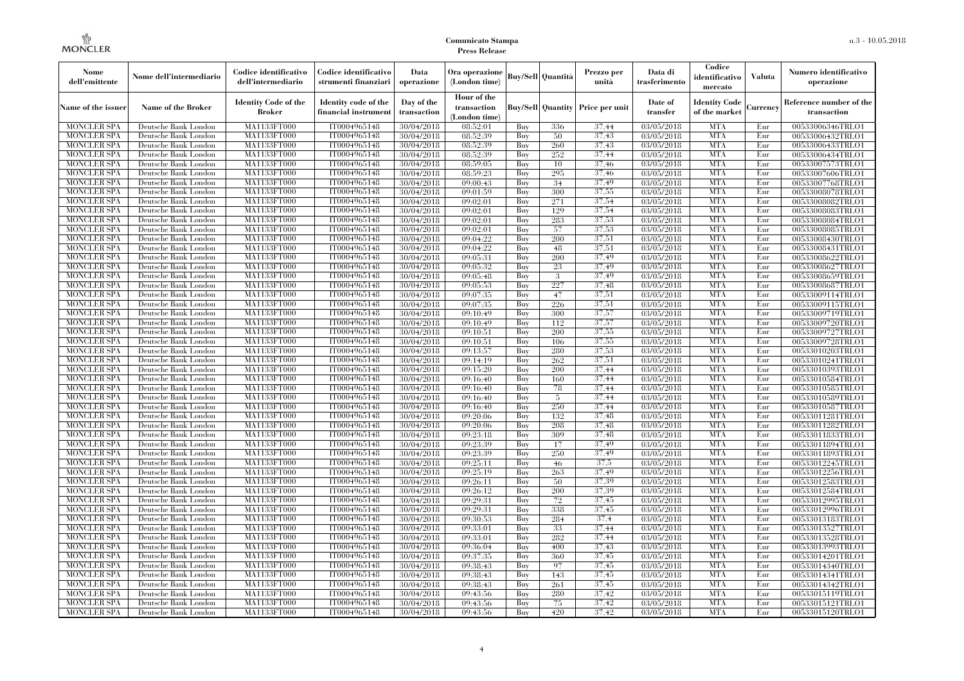| Nome<br>dell'emittente                   | Nome dell'intermediario                      | Codice identificativo<br>dell'intermediario  | Codice identificativo<br>strumenti finanziari | Data<br>operazione        | Ora operazione<br>(London time)             |            | <b>Buy/Sell Quantità</b> | Prezzo per<br>unità                     | Data di<br>trasferimento | Codice<br>identificativo<br>mercato   | <b>Valuta</b> | Numero identificativo<br>operazione    |
|------------------------------------------|----------------------------------------------|----------------------------------------------|-----------------------------------------------|---------------------------|---------------------------------------------|------------|--------------------------|-----------------------------------------|--------------------------|---------------------------------------|---------------|----------------------------------------|
| Name of the issuer                       | Name of the Broker                           | <b>Identity Code of the</b><br><b>Broker</b> | Identity code of the<br>financial instrument  | Day of the<br>transaction | Hour of the<br>transaction<br>(London time) |            |                          | <b>Buy/Sell Quantity Price per unit</b> | Date of<br>transfer      | <b>Identity Code</b><br>of the market | Currencv      | Reference number of the<br>transaction |
| <b>MONCLER SPA</b>                       | Deutsche Bank London                         | MA1133FT000                                  | IT0004965148                                  | 30/04/2018                | 08:52:01                                    | Buy        | 336                      | 37.44                                   | 03/05/2018               | <b>MTA</b>                            | Eur           | 00533006346TRLO1                       |
| <b>MONCLER SPA</b>                       | Deutsche Bank London                         | <b>MA1133FT000</b>                           | IT0004965148                                  | 30/04/2018                | 08:52:39                                    | Buy        | 50                       | 37,43                                   | 03/05/2018               | <b>MTA</b>                            | Eur           | 00533006432TRLO1                       |
| <b>MONCLER SPA</b>                       | Deutsche Bank London                         | MA1133FT000                                  | IT0004965148                                  | 30/04/2018                | 08:52:39                                    | Buy        | 260                      | 37,43                                   | 03/05/2018               | <b>MTA</b>                            | Eur           | 00533006433TRLO1                       |
| <b>MONCLER SPA</b>                       | Deutsche Bank London                         | MA1133FT000                                  | IT0004965148                                  | 30/04/2018                | 08:52:39                                    | Buy        | 252                      | 37,44                                   | 03/05/2018               | <b>MTA</b>                            | Eur           | 00533006434TRLO1                       |
| <b>MONCLER SPA</b>                       | Deutsche Bank London                         | MA1133FT000<br><b>MA1133FT000</b>            | IT0004965148<br>IT0004965148                  | 30/04/2018                | 08:59:05                                    | Buy        | 10<br>295                | 37.46<br>37,46                          | 03/05/2018               | <b>MTA</b><br><b>MTA</b>              | Eur           | 00533007573TRLO1                       |
| <b>MONCLER SPA</b><br><b>MONCLER SPA</b> | Deutsche Bank London<br>Deutsche Bank London | MA1133FT000                                  | IT0004965148                                  | 30/04/2018<br>30/04/2018  | 08:59:23<br>09:00:43                        | Buy<br>Buy | 34                       | 37,49                                   | 03/05/2018<br>03/05/2018 | <b>MTA</b>                            | Eur<br>Eur    | 00533007606TRLO1<br>00533007768TRLO1   |
| <b>MONCLER SPA</b>                       | Deutsche Bank London                         | MA1133FT000                                  | IT0004965148                                  | 30/04/2018                | 09:01:59                                    | Buy        | 300                      | 37,55                                   | 03/05/2018               | <b>MTA</b>                            | Eur           | 00533008078TRLO1                       |
| <b>MONCLER SPA</b>                       | Deutsche Bank London                         | MA1133FT000                                  | IT0004965148                                  | 30/04/2018                | 09:02:01                                    | Buy        | 271                      | 37,54                                   | 03/05/2018               | <b>MTA</b>                            | Eur           | 00533008082TRLO1                       |
| <b>MONCLER SPA</b>                       | Deutsche Bank London                         | <b>MA1133FT000</b>                           | IT0004965148                                  | 30/04/2018                | $\overline{09:02:01}$                       | Buy        | 129                      | 37,54                                   | $\overline{03}/05/2018$  | <b>MTA</b>                            | Eur           | 00533008083TRLO1                       |
| <b>MONCLER SPA</b>                       | Deutsche Bank London                         | MA1133FT000                                  | IT0004965148                                  | 30/04/2018                | 09:02:01                                    | Buy        | 283                      | 37,53                                   | 03/05/2018               | <b>MTA</b>                            | Eur           | 00533008084TRLO1                       |
| <b>MONCLER SPA</b>                       | Deutsche Bank London                         | MA1133FT000                                  | IT0004965148                                  | 30/04/2018                | 09:02:01                                    | Buy        | 57                       | 37,53                                   | 03/05/2018               | <b>MTA</b>                            | Eur           | 00533008085TRLO1                       |
| <b>MONCLER SPA</b>                       | Deutsche Bank London                         | MA1133FT000                                  | IT0004965148                                  | 30/04/2018                | 09:04:22                                    | Buy        | 200                      | 37,51                                   | 03/05/2018               | <b>MTA</b>                            | Eur           | 00533008430TRLO1                       |
| <b>MONCLER SPA</b>                       | Deutsche Bank London                         | MA1133FT000                                  | IT0004965148                                  | 30/04/2018                | 09:04:22                                    | Buy        | 48                       | 37,51                                   | 03/05/2018               | <b>MTA</b>                            | Eur           | 00533008431TRLO1                       |
| <b>MONCLER SPA</b>                       | Deutsche Bank London                         | MA1133FT000                                  | IT0004965148                                  | 30/04/2018                | 09:05:31                                    | Buy        | 200                      | 37,49                                   | 03/05/2018               | <b>MTA</b>                            | Eur           | 00533008622TRLO1                       |
| <b>MONCLER SPA</b>                       | Deutsche Bank London                         | MA1133FT000                                  | IT0004965148                                  | 30/04/2018                | 09:05:32                                    | Buy        | 23                       | 37.49                                   | 03/05/2018               | <b>MTA</b>                            | Eur           | 00533008627TRLO1                       |
| <b>MONCLER SPA</b>                       | Deutsche Bank London                         | MA1133FT000                                  | IT0004965148                                  | 30/04/2018                | 09:05:48                                    | Buy        | 3                        | 37,49                                   | 03/05/2018               | <b>MTA</b>                            | Eur           | 00533008659TRLO1                       |
| <b>MONCLER SPA</b>                       | Deutsche Bank London                         | MA1133FT000                                  | IT0004965148                                  | 30/04/2018                | 09:05:53                                    | Buy        | 227                      | 37.48                                   | 03/05/2018               | <b>MTA</b>                            | Eur           | 00533008687TRLO1                       |
| <b>MONCLER SPA</b>                       | Deutsche Bank London                         | MA1133FT000                                  | IT0004965148                                  | 30/04/2018                | 09:07:35                                    | Buy        | 47                       | 37,51                                   | 03/05/2018               | <b>MTA</b>                            | Eur           | 00533009114TRLO1                       |
| <b>MONCLER SPA</b>                       | Deutsche Bank London                         | MA1133FT000                                  | IT0004965148                                  | 30/04/2018                | 09:07:35                                    | Buy        | 226                      | 37,51                                   | 03/05/2018               | <b>MTA</b>                            | Eur           | 00533009115TRLO1                       |
| MONCLER SPA                              | Deutsche Bank London                         | MA1133FT000                                  | IT0004965148                                  | 30/04/2018                | 09:10:49                                    | Buy        | 300                      | 37,57                                   | 03/05/2018               | <b>MTA</b>                            | Eur           | 00533009719TRLO1                       |
| <b>MONCLER SPA</b>                       | Deutsche Bank London                         | MA1133FT000                                  | IT0004965148                                  | 30/04/2018                | 09:10:49                                    | Buy        | 112                      | 37,57                                   | 03/05/2018               | <b>MTA</b>                            | Eur           | 00533009720TRLO1                       |
| <b>MONCLER SPA</b>                       | Deutsche Bank London                         | MA1133FT000                                  | IT0004965148                                  | 30/04/2018                | 09:10:51                                    | Buy        | 200                      | 37.55                                   | 03/05/2018               | <b>MTA</b>                            | Eur           | 00533009727TRLO1                       |
| <b>MONCLER SPA</b>                       | Deutsche Bank London                         | MA1133FT000                                  | IT0004965148                                  | 30/04/2018                | 09:10:51                                    | Buy        | 106                      | 37.55                                   | 03/05/2018               | <b>MTA</b>                            | Eur           | 00533009728TRLO1                       |
| <b>MONCLER SPA</b><br><b>MONCLER SPA</b> | Deutsche Bank London<br>Deutsche Bank London | MA1133FT000<br>MA1133FT000                   | IT0004965148<br>IT0004965148                  | 30/04/2018<br>30/04/2018  | 09:13:57<br>09:14:19                        | Buy<br>Buy | 280<br>262               | 37,53<br>37,51                          | 03/05/2018<br>03/05/2018 | <b>MTA</b><br><b>MTA</b>              | Eur<br>Eur    | 00533010203TRLO1<br>00533010241TRLO1   |
| <b>MONCLER SPA</b>                       | Deutsche Bank London                         | MA1133FT000                                  | IT0004965148                                  | 30/04/2018                | 09:15:20                                    | Buy        | 200                      | 37,44                                   | 03/05/2018               | <b>MTA</b>                            | Eur           | 00533010393TRLO1                       |
| <b>MONCLER SPA</b>                       | Deutsche Bank London                         | MA1133FT000                                  | IT0004965148                                  | 30/04/2018                | 09:16:40                                    | Buy        | 160                      | 37,44                                   | 03/05/2018               | <b>MTA</b>                            | Eur           | 00533010584TRLO1                       |
| <b>MONCLER SPA</b>                       | Deutsche Bank London                         | MA1133FT000                                  | IT0004965148                                  | 30/04/2018                | 09:16:40                                    | Buy        | 78                       | 37,44                                   | 03/05/2018               | <b>MTA</b>                            | Eur           | 00533010585TRLO1                       |
| <b>MONCLER SPA</b>                       | Deutsche Bank London                         | <b>MA1133FT000</b>                           | IT0004965148                                  | 30/04/2018                | 09:16:40                                    | Buy        | 5                        | 37,44                                   | 03/05/2018               | <b>MTA</b>                            | Eur           | 00533010589TRLO1                       |
| MONCLER SPA                              | Deutsche Bank London                         | MA1133FT000                                  | IT0004965148                                  | 30/04/2018                | 09:16:40                                    | Buy        | 250                      | 37,44                                   | 03/05/2018               | <b>MTA</b>                            | Eur           | 00533010587TRLO1                       |
| <b>MONCLER SPA</b>                       | Deutsche Bank London                         | MA1133FT000                                  | IT0004965148                                  | 30/04/2018                | 09:20:06                                    | Buy        | 132                      | 37,48                                   | 03/05/2018               | <b>MTA</b>                            | Eur           | 00533011281TRLO1                       |
| <b>MONCLER SPA</b>                       | Deutsche Bank London                         | MA1133FT000                                  | IT0004965148                                  | 30/04/2018                | 09:20:06                                    | Buy        | 208                      | 37,48                                   | 03/05/2018               | <b>MTA</b>                            | Eur           | 00533011282TRLO1                       |
| <b>MONCLER SPA</b>                       | Deutsche Bank London                         | MA1133FT000                                  | IT0004965148                                  | 30/04/2018                | 09:23:18                                    | Buy        | 309                      | 37,48                                   | 03/05/2018               | <b>MTA</b>                            | Eur           | 00533011833TRLO1                       |
| <b>MONCLER SPA</b>                       | Deutsche Bank London                         | MA1133FT000                                  | IT0004965148                                  | 30/04/2018                | 09:23:39                                    | Buy        | 17                       | 37.49                                   | 03/05/2018               | <b>MTA</b>                            | Eur           | 00533011894TRLO1                       |
| <b>MONCLER SPA</b>                       | Deutsche Bank London                         | MA1133FT000                                  | IT0004965148                                  | 30/04/2018                | 09:23:39                                    | Buy        | 250                      | 37,49                                   | 03/05/2018               | <b>MTA</b>                            | Eur           | 00533011893TRLO1                       |
| MONCLER SPA                              | Deutsche Bank London                         | MA1133FT000                                  | IT0004965148                                  | 30/04/2018                | 09:25:11                                    | Buy        | 46                       | 37,5                                    | 03/05/2018               | <b>MTA</b>                            | Eur           | 00533012245TRLO1                       |
| <b>MONCLER SPA</b>                       | Deutsche Bank London                         | <b>MA1133FT000</b>                           | IT0004965148                                  | 30/04/2018                | 09:25:19                                    | Buy        | 263                      | 37.49                                   | 03/05/2018               | <b>MTA</b>                            | Eur           | 00533012256TRLO1                       |
| <b>MONCLER SPA</b>                       | Deutsche Bank London                         | MA1133FT000                                  | IT0004965148                                  | 30/04/2018                | 09:26:11                                    | Buy        | 50                       | 37.39                                   | 03/05/2018               | <b>MTA</b>                            | Eur           | 00533012583TRLO1                       |
| <b>MONCLER SPA</b>                       | Deutsche Bank London                         | <b>MA1133FT000</b>                           | IT0004965148                                  | 30/04/2018                | 09:26:12                                    | Buy        | 200                      | 37.39                                   | 03/05/2018               | <b>MTA</b>                            | Eur           | 00533012584TRLO1                       |
| <b>MONCLER SPA</b>                       | Deutsche Bank London                         | MA1133FT000                                  | IT0004965148                                  | 30/04/2018                | 09:29:31                                    | Buy        | $72\,$                   | 37,45                                   | 03/05/2018               | <b>MTA</b>                            | Eur           | 00533012995TRLO1                       |
| <b>MONCLER SPA</b>                       | Deutsche Bank London                         | MA1133FT000                                  | IT0004965148                                  | 30/04/2018                | 09:29:31                                    | Buy        | 338                      | 37,45                                   | 03/05/2018               | <b>MTA</b>                            | Eur           | 00533012996TRLO1                       |
| <b>MONCLER SPA</b>                       | Deutsche Bank London                         | MA1133FT000                                  | IT0004965148                                  | 30/04/2018                | 09:30:53                                    | Buy        | 284                      | 37.4                                    | 03/05/2018               | <b>MTA</b>                            | Eur           | 00533013183TRLO1                       |
| <b>MONCLER SPA</b>                       | Deutsche Bank London                         | MA1133FT000                                  | IT0004965148                                  | 30/04/2018                | 09:33:01                                    | Buy        | 33                       | 37,44                                   | $\sqrt{03}/05/2018$      | <b>MTA</b>                            | Eur           | 00533013527TRLO1                       |
| <b>MONCLER SPA</b><br><b>MONCLER SPA</b> | Deutsche Bank London<br>Deutsche Bank London | MA1133FT000<br>MA1133FT000                   | IT0004965148<br>IT0004965148                  | 30/04/2018<br>30/04/2018  | 09:33:01<br>09:36:04                        | Buy<br>Buy | 282<br>400               | 37,44<br>37,43                          | 03/05/2018<br>03/05/2018 | <b>MTA</b><br><b>MTA</b>              | Eur<br>Eur    | 00533013528TRLO1<br>00533013993TRLO1   |
| <b>MONCLER SPA</b>                       | Deutsche Bank London                         | MA1133FT000                                  | IT0004965148                                  | 30/04/2018                | 09:37:35                                    | Buy        | 360                      | 37.45                                   | 03/05/2018               | <b>MTA</b>                            | Eur           | 00533014201TRLO1                       |
| <b>MONCLER SPA</b>                       | Deutsche Bank London                         | MA1133FT000                                  | IT0004965148                                  | 30/04/2018                | 09:38:43                                    | Buy        | 97                       | 37.45                                   | 03/05/2018               | <b>MTA</b>                            | Eur           | 00533014340TRLO1                       |
| <b>MONCLER SPA</b>                       | Deutsche Bank London                         | MA1133FT000                                  | IT0004965148                                  | 30/04/2018                | 09:38:43                                    | Buy        | 143                      | 37,45                                   | 03/05/2018               | <b>MTA</b>                            | Eur           | 00533014341TRLO1                       |
| <b>MONCLER SPA</b>                       | Deutsche Bank London                         | MA1133FT000                                  | IT0004965148                                  | 30/04/2018                | 09:38:43                                    | Buy        | 261                      | 37.45                                   | 03/05/2018               | <b>MTA</b>                            | Eur           | 00533014342TRLO1                       |
| <b>MONCLER SPA</b>                       | Deutsche Bank London                         | MA1133FT000                                  | IT0004965148                                  | 30/04/2018                | 09:43:56                                    | Buy        | 280                      | 37,42                                   | 03/05/2018               | <b>MTA</b>                            | Eur           | 00533015119TRLO1                       |
| <b>MONCLER SPA</b>                       | Deutsche Bank London                         | <b>MA1133FT000</b>                           | IT0004965148                                  | 30/04/2018                | 09:43:56                                    | Buy        | 75                       | 37.42                                   | 03/05/2018               | <b>MTA</b>                            | Eur           | 00533015121TRLO1                       |
| <b>MONCLER SPA</b>                       | Deutsche Bank London                         | MA1133FT000                                  | IT0004965148                                  | 30/04/2018                | 09:43:56                                    | Buy        | 420                      | 37,42                                   | 03/05/2018               | <b>MTA</b>                            | Eur           | 00533015120TRLO1                       |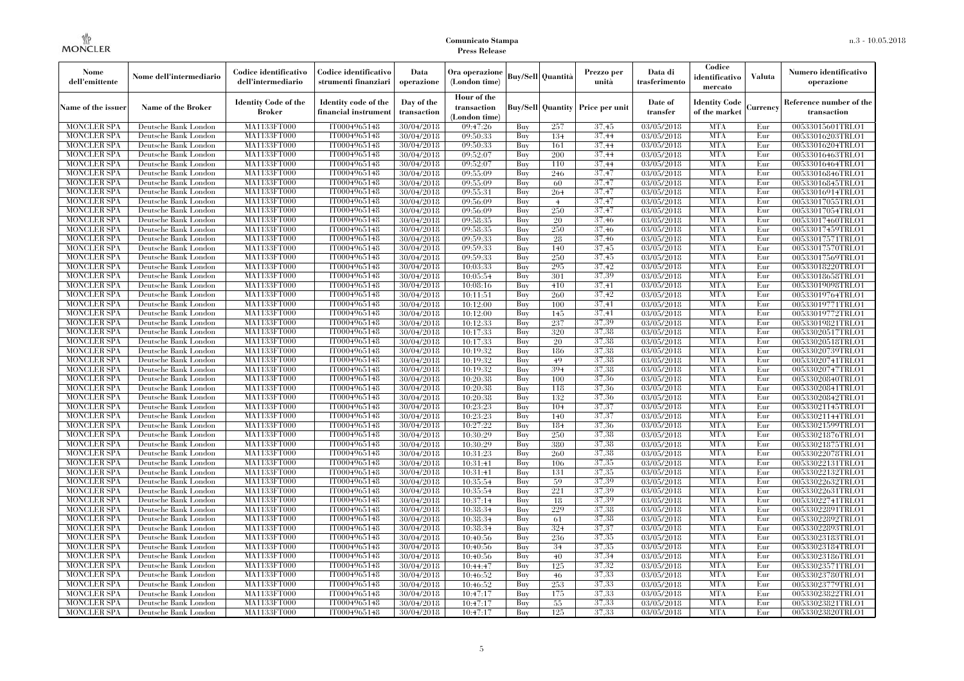| Nome<br>dell'emittente                   | Nome dell'intermediario                      | Codice identificativo<br>dell'intermediario  | Codice identificativo<br>strumenti finanziari | Data<br>operazione        | Ora operazione<br>(London time)             |            | <b>Buy/Sell Quantità</b> | Prezzo per<br>unità                     | Data di<br>trasferimento | Codice<br>identificativo<br>mercato   | <b>Valuta</b> | Numero identificativo<br>operazione    |
|------------------------------------------|----------------------------------------------|----------------------------------------------|-----------------------------------------------|---------------------------|---------------------------------------------|------------|--------------------------|-----------------------------------------|--------------------------|---------------------------------------|---------------|----------------------------------------|
| Name of the issuer                       | Name of the Broker                           | <b>Identity Code of the</b><br><b>Broker</b> | Identity code of the<br>financial instrument  | Day of the<br>transaction | Hour of the<br>transaction<br>(London time) |            |                          | <b>Buy/Sell Quantity Price per unit</b> | Date of<br>transfer      | <b>Identity Code</b><br>of the market | Currencv      | Reference number of the<br>transaction |
| <b>MONCLER SPA</b>                       | Deutsche Bank London                         | MA1133FT000                                  | IT0004965148                                  | 30/04/2018                | 09:47:26                                    | Buy        | 257                      | 37.45                                   | 03/05/2018               | <b>MTA</b>                            | Eur           | 00533015601TRLO1                       |
| <b>MONCLER SPA</b>                       | Deutsche Bank London                         | <b>MA1133FT000</b>                           | IT0004965148                                  | 30/04/2018                | 09:50:33                                    | Buy        | 134                      | 37,44                                   | 03/05/2018               | <b>MTA</b>                            | Eur           | 00533016203TRLO1                       |
| <b>MONCLER SPA</b>                       | Deutsche Bank London                         | MA1133FT000                                  | IT0004965148                                  | 30/04/2018                | 09:50:33                                    | Buy        | 161                      | 37.44                                   | 03/05/2018               | <b>MTA</b>                            | Eur           | 00533016204TRLO1                       |
| <b>MONCLER SPA</b>                       | Deutsche Bank London                         | MA1133FT000                                  | IT0004965148                                  | 30/04/2018                | 09:52:07                                    | Buy        | 200                      | 37,44                                   | 03/05/2018               | <b>MTA</b>                            | Eur           | 00533016463TRLO1                       |
| <b>MONCLER SPA</b>                       | Deutsche Bank London                         | MA1133FT000                                  | IT0004965148                                  | 30/04/2018                | 09:52:07                                    | Buy        | 110                      | 37,44<br>37,47                          | 03/05/2018               | <b>MTA</b><br><b>MTA</b>              | Eur<br>Eur    | 00533016464TRLO1                       |
| <b>MONCLER SPA</b><br><b>MONCLER SPA</b> | Deutsche Bank London<br>Deutsche Bank London | <b>MA1133FT000</b><br>MA1133FT000            | IT0004965148<br>IT0004965148                  | 30/04/2018<br>30/04/2018  | 09:55:09<br>09:55:09                        | Buy<br>Buy | 246<br>60                | 37,47                                   | 03/05/2018<br>03/05/2018 | <b>MTA</b>                            | Eur           | 00533016846TRLO1<br>00533016845TRLO1   |
| <b>MONCLER SPA</b>                       | Deutsche Bank London                         | MA1133FT000                                  | IT0004965148                                  | 30/04/2018                | 09:55:31                                    | Buv        | 264                      | 37,47                                   | 03/05/2018               | <b>MTA</b>                            | Eur           | 00533016914TRLO1                       |
| <b>MONCLER SPA</b>                       | Deutsche Bank London                         | MA1133FT000                                  | IT0004965148                                  | 30/04/2018                | 09:56:09                                    | Buy        | $\overline{4}$           | 37,47                                   | 03/05/2018               | <b>MTA</b>                            | Eur           | 00533017055TRLO1                       |
| <b>MONCLER SPA</b>                       | Deutsche Bank London                         | <b>MA1133FT000</b>                           | IT0004965148                                  | 30/04/2018                | 09:56:09                                    | Buy        | 250                      | 37,47                                   | 03/05/2018               | <b>MTA</b>                            | Eur           | 00533017054TRLO1                       |
| <b>MONCLER SPA</b>                       | Deutsche Bank London                         | MA1133FT000                                  | IT0004965148                                  | 30/04/2018                | 09:58:35                                    | Buy        | 20                       | 37,46                                   | 03/05/2018               | <b>MTA</b>                            | Eur           | 00533017460TRLO1                       |
| <b>MONCLER SPA</b>                       | Deutsche Bank London                         | MA1133FT000                                  | IT0004965148                                  | 30/04/2018                | 09:58:35                                    | Buy        | 250                      | 37,46                                   | 03/05/2018               | <b>MTA</b>                            | Eur           | 00533017459TRLO1                       |
| <b>MONCLER SPA</b>                       | Deutsche Bank London                         | MA1133FT000                                  | IT0004965148                                  | 30/04/2018                | 09:59:33                                    | Buy        | 28                       | 37,46                                   | 03/05/2018               | <b>MTA</b>                            | Eur           | 00533017571TRLO1                       |
| <b>MONCLER SPA</b>                       | Deutsche Bank London                         | MA1133FT000                                  | IT0004965148                                  | 30/04/2018                | 09:59:33                                    | Buy        | 140                      | 37,45                                   | 03/05/2018               | <b>MTA</b>                            | Eur           | 00533017570TRLO1                       |
| <b>MONCLER SPA</b>                       | Deutsche Bank London                         | MA1133FT000                                  | IT0004965148                                  | 30/04/2018                | 09:59:33                                    | Buy        | 250                      | 37,45                                   | 03/05/2018               | <b>MTA</b>                            | Eur           | 00533017569TRLO1                       |
| <b>MONCLER SPA</b>                       | Deutsche Bank London                         | MA1133FT000                                  | IT0004965148                                  | 30/04/2018                | 10:03:33                                    | Buy        | 295                      | 37,42                                   | 03/05/2018               | <b>MTA</b>                            | Eur           | 00533018220TRLO1                       |
| <b>MONCLER SPA</b>                       | Deutsche Bank London                         | MA1133FT000                                  | IT0004965148                                  | 30/04/2018                | 10:05:54                                    | Buy        | 301                      | 37.39                                   | 03/05/2018               | <b>MTA</b>                            | Eur           | 00533018658TRLO1                       |
| <b>MONCLER SPA</b>                       | Deutsche Bank London                         | MA1133FT000                                  | IT0004965148                                  | 30/04/2018                | 10:08:16                                    | Buy        | 410                      | 37,41                                   | 03/05/2018               | <b>MTA</b>                            | Eur           | 00533019098TRLO1                       |
| <b>MONCLER SPA</b>                       | Deutsche Bank London                         | MA1133FT000                                  | IT0004965148                                  | 30/04/2018                | 10:11:51                                    | Buy        | 260                      | 37.42                                   | 03/05/2018               | <b>MTA</b>                            | Eur           | 00533019764TRLO1                       |
| <b>MONCLER SPA</b>                       | Deutsche Bank London                         | MA1133FT000                                  | IT0004965148                                  | 30/04/2018                | 10:12:00                                    | Buy        | 100                      | 37.41                                   | 03/05/2018               | <b>MTA</b>                            | Eur           | 00533019771TRLO1                       |
| MONCLER SPA                              | Deutsche Bank London                         | MA1133FT000                                  | IT0004965148                                  | 30/04/2018                | 10:12:00                                    | Buy        | 145                      | 37,41                                   | 03/05/2018               | <b>MTA</b>                            | Eur           | 00533019772TRLO1                       |
| <b>MONCLER SPA</b>                       | Deutsche Bank London                         | MA1133FT000                                  | IT0004965148                                  | 30/04/2018                | 10:12:33                                    | Buy        | 237                      | 37,39                                   | 03/05/2018               | <b>MTA</b>                            | Eur           | 00533019821TRLO1                       |
| <b>MONCLER SPA</b>                       | Deutsche Bank London                         | MA1133FT000                                  | IT0004965148                                  | 30/04/2018                | 10:17:33                                    | Buy        | 320                      | 37.38                                   | 03/05/2018               | <b>MTA</b>                            | Eur           | 00533020517TRLO1                       |
| <b>MONCLER SPA</b>                       | Deutsche Bank London                         | MA1133FT000                                  | IT0004965148                                  | 30/04/2018                | 10:17:33                                    | Buy        | 20                       | 37.38                                   | 03/05/2018               | <b>MTA</b>                            | Eur           | 00533020518TRLO1                       |
| <b>MONCLER SPA</b><br><b>MONCLER SPA</b> | Deutsche Bank London<br>Deutsche Bank London | MA1133FT000<br>MA1133FT000                   | IT0004965148<br>IT0004965148                  | 30/04/2018<br>30/04/2018  | 10:19:32<br>10:19:32                        | Buy<br>Buy | 186<br>49                | 37,38<br>37,38                          | 03/05/2018<br>03/05/2018 | <b>MTA</b><br><b>MTA</b>              | Eur<br>Eur    | 00533020739TRLO1<br>00533020741TRLO1   |
| MONCLER SPA                              | Deutsche Bank London                         | MA1133FT000                                  | IT0004965148                                  | 30/04/2018                | 10:19:32                                    | Buy        | 394                      | 37,38                                   | 03/05/2018               | <b>MTA</b>                            | Eur           | 00533020747TRLO1                       |
| <b>MONCLER SPA</b>                       | Deutsche Bank London                         | MA1133FT000                                  | IT0004965148                                  | 30/04/2018                | 10:20:38                                    | Buy        | 100                      | 37.36                                   | 03/05/2018               | <b>MTA</b>                            | Eur           | 00533020840TRLO1                       |
| <b>MONCLER SPA</b>                       | Deutsche Bank London                         | MA1133FT000                                  | IT0004965148                                  | 30/04/2018                | 10:20:38                                    | Buy        | 118                      | 37,36                                   | 03/05/2018               | <b>MTA</b>                            | Eur           | 00533020841TRLO1                       |
| <b>MONCLER SPA</b>                       | Deutsche Bank London                         | <b>MA1133FT000</b>                           | IT0004965148                                  | 30/04/2018                | 10:20:38                                    | Buy        | 132                      | 37.36                                   | 03/05/2018               | <b>MTA</b>                            | Eur           | 00533020842TRLO1                       |
| MONCLER SPA                              | Deutsche Bank London                         | MA1133FT000                                  | IT0004965148                                  | 30/04/2018                | 10:23:23                                    | Buy        | 104                      | 37,37                                   | 03/05/2018               | <b>MTA</b>                            | Eur           | 00533021145TRLO1                       |
| <b>MONCLER SPA</b>                       | Deutsche Bank London                         | MA1133FT000                                  | IT0004965148                                  | 30/04/2018                | 10:23:23                                    | Buy        | 140                      | 37,37                                   | 03/05/2018               | <b>MTA</b>                            | Eur           | 00533021144TRLO1                       |
| <b>MONCLER SPA</b>                       | Deutsche Bank London                         | MA1133FT000                                  | IT0004965148                                  | 30/04/2018                | 10:27:22                                    | Buy        | 184                      | 37,36                                   | 03/05/2018               | <b>MTA</b>                            | Eur           | 00533021599TRLO1                       |
| <b>MONCLER SPA</b>                       | Deutsche Bank London                         | MA1133FT000                                  | IT0004965148                                  | 30/04/2018                | 10:30:29                                    | Buy        | 250                      | 37.38                                   | 03/05/2018               | <b>MTA</b>                            | Eur           | 00533021876TRLO1                       |
| <b>MONCLER SPA</b>                       | Deutsche Bank London                         | MA1133FT000                                  | IT0004965148                                  | 30/04/2018                | 10:30:29                                    | Buy        | 380                      | 37.38                                   | 03/05/2018               | <b>MTA</b>                            | Eur           | 00533021875TRLO1                       |
| <b>MONCLER SPA</b>                       | Deutsche Bank London                         | MA1133FT000                                  | IT0004965148                                  | 30/04/2018                | 10:31:23                                    | Buy        | 260                      | 37,38                                   | 03/05/2018               | <b>MTA</b>                            | Eur           | 00533022078TRLO1                       |
| <b>MONCLER SPA</b>                       | Deutsche Bank London                         | MA1133FT000                                  | IT0004965148                                  | 30/04/2018                | 10:31:41                                    | Buy        | 106                      | 37,35                                   | 03/05/2018               | <b>MTA</b>                            | Eur           | 00533022131TRLO1                       |
| <b>MONCLER SPA</b>                       | Deutsche Bank London                         | <b>MA1133FT000</b>                           | IT0004965148                                  | 30/04/2018                | 10:31:41                                    | Buy        | 131                      | 37,35                                   | 03/05/2018               | <b>MTA</b>                            | Eur           | 00533022132TRLO1                       |
| <b>MONCLER SPA</b>                       | Deutsche Bank London                         | MA1133FT000                                  | IT0004965148                                  | 30/04/2018                | 10:35:54                                    | Buy        | 59                       | 37,39                                   | 03/05/2018               | <b>MTA</b>                            | Eur           | 00533022632TRLO1                       |
| <b>MONCLER SPA</b>                       | Deutsche Bank London                         | <b>MA1133FT000</b>                           | IT0004965148                                  | 30/04/2018                | 10:35:54                                    | Buy        | 221                      | 37.39                                   | 03/05/2018               | <b>MTA</b>                            | Eur           | 00533022631TRLO1                       |
| <b>MONCLER SPA</b>                       | Deutsche Bank London                         | MA1133FT000                                  | IT0004965148                                  | 30/04/2018                | 10:37:14                                    | Buy        | 18                       | 37.39                                   | 03/05/2018               | <b>MTA</b>                            | Eur           | 00533022741TRLO1                       |
| <b>MONCLER SPA</b>                       | Deutsche Bank London                         | MA1133FT000                                  | IT0004965148                                  | 30/04/2018                | 10:38:34                                    | Buy        | 229                      | 37,38                                   | 03/05/2018               | <b>MTA</b>                            | Eur           | 00533022891TRLO1                       |
| <b>MONCLER SPA</b>                       | Deutsche Bank London                         | MA1133FT000                                  | IT0004965148                                  | 30/04/2018                | 10:38:34                                    | Buy        | 61                       | 37.38<br>37,37                          | 03/05/2018               | <b>MTA</b>                            | Eur           | 00533022892TRLO1                       |
| <b>MONCLER SPA</b>                       | Deutsche Bank London                         | MA1133FT000                                  | IT0004965148<br>IT0004965148                  | 30/04/2018                | 10:38:34                                    | Buy<br>Buy | 324                      | 37,35                                   | $\sqrt{03}/05/2018$      | <b>MTA</b><br><b>MTA</b>              | Eur<br>Eur    | 00533022893TRLO1                       |
| <b>MONCLER SPA</b><br><b>MONCLER SPA</b> | Deutsche Bank London                         | MA1133FT000<br>MA1133FT000                   | IT0004965148                                  | 30/04/2018                | 10:40:56                                    |            | 236                      | 37,35                                   | 03/05/2018               | <b>MTA</b>                            | Eur           | 00533023183TRLO1                       |
| <b>MONCLER SPA</b>                       | Deutsche Bank London<br>Deutsche Bank London | MA1133FT000                                  | IT0004965148                                  | 30/04/2018<br>30/04/2018  | 10:40:56<br>10:40:56                        | Buy<br>Buy | 34<br>40                 | 37,34                                   | 03/05/2018<br>03/05/2018 | <b>MTA</b>                            | Eur           | 00533023184TRLO1<br>00533023186TRLO1   |
| <b>MONCLER SPA</b>                       | Deutsche Bank London                         | MA1133FT000                                  | IT0004965148                                  | 30/04/2018                | 10:44:47                                    | Buy        | 125                      | 37.32                                   | 03/05/2018               | <b>MTA</b>                            | Eur           | 00533023571TRLO1                       |
| <b>MONCLER SPA</b>                       | Deutsche Bank London                         | MA1133FT000                                  | IT0004965148                                  | 30/04/2018                | 10:46:52                                    | Buy        | 46                       | 37,33                                   | 03/05/2018               | <b>MTA</b>                            | Eur           | 00533023780TRLO1                       |
| <b>MONCLER SPA</b>                       | Deutsche Bank London                         | MA1133FT000                                  | IT0004965148                                  | 30/04/2018                | 10:46:52                                    | Buy        | 253                      | 37.33                                   | 03/05/2018               | <b>MTA</b>                            | Eur           | 00533023779TRLO1                       |
| <b>MONCLER SPA</b>                       | Deutsche Bank London                         | MA1133FT000                                  | IT0004965148                                  | 30/04/2018                | 10:47:17                                    | Buy        | 175                      | 37,33                                   | 03/05/2018               | <b>MTA</b>                            | Eur           | 00533023822TRLO1                       |
| <b>MONCLER SPA</b>                       | Deutsche Bank London                         | <b>MA1133FT000</b>                           | IT0004965148                                  | 30/04/2018                | 10:47:17                                    | Buy        | 55                       | 37.33                                   | 03/05/2018               | <b>MTA</b>                            | Eur           | 00533023821TRLO1                       |
| <b>MONCLER SPA</b>                       | Deutsche Bank London                         | MA1133FT000                                  | IT0004965148                                  | 30/04/2018                | 10:47:17                                    | Buy        | 125                      | 37,33                                   | 03/05/2018               | <b>MTA</b>                            | Eur           | 00533023820TRLO1                       |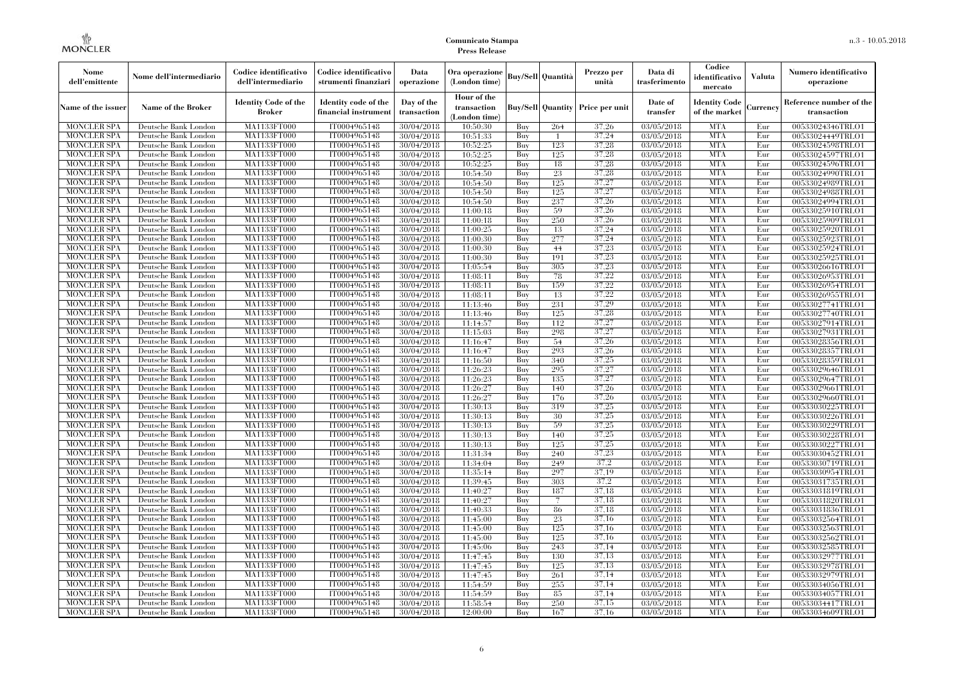| Nome<br>dell'emittente                   | Nome dell'intermediario                      | Codice identificativo<br>dell'intermediario  | Codice identificativo<br>strumenti finanziari | Data<br>operazione        | Ora operazione<br>(London time)             |            | <b>Buy/Sell Quantità</b> | Prezzo per<br>unità | Data di<br>trasferimento | Codice<br>identificativo<br>mercato   | <b>Valuta</b> | Numero identificativo<br>operazione    |
|------------------------------------------|----------------------------------------------|----------------------------------------------|-----------------------------------------------|---------------------------|---------------------------------------------|------------|--------------------------|---------------------|--------------------------|---------------------------------------|---------------|----------------------------------------|
| Name of the issuer                       | Name of the Broker                           | <b>Identity Code of the</b><br><b>Broker</b> | Identity code of the<br>financial instrumen   | Day of the<br>transaction | Hour of the<br>transaction<br>(London time) |            | <b>Buy/Sell Quantity</b> | Price per unit      | Date of<br>transfer      | <b>Identity Code</b><br>of the market | Currency      | Reference number of the<br>transaction |
| <b>MONCLER SPA</b>                       | Deutsche Bank London                         | MA1133FT000                                  | IT0004965148                                  | 30/04/2018                | 10:50:30                                    | Buy        | 264                      | 37,26               | 03/05/2018               | <b>MTA</b>                            | Eur           | 00533024346TRLO1                       |
| <b>MONCLER SPA</b>                       | Deutsche Bank London                         | MA1133FT000                                  | IT0004965148                                  | 30/04/2018                | 10:51:33                                    | Buy        | $\overline{1}$           | 37,24               | 03/05/2018               | <b>MTA</b>                            | Eur           | 00533024449TRLO1                       |
| <b>MONCLER SPA</b>                       | Deutsche Bank London                         | MA1133FT000                                  | IT0004965148                                  | 30/04/2018                | 10:52:25                                    | Buy        | 123                      | 37,28               | 03/05/2018               | <b>MTA</b>                            | Eur           | 00533024598TRLO1                       |
| <b>MONCLER SPA</b>                       | Deutsche Bank London                         | <b>MA1133FT000</b>                           | IT0004965148                                  | 30/04/2018                | 10:52:25                                    | Buy        | 125                      | 37,28               | 03/05/2018               | <b>MTA</b>                            | Eur           | 00533024597TRLO1                       |
| MONCLER SPA                              | Deutsche Bank London                         | MA1133FT000                                  | IT0004965148                                  | 30/04/2018                | 10:52:25                                    | Buy        | 18                       | 37,28               | 03/05/2018               | <b>MTA</b>                            | Eur           | 00533024596TRLO1                       |
| <b>MONCLER SPA</b><br><b>MONCLER SPA</b> | Deutsche Bank London                         | MA1133FT000<br>MA1133FT000                   | IT0004965148<br>IT0004965148                  | 30/04/2018                | 10:54:50<br>10:54:50                        | Buy<br>Buy | 23<br>125                | 37,28<br>37,27      | 03/05/2018<br>03/05/2018 | <b>MTA</b><br><b>MTA</b>              | Eur<br>Eur    | 00533024990TRLO1                       |
| <b>MONCLER SPA</b>                       | Deutsche Bank London<br>Deutsche Bank London | MA1133FT000                                  | IT0004965148                                  | 30/04/2018<br>30/04/2018  | 10:54:50                                    | Buy        | 125                      | 37,27               | 03/05/2018               | <b>MTA</b>                            | Eur           | 00533024989TRLO1<br>00533024988TRLO1   |
| MONCLER SPA                              | Deutsche Bank London                         | MA1133FT000                                  | IT0004965148                                  | 30/04/2018                | 10:54:50                                    | Buy        | 237                      | 37,26               | 03/05/2018               | <b>MTA</b>                            | Eur           | 00533024994TRLO1                       |
| <b>MONCLER SPA</b>                       | Deutsche Bank London                         | MA1133FT000                                  | IT0004965148                                  | 30/04/2018                | 11:00:18                                    | Buy        | 59                       | 37,26               | 03/05/2018               | <b>MTA</b>                            | Eur           | 00533025910TRLO1                       |
| <b>MONCLER SPA</b>                       | Deutsche Bank London                         | MA1133FT000                                  | IT0004965148                                  | 30/04/2018                | 11:00:18                                    | Buy        | 250                      | 37,26               | 03/05/2018               | <b>MTA</b>                            | Eur           | 00533025909TRLO1                       |
| <b>MONCLER SPA</b>                       | Deutsche Bank London                         | MA1133FT000                                  | IT0004965148                                  | 30/04/2018                | 11:00:25                                    | Buy        | 13                       | 37,24               | 03/05/2018               | <b>MTA</b>                            | Eur           | 00533025920TRLO1                       |
| MONCLER SPA                              | Deutsche Bank London                         | MA1133FT000                                  | IT0004965148                                  | 30/04/2018                | 11:00:30                                    | Buy        | 277                      | 37,24               | 03/05/2018               | <b>MTA</b>                            | Eur           | 00533025923TRLO1                       |
| <b>MONCLER SPA</b>                       | Deutsche Bank London                         | <b>MA1133FT000</b>                           | IT0004965148                                  | 30/04/2018                | 11:00:30                                    | Buy        | 44                       | 37,23               | 03/05/2018               | <b>MTA</b>                            | Eur           | 00533025924TRLO1                       |
| <b>MONCLER SPA</b>                       | Deutsche Bank London                         | MA1133FT000                                  | IT0004965148                                  | 30/04/2018                | 11:00:30                                    | Buy        | 191                      | 37,23               | 03/05/2018               | <b>MTA</b>                            | Eur           | 00533025925TRLO1                       |
| <b>MONCLER SPA</b>                       | Deutsche Bank London                         | MA1133FT000                                  | IT0004965148                                  | 30/04/2018                | 11:05:54                                    | Buy        | 305                      | 37,23               | 03/05/2018               | <b>MTA</b>                            | Eur           | 00533026616TRLO1                       |
| <b>MONCLER SPA</b>                       | Deutsche Bank London                         | MA1133FT000                                  | IT0004965148                                  | 30/04/2018                | 11:08:11                                    | Buy        | 78                       | 37,22               | 03/05/2018               | <b>MTA</b>                            | Eur           | 00533026953TRLO1                       |
| <b>MONCLER SPA</b>                       | Deutsche Bank London                         | MA1133FT000                                  | IT0004965148                                  | 30/04/2018                | 11:08:11                                    | Buy        | 159                      | 37,22               | 03/05/2018               | <b>MTA</b>                            | Eur           | 00533026954TRLO1                       |
| <b>MONCLER SPA</b>                       | Deutsche Bank London                         | MA1133FT000                                  | IT0004965148                                  | 30/04/2018                | 11:08:11                                    | Buy        | 13                       | 37,22               | 03/05/2018               | <b>MTA</b>                            | Eur           | 00533026955TRLO1                       |
| <b>MONCLER SPA</b>                       | Deutsche Bank London                         | MA1133FT000                                  | IT0004965148                                  | 30/04/2018                | 11:13:46                                    | Buy        | 231                      | 37.29               | 03/05/2018               | <b>MTA</b>                            | Eur           | 00533027741TRLO1                       |
| MONCLER SPA                              | Deutsche Bank London                         | MA1133FT000                                  | IT0004965148                                  | 30/04/2018                | 11:13:46                                    | Buy        | 125                      | 37,28               | 03/05/2018               | <b>MTA</b>                            | Eur           | 00533027740TRLO1                       |
| <b>MONCLER SPA</b>                       | Deutsche Bank London                         | MA1133FT000                                  | IT0004965148                                  | 30/04/2018                | 11:14:57                                    | Buy        | 112                      | 37,27               | 03/05/2018               | <b>MTA</b>                            | Eur           | 00533027914TRLO1                       |
| <b>MONCLER SPA</b>                       | Deutsche Bank London                         | MA1133FT000                                  | IT0004965148                                  | 30/04/2018                | 11:15:03                                    | Buy        | 298                      | 37,27               | 03/05/2018               | <b>MTA</b>                            | Eur           | 00533027931TRLO1                       |
| <b>MONCLER SPA</b>                       | Deutsche Bank London                         | MA1133FT000                                  | IT0004965148                                  | 30/04/2018                | 11:16:47                                    | Buy        | 54                       | 37,26               | 03/05/2018               | <b>MTA</b>                            | Eur           | 00533028356TRLO1                       |
| <b>MONCLER SPA</b>                       | Deutsche Bank London                         | MA1133FT000                                  | IT0004965148                                  | 30/04/2018                | 11:16:47                                    | Buv        | 293                      | 37.26               | 03/05/2018               | <b>MTA</b>                            | Eur           | 00533028357TRLO1                       |
| <b>MONCLER SPA</b>                       | Deutsche Bank London                         | <b>MA1133FT000</b>                           | IT0004965148                                  | 30/04/2018                | 11:16:50                                    | Buy        | 340                      | 37,25               | 03/05/2018               | <b>MTA</b>                            | Eur           | 00533028359TRLO1                       |
| <b>MONCLER SPA</b>                       | Deutsche Bank London                         | MA1133FT000                                  | IT0004965148                                  | 30/04/2018                | 11:26:23                                    | Buy        | 295                      | 37,27               | 03/05/2018               | <b>MTA</b>                            | Eur           | 00533029646TRLO1                       |
| <b>MONCLER SPA</b>                       | Deutsche Bank London                         | MA1133FT000                                  | IT0004965148                                  | 30/04/2018                | 11:26:23                                    | Buy        | 135                      | 37,27               | 03/05/2018               | <b>MTA</b>                            | Eur           | 00533029647TRLO1                       |
| <b>MONCLER SPA</b>                       | Deutsche Bank London                         | MA1133FT000                                  | IT0004965148                                  | 30/04/2018                | 11:26:27                                    | Buy        | 140                      | 37,26               | 03/05/2018               | <b>MTA</b>                            | Eur           | 00533029661TRLO1                       |
| <b>MONCLER SPA</b>                       | Deutsche Bank London                         | MA1133FT000                                  | IT0004965148                                  | 30/04/2018                | 11:26:27                                    | Buy        | 176                      | 37,26               | 03/05/2018               | <b>MTA</b>                            | Eur           | 00533029660TRLO1                       |
| MONCLER SPA                              | Deutsche Bank London                         | MA1133FT000                                  | IT0004965148                                  | 30/04/2018                | 11:30:13                                    | Buy        | 319                      | 37,25               | 03/05/2018               | <b>MTA</b>                            | Eur           | 00533030225TRLO1                       |
| <b>MONCLER SPA</b>                       | Deutsche Bank London                         | MA1133FT000                                  | IT0004965148                                  | 30/04/2018                | 11:30:13                                    | Buy        | 30                       | 37,25               | 03/05/2018               | <b>MTA</b>                            | Eur           | 00533030226TRLO1                       |
| <b>MONCLER SPA</b>                       | Deutsche Bank London                         | MA1133FT000                                  | IT0004965148                                  | 30/04/2018                | 11:30:13                                    | Buy        | 59                       | 37,25               | 03/05/2018               | <b>MTA</b>                            | Eur           | 00533030229TRLO1                       |
| <b>MONCLER SPA</b>                       | Deutsche Bank London                         | MA1133FT000                                  | IT0004965148                                  | 30/04/2018                | 11:30:13                                    | Buy        | 140                      | 37,25               | 03/05/2018               | <b>MTA</b>                            | Eur           | 00533030228TRLO1                       |
| MONCLER SPA                              | Deutsche Bank London                         | MA1133FT000                                  | IT0004965148                                  | 30/04/2018                | 11:30:13                                    | Buy        | 125                      | 37,25               | 03/05/2018               | <b>MTA</b>                            | Eur           | 00533030227TRLO1                       |
| <b>MONCLER SPA</b>                       | Deutsche Bank London                         | MA1133FT000                                  | IT0004965148                                  | 30/04/2018                | 11:31:34                                    | Buy        | 240                      | 37,23               | 03/05/2018               | <b>MTA</b>                            | Eur           | 00533030452TRLO1                       |
| <b>MONCLER SPA</b>                       | Deutsche Bank London                         | MA1133FT000                                  | IT0004965148                                  | 30/04/2018                | 11:34:04                                    | Buy        | 249                      | 37,2                | 03/05/2018               | <b>MTA</b>                            | Eur           | 00533030719TRLO1                       |
| <b>MONCLER SPA</b>                       | Deutsche Bank London                         | MA1133FT000                                  | IT0004965148                                  | 30/04/2018                | 11:35:14                                    | Buy        | 297                      | 37,19<br>37,2       | 03/05/2018               | <b>MTA</b><br><b>MTA</b>              | Eur           | 00533030954TRLO1                       |
| <b>MONCLER SPA</b>                       | Deutsche Bank London                         | MA1133FT000                                  | IT0004965148                                  | 30/04/2018                | 11:39:45                                    | Buy        | 303                      |                     | 03/05/2018               |                                       | Eur           | 00533031735TRLO1                       |
| <b>MONCLER SPA</b>                       | Deutsche Bank London                         | MA1133FT000                                  | IT0004965148                                  | 30/04/2018                | 11:40:27                                    | Buy<br>Buy | 187<br>$\overline{7}$    | 37.18<br>37.18      | 03/05/2018               | <b>MTA</b><br><b>MTA</b>              | Eur<br>Eur    | 00533031819TRLO1                       |
| <b>MONCLER SPA</b><br><b>MONCLER SPA</b> | Deutsche Bank London<br>Deutsche Bank London | MA1133FT000<br>MA1133FT000                   | IT0004965148<br>IT0004965148                  | 30/04/2018<br>30/04/2018  | 11:40:27<br>11:40:33                        |            | 86                       | 37,18               | 03/05/2018<br>03/05/2018 | <b>MTA</b>                            | Eur           | 00533031820TRLO1<br>00533031836TRLO1   |
| <b>MONCLER SPA</b>                       | Deutsche Bank London                         | MA1133FT000                                  | IT0004965148                                  | 30/04/2018                | 11:45:00                                    | Buy<br>Buy | 23                       | 37,16               | 03/05/2018               | <b>MTA</b>                            | Eur           | 00533032564TRLO1                       |
| <b>MONCLER SPA</b>                       | Deutsche Bank London                         | MA1133FT000                                  | IT0004965148                                  | 30/04/2018                | 11:45:00                                    | Buy        | 125                      | 37,16               | 03/05/2018               | <b>MTA</b>                            | Eur           | 00533032563TRLO1                       |
| <b>MONCLER SPA</b>                       | Deutsche Bank London                         | MA1133FT000                                  | IT0004965148                                  | 30/04/2018                | 11:45:00                                    | Buy        | 125                      | 37.16               | 03/05/2018               | <b>MTA</b>                            | Eur           | 00533032562TRLO1                       |
| <b>MONCLER SPA</b>                       | Deutsche Bank London                         | MA1133FT000                                  | IT0004965148                                  | 30/04/2018                | 11:45:06                                    | Buy        | 243                      | 37,14               | 03/05/2018               | <b>MTA</b>                            | Eur           | 00533032585TRLO1                       |
| MONCLER SPA                              | Deutsche Bank London                         | MA1133FT000                                  | IT0004965148                                  | 30/04/2018                | 11:47:45                                    | Buy        | 130                      | 37,13               | 03/05/2018               | <b>MTA</b>                            | Eur           | 00533032977TRLO1                       |
| <b>MONCLER SPA</b>                       | Deutsche Bank London                         | MA1133FT000                                  | IT0004965148                                  | 30/04/2018                | 11:47:45                                    | Buy        | 125                      | 37,13               | 03/05/2018               | <b>MTA</b>                            | Eur           | 00533032978TRLO1                       |
| <b>MONCLER SPA</b>                       | Deutsche Bank London                         | MA1133FT000                                  | IT0004965148                                  | 30/04/2018                | 11:47:45                                    | Buy        | 261                      | 37,14               | 03/05/2018               | <b>MTA</b>                            | Eur           | 00533032979TRLO1                       |
| <b>MONCLER SPA</b>                       | Deutsche Bank London                         | MA1133FT000                                  | IT0004965148                                  | 30/04/2018                | 11:54:59                                    | Buy        | 255                      | 37,14               | 03/05/2018               | <b>MTA</b>                            | Eur           | 00533034056TRLO1                       |
| MONCLER SPA                              | Deutsche Bank London                         | MA1133FT000                                  | IT0004965148                                  | 30/04/2018                | 11:54:59                                    | Buy        | 85                       | 37,14               | 03/05/2018               | <b>MTA</b>                            | Eur           | 00533034057TRLO1                       |
| <b>MONCLER SPA</b>                       | Deutsche Bank London                         | MA1133FT000                                  | IT0004965148                                  | 30/04/2018                | 11:58:54                                    | Buy        | 250                      | 37,15               | 03/05/2018               | <b>MTA</b>                            | Eur           | 00533034417TRLO1                       |
| <b>MONCLER SPA</b>                       | Deutsche Bank London                         | MA1133FT000                                  | IT0004965148                                  | 30/04/2018                | 12:00:00                                    | Buy        | 167                      | 37,16               | 03/05/2018               | <b>MTA</b>                            | Eur           | 00533034609TRLO1                       |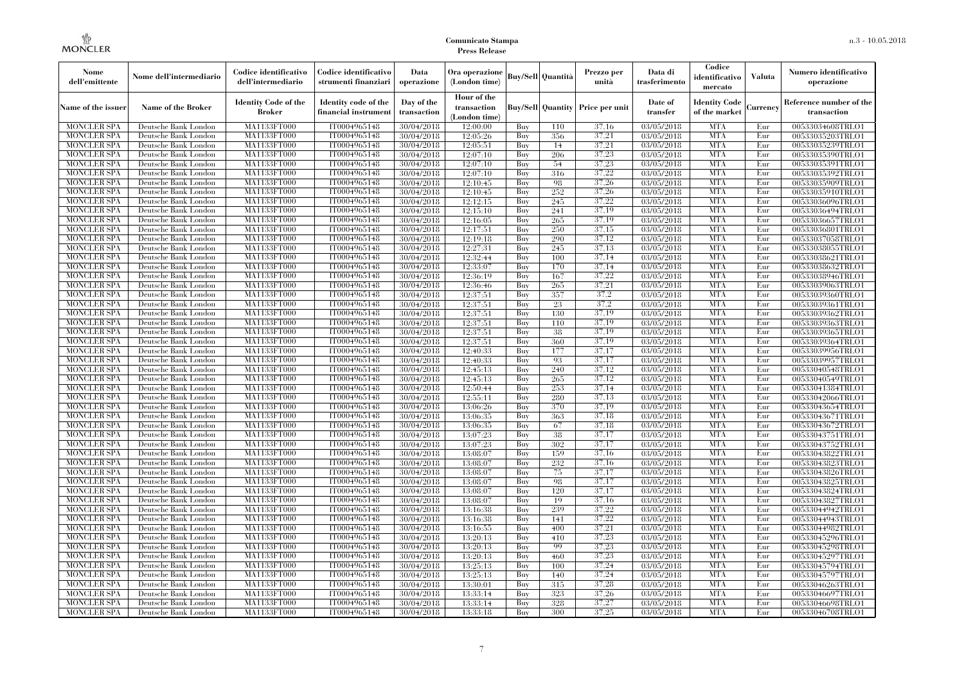| Nome<br>dell'emittente                   | Nome dell'intermediario                      | Codice identificativo<br>dell'intermediario  | Codice identificativo<br>strumenti finanziari | Data<br>operazione        | Ora operazione<br>(London time)             |            | Buy/Sell Quantità | Prezzo per<br>unità                  | Data di<br>trasferimento | Codice<br>identificativo<br>mercato | <b>Valuta</b> | Numero identificativo<br>operazione    |
|------------------------------------------|----------------------------------------------|----------------------------------------------|-----------------------------------------------|---------------------------|---------------------------------------------|------------|-------------------|--------------------------------------|--------------------------|-------------------------------------|---------------|----------------------------------------|
| Name of the issuer                       | Name of the Broker                           | <b>Identity Code of the</b><br><b>Broker</b> | Identity code of the<br>financial instrument  | Day of the<br>transaction | Hour of the<br>transaction<br>(London time) |            |                   | Buy/Sell   Quantity   Price per unit | Date of<br>transfer      | Identity Code<br>of the market      | Currency      | Reference number of the<br>transaction |
| <b>MONCLER SPA</b>                       | Deutsche Bank London                         | MA1133FT000                                  | IT0004965148                                  | 30/04/2018                | 12:00:00                                    | Buy        | 110               | 37,16                                | 03/05/2018               | <b>MTA</b>                          | Eur           | 00533034608TRLO1                       |
| <b>MONCLER SPA</b>                       | Deutsche Bank London                         | <b>MA1133FT000</b>                           | IT0004965148                                  | 30/04/2018                | 12:05:26                                    | Buy        | 356               | 37,21                                | 03/05/2018               | <b>MTA</b>                          | Eur           | 00533035203TRLO1                       |
| <b>MONCLER SPA</b>                       | Deutsche Bank London                         | MA1133FT000                                  | IT0004965148                                  | 30/04/2018                | 12:05:51                                    | Buy        | 14                | 37,21                                | 03/05/2018               | <b>MTA</b>                          | Eur           | 00533035239TRLO1                       |
| <b>MONCLER SPA</b>                       | Deutsche Bank London                         | <b>MA1133FT000</b>                           | IT0004965148                                  | 30/04/2018                | 12:07:10                                    | Buy        | 206               | 37,23                                | 03/05/2018               | <b>MTA</b>                          | Eur           | 00533035390TRLO1                       |
| <b>MONCLER SPA</b>                       | Deutsche Bank London                         | MA1133FT000                                  | IT0004965148                                  | 30/04/2018                | 12:07:10                                    | Buy        | 54                | 37,23                                | $\overline{03}/05/2018$  | <b>MTA</b><br><b>MTA</b>            | Eur           | 00533035391TRLO1                       |
| <b>MONCLER SPA</b><br><b>MONCLER SPA</b> | Deutsche Bank London                         | MA1133FT000<br>MA1133FT000                   | IT0004965148<br>IT0004965148                  | 30/04/2018                | 12:07:10                                    | Buy<br>Buy | 316<br>98         | 37,22<br>37.26                       | $\overline{03}/05/2018$  | <b>MTA</b>                          | Eur<br>Eur    | 00533035392TRLO1                       |
| <b>MONCLER SPA</b>                       | Deutsche Bank London<br>Deutsche Bank London | MA1133FT000                                  | IT0004965148                                  | 30/04/2018<br>30/04/2018  | 12:10:45<br>12:10:45                        | Buy        | 252               | 37.26                                | 03/05/2018<br>03/05/2018 | <b>MTA</b>                          | Eur           | 00533035909TRLO1<br>00533035910TRLO1   |
| <b>MONCLER SPA</b>                       | Deutsche Bank London                         | MA1133FT000                                  | IT0004965148                                  | 30/04/2018                | 12:12:15                                    | Buy        | 245               | 37,22                                | $\overline{03}/05/2018$  | <b>MTA</b>                          | Eur           | 00533036096TRLO1                       |
| <b>MONCLER SPA</b>                       | Deutsche Bank London                         | MA1133FT000                                  | IT0004965148                                  | 30/04/2018                | 12:15:10                                    | Buy        | 241               | 37,19                                | 03/05/2018               | <b>MTA</b>                          | Eur           | 00533036494TRLO1                       |
| <b>MONCLER SPA</b>                       | Deutsche Bank London                         | MA1133FT000                                  | IT0004965148                                  | 30/04/2018                | 12:16:05                                    | Buy        | 265               | 37.19                                | 03/05/2018               | <b>MTA</b>                          | Eur           | 00533036657TRLO1                       |
| <b>MONCLER SPA</b>                       | Deutsche Bank London                         | MA1133FT000                                  | IT0004965148                                  | 30/04/2018                | 12:17:51                                    | Buy        | 250               | 37.15                                | 03/05/2018               | <b>MTA</b>                          | Eur           | 00533036801TRLO1                       |
| <b>MONCLER SPA</b>                       | Deutsche Bank London                         | MA1133FT000                                  | IT0004965148                                  | 30/04/2018                | 12:19:18                                    | Buy        | 290               | 37.12                                | $\overline{03}/05/2018$  | <b>MTA</b>                          | Eur           | 00533037058TRLO1                       |
| <b>MONCLER SPA</b>                       | Deutsche Bank London                         | <b>MA1133FT000</b>                           | IT0004965148                                  | 30/04/2018                | 12:27:31                                    | Buy        | 245               | 37,13                                | 03/05/2018               | <b>MTA</b>                          | Eur           | 00533038055TRLO1                       |
| <b>MONCLER SPA</b>                       | Deutsche Bank London                         | MA1133FT000                                  | IT0004965148                                  | 30/04/2018                | 12:32:44                                    | Buy        | 100               | 37,14                                | 03/05/2018               | <b>MTA</b>                          | Eur           | 00533038621TRLO1                       |
| <b>MONCLER SPA</b>                       | Deutsche Bank London                         | MA1133FT000                                  | IT0004965148                                  | 30/04/2018                | 12:33:07                                    | Buy        | 170               | 37,14                                | 03/05/2018               | <b>MTA</b>                          | Eur           | 00533038632TRLO1                       |
| <b>MONCLER SPA</b>                       | Deutsche Bank London                         | MA1133FT000                                  | IT0004965148                                  | 30/04/2018                | 12:36:19                                    | Buy        | 167               | 37,22                                | 03/05/2018               | <b>MTA</b>                          | Eur           | 00533038946TRLO1                       |
| <b>MONCLER SPA</b>                       | Deutsche Bank London                         | <b>MA1133FT000</b>                           | IT0004965148                                  | 30/04/2018                | 12:36:46                                    | Buy        | 265               | 37,21                                | 03/05/2018               | <b>MTA</b>                          | Eur           | 00533039063TRLO1                       |
| <b>MONCLER SPA</b>                       | Deutsche Bank London                         | MA1133FT000                                  | IT0004965148                                  | 30/04/2018                | 12:37:51                                    | Buy        | 357               | 37,2                                 | 03/05/2018               | <b>MTA</b>                          | Eur           | 00533039360TRLO1                       |
| <b>MONCLER SPA</b>                       | Deutsche Bank London                         | MA1133FT000                                  | IT0004965148                                  | 30/04/2018                | 12:37:51                                    | Buy        | 23                | 37.2                                 | 03/05/2018               | <b>MTA</b>                          | Eur           | 00533039361TRLO1                       |
| <b>MONCLER SPA</b>                       | Deutsche Bank London                         | MA1133FT000                                  | IT0004965148                                  | 30/04/2018                | 12:37:51                                    | Buy        | 130               | 37,19                                | 03/05/2018               | <b>MTA</b>                          | Eur           | 00533039362TRLO1                       |
| <b>MONCLER SPA</b>                       | Deutsche Bank London                         | MA1133FT000                                  | IT0004965148                                  | 30/04/2018                | 12:37:51                                    | Buy        | 110               | 37,19                                | 03/05/2018               | <b>MTA</b>                          | Eur           | 00533039363TRLO1                       |
| <b>MONCLER SPA</b>                       | Deutsche Bank London                         | MA1133FT000                                  | IT0004965148                                  | 30/04/2018                | 12:37:51                                    | Buy        | 38                | 37,19                                | 03/05/2018               | <b>MTA</b>                          | Eur           | 00533039365TRLO1                       |
| <b>MONCLER SPA</b>                       | Deutsche Bank London                         | MA1133FT000                                  | IT0004965148                                  | 30/04/2018                | 12:37:51                                    | Buy        | 360               | 37,19                                | 03/05/2018               | <b>MTA</b>                          | Eur           | 00533039364TRLO1                       |
| <b>MONCLER SPA</b>                       | Deutsche Bank London                         | MA1133FT000                                  | IT0004965148                                  | 30/04/2018                | 12:40:33                                    | Buy        | 177               | 37,17                                | 03/05/2018               | <b>MTA</b>                          | Eur           | 00533039956TRLO1                       |
| <b>MONCLER SPA</b>                       | Deutsche Bank London                         | MA1133FT000                                  | IT0004965148                                  | 30/04/2018                | 12:40:33                                    | Buy        | 93                | 37,17                                | $\overline{03}/05/2018$  | <b>MTA</b>                          | Eur           | 00533039957TRLO1                       |
| <b>MONCLER SPA</b>                       | Deutsche Bank London                         | MA1133FT000                                  | IT0004965148                                  | 30/04/2018                | 12:45:13                                    | Buy        | 240               | 37,12                                | $\overline{03}/05/2018$  | <b>MTA</b>                          | Eur           | 00533040548TRLO1                       |
| <b>MONCLER SPA</b>                       | Deutsche Bank London                         | MA1133FT000                                  | IT0004965148                                  | 30/04/2018                | 12:45:13                                    | Buy        | 265               | 37,12                                | 03/05/2018               | <b>MTA</b>                          | Eur           | 00533040549TRLO1                       |
| <b>MONCLER SPA</b>                       | Deutsche Bank London                         | MA1133FT000                                  | IT0004965148                                  | 30/04/2018                | 12:50:44                                    | Buy        | 253               | 37,14                                | 03/05/2018               | <b>MTA</b>                          | Eur           | 00533041384TRLO1                       |
| <b>MONCLER SPA</b>                       | Deutsche Bank London                         | <b>MA1133FT000</b>                           | IT0004965148                                  | 30/04/2018                | 12:55:11                                    | Buy        | 280               | 37,13                                | 03/05/2018               | <b>MTA</b>                          | Eur           | 00533042066TRLO1                       |
| <b>MONCLER SPA</b>                       | Deutsche Bank London                         | MA1133FT000                                  | IT0004965148                                  | 30/04/2018                | 13:06:26                                    | Buy        | 370               | 37,19                                | $\overline{03}/05/2018$  | <b>MTA</b>                          | Eur           | 00533043654TRLO1                       |
| <b>MONCLER SPA</b>                       | Deutsche Bank London                         | MA1133FT000                                  | IT0004965148                                  | 30/04/2018                | 13:06:35                                    | Buy        | 363               | 37,18                                | 03/05/2018               | <b>MTA</b>                          | Eur           | 00533043671TRLO1                       |
| <b>MONCLER SPA</b>                       | Deutsche Bank London                         | MA1133FT000                                  | IT0004965148                                  | 30/04/2018                | 13:06:35                                    | Buy        | 67                | 37,18                                | 03/05/2018               | <b>MTA</b>                          | Eur           | 00533043672TRLO1                       |
| <b>MONCLER SPA</b>                       | Deutsche Bank London                         | MA1133FT000                                  | IT0004965148                                  | 30/04/2018                | 13:07:23                                    | Buy        | 38                | 37,17                                | 03/05/2018               | <b>MTA</b>                          | Eur           | 00533043751TRLO1                       |
| <b>MONCLER SPA</b>                       | Deutsche Bank London                         | MA1133FT000                                  | IT0004965148                                  | 30/04/2018                | 13:07:23                                    | Buy        | 302               | 37,17                                | 03/05/2018               | <b>MTA</b>                          | Eur           | 00533043752TRLO1                       |
| <b>MONCLER SPA</b>                       | Deutsche Bank London                         | MA1133FT000                                  | IT0004965148                                  | 30/04/2018                | 13:08:07                                    | Buy        | 159               | 37,16                                | 03/05/2018               | <b>MTA</b>                          | Eur           | 00533043822TRLO1                       |
| <b>MONCLER SPA</b><br><b>MONCLER SPA</b> | Deutsche Bank London<br>Deutsche Bank London | MA1133FT000<br>MA1133FT000                   | IT0004965148<br>IT0004965148                  | 30/04/2018                | 13:08:07                                    | Buy<br>Buy | 232               | 37,16<br>37,17                       | 03/05/2018               | <b>MTA</b><br><b>MTA</b>            | Eur<br>Eur    | 00533043823TRLO1                       |
| <b>MONCLER SPA</b>                       | Deutsche Bank London                         | MA1133FT000                                  | IT0004965148                                  | 30/04/2018<br>30/04/2018  | 13:08:07<br>13:08:07                        | Buy        | 75<br>98          | 37,17                                | 03/05/2018<br>03/05/2018 | <b>MTA</b>                          | Eur           | 00533043826TRLO1<br>00533043825TRLO1   |
| <b>MONCLER SPA</b>                       | Deutsche Bank London                         | MA1133FT000                                  | IT0004965148                                  | 30/04/2018                | 13:08:07                                    | Buy        | 120               | 37,17                                | 03/05/2018               | <b>MTA</b>                          | Eur           | 00533043824TRLO1                       |
| <b>MONCLER SPA</b>                       | Deutsche Bank London                         | MA1133FT000                                  | IT0004965148                                  | 30/04/2018                | 13:08:07                                    | Buy        | 19                | 37,16                                | 03/05/2018               | <b>MTA</b>                          | Eur           | 00533043827TRLO1                       |
| <b>MONCLER SPA</b>                       | Deutsche Bank London                         | MA1133FT000                                  | IT0004965148                                  | 30/04/2018                | 13:16:38                                    | Buy        | 239               | 37,22                                | 03/05/2018               | <b>MTA</b>                          | Eur           | 00533044942TRLO1                       |
| <b>MONCLER SPA</b>                       | Deutsche Bank London                         | MA1133FT000                                  | IT0004965148                                  | 30/04/2018                | 13:16:38                                    | Buy        | 141               | 37,22                                | 03/05/2018               | <b>MTA</b>                          | Eur           | 00533044943TRLO1                       |
| <b>MONCLER SPA</b>                       | Deutsche Bank London                         | MA1133FT000                                  | IT0004965148                                  | 30/04/2018                | 13:16:55                                    | Buy        | 400               | 37,21                                | $\overline{03}/05/2018$  | <b>MTA</b>                          | Eur           | 00533044982TRLO1                       |
| <b>MONCLER SPA</b>                       | Deutsche Bank London                         | MA1133FT000                                  | IT0004965148                                  | 30/04/2018                | 13:20:13                                    | Buy        | 410               | 37,23                                | 03/05/2018               | <b>MTA</b>                          | Eur           | 00533045296TRLO1                       |
| <b>MONCLER SPA</b>                       | Deutsche Bank London                         | MA1133FT000                                  | IT0004965148                                  | 30/04/2018                | 13:20:13                                    | Buy        | 99                | 37,23                                | 03/05/2018               | <b>MTA</b>                          | Eur           | 00533045298TRLO1                       |
| <b>MONCLER SPA</b>                       | Deutsche Bank London                         | MA1133FT000                                  | IT0004965148                                  | 30/04/2018                | 13:20:13                                    | Buy        | 460               | 37,23                                | 03/05/2018               | <b>MTA</b>                          | Eur           | 00533045297TRLO1                       |
| <b>MONCLER SPA</b>                       | Deutsche Bank London                         | MA1133FT000                                  | IT0004965148                                  | 30/04/2018                | 13:25:13                                    | Buy        | 100               | 37,24                                | $\overline{03}/05/2018$  | <b>MTA</b>                          | Eur           | 00533045794TRLO1                       |
| <b>MONCLER SPA</b>                       | Deutsche Bank London                         | MA1133FT000                                  | IT0004965148                                  | 30/04/2018                | 13:25:13                                    | Buy        | 140               | 37,24                                | 03/05/2018               | <b>MTA</b>                          | Eur           | 00533045797TRLO1                       |
| <b>MONCLER SPA</b>                       | Deutsche Bank London                         | MA1133FT000                                  | IT0004965148                                  | 30/04/2018                | 13:30:01                                    | Buy        | 315               | 37,28                                | 03/05/2018               | <b>MTA</b>                          | Eur           | 00533046263TRLO1                       |
| <b>MONCLER SPA</b>                       | Deutsche Bank London                         | MA1133FT000                                  | IT0004965148                                  | 30/04/2018                | 13:33:14                                    | Buy        | 323               | 37,26                                | 03/05/2018               | <b>MTA</b>                          | Eur           | 00533046697TRLO1                       |
| <b>MONCLER SPA</b>                       | Deutsche Bank London                         | MA1133FT000                                  | IT0004965148                                  | 30/04/2018                | 13:33:14                                    | Buy        | 328               | 37,27                                | 03/05/2018               | <b>MTA</b>                          | Eur           | 00533046698TRLO1                       |
| <b>MONCLER SPA</b>                       | Deutsche Bank London                         | MA1133FT000                                  | IT0004965148                                  | 30/04/2018                | 13:33:18                                    | Buy        | 300               | 37,25                                | 03/05/2018               | <b>MTA</b>                          | Eur           | 00533046708TRLO1                       |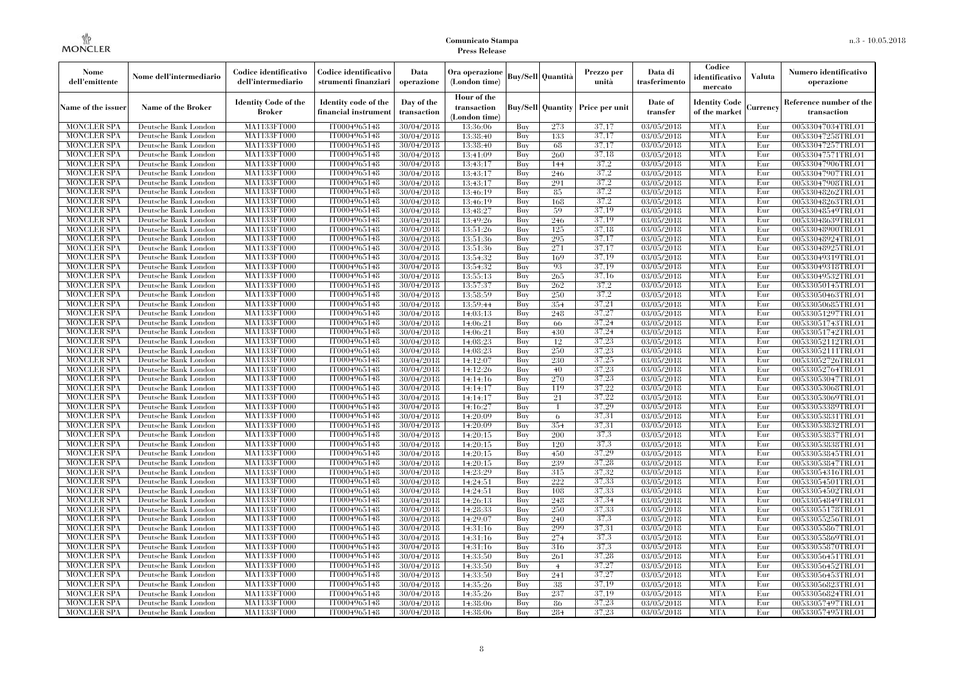| Nome<br>dell'emittente                   | Nome dell'intermediario                      | Codice identificativo<br>dell'intermediario  | Codice identificativo<br>strumenti finanziari | Data<br>operazione        | Ora operazione<br>(London time)             |            | <b>Buy/Sell Quantità</b> | Prezzo per<br>unità | Data di<br>trasferimento | Codice<br>identificativo<br>mercato   | <b>Valuta</b> | Numero identificativo<br>operazione    |
|------------------------------------------|----------------------------------------------|----------------------------------------------|-----------------------------------------------|---------------------------|---------------------------------------------|------------|--------------------------|---------------------|--------------------------|---------------------------------------|---------------|----------------------------------------|
| Name of the issuer                       | Name of the Broker                           | <b>Identity Code of the</b><br><b>Broker</b> | Identity code of the<br>financial instrumen   | Day of the<br>transaction | Hour of the<br>transaction<br>(London time) |            | <b>Buy/Sell Quantity</b> | Price per unit      | Date of<br>transfer      | <b>Identity Code</b><br>of the market | Currency      | Reference number of the<br>transaction |
| <b>MONCLER SPA</b>                       | Deutsche Bank London                         | MA1133FT000                                  | IT0004965148                                  | 30/04/2018                | 13:36:06                                    | Buy        | 273                      | 37,17               | 03/05/2018               | <b>MTA</b>                            | Eur           | 00533047034TRLO1                       |
| <b>MONCLER SPA</b>                       | Deutsche Bank London                         | <b>MA1133FT000</b>                           | IT0004965148                                  | 30/04/2018                | 13:38:40                                    | Buy        | 133                      | 37,17               | 03/05/2018               | <b>MTA</b>                            | Eur           | 00533047258TRLO1                       |
| <b>MONCLER SPA</b>                       | Deutsche Bank London                         | MA1133FT000                                  | IT0004965148                                  | 30/04/2018                | 13:38:40                                    | Buy        | 68                       | 37,17               | 03/05/2018               | <b>MTA</b>                            | Eur           | 00533047257TRLO1                       |
| <b>MONCLER SPA</b>                       | Deutsche Bank London                         | <b>MA1133FT000</b>                           | IT0004965148                                  | 30/04/2018                | 13:41:09                                    | Buy        | 260                      | 37,18               | 03/05/2018               | <b>MTA</b>                            | Eur           | 00533047571TRLO1                       |
| MONCLER SPA                              | Deutsche Bank London                         | MA1133FT000                                  | IT0004965148                                  | 30/04/2018                | 13:43:17                                    | Buy        | 144                      | 37,2                | 03/05/2018               | <b>MTA</b>                            | Eur           | 00533047906TRLO1                       |
| <b>MONCLER SPA</b><br><b>MONCLER SPA</b> | Deutsche Bank London<br>Deutsche Bank London | MA1133FT000<br>MA1133FT000                   | IT0004965148<br>IT0004965148                  | 30/04/2018                | 13:43:17                                    | Buy<br>Buy | 246<br>291               | 37,2<br>37.2        | 03/05/2018<br>03/05/2018 | <b>MTA</b><br><b>MTA</b>              | Eur<br>Eur    | 00533047907TRLO1                       |
| <b>MONCLER SPA</b>                       | Deutsche Bank London                         | MA1133FT000                                  | IT0004965148                                  | 30/04/2018<br>30/04/2018  | 13:43:17<br>13:46:19                        | Buy        | -85                      | 37.2                | 03/05/2018               | <b>MTA</b>                            | Eur           | 00533047908TRLO1<br>00533048262TRLO1   |
| MONCLER SPA                              | Deutsche Bank London                         | MA1133FT000                                  | IT0004965148                                  | 30/04/2018                | 13:46:19                                    | Buy        | 168                      | 37,2                | 03/05/2018               | <b>MTA</b>                            | Eur           | 00533048263TRLO1                       |
| <b>MONCLER SPA</b>                       | Deutsche Bank London                         | MA1133FT000                                  | IT0004965148                                  | 30/04/2018                | 13:48:27                                    | Buy        | 59                       | 37,19               | 03/05/2018               | <b>MTA</b>                            | Eur           | 00533048549TRLO1                       |
| <b>MONCLER SPA</b>                       | Deutsche Bank London                         | MA1133FT000                                  | IT0004965148                                  | 30/04/2018                | 13:49:26                                    | Buy        | 246                      | 37.19               | 03/05/2018               | <b>MTA</b>                            | Eur           | 00533048639TRLO1                       |
| <b>MONCLER SPA</b>                       | Deutsche Bank London                         | MA1133FT000                                  | IT0004965148                                  | 30/04/2018                | 13:51:26                                    | Buy        | 125                      | 37.18               | 03/05/2018               | <b>MTA</b>                            | Eur           | 00533048900TRLO1                       |
| MONCLER SPA                              | Deutsche Bank London                         | MA1133FT000                                  | IT0004965148                                  | 30/04/2018                | 13:51:36                                    | Buy        | 295                      | 37,17               | 03/05/2018               | <b>MTA</b>                            | Eur           | 00533048924TRLO1                       |
| <b>MONCLER SPA</b>                       | Deutsche Bank London                         | <b>MA1133FT000</b>                           | IT0004965148                                  | 30/04/2018                | 13:51:36                                    | Buy        | 271                      | 37,17               | 03/05/2018               | <b>MTA</b>                            | Eur           | 00533048925TRLO1                       |
| <b>MONCLER SPA</b>                       | Deutsche Bank London                         | MA1133FT000                                  | IT0004965148                                  | 30/04/2018                | 13:54:32                                    | Buy        | 169                      | 37,19               | 03/05/2018               | <b>MTA</b>                            | Eur           | 00533049319TRLO1                       |
| <b>MONCLER SPA</b>                       | Deutsche Bank London                         | MA1133FT000                                  | IT0004965148                                  | 30/04/2018                | 13:54:32                                    | Buy        | 93                       | 37.19               | 03/05/2018               | <b>MTA</b>                            | Eur           | 00533049318TRLO1                       |
| <b>MONCLER SPA</b>                       | Deutsche Bank London                         | MA1133FT000                                  | IT0004965148                                  | 30/04/2018                | 13:55:13                                    | Buy        | 265                      | 37.16               | 03/05/2018               | <b>MTA</b>                            | Eur           | 00533049532TRLO1                       |
| <b>MONCLER SPA</b>                       | Deutsche Bank London                         | MA1133FT000                                  | IT0004965148                                  | 30/04/2018                | 13:57:37                                    | Buy        | 262                      | 37,2                | 03/05/2018               | <b>MTA</b>                            | Eur           | 00533050145TRLO1                       |
| <b>MONCLER SPA</b>                       | Deutsche Bank London                         | MA1133FT000                                  | IT0004965148                                  | 30/04/2018                | 13:58:59                                    | Buy        | 250                      | 37,2                | 03/05/2018               | <b>MTA</b>                            | Eur           | 00533050463TRLO1                       |
| <b>MONCLER SPA</b>                       | Deutsche Bank London                         | MA1133FT000                                  | IT0004965148                                  | 30/04/2018                | 13:59:44                                    | Buy        | 354                      | 37,21               | 03/05/2018               | <b>MTA</b>                            | Eur           | 00533050685TRLO1                       |
| MONCLER SPA                              | Deutsche Bank London                         | MA1133FT000                                  | IT0004965148                                  | 30/04/2018                | 14:03:13                                    | Buy        | 248                      | 37,27               | 03/05/2018               | <b>MTA</b>                            | Eur           | 00533051297TRLO1                       |
| <b>MONCLER SPA</b>                       | Deutsche Bank London                         | MA1133FT000                                  | IT0004965148                                  | 30/04/2018                | 14:06:21                                    | Buy        | -66                      | 37,24               | 03/05/2018               | <b>MTA</b>                            | Eur           | 00533051743TRLO1                       |
| <b>MONCLER SPA</b>                       | Deutsche Bank London                         | MA1133FT000                                  | IT0004965148                                  | 30/04/2018                | 14:06:21                                    | Buy        | 430                      | 37,24               | 03/05/2018               | <b>MTA</b>                            | Eur           | 00533051742TRLO1                       |
| <b>MONCLER SPA</b>                       | Deutsche Bank London                         | MA1133FT000                                  | IT0004965148                                  | 30/04/2018                | 14:08:23                                    | Buy        | 12                       | 37,23               | 03/05/2018               | <b>MTA</b>                            | Eur           | 00533052112TRLO1                       |
| <b>MONCLER SPA</b>                       | Deutsche Bank London                         | MA1133FT000                                  | IT0004965148                                  | 30/04/2018                | 14:08:23                                    | Buv        | 250                      | 37.23               | 03/05/2018               | <b>MTA</b>                            | Eur           | 00533052111TRLO1                       |
| <b>MONCLER SPA</b>                       | Deutsche Bank London                         | <b>MA1133FT000</b>                           | IT0004965148                                  | 30/04/2018                | 14:12:07                                    | Buy        | 230                      | 37,25               | 03/05/2018               | <b>MTA</b>                            | Eur           | 00533052726TRLO1                       |
| <b>MONCLER SPA</b>                       | Deutsche Bank London                         | MA1133FT000                                  | IT0004965148                                  | 30/04/2018                | 14:12:26                                    | Buy        | 40                       | 37,23               | 03/05/2018               | <b>MTA</b>                            | Eur           | 00533052764TRLO1                       |
| <b>MONCLER SPA</b>                       | Deutsche Bank London                         | MA1133FT000                                  | IT0004965148                                  | 30/04/2018                | 14:14:16                                    | Buy        | 270                      | 37,23               | 03/05/2018               | <b>MTA</b>                            | Eur           | 00533053047TRLO1                       |
| <b>MONCLER SPA</b>                       | Deutsche Bank London                         | MA1133FT000                                  | IT0004965148                                  | 30/04/2018                | 14:14:17                                    | Buv        | 119                      | 37,22               | 03/05/2018               | <b>MTA</b>                            | Eur           | 00533053068TRLO1                       |
| <b>MONCLER SPA</b>                       | Deutsche Bank London                         | MA1133FT000                                  | IT0004965148                                  | 30/04/2018                | 14:14:17                                    | Buy        | 21                       | 37,22               | 03/05/2018               | <b>MTA</b>                            | Eur           | 00533053069TRLO1                       |
| MONCLER SPA                              | Deutsche Bank London                         | MA1133FT000                                  | IT0004965148                                  | 30/04/2018                | 14:16:27                                    | Buy        |                          | 37,29               | 03/05/2018               | <b>MTA</b>                            | Eur           | 00533053389TRLO1                       |
| <b>MONCLER SPA</b>                       | Deutsche Bank London                         | MA1133FT000                                  | IT0004965148                                  | 30/04/2018                | 14:20:09                                    | Buy        | -6                       | 37,31               | 03/05/2018               | <b>MTA</b>                            | Eur           | 00533053831TRLO1                       |
| <b>MONCLER SPA</b>                       | Deutsche Bank London                         | MA1133FT000                                  | IT0004965148                                  | 30/04/2018                | 14:20:09                                    | Buy        | 354                      | 37,31               | 03/05/2018               | <b>MTA</b>                            | Eur           | 00533053832TRLO1                       |
| <b>MONCLER SPA</b>                       | Deutsche Bank London                         | MA1133FT000                                  | IT0004965148                                  | 30/04/2018                | 14:20:15                                    | Buy        | 200                      | 37.3                | 03/05/2018               | <b>MTA</b>                            | Eur           | 00533053837TRLO1                       |
| MONCLER SPA                              | Deutsche Bank London                         | MA1133FT000                                  | IT0004965148                                  | 30/04/2018                | 14:20:15                                    | Buy        | 120                      | 37,3                | 03/05/2018               | <b>MTA</b>                            | Eur           | 00533053838TRLO1                       |
| <b>MONCLER SPA</b>                       | Deutsche Bank London                         | MA1133FT000                                  | IT0004965148                                  | 30/04/2018                | 14:20:15                                    | Buy        | 450                      | 37.29               | 03/05/2018               | <b>MTA</b>                            | Eur           | 00533053845TRLO1                       |
| <b>MONCLER SPA</b>                       | Deutsche Bank London                         | MA1133FT000                                  | IT0004965148                                  | 30/04/2018                | 14:20:15                                    | Buy        | 239                      | 37,28               | 03/05/2018               | <b>MTA</b>                            | Eur           | 00533053847TRLO1                       |
| <b>MONCLER SPA</b>                       | Deutsche Bank London                         | MA1133FT000                                  | IT0004965148                                  | 30/04/2018                | 14:23:29                                    | Buy        | 315                      | 37,32<br>37,33      | 03/05/2018               | <b>MTA</b><br><b>MTA</b>              | Eur           | 00533054316TRLO1                       |
| <b>MONCLER SPA</b>                       | Deutsche Bank London                         | MA1133FT000                                  | IT0004965148                                  | 30/04/2018                | 14:24:51                                    | Buy        | 222                      |                     | 03/05/2018               |                                       | Eur           | 00533054501TRLO1                       |
| <b>MONCLER SPA</b>                       | Deutsche Bank London                         | MA1133FT000                                  | IT0004965148                                  | 30/04/2018                | 14:24:51                                    | Buy<br>Buy | 108                      | 37,33<br>37,34      | 03/05/2018               | <b>MTA</b><br><b>MTA</b>              | Eur<br>Eur    | 00533054502TRLO1                       |
| <b>MONCLER SPA</b><br><b>MONCLER SPA</b> | Deutsche Bank London<br>Deutsche Bank London | MA1133FT000<br>MA1133FT000                   | IT0004965148<br>IT0004965148                  | 30/04/2018<br>30/04/2018  | 14:26:13<br>14:28:33                        | Buy        | 248<br>250               | 37,33               | 03/05/2018<br>03/05/2018 | <b>MTA</b>                            | Eur           | 00533054849TRLO1<br>00533055178TRLO1   |
| <b>MONCLER SPA</b>                       | Deutsche Bank London                         | MA1133FT000                                  | IT0004965148                                  | 30/04/2018                | 14:29:07                                    | Buy        | 240                      | 37,3                | 03/05/2018               | <b>MTA</b>                            | Eur           | 00533055256TRLO1                       |
| <b>MONCLER SPA</b>                       | Deutsche Bank London                         | MA1133FT000                                  | IT0004965148                                  | 30/04/2018                | 14:31:16                                    | Buy        | 299                      | 37,31               | 03/05/2018               | <b>MTA</b>                            | Eur           | 00533055867TRLO1                       |
| <b>MONCLER SPA</b>                       | Deutsche Bank London                         | MA1133FT000                                  | IT0004965148                                  | 30/04/2018                | 14:31:16                                    | Buy        | 274                      | 37.3                | 03/05/2018               | <b>MTA</b>                            | Eur           | 00533055869TRLO1                       |
| <b>MONCLER SPA</b>                       | Deutsche Bank London                         | MA1133FT000                                  | IT0004965148                                  | 30/04/2018                | 14:31:16                                    | Buy        | 316                      | 37,3                | 03/05/2018               | <b>MTA</b>                            | Eur           | 00533055870TRLO1                       |
| MONCLER SPA                              | Deutsche Bank London                         | MA1133FT000                                  | IT0004965148                                  | 30/04/2018                | 14:33:50                                    | Buy        | 261                      | 37,28               | 03/05/2018               | <b>MTA</b>                            | Eur           | 00533056451TRLO1                       |
| <b>MONCLER SPA</b>                       | Deutsche Bank London                         | MA1133FT000                                  | IT0004965148                                  | 30/04/2018                | 14:33:50                                    | Buy        | $\overline{4}$           | 37,27               | 03/05/2018               | <b>MTA</b>                            | Eur           | 00533056452TRLO1                       |
| <b>MONCLER SPA</b>                       | Deutsche Bank London                         | MA1133FT000                                  | IT0004965148                                  | 30/04/2018                | 14:33:50                                    | Buy        | 241                      | 37,27               | 03/05/2018               | <b>MTA</b>                            | Eur           | 00533056453TRLO1                       |
| <b>MONCLER SPA</b>                       | Deutsche Bank London                         | MA1133FT000                                  | IT0004965148                                  | 30/04/2018                | 14:35:26                                    | Buy        | 38                       | 37.19               | 03/05/2018               | <b>MTA</b>                            | Eur           | 00533056823TRLO1                       |
| MONCLER SPA                              | Deutsche Bank London                         | MA1133FT000                                  | IT0004965148                                  | 30/04/2018                | 14:35:26                                    | Buy        | 237                      | 37,19               | 03/05/2018               | <b>MTA</b>                            | Eur           | 00533056824TRLO1                       |
| <b>MONCLER SPA</b>                       | Deutsche Bank London                         | MA1133FT000                                  | IT0004965148                                  | 30/04/2018                | 14:38:06                                    | Buy        | 86                       | 37,23               | 03/05/2018               | <b>MTA</b>                            | Eur           | 00533057497TRLO1                       |
| <b>MONCLER SPA</b>                       | Deutsche Bank London                         | MA1133FT000                                  | IT0004965148                                  | 30/04/2018                | 14:38:06                                    | Buy        | 284                      | 37,23               | 03/05/2018               | <b>MTA</b>                            | Eur           | 00533057495TRLO1                       |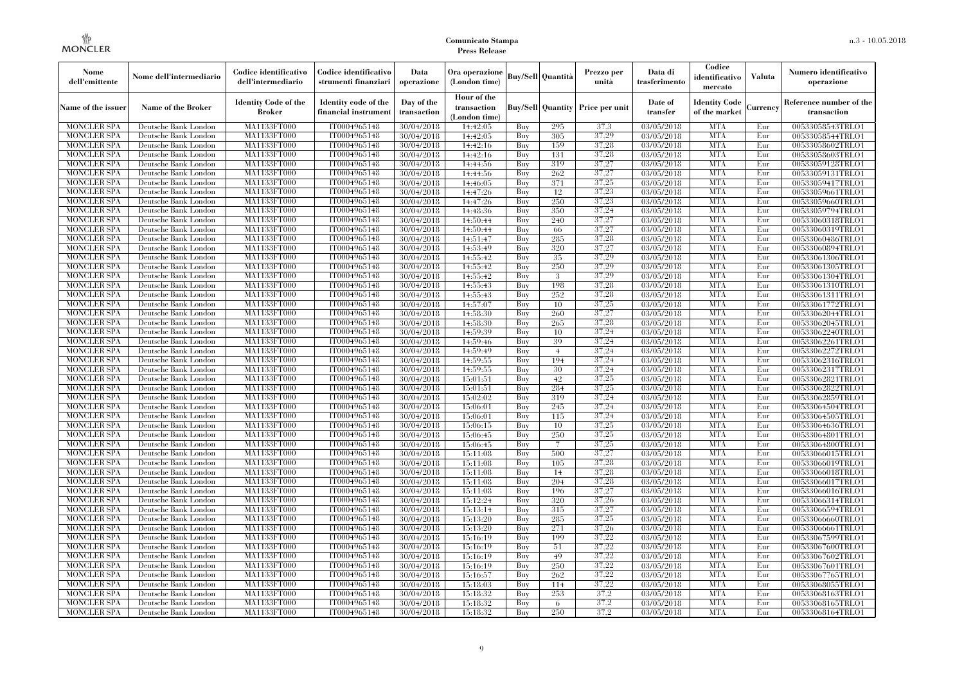| Nome<br>dell'emittente                   | Nome dell'intermediario                      | Codice identificativo<br>dell'intermediario  | Codice identificativo<br>strumenti finanziari | Data<br>operazione        | Ora operazione<br>(London time)             |            | <b>Buy/Sell   Quantità</b> | Prezzo per<br>unità | Data di<br>trasferimento | Codice<br>identificativo<br>mercato   | <b>Valuta</b> | Numero identificativo<br>operazione    |
|------------------------------------------|----------------------------------------------|----------------------------------------------|-----------------------------------------------|---------------------------|---------------------------------------------|------------|----------------------------|---------------------|--------------------------|---------------------------------------|---------------|----------------------------------------|
| Name of the issuer                       | Name of the Broker                           | <b>Identity Code of the</b><br><b>Broker</b> | Identity code of the<br>financial instrument  | Day of the<br>transaction | Hour of the<br>transaction<br>(London time) |            | <b>Buy/Sell Quantity</b>   | Price per unit      | Date of<br>transfer      | <b>Identity Code</b><br>of the market | Currencv      | Reference number of the<br>transaction |
| <b>MONCLER SPA</b>                       | Deutsche Bank London                         | MA1133FT000                                  | IT0004965148                                  | 30/04/2018                | 14:42:05                                    | Buy        | 295                        | 37,3                | 03/05/2018               | <b>MTA</b>                            | Eur           | 00533058543TRLO1                       |
| <b>MONCLER SPA</b>                       | Deutsche Bank London                         | <b>MA1133FT000</b>                           | IT0004965148                                  | 30/04/2018                | 14:42:05                                    | Buy        | 305                        | 37,29               | 03/05/2018               | <b>MTA</b>                            | Eur           | 00533058544TRLO1                       |
| <b>MONCLER SPA</b>                       | Deutsche Bank London                         | <b>MA1133FT000</b>                           | IT0004965148                                  | 30/04/2018                | 14:42:16                                    | Buv        | 159                        | 37,28               | 03/05/2018               | <b>MTA</b>                            | Eur           | 00533058602TRLO1                       |
| <b>MONCLER SPA</b>                       | Deutsche Bank London                         | MA1133FT000                                  | IT0004965148                                  | 30/04/2018                | 14:42:16                                    | Buy        | 131                        | 37,28               | 03/05/2018               | <b>MTA</b>                            | Eur           | 00533058603TRLO1                       |
| <b>MONCLER SPA</b>                       | Deutsche Bank London                         | MA1133FT000                                  | IT0004965148                                  | 30/04/2018                | 14:44:56                                    | Buy        | 319                        | 37,27<br>37,27      | 03/05/2018               | <b>MTA</b><br><b>MTA</b>              | Eur           | 00533059128TRLO1                       |
| MONCLER SPA<br><b>MONCLER SPA</b>        | Deutsche Bank London<br>Deutsche Bank London | <b>MA1133FT000</b><br>MA1133FT000            | IT0004965148<br>IT0004965148                  | 30/04/2018<br>30/04/2018  | 14:44:56<br>14:46:05                        | Buy<br>Buy | 262<br>371                 | 37,25               | 03/05/2018<br>03/05/2018 | <b>MTA</b>                            | Eur<br>Eur    | 00533059131TRLO1<br>00533059417TRLO1   |
| <b>MONCLER SPA</b>                       | Deutsche Bank London                         | MA1133FT000                                  | IT0004965148                                  | 30/04/2018                | 14:47:26                                    | Buy        | 12                         | 37,23               | 03/05/2018               | <b>MTA</b>                            | Eur           | 00533059661TRLO1                       |
| <b>MONCLER SPA</b>                       | Deutsche Bank London                         | MA1133FT000                                  | IT0004965148                                  | 30/04/2018                | 14:47:26                                    | Buy        | 250                        | 37,23               | 03/05/2018               | <b>MTA</b>                            | Eur           | 00533059660TRLO1                       |
| <b>MONCLER SPA</b>                       | Deutsche Bank London                         | <b>MA1133FT000</b>                           | IT0004965148                                  | 30/04/2018                | 14:48:36                                    | Buy        | 350                        | 37,24               | $\sqrt{03}/05/2018$      | <b>MTA</b>                            | Eur           | 00533059794TRLO1                       |
| <b>MONCLER SPA</b>                       | Deutsche Bank London                         | <b>MA1133FT000</b>                           | IT0004965148                                  | 30/04/2018                | 14:50:44                                    | Buy        | 240                        | 37,27               | 03/05/2018               | <b>MTA</b>                            | Eur           | 00533060318TRLO1                       |
| <b>MONCLER SPA</b>                       | Deutsche Bank London                         | MA1133FT000                                  | IT0004965148                                  | 30/04/2018                | 14:50:44                                    | Buy        | 66                         | 37,27               | 03/05/2018               | <b>MTA</b>                            | Eur           | 00533060319TRLO1                       |
| <b>MONCLER SPA</b>                       | Deutsche Bank London                         | MA1133FT000                                  | IT0004965148                                  | 30/04/2018                | 14:51:47                                    | Buy        | 285                        | 37,28               | 03/05/2018               | <b>MTA</b>                            | Eur           | 00533060486TRLO1                       |
| <b>MONCLER SPA</b>                       | Deutsche Bank London                         | MA1133FT000                                  | IT0004965148                                  | 30/04/2018                | 14:53:49                                    | Buy        | 320                        | 37,27               | 03/05/2018               | <b>MTA</b>                            | Eur           | 00533060894TRLO1                       |
| <b>MONCLER SPA</b>                       | Deutsche Bank London                         | MA1133FT000                                  | IT0004965148                                  | 30/04/2018                | 14:55:42                                    | Buy        | 35                         | 37,29               | 03/05/2018               | <b>MTA</b>                            | Eur           | 00533061306TRLO1                       |
| <b>MONCLER SPA</b>                       | Deutsche Bank London                         | MA1133FT000                                  | IT0004965148                                  | 30/04/2018                | 14:55:42                                    | Buy        | 250                        | 37,29               | 03/05/2018               | <b>MTA</b>                            | Eur           | 00533061305TRLO1                       |
| <b>MONCLER SPA</b>                       | Deutsche Bank London                         | MA1133FT000                                  | IT0004965148                                  | 30/04/2018                | 14:55:42                                    | Buy        | 3                          | 37.29               | 03/05/2018               | <b>MTA</b>                            | Eur           | 00533061304TRLO1                       |
| <b>MONCLER SPA</b>                       | Deutsche Bank London                         | MA1133FT000                                  | IT0004965148                                  | 30/04/2018                | 14:55:43                                    | Buy        | 198                        | 37,28               | 03/05/2018               | <b>MTA</b>                            | Eur           | 00533061310TRLO1                       |
| <b>MONCLER SPA</b>                       | Deutsche Bank London                         | MA1133FT000                                  | IT0004965148                                  | 30/04/2018                | 14:55:43                                    | Buy        | 252                        | 37,28               | 03/05/2018               | <b>MTA</b>                            | Eur           | 00533061311TRLO1                       |
| <b>MONCLER SPA</b>                       | Deutsche Bank London                         | MA1133FT000                                  | IT0004965148                                  | 30/04/2018                | 14:57:07                                    | Buy        | 10                         | 37,25               | 03/05/2018               | <b>MTA</b>                            | Eur           | 00533061772TRLO1                       |
| <b>MONCLER SPA</b>                       | Deutsche Bank London                         | MA1133FT000                                  | IT0004965148                                  | 30/04/2018                | 14:58:30                                    | Buy        | 260                        | 37,27               | 03/05/2018               | <b>MTA</b>                            | Eur           | 00533062044TRLO1                       |
| <b>MONCLER SPA</b>                       | Deutsche Bank London                         | MA1133FT000                                  | IT0004965148                                  | 30/04/2018                | 14:58:30                                    | Buy        | 265                        | 37,28               | 03/05/2018               | <b>MTA</b>                            | Eur           | 00533062045TRLO1                       |
| <b>MONCLER SPA</b>                       | Deutsche Bank London                         | MA1133FT000                                  | IT0004965148                                  | 30/04/2018                | 14:59:39                                    | Buy        | 10                         | 37.24               | 03/05/2018               | <b>MTA</b>                            | Eur           | 00533062240TRLO1                       |
| <b>MONCLER SPA</b>                       | Deutsche Bank London                         | MA1133FT000                                  | IT0004965148                                  | 30/04/2018                | 14:59:46                                    | Buy        | 39                         | 37.24               | 03/05/2018               | <b>MTA</b>                            | Eur           | 00533062261TRLO1                       |
| <b>MONCLER SPA</b>                       | Deutsche Bank London                         | MA1133FT000                                  | IT0004965148                                  | 30/04/2018                | 14:59:49                                    | Buy        | $\overline{4}$             | 37,24               | 03/05/2018               | <b>MTA</b>                            | Eur           | 00533062272TRLO1                       |
| <b>MONCLER SPA</b>                       | Deutsche Bank London                         | MA1133FT000                                  | IT0004965148                                  | 30/04/2018                | 14:59:55                                    | Buy        | 194                        | 37,24               | 03/05/2018               | <b>MTA</b>                            | Eur           | 00533062316TRLO1                       |
| <b>MONCLER SPA</b>                       | Deutsche Bank London                         | MA1133FT000                                  | IT0004965148                                  | 30/04/2018                | 14:59:55                                    | Buy        | 30                         | 37,24               | 03/05/2018               | <b>MTA</b>                            | Eur           | 00533062317TRLO1                       |
| <b>MONCLER SPA</b>                       | Deutsche Bank London                         | MA1133FT000                                  | IT0004965148                                  | 30/04/2018                | 15:01:51                                    | Buy        | 42                         | 37.25               | 03/05/2018               | <b>MTA</b>                            | Eur           | 00533062821TRLO1                       |
| <b>MONCLER SPA</b>                       | Deutsche Bank London                         | MA1133FT000                                  | IT0004965148                                  | 30/04/2018                | 15:01:51                                    | Buy        | 284                        | 37.25               | 03/05/2018               | <b>MTA</b>                            | Eur           | 00533062822TRLO1                       |
| <b>MONCLER SPA</b>                       | Deutsche Bank London                         | <b>MA1133FT000</b>                           | IT0004965148                                  | 30/04/2018                | 15:02:02                                    | Buy        | 319                        | 37,24               | 03/05/2018               | <b>MTA</b>                            | Eur           | 00533062859TRLO1                       |
| <b>MONCLER SPA</b>                       | Deutsche Bank London                         | MA1133FT000                                  | IT0004965148                                  | 30/04/2018                | 15:06:01                                    | Buy        | 245                        | 37,24               | 03/05/2018               | <b>MTA</b>                            | Eur           | 00533064504TRLO1                       |
| <b>MONCLER SPA</b><br><b>MONCLER SPA</b> | Deutsche Bank London<br>Deutsche Bank London | MA1133FT000<br>MA1133FT000                   | IT0004965148<br>IT0004965148                  | 30/04/2018<br>30/04/2018  | 15:06:01<br>15:06:15                        | Buy<br>Buy | 115<br>10                  | 37,24<br>37.25      | 03/05/2018<br>03/05/2018 | <b>MTA</b><br><b>MTA</b>              | Eur<br>Eur    | 00533064505TRLO1                       |
| <b>MONCLER SPA</b>                       | Deutsche Bank London                         | MA1133FT000                                  | IT0004965148                                  | 30/04/2018                | 15:06:45                                    | Buy        | 250                        | 37,25               | 03/05/2018               | <b>MTA</b>                            | Eur           | 00533064636TRLO1<br>00533064801TRLO1   |
| <b>MONCLER SPA</b>                       | Deutsche Bank London                         | MA1133FT000                                  | IT0004965148                                  | 30/04/2018                | 15:06:45                                    | Buy        |                            | 37,25               | 03/05/2018               | <b>MTA</b>                            | Eur           | 00533064800TRLO1                       |
| <b>MONCLER SPA</b>                       | Deutsche Bank London                         | MA1133FT000                                  | IT0004965148                                  | 30/04/2018                | 15:11:08                                    | Buy        | 500                        | 37,27               | 03/05/2018               | <b>MTA</b>                            | Eur           | 00533066015TRLO1                       |
| <b>MONCLER SPA</b>                       | Deutsche Bank London                         | MA1133FT000                                  | IT0004965148                                  | 30/04/2018                | 15:11:08                                    | Buy        | 105                        | 37,28               | 03/05/2018               | <b>MTA</b>                            | Eur           | 00533066019TRLO1                       |
| <b>MONCLER SPA</b>                       | Deutsche Bank London                         | <b>MA1133FT000</b>                           | IT0004965148                                  | 30/04/2018                | 15:11:08                                    | Buy        | 14                         | 37.28               | 03/05/2018               | <b>MTA</b>                            | Eur           | 00533066018TRLO1                       |
| <b>MONCLER SPA</b>                       | Deutsche Bank London                         | MA1133FT000                                  | IT0004965148                                  | 30/04/2018                | 15:11:08                                    | Buy        | 204                        | 37,28               | 03/05/2018               | <b>MTA</b>                            | Eur           | 00533066017TRLO1                       |
| <b>MONCLER SPA</b>                       | Deutsche Bank London                         | <b>MA1133FT000</b>                           | IT0004965148                                  | 30/04/2018                | 15:11:08                                    | Buy        | 196                        | 37,27               | 03/05/2018               | <b>MTA</b>                            | Eur           | 00533066016TRLO1                       |
| <b>MONCLER SPA</b>                       | Deutsche Bank London                         | MA1133FT000                                  | IT0004965148                                  | 30/04/2018                | 15:12:24                                    | Buy        | 320                        | 37,26               | 03/05/2018               | <b>MTA</b>                            | Eur           | 00533066314TRLO1                       |
| <b>MONCLER SPA</b>                       | Deutsche Bank London                         | MA1133FT000                                  | IT0004965148                                  | 30/04/2018                | 15:13:14                                    | Buy        | 315                        | 37,27               | 03/05/2018               | <b>MTA</b>                            | Eur           | 00533066594TRLO1                       |
| <b>MONCLER SPA</b>                       | Deutsche Bank London                         | MA1133FT000                                  | IT0004965148                                  | 30/04/2018                | 15:13:20                                    | Buy        | 285                        | 37,25               | 03/05/2018               | <b>MTA</b>                            | Eur           | 00533066660TRLO1                       |
| <b>MONCLER SPA</b>                       | Deutsche Bank London                         | MA1133FT000                                  | IT0004965148                                  | 30/04/2018                | 15:13:20                                    | Buy        | 271                        | 37,26               | 03/05/2018               | <b>MTA</b>                            | Eur           | 00533066661TRLO1                       |
| <b>MONCLER SPA</b>                       | Deutsche Bank London                         | MA1133FT000                                  | IT0004965148                                  | 30/04/2018                | 15:16:19                                    | Buy        | 199                        | 37,22               | 03/05/2018               | <b>MTA</b>                            | Eur           | 00533067599TRLO1                       |
| <b>MONCLER SPA</b>                       | Deutsche Bank London                         | MA1133FT000                                  | IT0004965148                                  | 30/04/2018                | 15:16:19                                    | Buy        | 51                         | 37,22               | 03/05/2018               | <b>MTA</b>                            | Eur           | 00533067600TRLO1                       |
| <b>MONCLER SPA</b>                       | Deutsche Bank London                         | MA1133FT000                                  | IT0004965148                                  | 30/04/2018                | 15:16:19                                    | Buy        | 49                         | 37,22               | 03/05/2018               | <b>MTA</b>                            | Eur           | 00533067602TRLO1                       |
| <b>MONCLER SPA</b>                       | Deutsche Bank London                         | MA1133FT000                                  | IT0004965148                                  | 30/04/2018                | 15:16:19                                    | Buy        | 250                        | 37,22               | 03/05/2018               | <b>MTA</b>                            | Eur           | 00533067601TRLO1                       |
| <b>MONCLER SPA</b>                       | Deutsche Bank London                         | MA1133FT000                                  | IT0004965148                                  | 30/04/2018                | 15:16:57                                    | Buy        | 262                        | 37.22               | 03/05/2018               | <b>MTA</b>                            | Eur           | 00533067765TRLO1                       |
| <b>MONCLER SPA</b>                       | Deutsche Bank London                         | MA1133FT000                                  | IT0004965148                                  | 30/04/2018                | 15:18:03                                    | Buy        | 114                        | 37,22               | 03/05/2018               | <b>MTA</b>                            | Eur           | 00533068055TRLO1                       |
| <b>MONCLER SPA</b>                       | Deutsche Bank London                         | MA1133FT000                                  | IT0004965148                                  | 30/04/2018                | 15:18:32                                    | Buy        | 253                        | 37,2                | 03/05/2018               | <b>MTA</b>                            | Eur           | 00533068163TRLO1                       |
| <b>MONCLER SPA</b>                       | Deutsche Bank London                         | MA1133FT000                                  | IT0004965148                                  | 30/04/2018                | 15:18:32                                    | Buy        | 6                          | 37,2                | 03/05/2018               | <b>MTA</b>                            | Eur           | 00533068165TRLO1                       |
| <b>MONCLER SPA</b>                       | Deutsche Bank London                         | MA1133FT000                                  | IT0004965148                                  | 30/04/2018                | 15:18:32                                    | Buy        | 250                        | 37,2                | 03/05/2018               | <b>MTA</b>                            | Eur           | 00533068164TRLO1                       |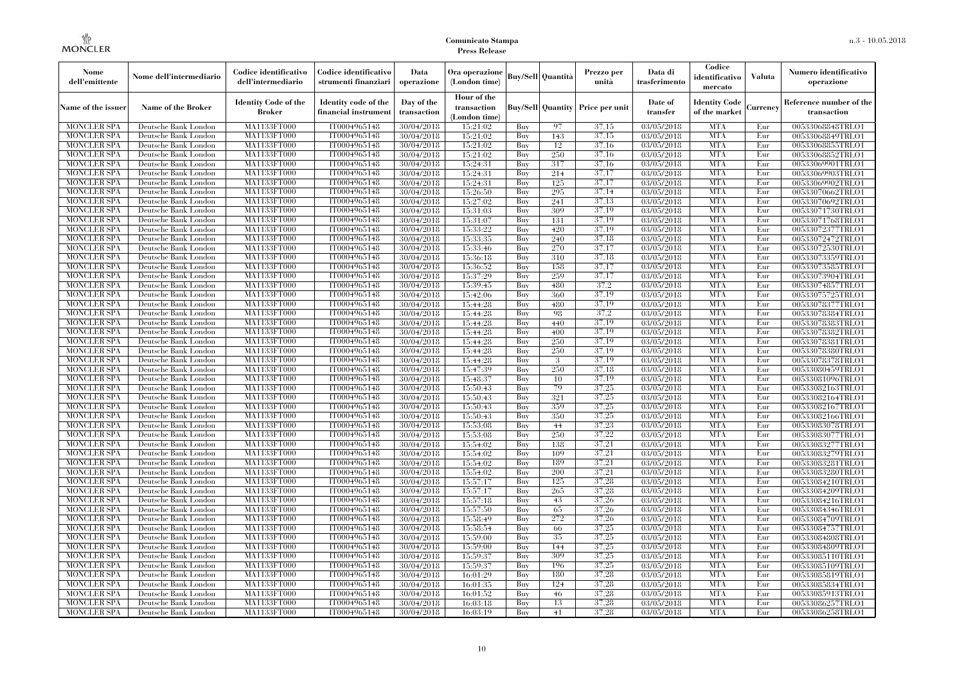| Nome<br>dell'emittente                   | Nome dell'intermediario                      | Codice identificativo<br>dell'intermediario  | Codice identificativo<br>strumenti finanziari | Data<br>operazione        | Ora operazione<br>(London time)             |            | <b>Buy/Sell   Quantità</b> | Prezzo per<br>unità | Data di<br>trasferimento | Codice<br>identificativo<br>mercato   | <b>Valuta</b> | Numero identificativo<br>operazione    |
|------------------------------------------|----------------------------------------------|----------------------------------------------|-----------------------------------------------|---------------------------|---------------------------------------------|------------|----------------------------|---------------------|--------------------------|---------------------------------------|---------------|----------------------------------------|
| Name of the issuer                       | Name of the Broker                           | <b>Identity Code of the</b><br><b>Broker</b> | Identity code of the<br>financial instrument  | Day of the<br>transaction | Hour of the<br>transaction<br>(London time) |            | <b>Buy/Sell Quantity</b>   | Price per unit      | Date of<br>transfer      | <b>Identity Code</b><br>of the market | Currencv      | Reference number of the<br>transaction |
| <b>MONCLER SPA</b>                       | Deutsche Bank London                         | MA1133FT000                                  | IT0004965148                                  | 30/04/2018                | 15:21:02                                    | Buy        | 97                         | 37,15               | 03/05/2018               | <b>MTA</b>                            | Eur           | 00533068848TRLO1                       |
| <b>MONCLER SPA</b>                       | Deutsche Bank London                         | <b>MA1133FT000</b>                           | IT0004965148                                  | 30/04/2018                | 15:21:02                                    | Buy        | 143                        | 37,15               | 03/05/2018               | <b>MTA</b>                            | Eur           | 00533068849TRLO1                       |
| <b>MONCLER SPA</b>                       | Deutsche Bank London                         | <b>MA1133FT000</b>                           | IT0004965148                                  | 30/04/2018                | 15:21:02                                    | Buv        | 12                         | 37,16               | 03/05/2018               | <b>MTA</b>                            | Eur           | 00533068855TRLO1                       |
| <b>MONCLER SPA</b>                       | Deutsche Bank London                         | MA1133FT000                                  | IT0004965148                                  | 30/04/2018                | 15:21:02                                    | Buy        | 250                        | 37,16               | 03/05/2018               | <b>MTA</b>                            | Eur           | 00533068852TRLO1                       |
| <b>MONCLER SPA</b>                       | Deutsche Bank London                         | MA1133FT000<br><b>MA1133FT000</b>            | IT0004965148                                  | 30/04/2018                | 15:24:31                                    | Buy        | 317<br>214                 | 37,16<br>37,17      | 03/05/2018               | <b>MTA</b><br><b>MTA</b>              | Eur           | 00533069901TRLO1                       |
| MONCLER SPA<br><b>MONCLER SPA</b>        | Deutsche Bank London<br>Deutsche Bank London | MA1133FT000                                  | IT0004965148<br>IT0004965148                  | 30/04/2018<br>30/04/2018  | 15:24:31<br>15:24:31                        | Buy<br>Buy | 125                        | 37,17               | 03/05/2018<br>03/05/2018 | <b>MTA</b>                            | Eur<br>Eur    | 00533069903TRLO1<br>00533069902TRLO1   |
| <b>MONCLER SPA</b>                       | Deutsche Bank London                         | MA1133FT000                                  | IT0004965148                                  | 30/04/2018                | 15:26:50                                    | Buy        | 295                        | 37,14               | 03/05/2018               | <b>MTA</b>                            | Eur           | 00533070662TRLO1                       |
| <b>MONCLER SPA</b>                       | Deutsche Bank London                         | MA1133FT000                                  | IT0004965148                                  | 30/04/2018                | 15:27:02                                    | Buy        | 241                        | 37,13               | 03/05/2018               | <b>MTA</b>                            | Eur           | 00533070692TRLO1                       |
| <b>MONCLER SPA</b>                       | Deutsche Bank London                         | <b>MA1133FT000</b>                           | IT0004965148                                  | 30/04/2018                | 15:31:03                                    | Buy        | 309                        | 37,19               | $\sqrt{03}/05/2018$      | <b>MTA</b>                            | Eur           | 00533071730TRLO1                       |
| <b>MONCLER SPA</b>                       | Deutsche Bank London                         | <b>MA1133FT000</b>                           | IT0004965148                                  | 30/04/2018                | 15:31:07                                    | Buy        | 131                        | 37,19               | 03/05/2018               | <b>MTA</b>                            | Eur           | 00533071768TRLO1                       |
| <b>MONCLER SPA</b>                       | Deutsche Bank London                         | MA1133FT000                                  | IT0004965148                                  | 30/04/2018                | 15:33:22                                    | Buy        | 420                        | 37,19               | 03/05/2018               | <b>MTA</b>                            | Eur           | 00533072377TRLO1                       |
| <b>MONCLER SPA</b>                       | Deutsche Bank London                         | MA1133FT000                                  | IT0004965148                                  | 30/04/2018                | 15:33:35                                    | Buy        | 240                        | 37,18               | 03/05/2018               | <b>MTA</b>                            | Eur           | 00533072472TRLO1                       |
| <b>MONCLER SPA</b>                       | Deutsche Bank London                         | MA1133FT000                                  | IT0004965148                                  | 30/04/2018                | 15:33:46                                    | Buy        | 270                        | 37,17               | 03/05/2018               | <b>MTA</b>                            | Eur           | 00533072530TRLO1                       |
| <b>MONCLER SPA</b>                       | Deutsche Bank London                         | MA1133FT000                                  | IT0004965148                                  | 30/04/2018                | 15:36:18                                    | Buy        | 310                        | 37,18               | 03/05/2018               | <b>MTA</b>                            | Eur           | 00533073359TRLO1                       |
| <b>MONCLER SPA</b>                       | Deutsche Bank London                         | MA1133FT000                                  | IT0004965148                                  | 30/04/2018                | 15:36:52                                    | Buy        | 158                        | 37,17               | 03/05/2018               | <b>MTA</b>                            | Eur           | 00533073585TRLO1                       |
| <b>MONCLER SPA</b>                       | Deutsche Bank London                         | MA1133FT000                                  | IT0004965148                                  | 30/04/2018                | 15:37:29                                    | Buy        | 259                        | 37,17               | 03/05/2018               | <b>MTA</b>                            | Eur           | 00533073904TRLO1                       |
| <b>MONCLER SPA</b>                       | Deutsche Bank London                         | MA1133FT000                                  | IT0004965148                                  | 30/04/2018                | 15:39:45                                    | Buy        | 480                        | 37,2                | 03/05/2018               | <b>MTA</b>                            | Eur           | 00533074857TRLO1                       |
| <b>MONCLER SPA</b>                       | Deutsche Bank London                         | MA1133FT000                                  | IT0004965148                                  | 30/04/2018                | 15:42:06                                    | Buy        | 360                        | 37,19               | 03/05/2018               | <b>MTA</b>                            | Eur           | 00533075725TRLO1                       |
| <b>MONCLER SPA</b>                       | Deutsche Bank London                         | MA1133FT000                                  | IT0004965148                                  | 30/04/2018                | 15:44:28                                    | Buy        | 480                        | 37.19               | 03/05/2018               | <b>MTA</b>                            | Eur           | 00533078377TRLO1                       |
| <b>MONCLER SPA</b>                       | Deutsche Bank London                         | MA1133FT000                                  | IT0004965148                                  | 30/04/2018                | 15:44:28                                    | Buy        | 98                         | 37,2                | 03/05/2018               | <b>MTA</b>                            | Eur           | 00533078384TRLO1                       |
| <b>MONCLER SPA</b>                       | Deutsche Bank London                         | MA1133FT000                                  | IT0004965148                                  | 30/04/2018                | 15:44:28                                    | Buy        | 440                        | 37,19               | 03/05/2018               | <b>MTA</b>                            | Eur           | 00533078383TRLO1                       |
| <b>MONCLER SPA</b>                       | Deutsche Bank London                         | MA1133FT000                                  | IT0004965148                                  | 30/04/2018                | 15:44:28                                    | Buy        | 400                        | 37,19               | 03/05/2018               | <b>MTA</b>                            | Eur           | 00533078382TRLO1                       |
| <b>MONCLER SPA</b>                       | Deutsche Bank London                         | MA1133FT000                                  | IT0004965148                                  | 30/04/2018                | 15:44:28                                    | Buy        | 250                        | 37.19               | 03/05/2018               | <b>MTA</b>                            | Eur           | 00533078381TRLO1                       |
| <b>MONCLER SPA</b><br><b>MONCLER SPA</b> | Deutsche Bank London<br>Deutsche Bank London | MA1133FT000<br>MA1133FT000                   | IT0004965148<br>IT0004965148                  | 30/04/2018<br>30/04/2018  | 15:44:28<br>15:44:28                        | Buy<br>Buy | 250<br>3                   | 37.19<br>37,19      | 03/05/2018<br>03/05/2018 | <b>MTA</b><br><b>MTA</b>              | Eur<br>Eur    | 00533078380TRLO1<br>00533078378TRLO1   |
| <b>MONCLER SPA</b>                       | Deutsche Bank London                         | MA1133FT000                                  | IT0004965148                                  | 30/04/2018                | 15:47:39                                    | Buy        | 250                        | 37,18               | 03/05/2018               | <b>MTA</b>                            | Eur           | 00533080459TRLO1                       |
| <b>MONCLER SPA</b>                       | Deutsche Bank London                         | MA1133FT000                                  | IT0004965148                                  | 30/04/2018                | 15:48:37                                    | Buy        | 10                         | 37.19               | 03/05/2018               | <b>MTA</b>                            | Eur           | 00533081096TRLO1                       |
| <b>MONCLER SPA</b>                       | Deutsche Bank London                         | MA1133FT000                                  | IT0004965148                                  | 30/04/2018                | 15:50:43                                    | Buy        | 79                         | 37.25               | 03/05/2018               | <b>MTA</b>                            | Eur           | 00533082163TRLO1                       |
| <b>MONCLER SPA</b>                       | Deutsche Bank London                         | <b>MA1133FT000</b>                           | IT0004965148                                  | 30/04/2018                | 15:50:43                                    | Buy        | 321                        | 37,25               | 03/05/2018               | <b>MTA</b>                            | Eur           | 00533082164TRLO1                       |
| <b>MONCLER SPA</b>                       | Deutsche Bank London                         | MA1133FT000                                  | IT0004965148                                  | 30/04/2018                | 15:50:43                                    | Buy        | 359                        | 37,25               | 03/05/2018               | <b>MTA</b>                            | Eur           | 00533082167TRLO1                       |
| <b>MONCLER SPA</b>                       | Deutsche Bank London                         | MA1133FT000                                  | IT0004965148                                  | 30/04/2018                | 15:50:43                                    | Buy        | 350                        | 37,25               | 03/05/2018               | <b>MTA</b>                            | Eur           | 00533082166TRLO1                       |
| <b>MONCLER SPA</b>                       | Deutsche Bank London                         | MA1133FT000                                  | IT0004965148                                  | 30/04/2018                | 15:53:08                                    | Buy        | 44                         | 37.23               | 03/05/2018               | <b>MTA</b>                            | Eur           | 00533083078TRLO1                       |
| <b>MONCLER SPA</b>                       | Deutsche Bank London                         | MA1133FT000                                  | IT0004965148                                  | 30/04/2018                | 15:53:08                                    | Buy        | 250                        | 37,22               | 03/05/2018               | <b>MTA</b>                            | Eur           | 00533083077TRLO1                       |
| <b>MONCLER SPA</b>                       | Deutsche Bank London                         | MA1133FT000                                  | IT0004965148                                  | 30/04/2018                | 15:54:02                                    | Buy        | 138                        | 37,21               | 03/05/2018               | <b>MTA</b>                            | Eur           | 00533083277TRLO1                       |
| <b>MONCLER SPA</b>                       | Deutsche Bank London                         | MA1133FT000                                  | IT0004965148                                  | 30/04/2018                | 15:54:02                                    | Buy        | 109                        | 37,21               | 03/05/2018               | <b>MTA</b>                            | Eur           | 00533083279TRLO1                       |
| <b>MONCLER SPA</b>                       | Deutsche Bank London                         | MA1133FT000                                  | IT0004965148                                  | 30/04/2018                | 15:54:02                                    | Buv        | 189                        | 37,21               | 03/05/2018               | <b>MTA</b>                            | Eur           | 00533083281TRLO1                       |
| <b>MONCLER SPA</b>                       | Deutsche Bank London                         | <b>MA1133FT000</b>                           | IT0004965148                                  | 30/04/2018                | 15:54:02                                    | Buy        | 200                        | 37,21               | 03/05/2018               | <b>MTA</b>                            | Eur           | 00533083280TRLO1                       |
| <b>MONCLER SPA</b>                       | Deutsche Bank London                         | MA1133FT000                                  | IT0004965148                                  | 30/04/2018                | 15:57:17                                    | Buy        | 125                        | 37,28               | 03/05/2018               | <b>MTA</b>                            | Eur           | 00533084210TRLO1                       |
| <b>MONCLER SPA</b>                       | Deutsche Bank London                         | <b>MA1133FT000</b>                           | IT0004965148                                  | 30/04/2018                | 15:57:17                                    | Buy        | 265                        | 37,28               | 03/05/2018               | <b>MTA</b>                            | Eur           | 00533084209TRLO1                       |
| <b>MONCLER SPA</b>                       | Deutsche Bank London                         | MA1133FT000                                  | IT0004965148                                  | 30/04/2018                | 15:57:18                                    | Buy        | 43                         | 37,26               | 03/05/2018               | <b>MTA</b>                            | Eur           | 00533084216TRLO1                       |
| <b>MONCLER SPA</b>                       | Deutsche Bank London                         | MA1133FT000                                  | IT0004965148                                  | 30/04/2018                | 15:57:50                                    | Buy        | 65                         | 37,26               | 03/05/2018               | <b>MTA</b>                            | Eur           | 00533084346TRLO1                       |
| <b>MONCLER SPA</b>                       | Deutsche Bank London                         | MA1133FT000                                  | IT0004965148                                  | 30/04/2018                | 15:58:49                                    | Buy        | 272                        | 37,26               | 03/05/2018               | <b>MTA</b>                            | Eur           | 00533084709TRLO1                       |
| <b>MONCLER SPA</b>                       | Deutsche Bank London                         | MA1133FT000                                  | IT0004965148                                  | 30/04/2018                | 15:58:54                                    | Buy        | -66                        | 37,25<br>37,25      | 03/05/2018               | <b>MTA</b>                            | Eur           | 00533084757TRLO1                       |
| <b>MONCLER SPA</b><br><b>MONCLER SPA</b> | Deutsche Bank London<br>Deutsche Bank London | MA1133FT000<br>MA1133FT000                   | IT0004965148<br>IT0004965148                  | 30/04/2018<br>30/04/2018  | 15:59:00<br>15:59:00                        | Buy<br>Buy | 35<br>144                  | 37,25               | 03/05/2018<br>03/05/2018 | <b>MTA</b><br><b>MTA</b>              | Eur<br>Eur    | 00533084808TRLO1                       |
| <b>MONCLER SPA</b>                       | Deutsche Bank London                         | MA1133FT000                                  | IT0004965148                                  | 30/04/2018                | 15:59:37                                    | Buy        | 309                        | 37,25               | 03/05/2018               | <b>MTA</b>                            | Eur           | 00533084809TRLO1<br>00533085110TRLO1   |
| <b>MONCLER SPA</b>                       | Deutsche Bank London                         | MA1133FT000                                  | IT0004965148                                  | 30/04/2018                | 15:59:37                                    | Buy        | 196                        | 37,25               | 03/05/2018               | <b>MTA</b>                            | Eur           | 00533085109TRLO1                       |
| <b>MONCLER SPA</b>                       | Deutsche Bank London                         | MA1133FT000                                  | IT0004965148                                  | 30/04/2018                | 16:01:29                                    | Buy        | 180                        | 37.28               | 03/05/2018               | <b>MTA</b>                            | Eur           | 00533085819TRLO1                       |
| <b>MONCLER SPA</b>                       | Deutsche Bank London                         | MA1133FT000                                  | IT0004965148                                  | 30/04/2018                | 16:01:35                                    | Buy        | 124                        | 37.28               | 03/05/2018               | <b>MTA</b>                            | Eur           | 00533085834TRLO1                       |
| <b>MONCLER SPA</b>                       | Deutsche Bank London                         | MA1133FT000                                  | IT0004965148                                  | 30/04/2018                | 16:01:52                                    | Buy        | 46                         | 37,28               | 03/05/2018               | <b>MTA</b>                            | Eur           | 00533085913TRLO1                       |
| <b>MONCLER SPA</b>                       | Deutsche Bank London                         | MA1133FT000                                  | IT0004965148                                  | 30/04/2018                | 16:03:18                                    | Buy        | 13                         | 37,28               | 03/05/2018               | <b>MTA</b>                            | Eur           | 00533086257TRLO1                       |
| <b>MONCLER SPA</b>                       | Deutsche Bank London                         | MA1133FT000                                  | IT0004965148                                  | 30/04/2018                | 16:03:19                                    | Buy        | 41                         | 37,28               | 03/05/2018               | <b>MTA</b>                            | Eur           | 00533086258TRLO1                       |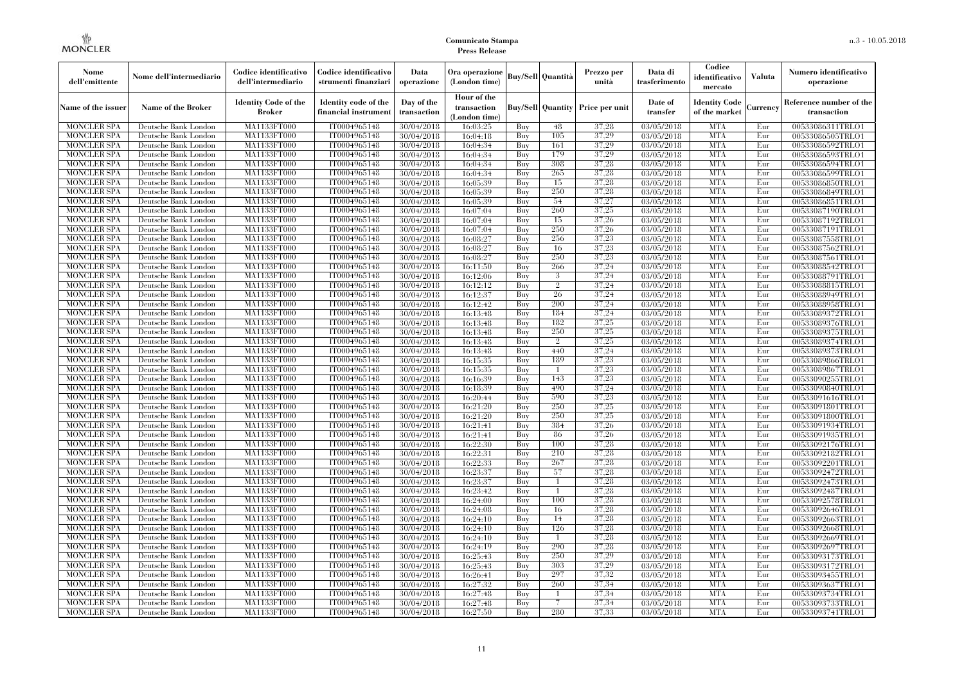| Nome<br>dell'emittente                   | Nome dell'intermediario                      | Codice identificativo<br>dell'intermediario  | Codice identificativo<br>strumenti finanziari | Data<br>operazione        | Ora operazione<br>(London time)             |            | Buy/Sell   Quantità      | Prezzo per<br>unità | Data di<br>trasferimento | Codice<br>identificativo<br>mercato   | <b>Valuta</b> | Numero identificativo<br>operazione    |
|------------------------------------------|----------------------------------------------|----------------------------------------------|-----------------------------------------------|---------------------------|---------------------------------------------|------------|--------------------------|---------------------|--------------------------|---------------------------------------|---------------|----------------------------------------|
| Name of the issuer                       | Name of the Broker                           | <b>Identity Code of the</b><br><b>Broker</b> | Identity code of the<br>financial instrument  | Day of the<br>transaction | Hour of the<br>transaction<br>(London time) |            | <b>Buy/Sell Quantity</b> | Price per unit      | Date of<br>transfer      | <b>Identity Code</b><br>of the market | Currencv      | Reference number of the<br>transaction |
| <b>MONCLER SPA</b>                       | Deutsche Bank London                         | MA1133FT000                                  | IT0004965148                                  | 30/04/2018                | 16:03:25                                    | Buy        | 48                       | 37,28               | 03/05/2018               | <b>MTA</b>                            | Eur           | 00533086311TRLO1                       |
| <b>MONCLER SPA</b>                       | Deutsche Bank London                         | <b>MA1133FT000</b>                           | IT0004965148                                  | 30/04/2018                | 16:04:18                                    | Buy        | 105                      | 37,29               | 03/05/2018               | <b>MTA</b>                            | Eur           | 00533086505TRLO1                       |
| <b>MONCLER SPA</b>                       | Deutsche Bank London                         | <b>MA1133FT000</b>                           | IT0004965148                                  | 30/04/2018                | 16:04:34                                    | Buv        | 161<br>179               | 37,29               | 03/05/2018               | <b>MTA</b>                            | Eur           | 00533086592TRLO1                       |
| <b>MONCLER SPA</b><br><b>MONCLER SPA</b> | Deutsche Bank London<br>Deutsche Bank London | MA1133FT000<br>MA1133FT000                   | IT0004965148<br>IT0004965148                  | 30/04/2018                | 16:04:34                                    | Buy<br>Buy | 308                      | 37,29<br>37,28      | 03/05/2018<br>03/05/2018 | <b>MTA</b><br><b>MTA</b>              | Eur<br>Eur    | 00533086593TRLO1                       |
|                                          | Deutsche Bank London                         | <b>MA1133FT000</b>                           | IT0004965148                                  | 30/04/2018                | 16:04:34                                    | Buy        | 265                      | 37,28               |                          | <b>MTA</b>                            | Eur           | 00533086594TRLO1<br>00533086599TRLO1   |
| <b>MONCLER SPA</b><br><b>MONCLER SPA</b> | Deutsche Bank London                         | MA1133FT000                                  | IT0004965148                                  | 30/04/2018<br>30/04/2018  | 16:04:34<br>16:05:39                        | Buy        | 15                       | 37,28               | 03/05/2018<br>03/05/2018 | <b>MTA</b>                            | Eur           | 00533086850TRLO1                       |
| <b>MONCLER SPA</b>                       | Deutsche Bank London                         | MA1133FT000                                  | IT0004965148                                  | 30/04/2018                | 16:05:39                                    | Buy        | 250                      | 37,28               | 03/05/2018               | <b>MTA</b>                            | Eur           | 00533086849TRLO1                       |
| <b>MONCLER SPA</b>                       | Deutsche Bank London                         | MA1133FT000                                  | IT0004965148                                  | 30/04/2018                | 16:05:39                                    | Buy        | 54                       | 37,27               | 03/05/2018               | <b>MTA</b>                            | Eur           | 00533086851TRLO1                       |
| <b>MONCLER SPA</b>                       | Deutsche Bank London                         | <b>MA1133FT000</b>                           | IT0004965148                                  | 30/04/2018                | 16:07:04                                    | Buy        | 260                      | 37,25               | $\sqrt{03}/05/2018$      | <b>MTA</b>                            | Eur           | 00533087190TRLO1                       |
| <b>MONCLER SPA</b>                       | Deutsche Bank London                         | <b>MA1133FT000</b>                           | IT0004965148                                  | 30/04/2018                | 16:07:04                                    | Buy        | 15                       | 37,26               | 03/05/2018               | <b>MTA</b>                            | Eur           | 00533087192TRLO1                       |
| <b>MONCLER SPA</b>                       | Deutsche Bank London                         | MA1133FT000                                  | IT0004965148                                  | 30/04/2018                | 16:07:04                                    | Buy        | 250                      | 37,26               | 03/05/2018               | <b>MTA</b>                            | Eur           | 00533087191TRLO1                       |
| <b>MONCLER SPA</b>                       | Deutsche Bank London                         | MA1133FT000                                  | IT0004965148                                  | 30/04/2018                | 16:08:27                                    | Buy        | 256                      | 37,23               | 03/05/2018               | <b>MTA</b>                            | Eur           | 00533087558TRLO1                       |
| <b>MONCLER SPA</b>                       | Deutsche Bank London                         | MA1133FT000                                  | IT0004965148                                  | 30/04/2018                | 16:08:27                                    | Buy        | 16                       | 37,23               | 03/05/2018               | <b>MTA</b>                            | Eur           | 00533087562TRLO1                       |
| <b>MONCLER SPA</b>                       | Deutsche Bank London                         | MA1133FT000                                  | IT0004965148                                  | 30/04/2018                | 16:08:27                                    | Buy        | 250                      | 37,23               | 03/05/2018               | <b>MTA</b>                            | Eur           | 00533087561TRLO1                       |
| <b>MONCLER SPA</b>                       | Deutsche Bank London                         | MA1133FT000                                  | IT0004965148                                  | 30/04/2018                | 16:11:50                                    | Buy        | 266                      | 37,24               | 03/05/2018               | <b>MTA</b>                            | Eur           | 00533088542TRLO1                       |
| <b>MONCLER SPA</b>                       | Deutsche Bank London                         | MA1133FT000                                  | IT0004965148                                  | 30/04/2018                | 16:12:06                                    | Buy        | 3                        | 37,24               | 03/05/2018               | <b>MTA</b>                            | Eur           | 00533088791TRLO1                       |
| <b>MONCLER SPA</b>                       | Deutsche Bank London                         | MA1133FT000                                  | IT0004965148                                  | 30/04/2018                | 16:12:12                                    | Buy        | $\overline{2}$           | 37.24               | 03/05/2018               | <b>MTA</b>                            | Eur           | 00533088815TRLO1                       |
| <b>MONCLER SPA</b>                       | Deutsche Bank London                         | MA1133FT000                                  | IT0004965148                                  | 30/04/2018                | 16:12:37                                    | Buy        | 26                       | 37,24               | 03/05/2018               | <b>MTA</b>                            | Eur           | 00533088949TRLO1                       |
| <b>MONCLER SPA</b>                       | Deutsche Bank London                         | MA1133FT000                                  | IT0004965148                                  | 30/04/2018                | 16:12:42                                    | Buy        | 200                      | 37.24               | 03/05/2018               | <b>MTA</b>                            | Eur           | 00533088958TRLO1                       |
| <b>MONCLER SPA</b>                       | Deutsche Bank London                         | MA1133FT000                                  | IT0004965148                                  | 30/04/2018                | 16:13:48                                    | Buy        | 184                      | 37,24               | $\sqrt{03}/05/2018$      | <b>MTA</b>                            | Eur           | 00533089372TRLO1                       |
| <b>MONCLER SPA</b>                       | Deutsche Bank London                         | MA1133FT000                                  | IT0004965148                                  | 30/04/2018                | 16:13:48                                    | Buy        | 182                      | 37,25               | $\sqrt{03}/05/2018$      | <b>MTA</b>                            | Eur           | 00533089376TRLO1                       |
| <b>MONCLER SPA</b>                       | Deutsche Bank London                         | MA1133FT000                                  | IT0004965148                                  | 30/04/2018                | 16:13:48                                    | Buy        | 250                      | 37,25<br>37.25      | 03/05/2018               | <b>MTA</b><br><b>MTA</b>              | Eur           | 00533089375TRLO1                       |
| <b>MONCLER SPA</b><br><b>MONCLER SPA</b> | Deutsche Bank London<br>Deutsche Bank London | MA1133FT000<br>MA1133FT000                   | IT0004965148<br>IT0004965148                  | 30/04/2018<br>30/04/2018  | 16:13:48<br>16:13:48                        | Buy<br>Buy | $\overline{2}$<br>440    | 37,24               | 03/05/2018<br>03/05/2018 | <b>MTA</b>                            | Eur<br>Eur    | 00533089374TRLO1<br>00533089373TRLO1   |
| <b>MONCLER SPA</b>                       | Deutsche Bank London                         | MA1133FT000                                  | IT0004965148                                  | 30/04/2018                | 16:15:35                                    | Buy        | 189                      | 37,23               | 03/05/2018               | <b>MTA</b>                            | Eur           | 00533089866TRLO1                       |
| <b>MONCLER SPA</b>                       | Deutsche Bank London                         | MA1133FT000                                  | IT0004965148                                  | 30/04/2018                | 16:15:35                                    | Buy        | $\overline{1}$           | 37,23               | 03/05/2018               | <b>MTA</b>                            | Eur           | 00533089867TRLO1                       |
| <b>MONCLER SPA</b>                       | Deutsche Bank London                         | MA1133FT000                                  | IT0004965148                                  | 30/04/2018                | 16:16:39                                    | Buy        | 143                      | 37.23               | 03/05/2018               | <b>MTA</b>                            | Eur           | 00533090255TRLO1                       |
| <b>MONCLER SPA</b>                       | Deutsche Bank London                         | MA1133FT000                                  | IT0004965148                                  | 30/04/2018                | 16:18:39                                    | Buy        | 490                      | 37.24               | 03/05/2018               | <b>MTA</b>                            | Eur           | 00533090840TRLO1                       |
| <b>MONCLER SPA</b>                       | Deutsche Bank London                         | <b>MA1133FT000</b>                           | IT0004965148                                  | 30/04/2018                | 16:20:44                                    | Buy        | 590                      | 37,23               | 03/05/2018               | <b>MTA</b>                            | Eur           | 00533091616TRLO1                       |
| <b>MONCLER SPA</b>                       | Deutsche Bank London                         | MA1133FT000                                  | IT0004965148                                  | 30/04/2018                | 16:21:20                                    | Buy        | 250                      | 37,25               | 03/05/2018               | <b>MTA</b>                            | Eur           | 00533091801TRLO1                       |
| <b>MONCLER SPA</b>                       | Deutsche Bank London                         | MA1133FT000                                  | IT0004965148                                  | 30/04/2018                | 16:21:20                                    | Buy        | 250                      | 37,25               | 03/05/2018               | <b>MTA</b>                            | Eur           | 00533091800TRLO1                       |
| <b>MONCLER SPA</b>                       | Deutsche Bank London                         | MA1133FT000                                  | IT0004965148                                  | 30/04/2018                | 16:21:41                                    | <b>Buy</b> | 384                      | 37.26               | 03/05/2018               | <b>MTA</b>                            | Eur           | 00533091934TRLO1                       |
| <b>MONCLER SPA</b>                       | Deutsche Bank London                         | MA1133FT000                                  | IT0004965148                                  | 30/04/2018                | 16:21:41                                    | Buy        | 86                       | 37,26               | 03/05/2018               | <b>MTA</b>                            | Eur           | 00533091935TRLO1                       |
| <b>MONCLER SPA</b>                       | Deutsche Bank London                         | MA1133FT000                                  | IT0004965148                                  | 30/04/2018                | 16:22:30                                    | Buy        | 100                      | 37,28               | 03/05/2018               | <b>MTA</b>                            | Eur           | 00533092176TRLO1                       |
| <b>MONCLER SPA</b>                       | Deutsche Bank London                         | MA1133FT000                                  | IT0004965148                                  | 30/04/2018                | 16:22:31                                    | Buy        | 210                      | 37,28               | 03/05/2018               | <b>MTA</b>                            | Eur           | 00533092182TRLO1                       |
| <b>MONCLER SPA</b>                       | Deutsche Bank London                         | MA1133FT000                                  | IT0004965148                                  | 30/04/2018                | 16:22:33                                    | Buy        | 267                      | 37,28               | 03/05/2018               | <b>MTA</b>                            | Eur           | 00533092201TRLO1                       |
| <b>MONCLER SPA</b>                       | Deutsche Bank London                         | <b>MA1133FT000</b>                           | IT0004965148                                  | 30/04/2018                | 16:23:37                                    | Buy        | 57                       | 37,28               | 03/05/2018               | <b>MTA</b>                            | Eur           | 00533092472TRLO1                       |
| <b>MONCLER SPA</b>                       | Deutsche Bank London                         | MA1133FT000                                  | IT0004965148                                  | 30/04/2018                | 16:23:37                                    | Buy        | $\mathbf{1}$             | 37,28               | 03/05/2018               | <b>MTA</b>                            | Eur           | 00533092473TRLO1                       |
| <b>MONCLER SPA</b>                       | Deutsche Bank London                         | <b>MA1133FT000</b>                           | IT0004965148                                  | 30/04/2018                | 16:23:42                                    | Buy        | -1                       | 37,28               | 03/05/2018               | <b>MTA</b>                            | Eur           | 00533092487TRLO1                       |
| <b>MONCLER SPA</b>                       | Deutsche Bank London                         | MA1133FT000                                  | IT0004965148                                  | 30/04/2018                | 16:24:00                                    | Buy        | 100                      | 37,28               | 03/05/2018               | <b>MTA</b>                            | Eur           | 00533092578TRLO1                       |
| <b>MONCLER SPA</b><br><b>MONCLER SPA</b> | Deutsche Bank London                         | MA1133FT000<br>MA1133FT000                   | IT0004965148                                  | 30/04/2018                | 16:24:08                                    | Buy        | 16<br>14                 | 37,28<br>37,28      | 03/05/2018               | <b>MTA</b><br><b>MTA</b>              | Eur           | 00533092646TRLO1                       |
| <b>MONCLER SPA</b>                       | Deutsche Bank London                         | MA1133FT000                                  | IT0004965148<br>IT0004965148                  | 30/04/2018                | 16:24:10                                    | Buy        | 126                      | 37,28               | 03/05/2018               | <b>MTA</b>                            | Eur<br>Eur    | 00533092663TRLO1                       |
| <b>MONCLER SPA</b>                       | Deutsche Bank London<br>Deutsche Bank London | MA1133FT000                                  | IT0004965148                                  | 30/04/2018<br>30/04/2018  | 16:24:10<br>16:24:10                        | Buy<br>Buy | $\mathbf{1}$             | 37,28               | 03/05/2018<br>03/05/2018 | <b>MTA</b>                            | Eur           | 00533092668TRLO1<br>00533092669TRLO1   |
| <b>MONCLER SPA</b>                       | Deutsche Bank London                         | MA1133FT000                                  | IT0004965148                                  | 30/04/2018                | 16:24:19                                    | Buy        | 290                      | 37.28               | 03/05/2018               | <b>MTA</b>                            | Eur           | 00533092697TRLO1                       |
| <b>MONCLER SPA</b>                       | Deutsche Bank London                         | MA1133FT000                                  | IT0004965148                                  | 30/04/2018                | 16:25:43                                    | Buy        | 250                      | 37,29               | 03/05/2018               | <b>MTA</b>                            | Eur           | 00533093173TRLO1                       |
| <b>MONCLER SPA</b>                       | Deutsche Bank London                         | MA1133FT000                                  | IT0004965148                                  | 30/04/2018                | 16:25:43                                    | Buy        | 303                      | 37,29               | 03/05/2018               | <b>MTA</b>                            | Eur           | 00533093172TRLO1                       |
| <b>MONCLER SPA</b>                       | Deutsche Bank London                         | MA1133FT000                                  | IT0004965148                                  | 30/04/2018                | 16:26:41                                    | Buy        | 297                      | 37.32               | 03/05/2018               | <b>MTA</b>                            | Eur           | 00533093455TRLO1                       |
| <b>MONCLER SPA</b>                       | Deutsche Bank London                         | MA1133FT000                                  | IT0004965148                                  | 30/04/2018                | 16:27:32                                    | Buy        | 260                      | 37,34               | 03/05/2018               | <b>MTA</b>                            | Eur           | 00533093637TRLO1                       |
| <b>MONCLER SPA</b>                       | Deutsche Bank London                         | MA1133FT000                                  | IT0004965148                                  | 30/04/2018                | 16:27:48                                    | Buy        |                          | 37,34               | 03/05/2018               | <b>MTA</b>                            | Eur           | 00533093734TRLO1                       |
| <b>MONCLER SPA</b>                       | Deutsche Bank London                         | MA1133FT000                                  | IT0004965148                                  | 30/04/2018                | 16:27:48                                    | Buy        | 7                        | 37,34               | 03/05/2018               | <b>MTA</b>                            | Eur           | 00533093733TRLO1                       |
| <b>MONCLER SPA</b>                       | Deutsche Bank London                         | MA1133FT000                                  | IT0004965148                                  | 30/04/2018                | 16:27:50                                    | Buy        | 280                      | 37,33               | 03/05/2018               | <b>MTA</b>                            | Eur           | 00533093741TRLO1                       |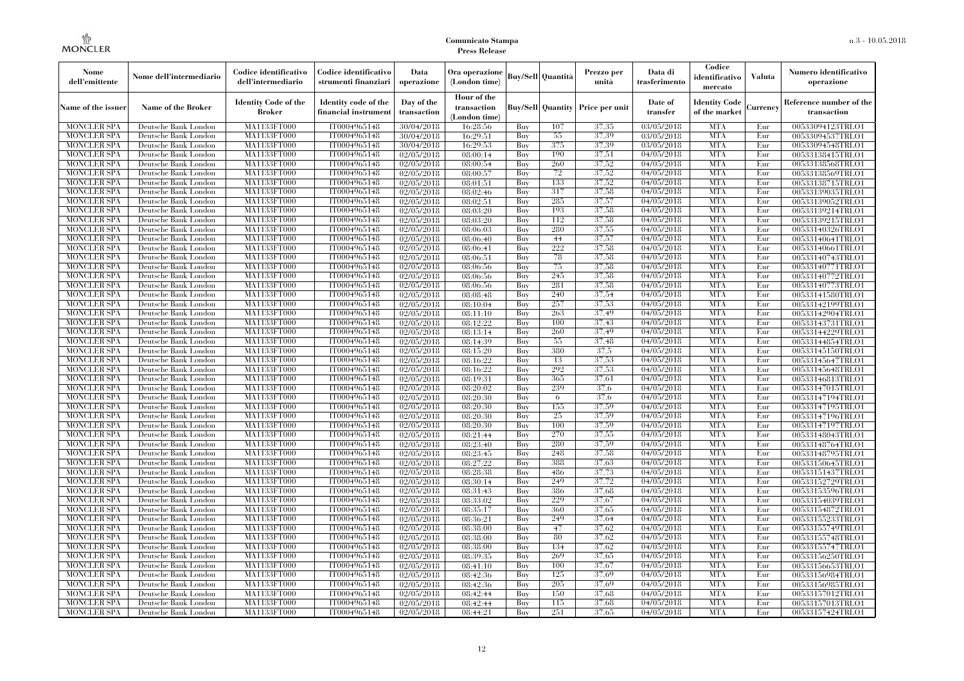| Nome<br>dell'emittente                   | Nome dell'intermediario                      | Codice identificativo<br>dell'intermediario  | Codice identificativo<br>strumenti finanziari | Data<br>operazione        | Ora operazione<br>(London time)             |            | Buy/Sell   Quantità      | Prezzo per<br>unità | Data di<br>trasferimento          | Codice<br>identificativo<br>mercato   | <b>Valuta</b> | Numero identificativo<br>operazione    |
|------------------------------------------|----------------------------------------------|----------------------------------------------|-----------------------------------------------|---------------------------|---------------------------------------------|------------|--------------------------|---------------------|-----------------------------------|---------------------------------------|---------------|----------------------------------------|
| Name of the issuer                       | Name of the Broker                           | <b>Identity Code of the</b><br><b>Broker</b> | Identity code of the<br>financial instrument  | Day of the<br>transaction | Hour of the<br>transaction<br>(London time) |            | <b>Buy/Sell Quantity</b> | Price per unit      | Date of<br>transfer               | <b>Identity Code</b><br>of the market | Currencv      | Reference number of the<br>transaction |
| <b>MONCLER SPA</b>                       | Deutsche Bank London                         | MA1133FT000                                  | IT0004965148                                  | 30/04/2018                | 16:28:56                                    | Buy        | 107                      | 37.35               | 03/05/2018                        | <b>MTA</b>                            | Eur           | 00533094123TRLO1                       |
| <b>MONCLER SPA</b>                       | Deutsche Bank London                         | <b>MA1133FT000</b>                           | IT0004965148                                  | 30/04/2018                | 16:29:51                                    | Buy        | 55                       | 37,39               | 03/05/2018                        | <b>MTA</b>                            | Eur           | 00533094537TRLO1                       |
| <b>MONCLER SPA</b>                       | Deutsche Bank London                         | MA1133FT000                                  | IT0004965148                                  | 30/04/2018                | 16:29:53                                    | Buv        | 375                      | 37.39               | 03/05/2018                        | <b>MTA</b>                            | Eur           | 00533094548TRLO1                       |
| <b>MONCLER SPA</b>                       | Deutsche Bank London                         | MA1133FT000                                  | IT0004965148                                  | 02/05/2018                | 08:00:14                                    | Buy        | 190                      | 37,51               | 04/05/2018                        | <b>MTA</b>                            | Eur           | 00533138415TRLO1                       |
| <b>MONCLER SPA</b>                       | Deutsche Bank London                         | MA1133FT000                                  | IT0004965148                                  | $\sqrt{02}/05/2018$       | 08:00:54                                    | Buy        | 260<br>72                | 37,52<br>37,52      | 04/05/2018                        | <b>MTA</b><br><b>MTA</b>              | Eur           | 00533138568TRLO1                       |
| <b>MONCLER SPA</b><br><b>MONCLER SPA</b> | Deutsche Bank London<br>Deutsche Bank London | <b>MA1133FT000</b><br>MA1133FT000            | IT0004965148<br>IT0004965148                  | 02/05/2018<br>02/05/2018  | 08:00:57<br>08:01:51                        | Buy<br>Buy | 133                      | 37,52               | $\sqrt{04}/05/2018$<br>04/05/2018 | <b>MTA</b>                            | Eur<br>Eur    | 00533138569TRLO1<br>00533138715TRLO1   |
| <b>MONCLER SPA</b>                       | Deutsche Bank London                         | MA1133FT000                                  | IT0004965148                                  | 02/05/2018                | 08:02:46                                    | Buy        | 317                      | 37,58               | 04/05/2018                        | <b>MTA</b>                            | Eur           | 00533139035TRLO1                       |
| <b>MONCLER SPA</b>                       | Deutsche Bank London                         | MA1133FT000                                  | IT0004965148                                  | 02/05/2018                | 08:02:51                                    | Buy        | 285                      | 37,57               | 04/05/2018                        | <b>MTA</b>                            | Eur           | 00533139052TRLO1                       |
| <b>MONCLER SPA</b>                       | Deutsche Bank London                         | MA1133FT000                                  | IT0004965148                                  | 02/05/2018                | 08:03:20                                    | Buy        | 193                      | 37,58               | 04/05/2018                        | <b>MTA</b>                            | Eur           | 00533139214TRLO1                       |
| <b>MONCLER SPA</b>                       | Deutsche Bank London                         | MA1133FT000                                  | IT0004965148                                  | 02/05/2018                | 08:03:20                                    | Buy        | 112                      | 37,58               | 04/05/2018                        | <b>MTA</b>                            | Eur           | 00533139215TRLO1                       |
| <b>MONCLER SPA</b>                       | Deutsche Bank London                         | MA1133FT000                                  | IT0004965148                                  | 02/05/2018                | 08:06:03                                    | Buy        | 280                      | 37,55               | 04/05/2018                        | <b>MTA</b>                            | Eur           | 00533140326TRLO1                       |
| <b>MONCLER SPA</b>                       | Deutsche Bank London                         | MA1133FT000                                  | IT0004965148                                  | 02/05/2018                | 08:06:40                                    | Buy        | 44                       | 37,57               | 04/05/2018                        | <b>MTA</b>                            | Eur           | 00533140641TRLO1                       |
| <b>MONCLER SPA</b>                       | Deutsche Bank London                         | MA1133FT000                                  | IT0004965148                                  | 02/05/2018                | 08:06:41                                    | Buy        | 222                      | 37,58               | 04/05/2018                        | <b>MTA</b>                            | Eur           | 00533140661TRLO1                       |
| <b>MONCLER SPA</b>                       | Deutsche Bank London                         | MA1133FT000                                  | IT0004965148                                  | 02/05/2018                | 08:06:51                                    | Buy        | 78                       | 37,58               | 04/05/2018                        | <b>MTA</b>                            | Eur           | 00533140743TRLO1                       |
| <b>MONCLER SPA</b>                       | Deutsche Bank London                         | MA1133FT000                                  | IT0004965148                                  | 02/05/2018                | 08:06:56                                    | Buy        | 75                       | 37,58               | 04/05/2018                        | <b>MTA</b>                            | Eur           | 00533140771TRLO1                       |
| <b>MONCLER SPA</b>                       | Deutsche Bank London                         | MA1133FT000                                  | IT0004965148                                  | 02/05/2018                | 08:06:56                                    | Buy        | 245                      | 37,58               | 04/05/2018                        | <b>MTA</b>                            | Eur           | 00533140772TRLO1                       |
| <b>MONCLER SPA</b>                       | Deutsche Bank London                         | MA1133FT000                                  | IT0004965148                                  | 02/05/2018                | 08:06:56                                    | Buy        | 281                      | 37,58               | 04/05/2018                        | <b>MTA</b>                            | Eur           | 00533140773TRLO1                       |
| <b>MONCLER SPA</b>                       | Deutsche Bank London                         | MA1133FT000                                  | IT0004965148                                  | 02/05/2018                | 08:08:48                                    | Buy        | 240                      | 37,54               | 04/05/2018                        | <b>MTA</b>                            | Eur           | 00533141580TRLO1                       |
| <b>MONCLER SPA</b>                       | Deutsche Bank London                         | MA1133FT000                                  | IT0004965148                                  | 02/05/2018                | 08:10:04                                    | Buy        | 257                      | 37,53               | 04/05/2018                        | <b>MTA</b>                            | Eur           | 00533142199TRLO1                       |
| <b>MONCLER SPA</b>                       | Deutsche Bank London                         | MA1133FT000                                  | IT0004965148                                  | 02/05/2018                | 08:11:10                                    | Buy        | 263                      | 37,49               | 04/05/2018                        | <b>MTA</b>                            | Eur           | 00533142904TRLO1                       |
| <b>MONCLER SPA</b>                       | Deutsche Bank London                         | MA1133FT000                                  | IT0004965148                                  | 02/05/2018                | 08:12:22                                    | Buy        | 100                      | 37,43               | 04/05/2018                        | <b>MTA</b>                            | Eur           | 00533143731TRLO1                       |
| <b>MONCLER SPA</b>                       | Deutsche Bank London                         | MA1133FT000                                  | IT0004965148                                  | 02/05/2018                | 08:13:14                                    | Buy        | 260                      | 37.49               | 04/05/2018                        | <b>MTA</b>                            | Eur           | 00533144229TRLO1                       |
| <b>MONCLER SPA</b>                       | Deutsche Bank London                         | MA1133FT000                                  | IT0004965148                                  | 02/05/2018                | 08:14:39                                    | Buy        | 55                       | 37.48               | 04/05/2018                        | <b>MTA</b>                            | Eur           | 00533144854TRLO1                       |
| <b>MONCLER SPA</b>                       | Deutsche Bank London                         | MA1133FT000                                  | IT0004965148                                  | 02/05/2018                | 08:15:20                                    | Buy        | 380                      | 37,5                | 04/05/2018                        | <b>MTA</b>                            | Eur           | 00533145150TRLO1                       |
| <b>MONCLER SPA</b>                       | Deutsche Bank London                         | MA1133FT000                                  | IT0004965148                                  | 02/05/2018                | 08:16:22                                    | Buy        | 13                       | 37,53               | $\sqrt{04}/05/2018$               | <b>MTA</b>                            | Eur           | 00533145647TRLO1                       |
| <b>MONCLER SPA</b>                       | Deutsche Bank London                         | MA1133FT000                                  | IT0004965148                                  | 02/05/2018                | 08:16:22                                    | Buy        | 292                      | 37,53               | 04/05/2018                        | <b>MTA</b>                            | Eur           | 00533145648TRLO1                       |
| <b>MONCLER SPA</b>                       | Deutsche Bank London                         | MA1133FT000                                  | IT0004965148                                  | 02/05/2018                | 08:19:31                                    | Buy        | 365                      | 37,61               | 04/05/2018                        | <b>MTA</b>                            | Eur           | 00533146813TRLO1                       |
| <b>MONCLER SPA</b>                       | Deutsche Bank London                         | MA1133FT000                                  | IT0004965148                                  | 02/05/2018                | 08:20:02                                    | Buy        | 239                      | 37.6                | 04/05/2018                        | <b>MTA</b>                            | Eur           | 00533147015TRLO1                       |
| <b>MONCLER SPA</b><br><b>MONCLER SPA</b> | Deutsche Bank London                         | <b>MA1133FT000</b>                           | IT0004965148<br>IT0004965148                  | 02/05/2018                | 08:20:30                                    | Buy        | 6<br>155                 | 37.6<br>37,59       | 04/05/2018<br>04/05/2018          | <b>MTA</b><br><b>MTA</b>              | Eur<br>Eur    | 00533147194TRLO1                       |
| <b>MONCLER SPA</b>                       | Deutsche Bank London<br>Deutsche Bank London | MA1133FT000<br>MA1133FT000                   | IT0004965148                                  | 02/05/2018                | 08:20:30<br>08:20:30                        | Buy<br>Buy | 25                       | 37,59               | 04/05/2018                        | <b>MTA</b>                            | Eur           | 00533147195TRLO1                       |
| <b>MONCLER SPA</b>                       | Deutsche Bank London                         | MA1133FT000                                  | IT0004965148                                  | 02/05/2018<br>02/05/2018  | 08:20:30                                    | Buv        | 100                      | 37,59               | 04/05/2018                        | <b>MTA</b>                            | Eur           | 00533147196TRLO1<br>00533147197TRLO1   |
| <b>MONCLER SPA</b>                       | Deutsche Bank London                         | MA1133FT000                                  | IT0004965148                                  | 02/05/2018                | 08:21:44                                    | Buy        | 270                      | 37.55               | 04/05/2018                        | <b>MTA</b>                            | Eur           | 00533148043TRLO1                       |
| <b>MONCLER SPA</b>                       | Deutsche Bank London                         | MA1133FT000                                  | IT0004965148                                  | 02/05/2018                | 08:23:40                                    | Buy        | 280                      | 37,59               | 04/05/2018                        | <b>MTA</b>                            | Eur           | 00533148764TRLO1                       |
| <b>MONCLER SPA</b>                       | Deutsche Bank London                         | MA1133FT000                                  | IT0004965148                                  | 02/05/2018                | 08:23:45                                    | Buy        | 248                      | 37,58               | 04/05/2018                        | <b>MTA</b>                            | Eur           | 00533148795TRLO1                       |
| <b>MONCLER SPA</b>                       | Deutsche Bank London                         | MA1133FT000                                  | IT0004965148                                  | 02/05/2018                | 08:27:22                                    | Buy        | 388                      | 37,63               | 04/05/2018                        | <b>MTA</b>                            | Eur           | 00533150645TRLO1                       |
| <b>MONCLER SPA</b>                       | Deutsche Bank London                         | <b>MA1133FT000</b>                           | IT0004965148                                  | 02/05/2018                | 08:28:38                                    | Buy        | 486                      | 37,73               | 04/05/2018                        | <b>MTA</b>                            | Eur           | 00533151437TRLO1                       |
| <b>MONCLER SPA</b>                       | Deutsche Bank London                         | MA1133FT000                                  | IT0004965148                                  | 02/05/2018                | 08:30:14                                    | Buy        | 249                      | 37,72               | 04/05/2018                        | <b>MTA</b>                            | Eur           | 00533152729TRLO1                       |
| <b>MONCLER SPA</b>                       | Deutsche Bank London                         | <b>MA1133FT000</b>                           | IT0004965148                                  | 02/05/2018                | 08:31:43                                    | Buy        | 386                      | 37,68               | 04/05/2018                        | <b>MTA</b>                            | Eur           | 00533153596TRLO1                       |
| <b>MONCLER SPA</b>                       | Deutsche Bank London                         | MA1133FT000                                  | IT0004965148                                  | 02/05/2018                | 08:33:02                                    | Buy        | 229                      | 37,67               | 04/05/2018                        | <b>MTA</b>                            | Eur           | 00533154039TRLO1                       |
| <b>MONCLER SPA</b>                       | Deutsche Bank London                         | MA1133FT000                                  | IT0004965148                                  | 02/05/2018                | 08:35:17                                    | Buy        | 360                      | 37,65               | $\sqrt{04}/05/2018$               | <b>MTA</b>                            | Eur           | 00533154872TRLO1                       |
| <b>MONCLER SPA</b>                       | Deutsche Bank London                         | MA1133FT000                                  | IT0004965148                                  | 02/05/2018                | 08:36:21                                    | Buy        | 249                      | 37.64               | 04/05/2018                        | <b>MTA</b>                            | Eur           | 00533155233TRLO1                       |
| <b>MONCLER SPA</b>                       | Deutsche Bank London                         | MA1133FT000                                  | IT0004965148                                  | 02/05/2018                | 08:38:00                                    | Buy        | 47                       | 37.62               | 04/05/2018                        | <b>MTA</b>                            | Eur           | 00533155749TRLO1                       |
| <b>MONCLER SPA</b>                       | Deutsche Bank London                         | MA1133FT000                                  | IT0004965148                                  | 02/05/2018                | 08:38:00                                    | Buy        | 80                       | 37,62               | 04/05/2018                        | <b>MTA</b>                            | Eur           | 00533155748TRLO1                       |
| <b>MONCLER SPA</b>                       | Deutsche Bank London                         | MA1133FT000                                  | IT0004965148                                  | 02/05/2018                | 08:38:00                                    | Buy        | 134                      | 37.62               | 04/05/2018                        | <b>MTA</b>                            | Eur           | 00533155747TRLO1                       |
| <b>MONCLER SPA</b>                       | Deutsche Bank London                         | MA1133FT000                                  | IT0004965148                                  | 02/05/2018                | 08:39:35                                    | Buy        | 269                      | 37.65               | 04/05/2018                        | <b>MTA</b>                            | Eur           | 00533156250TRLO1                       |
| <b>MONCLER SPA</b>                       | Deutsche Bank London                         | MA1133FT000                                  | IT0004965148                                  | 02/05/2018                | 08:41:10                                    | Buy        | 100                      | 37,67               | 04/05/2018                        | <b>MTA</b>                            | Eur           | 00533156653TRLO1                       |
| <b>MONCLER SPA</b>                       | Deutsche Bank London                         | MA1133FT000                                  | IT0004965148                                  | 02/05/2018                | 08:42:36                                    | Buy        | 125                      | 37.69               | 04/05/2018                        | <b>MTA</b>                            | Eur           | 00533156984TRLO1                       |
| <b>MONCLER SPA</b>                       | Deutsche Bank London                         | MA1133FT000                                  | IT0004965148                                  | 02/05/2018                | 08:42:36                                    | Buy        | 205                      | 37.69               | 04/05/2018                        | <b>MTA</b>                            | Eur           | 00533156985TRLO1                       |
| <b>MONCLER SPA</b>                       | Deutsche Bank London                         | MA1133FT000                                  | IT0004965148                                  | 02/05/2018                | 08:42:44                                    | Buy        | 150                      | 37,68               | 04/05/2018                        | <b>MTA</b>                            | Eur           | 00533157012TRLO1                       |
| <b>MONCLER SPA</b>                       | Deutsche Bank London                         | MA1133FT000                                  | IT0004965148                                  | 02/05/2018                | 08:42:44                                    | Buy        | 115                      | 37.68               | 04/05/2018                        | <b>MTA</b>                            | Eur           | 00533157013TRLO1                       |
| <b>MONCLER SPA</b>                       | Deutsche Bank London                         | MA1133FT000                                  | IT0004965148                                  | 02/05/2018                | 08:44:21                                    | Buy        | 251                      | 37,65               | 04/05/2018                        | <b>MTA</b>                            | Eur           | 00533157424TRLO1                       |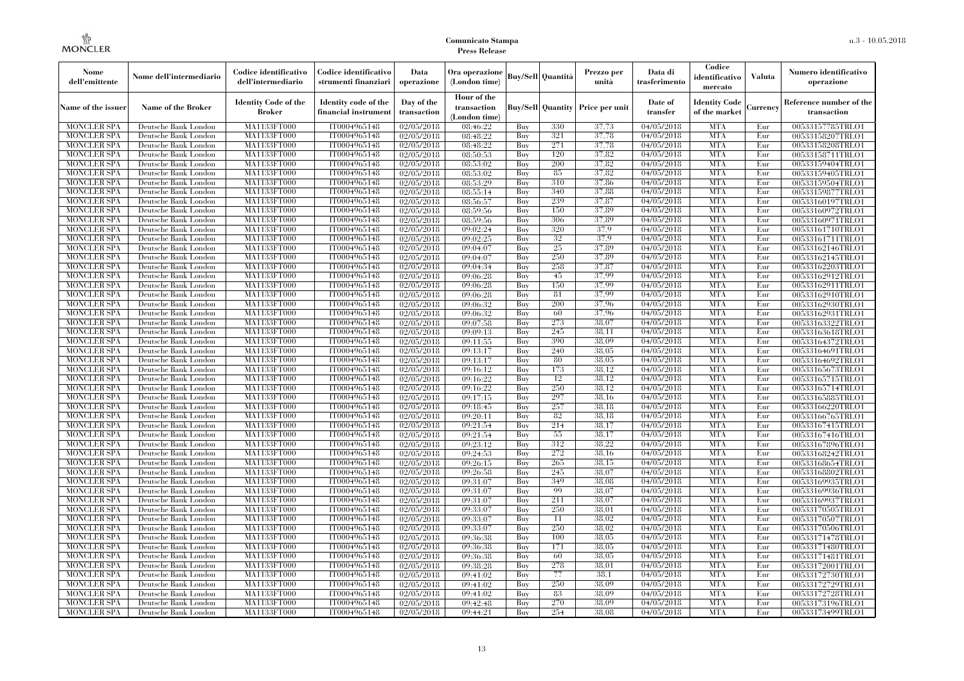| Nome<br>dell'emittente                   | Nome dell'intermediario                      | Codice identificativo<br>dell'intermediario  | Codice identificativo<br>strumenti finanziari | Data<br>operazione        | Ora operazione<br>(London time)             |            | <b>Buy/Sell Quantità</b> | Prezzo per<br>unità                     | Data di<br>trasferimento          | Codice<br>identificativo<br>mercato   | <b>Valuta</b> | Numero identificativo<br>operazione    |
|------------------------------------------|----------------------------------------------|----------------------------------------------|-----------------------------------------------|---------------------------|---------------------------------------------|------------|--------------------------|-----------------------------------------|-----------------------------------|---------------------------------------|---------------|----------------------------------------|
| Name of the issuer                       | Name of the Broker                           | <b>Identity Code of the</b><br><b>Broker</b> | Identity code of the<br>financial instrument  | Day of the<br>transaction | Hour of the<br>transaction<br>(London time) |            |                          | <b>Buy/Sell Quantity Price per unit</b> | Date of<br>transfer               | <b>Identity Code</b><br>of the market | Currencv      | Reference number of the<br>transaction |
| <b>MONCLER SPA</b>                       | Deutsche Bank London                         | MA1133FT000                                  | IT0004965148                                  | $\overline{02}/05/2018$   | 08:46:22                                    | Buy        | 330                      | 37,73                                   | 04/05/2018                        | <b>MTA</b>                            | Eur           | 00533157785TRLO1                       |
| <b>MONCLER SPA</b>                       | Deutsche Bank London                         | <b>MA1133FT000</b>                           | IT0004965148                                  | 02/05/2018                | 08:48:22                                    | Buy        | 321                      | 37,78                                   | 04/05/2018                        | <b>MTA</b>                            | Eur           | 00533158207TRLO1                       |
| <b>MONCLER SPA</b>                       | Deutsche Bank London                         | MA1133FT000                                  | IT0004965148                                  | 02/05/2018                | 08:48:22                                    | Buy        | 271                      | 37,78                                   | 04/05/2018                        | <b>MTA</b>                            | Eur           | 00533158208TRLO1                       |
| <b>MONCLER SPA</b>                       | Deutsche Bank London                         | MA1133FT000                                  | IT0004965148                                  | 02/05/2018                | 08:50:53                                    | Buy        | 120<br>200               | 37,82                                   | 04/05/2018                        | <b>MTA</b>                            | Eur           | 00533158711TRLO1                       |
| <b>MONCLER SPA</b>                       | Deutsche Bank London                         | MA1133FT000<br><b>MA1133FT000</b>            | IT0004965148<br>IT0004965148                  | 02/05/2018                | 08:53:02<br>08:53:02                        | Buy        | 85                       | 37,82<br>37,82                          | 04/05/2018<br>$\sqrt{04}/05/2018$ | <b>MTA</b><br><b>MTA</b>              | Eur<br>Eur    | 00533159404TRLO1                       |
| <b>MONCLER SPA</b><br><b>MONCLER SPA</b> | Deutsche Bank London<br>Deutsche Bank London | MA1133FT000                                  | IT0004965148                                  | 02/05/2018<br>02/05/2018  | 08:53:29                                    | Buy<br>Buy | 310                      | 37,86                                   | 04/05/2018                        | <b>MTA</b>                            | Eur           | 00533159405TRLO1<br>00533159504TRLO1   |
| <b>MONCLER SPA</b>                       | Deutsche Bank London                         | MA1133FT000                                  | IT0004965148                                  | 02/05/2018                | 08:55:14                                    | Buv        | 340                      | 37,88                                   | 04/05/2018                        | <b>MTA</b>                            | Eur           | 00533159877TRLO1                       |
| <b>MONCLER SPA</b>                       | Deutsche Bank London                         | MA1133FT000                                  | IT0004965148                                  | 02/05/2018                | 08:56:57                                    | Buy        | 239                      | 37,87                                   | 04/05/2018                        | <b>MTA</b>                            | Eur           | 00533160197TRLO1                       |
| <b>MONCLER SPA</b>                       | Deutsche Bank London                         | <b>MA1133FT000</b>                           | IT0004965148                                  | 02/05/2018                | 08:59:56                                    | Buy        | 150                      | 37,89                                   | 04/05/2018                        | <b>MTA</b>                            | Eur           | 00533160972TRLO1                       |
| <b>MONCLER SPA</b>                       | Deutsche Bank London                         | MA1133FT000                                  | IT0004965148                                  | 02/05/2018                | 08:59:56                                    | Buy        | 306                      | 37,89                                   | 04/05/2018                        | <b>MTA</b>                            | Eur           | 00533160971TRLO1                       |
| <b>MONCLER SPA</b>                       | Deutsche Bank London                         | MA1133FT000                                  | IT0004965148                                  | 02/05/2018                | 09:02:24                                    | Buy        | 320                      | 37.9                                    | 04/05/2018                        | <b>MTA</b>                            | Eur           | 00533161710TRLO1                       |
| <b>MONCLER SPA</b>                       | Deutsche Bank London                         | MA1133FT000                                  | IT0004965148                                  | 02/05/2018                | 09:02:25                                    | Buy        | 32                       | 37.9                                    | 04/05/2018                        | <b>MTA</b>                            | Eur           | 00533161711TRLO1                       |
| <b>MONCLER SPA</b>                       | Deutsche Bank London                         | MA1133FT000                                  | IT0004965148                                  | 02/05/2018                | 09:04:07                                    | Buy        | 25                       | 37,89                                   | 04/05/2018                        | <b>MTA</b>                            | Eur           | 00533162146TRLO1                       |
| <b>MONCLER SPA</b>                       | Deutsche Bank London                         | MA1133FT000                                  | IT0004965148                                  | 02/05/2018                | 09:04:07                                    | Buy        | 250                      | 37.89                                   | 04/05/2018                        | <b>MTA</b>                            | Eur           | 00533162145TRLO1                       |
| <b>MONCLER SPA</b>                       | Deutsche Bank London                         | MA1133FT000                                  | IT0004965148                                  | 02/05/2018                | 09:04:34                                    | Buy        | 258                      | 37,87                                   | 04/05/2018                        | <b>MTA</b>                            | Eur           | 00533162203TRLO1                       |
| <b>MONCLER SPA</b>                       | Deutsche Bank London                         | MA1133FT000                                  | IT0004965148                                  | 02/05/2018                | 09:06:28                                    | Buy        | 45                       | 37.99                                   | 04/05/2018                        | <b>MTA</b>                            | Eur           | 00533162912TRLO1                       |
| <b>MONCLER SPA</b>                       | Deutsche Bank London                         | MA1133FT000                                  | IT0004965148                                  | 02/05/2018                | 09:06:28                                    | Buy        | 150                      | 37.99                                   | 04/05/2018                        | <b>MTA</b>                            | Eur           | 00533162911TRLO1                       |
| <b>MONCLER SPA</b>                       | Deutsche Bank London                         | MA1133FT000                                  | IT0004965148                                  | 02/05/2018                | 09:06:28                                    | Buy        | 81                       | 37.99                                   | 04/05/2018                        | <b>MTA</b>                            | Eur           | 00533162910TRLO1                       |
| <b>MONCLER SPA</b>                       | Deutsche Bank London                         | MA1133FT000                                  | IT0004965148                                  | 02/05/2018                | 09:06:32                                    | Buy        | 200                      | 37.96                                   | 04/05/2018                        | <b>MTA</b>                            | Eur           | 00533162930TRLO1                       |
| MONCLER SPA                              | Deutsche Bank London                         | MA1133FT000                                  | IT0004965148                                  | 02/05/2018                | 09:06:32                                    | Buy        | 60                       | 37,96                                   | $\sqrt{04}/05/2018$               | <b>MTA</b>                            | Eur           | 00533162931TRLO1                       |
| <b>MONCLER SPA</b>                       | Deutsche Bank London                         | MA1133FT000                                  | IT0004965148                                  | 02/05/2018                | 09:07:58                                    | Buy        | 273                      | 38,07                                   | 04/05/2018                        | <b>MTA</b>                            | Eur           | 00533163322TRLO1                       |
| <b>MONCLER SPA</b>                       | Deutsche Bank London                         | MA1133FT000                                  | IT0004965148                                  | 02/05/2018                | 09:09:13                                    | Buy        | 245                      | 38.11                                   | 04/05/2018                        | <b>MTA</b>                            | Eur           | 00533163618TRLO1                       |
| <b>MONCLER SPA</b>                       | Deutsche Bank London                         | MA1133FT000                                  | IT0004965148                                  | 02/05/2018                | 09:11:55                                    | Buy        | 390                      | 38,09                                   | 04/05/2018                        | <b>MTA</b>                            | Eur           | 00533164372TRLO1                       |
| <b>MONCLER SPA</b>                       | Deutsche Bank London                         | MA1133FT000                                  | IT0004965148                                  | 02/05/2018                | 09:13:17                                    | Buy        | 240                      | 38,05                                   | 04/05/2018                        | <b>MTA</b>                            | Eur           | 00533164691TRLO1                       |
| <b>MONCLER SPA</b>                       | Deutsche Bank London                         | MA1133FT000                                  | IT0004965148                                  | 02/05/2018                | 09:13:17                                    | Buy        | 80                       | 38,05                                   | 04/05/2018                        | <b>MTA</b>                            | Eur           | 00533164692TRLO1                       |
| <b>MONCLER SPA</b>                       | Deutsche Bank London                         | MA1133FT000                                  | IT0004965148                                  | 02/05/2018                | 09:16:12                                    | Buy        | 173                      | 38.12                                   | 04/05/2018                        | <b>MTA</b>                            | Eur           | 00533165673TRLO1                       |
| <b>MONCLER SPA</b>                       | Deutsche Bank London                         | MA1133FT000                                  | IT0004965148                                  | 02/05/2018                | 09:16:22                                    | Buy        | 12                       | 38.12                                   | 04/05/2018                        | <b>MTA</b>                            | Eur           | 00533165715TRLO1                       |
| <b>MONCLER SPA</b>                       | Deutsche Bank London                         | MA1133FT000                                  | IT0004965148                                  | 02/05/2018                | 09:16:22                                    | Buy        | 250                      | 38.12                                   | 04/05/2018                        | <b>MTA</b>                            | Eur           | 00533165714TRLO1                       |
| <b>MONCLER SPA</b><br>MONCLER SPA        | Deutsche Bank London                         | <b>MA1133FT000</b>                           | IT0004965148<br>IT0004965148                  | 02/05/2018                | 09:17:15                                    | Buy        | 297<br>257               | 38.16<br>38.18                          | 04/05/2018                        | <b>MTA</b><br><b>MTA</b>              | Eur<br>Eur    | 00533165885TRLO1                       |
| <b>MONCLER SPA</b>                       | Deutsche Bank London<br>Deutsche Bank London | MA1133FT000<br>MA1133FT000                   | IT0004965148                                  | 02/05/2018                | 09:18:45<br>09:20:11                        | Buy        | 82                       | 38,18                                   | 04/05/2018<br>04/05/2018          | <b>MTA</b>                            | Eur           | 00533166220TRLO1                       |
| <b>MONCLER SPA</b>                       | Deutsche Bank London                         | MA1133FT000                                  | IT0004965148                                  | 02/05/2018<br>02/05/2018  | 09:21:54                                    | Buy<br>Buy | 214                      | 38,17                                   | $\sqrt{04}/05/2018$               | <b>MTA</b>                            | Eur           | 00533166765TRLO1<br>00533167415TRLO1   |
| <b>MONCLER SPA</b>                       | Deutsche Bank London                         | <b>MA1133FT000</b>                           | IT0004965148                                  | 02/05/2018                | 09:21:54                                    | Buy        | 55                       | 38,17                                   | 04/05/2018                        | <b>MTA</b>                            | Eur           | 00533167416TRLO1                       |
| <b>MONCLER SPA</b>                       | Deutsche Bank London                         | MA1133FT000                                  | IT0004965148                                  | 02/05/2018                | 09:23:12                                    | Buy        | 312                      | 38.22                                   | 04/05/2018                        | <b>MTA</b>                            | Eur           | 00533167896TRLO1                       |
| <b>MONCLER SPA</b>                       | Deutsche Bank London                         | MA1133FT000                                  | IT0004965148                                  | 02/05/2018                | 09:24:53                                    | Buy        | 272                      | 38,16                                   | 04/05/2018                        | <b>MTA</b>                            | Eur           | 00533168242TRLO1                       |
| <b>MONCLER SPA</b>                       | Deutsche Bank London                         | MA1133FT000                                  | IT0004965148                                  | 02/05/2018                | 09:26:15                                    | Buy        | 265                      | 38,15                                   | $\sqrt{04}/05/2018$               | <b>MTA</b>                            | Eur           | 00533168654TRLO1                       |
| <b>MONCLER SPA</b>                       | Deutsche Bank London                         | <b>MA1133FT000</b>                           | IT0004965148                                  | 02/05/2018                | 09:26:58                                    | Buy        | 245                      | 38,07                                   | 04/05/2018                        | <b>MTA</b>                            | Eur           | 00533168802TRLO1                       |
| <b>MONCLER SPA</b>                       | Deutsche Bank London                         | MA1133FT000                                  | IT0004965148                                  | 02/05/2018                | 09:31:07                                    | Buy        | 349                      | 38,08                                   | 04/05/2018                        | <b>MTA</b>                            | Eur           | 00533169935TRLO1                       |
| <b>MONCLER SPA</b>                       | Deutsche Bank London                         | <b>MA1133FT000</b>                           | IT0004965148                                  | 02/05/2018                | 09:31:07                                    | Buy        | 99                       | 38,07                                   | 04/05/2018                        | <b>MTA</b>                            | Eur           | 00533169936TRLO1                       |
| <b>MONCLER SPA</b>                       | Deutsche Bank London                         | MA1133FT000                                  | IT0004965148                                  | 02/05/2018                | 09:31:07                                    | Buy        | 211                      | 38,07                                   | $\sqrt{04}/05/2018$               | <b>MTA</b>                            | Eur           | 00533169937TRLO1                       |
| <b>MONCLER SPA</b>                       | Deutsche Bank London                         | MA1133FT000                                  | IT0004965148                                  | 02/05/2018                | 09:33:07                                    | Buy        | 250                      | 38.01                                   | 04/05/2018                        | <b>MTA</b>                            | Eur           | 00533170505TRLO1                       |
| <b>MONCLER SPA</b>                       | Deutsche Bank London                         | MA1133FT000                                  | IT0004965148                                  | 02/05/2018                | 09:33:07                                    | Buy        | 11                       | 38,02                                   | 04/05/2018                        | <b>MTA</b>                            | Eur           | 00533170507TRLO1                       |
| <b>MONCLER SPA</b>                       | Deutsche Bank London                         | MA1133FT000                                  | IT0004965148                                  | 02/05/2018                | 09:33:07                                    | Buy        | 250                      | 38,02                                   | 04/05/2018                        | <b>MTA</b>                            | Eur           | 00533170506TRLO1                       |
| <b>MONCLER SPA</b>                       | Deutsche Bank London                         | MA1133FT000                                  | IT0004965148                                  | 02/05/2018                | 09:36:38                                    | Buy        | 100                      | 38,05                                   | 04/05/2018                        | <b>MTA</b>                            | Eur           | 00533171478TRLO1                       |
| <b>MONCLER SPA</b>                       | Deutsche Bank London                         | MA1133FT000                                  | IT0004965148                                  | 02/05/2018                | 09:36:38                                    | Buy        | 171                      | 38,05                                   | 04/05/2018                        | <b>MTA</b>                            | Eur           | 00533171480TRLO1                       |
| <b>MONCLER SPA</b>                       | Deutsche Bank London                         | MA1133FT000                                  | IT0004965148                                  | 02/05/2018                | 09:36:38                                    | Buy        | 60                       | 38,05                                   | 04/05/2018                        | <b>MTA</b>                            | Eur           | 00533171481TRLO1                       |
| <b>MONCLER SPA</b>                       | Deutsche Bank London                         | MA1133FT000                                  | IT0004965148                                  | 02/05/2018                | 09:38:28                                    | Buy        | 278                      | 38.01                                   | 04/05/2018                        | <b>MTA</b>                            | Eur           | 00533172001TRLO1                       |
| <b>MONCLER SPA</b>                       | Deutsche Bank London                         | MA1133FT000                                  | IT0004965148                                  | 02/05/2018                | 09:41:02                                    | Buy        | 77                       | 38.1                                    | 04/05/2018                        | <b>MTA</b>                            | Eur           | 00533172730TRLO1                       |
| <b>MONCLER SPA</b>                       | Deutsche Bank London                         | MA1133FT000                                  | IT0004965148                                  | 02/05/2018                | 09:41:02                                    | Buy        | 250                      | 38.09                                   | 04/05/2018                        | <b>MTA</b>                            | Eur           | 00533172729TRLO1                       |
| <b>MONCLER SPA</b>                       | Deutsche Bank London                         | MA1133FT000                                  | IT0004965148                                  | 02/05/2018                | 09:41:02                                    | Buy        | 83                       | 38,09                                   | 04/05/2018                        | <b>MTA</b>                            | Eur           | 00533172728TRLO1                       |
| <b>MONCLER SPA</b>                       | Deutsche Bank London                         | <b>MA1133FT000</b>                           | IT0004965148                                  | 02/05/2018                | 09:42:48                                    | Buy        | 270                      | 38.09                                   | 04/05/2018                        | <b>MTA</b>                            | Eur           | 00533173196TRLO1                       |
| <b>MONCLER SPA</b>                       | Deutsche Bank London                         | MA1133FT000                                  | IT0004965148                                  | 02/05/2018                | 09:44:21                                    | Buy        | 254                      | 38,08                                   | 04/05/2018                        | <b>MTA</b>                            | Eur           | 00533173499TRLO1                       |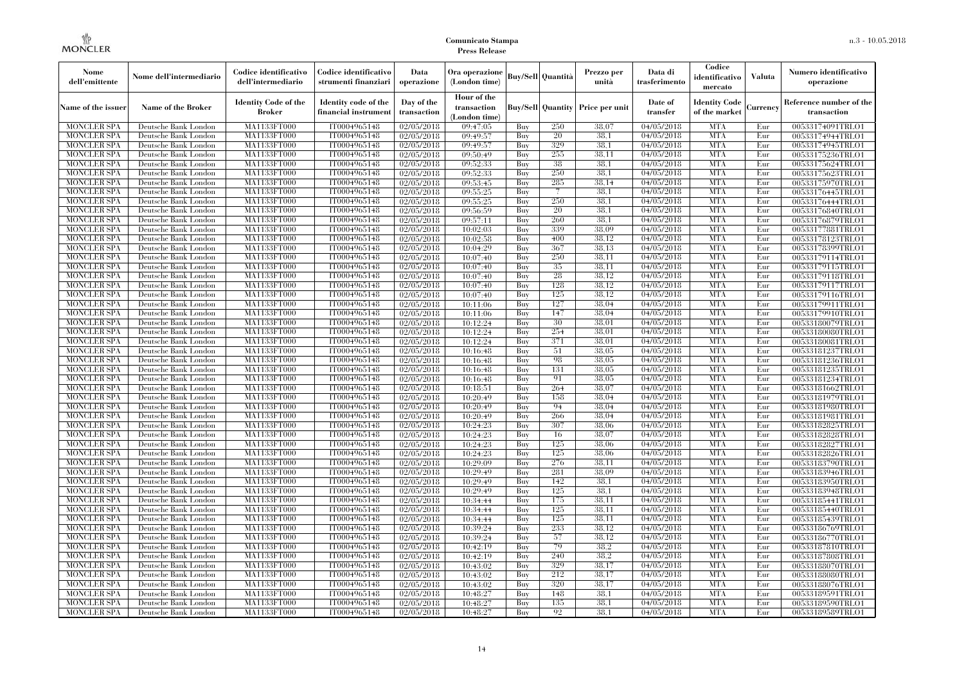| Nome<br>dell'emittente                   | Nome dell'intermediario                      | Codice identificativo<br>dell'intermediario  | Codice identificativo<br>strumenti finanziari | Data<br>operazione        | Ora operazione<br>(London time)             |            | Buy/Sell   Quantità      | Prezzo per<br>unità | Data di<br>trasferimento          | Codice<br>identificativo<br>mercato   | <b>Valuta</b> | Numero identificativo<br>operazione    |
|------------------------------------------|----------------------------------------------|----------------------------------------------|-----------------------------------------------|---------------------------|---------------------------------------------|------------|--------------------------|---------------------|-----------------------------------|---------------------------------------|---------------|----------------------------------------|
| Name of the issuer                       | Name of the Broker                           | <b>Identity Code of the</b><br><b>Broker</b> | Identity code of the<br>financial instrument  | Day of the<br>transaction | Hour of the<br>transaction<br>(London time) |            | <b>Buy/Sell Quantity</b> | Price per unit      | Date of<br>transfer               | <b>Identity Code</b><br>of the market | Currencv      | Reference number of the<br>transaction |
| <b>MONCLER SPA</b>                       | Deutsche Bank London                         | MA1133FT000                                  | IT0004965148                                  | $\sqrt{02}/05/2018$       | 09:47:05                                    | Buy        | 250                      | 38,07               | 04/05/2018                        | <b>MTA</b>                            | Eur           | 00533174091TRLO1                       |
| <b>MONCLER SPA</b>                       | Deutsche Bank London                         | <b>MA1133FT000</b>                           | IT0004965148                                  | 02/05/2018                | 09:49:57                                    | Buy        | 20                       | 38.1                | 04/05/2018                        | <b>MTA</b>                            | Eur           | 00533174944TRLO1                       |
| <b>MONCLER SPA</b>                       | Deutsche Bank London                         | MA1133FT000                                  | IT0004965148                                  | 02/05/2018                | 09:49:57                                    | Buv        | 329                      | 38.1                | 04/05/2018                        | <b>MTA</b>                            | Eur           | 00533174945TRLO1                       |
| <b>MONCLER SPA</b>                       | Deutsche Bank London                         | MA1133FT000                                  | IT0004965148                                  | 02/05/2018                | 09:50:49                                    | Buy        | 255<br>38                | 38.11               | 04/05/2018                        | <b>MTA</b>                            | Eur           | 00533175236TRLO1                       |
| <b>MONCLER SPA</b>                       | Deutsche Bank London                         | MA1133FT000                                  | IT0004965148                                  | $\sqrt{02}/05/2018$       | 09:52:33                                    | Buy        | 250                      | 38.1<br>38.1        | 04/05/2018                        | <b>MTA</b><br><b>MTA</b>              | Eur           | 00533175624TRLO1                       |
| <b>MONCLER SPA</b><br><b>MONCLER SPA</b> | Deutsche Bank London<br>Deutsche Bank London | <b>MA1133FT000</b><br>MA1133FT000            | IT0004965148<br>IT0004965148                  | 02/05/2018<br>02/05/2018  | 09:52:33<br>09:53:45                        | Buy<br>Buy | 285                      | 38.14               | $\sqrt{04}/05/2018$<br>04/05/2018 | <b>MTA</b>                            | Eur<br>Eur    | 00533175623TRLO1<br>00533175970TRLO1   |
| <b>MONCLER SPA</b>                       | Deutsche Bank London                         | MA1133FT000                                  | IT0004965148                                  | 02/05/2018                | 09:55:25                                    | Buy        | 7                        | 38.1                | 04/05/2018                        | <b>MTA</b>                            | Eur           | 00533176445TRLO1                       |
| <b>MONCLER SPA</b>                       | Deutsche Bank London                         | MA1133FT000                                  | IT0004965148                                  | 02/05/2018                | 09:55:25                                    | Buy        | 250                      | 38.1                | 04/05/2018                        | <b>MTA</b>                            | Eur           | 00533176444TRLO1                       |
| <b>MONCLER SPA</b>                       | Deutsche Bank London                         | MA1133FT000                                  | IT0004965148                                  | 02/05/2018                | 09:56:59                                    | Buy        | 20                       | 38.1                | 04/05/2018                        | <b>MTA</b>                            | Eur           | 00533176840TRLO1                       |
| <b>MONCLER SPA</b>                       | Deutsche Bank London                         | MA1133FT000                                  | IT0004965148                                  | 02/05/2018                | 09:57:11                                    | Buy        | 260                      | 38.1                | 04/05/2018                        | <b>MTA</b>                            | Eur           | 00533176879TRLO1                       |
| <b>MONCLER SPA</b>                       | Deutsche Bank London                         | MA1133FT000                                  | IT0004965148                                  | 02/05/2018                | 10:02:03                                    | Buy        | 339                      | 38,09               | 04/05/2018                        | <b>MTA</b>                            | Eur           | 00533177881TRLO1                       |
| <b>MONCLER SPA</b>                       | Deutsche Bank London                         | MA1133FT000                                  | IT0004965148                                  | 02/05/2018                | 10:02:58                                    | Buy        | 400                      | 38.12               | 04/05/2018                        | <b>MTA</b>                            | Eur           | 00533178123TRLO1                       |
| <b>MONCLER SPA</b>                       | Deutsche Bank London                         | MA1133FT000                                  | IT0004965148                                  | 02/05/2018                | 10:04:29                                    | Buy        | 367                      | 38.13               | 04/05/2018                        | <b>MTA</b>                            | Eur           | 00533178399TRLO1                       |
| <b>MONCLER SPA</b>                       | Deutsche Bank London                         | MA1133FT000                                  | IT0004965148                                  | 02/05/2018                | 10:07:40                                    | Buy        | 250                      | 38.11               | 04/05/2018                        | <b>MTA</b>                            | Eur           | 00533179114TRLO1                       |
| <b>MONCLER SPA</b>                       | Deutsche Bank London                         | MA1133FT000                                  | IT0004965148                                  | 02/05/2018                | 10:07:40                                    | Buy        | 35                       | 38,11               | 04/05/2018                        | <b>MTA</b>                            | Eur           | 00533179115TRLO1                       |
| <b>MONCLER SPA</b>                       | Deutsche Bank London                         | MA1133FT000                                  | IT0004965148                                  | 02/05/2018                | 10:07:40                                    | Buy        | 28                       | 38.12               | 04/05/2018                        | <b>MTA</b>                            | Eur           | 00533179118TRLO1                       |
| <b>MONCLER SPA</b>                       | Deutsche Bank London                         | MA1133FT000                                  | IT0004965148                                  | 02/05/2018                | 10:07:40                                    | Buy        | 128                      | 38.12               | 04/05/2018                        | <b>MTA</b>                            | Eur           | 00533179117TRLO1                       |
| <b>MONCLER SPA</b>                       | Deutsche Bank London                         | MA1133FT000                                  | IT0004965148                                  | 02/05/2018                | 10:07:40                                    | Buy        | 125                      | 38.12               | 04/05/2018                        | <b>MTA</b>                            | Eur           | 00533179116TRLO1                       |
| <b>MONCLER SPA</b>                       | Deutsche Bank London                         | MA1133FT000                                  | IT0004965148                                  | 02/05/2018                | 10:11:06                                    | Buy        | 127                      | 38.04               | 04/05/2018                        | <b>MTA</b>                            | Eur           | 00533179911TRLO1                       |
| <b>MONCLER SPA</b>                       | Deutsche Bank London                         | MA1133FT000                                  | IT0004965148                                  | 02/05/2018                | 10:11:06                                    | Buy        | 147                      | 38,04               | 04/05/2018                        | <b>MTA</b>                            | Eur           | 00533179910TRLO1                       |
| <b>MONCLER SPA</b>                       | Deutsche Bank London                         | MA1133FT000                                  | IT0004965148                                  | 02/05/2018                | 10:12:24                                    | Buy        | 30                       | 38,01               | 04/05/2018                        | <b>MTA</b>                            | Eur           | 00533180079TRLO1                       |
| <b>MONCLER SPA</b>                       | Deutsche Bank London                         | MA1133FT000                                  | IT0004965148                                  | 02/05/2018                | 10:12:24                                    | Buy        | 254                      | 38,01               | 04/05/2018                        | <b>MTA</b>                            | Eur           | 00533180080TRLO1                       |
| <b>MONCLER SPA</b>                       | Deutsche Bank London                         | MA1133FT000                                  | IT0004965148<br>IT0004965148                  | 02/05/2018<br>02/05/2018  | 10:12:24                                    | Buy        | 371<br>51                | 38,01<br>38,05      | 04/05/2018<br>04/05/2018          | <b>MTA</b><br><b>MTA</b>              | Eur           | 00533180081TRLO1                       |
| <b>MONCLER SPA</b><br><b>MONCLER SPA</b> | Deutsche Bank London<br>Deutsche Bank London | MA1133FT000<br>MA1133FT000                   | IT0004965148                                  | 02/05/2018                | 10:16:48<br>10:16:48                        | Buy<br>Buy | 98                       | 38,05               | $\sqrt{04}/05/2018$               | <b>MTA</b>                            | Eur<br>Eur    | 00533181237TRLO1<br>00533181236TRLO1   |
| <b>MONCLER SPA</b>                       | Deutsche Bank London                         | MA1133FT000                                  | IT0004965148                                  | 02/05/2018                | 10:16:48                                    | Buy        | 131                      | 38.05               | 04/05/2018                        | <b>MTA</b>                            | Eur           | 00533181235TRLO1                       |
| <b>MONCLER SPA</b>                       | Deutsche Bank London                         | MA1133FT000                                  | IT0004965148                                  | 02/05/2018                | 10:16:48                                    | Buy        | 91                       | 38,05               | 04/05/2018                        | <b>MTA</b>                            | Eur           | 00533181234TRLO1                       |
| <b>MONCLER SPA</b>                       | Deutsche Bank London                         | MA1133FT000                                  | IT0004965148                                  | 02/05/2018                | 10:18:51                                    | Buy        | 264                      | 38,07               | $\sqrt{04}/05/2018$               | <b>MTA</b>                            | Eur           | 00533181662TRLO1                       |
| <b>MONCLER SPA</b>                       | Deutsche Bank London                         | <b>MA1133FT000</b>                           | IT0004965148                                  | 02/05/2018                | 10:20:49                                    | Buy        | 158                      | 38.04               | 04/05/2018                        | <b>MTA</b>                            | Eur           | 00533181979TRLO1                       |
| <b>MONCLER SPA</b>                       | Deutsche Bank London                         | MA1133FT000                                  | IT0004965148                                  | 02/05/2018                | 10:20:49                                    | Buy        | 94                       | 38,04               | 04/05/2018                        | <b>MTA</b>                            | Eur           | 00533181980TRLO1                       |
| <b>MONCLER SPA</b>                       | Deutsche Bank London                         | MA1133FT000                                  | IT0004965148                                  | 02/05/2018                | 10:20:49                                    | Buy        | 266                      | 38,04               | 04/05/2018                        | <b>MTA</b>                            | Eur           | 00533181981TRLO1                       |
| <b>MONCLER SPA</b>                       | Deutsche Bank London                         | MA1133FT000                                  | IT0004965148                                  | 02/05/2018                | 10:24:23                                    | Buy        | 307                      | 38.06               | $\sqrt{04}/05/2018$               | <b>MTA</b>                            | Eur           | 00533182825TRLO1                       |
| <b>MONCLER SPA</b>                       | Deutsche Bank London                         | MA1133FT000                                  | IT0004965148                                  | 02/05/2018                | 10:24:23                                    | Buy        | 16                       | 38,07               | 04/05/2018                        | <b>MTA</b>                            | Eur           | 00533182828TRLO1                       |
| <b>MONCLER SPA</b>                       | Deutsche Bank London                         | MA1133FT000                                  | IT0004965148                                  | 02/05/2018                | 10:24:23                                    | Buy        | 125                      | 38,06               | 04/05/2018                        | <b>MTA</b>                            | Eur           | 00533182827TRLO1                       |
| <b>MONCLER SPA</b>                       | Deutsche Bank London                         | MA1133FT000                                  | IT0004965148                                  | 02/05/2018                | 10:24:23                                    | Buy        | 125                      | 38,06               | 04/05/2018                        | <b>MTA</b>                            | Eur           | 00533182826TRLO1                       |
| <b>MONCLER SPA</b>                       | Deutsche Bank London                         | MA1133FT000                                  | IT0004965148                                  | 02/05/2018                | 10:29:09                                    | Buy        | 276                      | 38.11               | 04/05/2018                        | <b>MTA</b>                            | Eur           | 00533183790TRLO1                       |
| <b>MONCLER SPA</b>                       | Deutsche Bank London                         | <b>MA1133FT000</b>                           | IT0004965148                                  | 02/05/2018                | 10:29:49                                    | Buy        | 281                      | 38,09               | 04/05/2018                        | <b>MTA</b>                            | Eur           | 00533183946TRLO1                       |
| <b>MONCLER SPA</b>                       | Deutsche Bank London                         | MA1133FT000                                  | IT0004965148                                  | 02/05/2018                | 10:29:49                                    | Buy        | 142                      | 38.1                | 04/05/2018                        | <b>MTA</b>                            | Eur           | 00533183950TRLO1                       |
| <b>MONCLER SPA</b>                       | Deutsche Bank London                         | <b>MA1133FT000</b>                           | IT0004965148                                  | 02/05/2018                | 10:29:49                                    | Buy        | 125                      | 38.1                | 04/05/2018                        | <b>MTA</b>                            | Eur           | 00533183948TRLO1                       |
| <b>MONCLER SPA</b>                       | Deutsche Bank London                         | MA1133FT000                                  | IT0004965148                                  | 02/05/2018                | 10:34:44                                    | Buy        | 175                      | 38.11               | 04/05/2018                        | <b>MTA</b>                            | Eur           | 00533185441TRLO1                       |
| <b>MONCLER SPA</b>                       | Deutsche Bank London                         | MA1133FT000                                  | IT0004965148                                  | 02/05/2018                | 10:34:44                                    | Buy        | 125                      | 38,11               | $\sqrt{04}/05/2018$               | <b>MTA</b>                            | Eur           | 00533185440TRLO1                       |
| <b>MONCLER SPA</b>                       | Deutsche Bank London                         | MA1133FT000                                  | IT0004965148                                  | 02/05/2018                | 10:34:44                                    | Buy        | 125                      | 38.11               | 04/05/2018                        | <b>MTA</b>                            | Eur           | 00533185439TRLO1                       |
| <b>MONCLER SPA</b>                       | Deutsche Bank London                         | MA1133FT000                                  | IT0004965148                                  | 02/05/2018                | 10:39:24                                    | Buy        | 233                      | 38.12<br>38,12      | 04/05/2018                        | <b>MTA</b>                            | Eur           | 00533186769TRLO1                       |
| <b>MONCLER SPA</b><br><b>MONCLER SPA</b> | Deutsche Bank London<br>Deutsche Bank London | MA1133FT000<br>MA1133FT000                   | IT0004965148<br>IT0004965148                  | 02/05/2018<br>02/05/2018  | 10:39:24<br>10:42:19                        | Buy<br>Buy | 57<br>79                 | 38,2                | 04/05/2018<br>04/05/2018          | <b>MTA</b><br><b>MTA</b>              | Eur<br>Eur    | 00533186770TRLO1                       |
| <b>MONCLER SPA</b>                       | Deutsche Bank London                         | MA1133FT000                                  | IT0004965148                                  | 02/05/2018                | 10:42:19                                    | Buy        | 240                      | 38.2                | 04/05/2018                        | <b>MTA</b>                            | Eur           | 00533187810TRLO1<br>00533187808TRLO1   |
| <b>MONCLER SPA</b>                       | Deutsche Bank London                         | MA1133FT000                                  | IT0004965148                                  | 02/05/2018                | 10:43:02                                    | Buy        | 329                      | 38,17               | 04/05/2018                        | <b>MTA</b>                            | Eur           | 00533188070TRLO1                       |
| <b>MONCLER SPA</b>                       | Deutsche Bank London                         | MA1133FT000                                  | IT0004965148                                  | 02/05/2018                | 10:43:02                                    | Buy        | 212                      | 38,17               | 04/05/2018                        | <b>MTA</b>                            | Eur           | 00533188080TRLO1                       |
| <b>MONCLER SPA</b>                       | Deutsche Bank London                         | MA1133FT000                                  | IT0004965148                                  | 02/05/2018                | 10:43:02                                    | Buy        | 320                      | 38,17               | 04/05/2018                        | <b>MTA</b>                            | Eur           | 00533188076TRLO1                       |
| <b>MONCLER SPA</b>                       | Deutsche Bank London                         | MA1133FT000                                  | IT0004965148                                  | 02/05/2018                | 10:48:27                                    | Buy        | 148                      | 38.1                | 04/05/2018                        | <b>MTA</b>                            | Eur           | 00533189591TRLO1                       |
| <b>MONCLER SPA</b>                       | Deutsche Bank London                         | MA1133FT000                                  | IT0004965148                                  | 02/05/2018                | 10:48:27                                    | Buy        | 135                      | 38.1                | 04/05/2018                        | <b>MTA</b>                            | Eur           | 00533189590TRLO1                       |
| <b>MONCLER SPA</b>                       | Deutsche Bank London                         | MA1133FT000                                  | IT0004965148                                  | 02/05/2018                | 10:48:27                                    | Buy        | 92                       | 38.1                | 04/05/2018                        | <b>MTA</b>                            | Eur           | 00533189589TRLO1                       |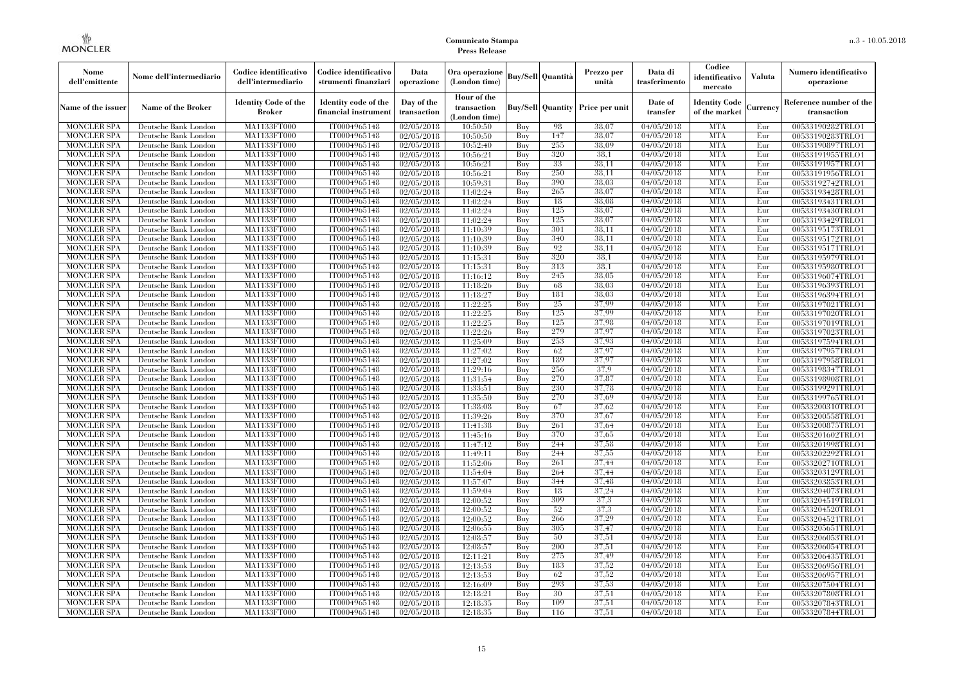| Nome<br>dell'emittente                   | Nome dell'intermediario                      | Codice identificativo<br>dell'intermediario  | Codice identificativo<br>strumenti finanziari | Data<br>operazione        | Ora operazione<br>(London time)             |            | Buy/Sell   Quantità      | Prezzo per<br>unità | Data di<br>trasferimento          | Codice<br>identificativo<br>mercato   | <b>Valuta</b> | Numero identificativo<br>operazione    |
|------------------------------------------|----------------------------------------------|----------------------------------------------|-----------------------------------------------|---------------------------|---------------------------------------------|------------|--------------------------|---------------------|-----------------------------------|---------------------------------------|---------------|----------------------------------------|
| Name of the issuer                       | Name of the Broker                           | <b>Identity Code of the</b><br><b>Broker</b> | Identity code of the<br>financial instrument  | Day of the<br>transaction | Hour of the<br>transaction<br>(London time) |            | <b>Buy/Sell Quantity</b> | Price per unit      | Date of<br>transfer               | <b>Identity Code</b><br>of the market | Currencv      | Reference number of the<br>transaction |
| <b>MONCLER SPA</b>                       | Deutsche Bank London                         | MA1133FT000                                  | IT0004965148                                  | $\sqrt{02}/05/2018$       | 10:50:50                                    | Buy        | 98                       | 38,07               | 04/05/2018                        | <b>MTA</b>                            | Eur           | 00533190282TRLO1                       |
| <b>MONCLER SPA</b>                       | Deutsche Bank London                         | <b>MA1133FT000</b>                           | IT0004965148                                  | 02/05/2018                | 10:50:50                                    | Buy        | 147                      | 38,07               | 04/05/2018                        | <b>MTA</b>                            | Eur           | 00533190283TRLO1                       |
| <b>MONCLER SPA</b>                       | Deutsche Bank London                         | MA1133FT000                                  | IT0004965148                                  | 02/05/2018                | 10:52:40                                    | Buv        | 255                      | 38.09               | 04/05/2018                        | <b>MTA</b>                            | Eur           | 00533190897TRLO1                       |
| <b>MONCLER SPA</b>                       | Deutsche Bank London                         | MA1133FT000                                  | IT0004965148                                  | 02/05/2018                | 10:56:21                                    | Buy        | 320<br>33                | 38.1                | 04/05/2018                        | <b>MTA</b>                            | Eur           | 00533191955TRLO1                       |
| <b>MONCLER SPA</b>                       | Deutsche Bank London                         | MA1133FT000<br><b>MA1133FT000</b>            | IT0004965148                                  | $\sqrt{02}/05/2018$       | 10:56:21                                    | Buy        | 250                      | 38,11<br>38,11      | 04/05/2018                        | <b>MTA</b><br><b>MTA</b>              | Eur           | 00533191957TRLO1                       |
| MONCLER SPA<br><b>MONCLER SPA</b>        | Deutsche Bank London<br>Deutsche Bank London | MA1133FT000                                  | IT0004965148<br>IT0004965148                  | 02/05/2018<br>02/05/2018  | 10:56:21<br>10:59:31                        | Buy<br>Buy | 390                      | 38,03               | $\sqrt{04}/05/2018$<br>04/05/2018 | <b>MTA</b>                            | Eur<br>Eur    | 00533191956TRLO1<br>00533192742TRLO1   |
| <b>MONCLER SPA</b>                       | Deutsche Bank London                         | MA1133FT000                                  | IT0004965148                                  | 02/05/2018                | 11:02:24                                    | Buy        | 265                      | 38,07               | 04/05/2018                        | <b>MTA</b>                            | Eur           | 00533193428TRLO1                       |
| <b>MONCLER SPA</b>                       | Deutsche Bank London                         | MA1133FT000                                  | IT0004965148                                  | 02/05/2018                | 11:02:24                                    | Buy        | 18                       | 38,08               | 04/05/2018                        | <b>MTA</b>                            | Eur           | 00533193431TRLO1                       |
| <b>MONCLER SPA</b>                       | Deutsche Bank London                         | MA1133FT000                                  | IT0004965148                                  | 02/05/2018                | 11:02:24                                    | Buy        | 125                      | 38,07               | $\sqrt{04}/05/2018$               | <b>MTA</b>                            | Eur           | 00533193430TRLO1                       |
| <b>MONCLER SPA</b>                       | Deutsche Bank London                         | MA1133FT000                                  | IT0004965148                                  | 02/05/2018                | 11:02:24                                    | Buy        | 125                      | 38,07               | 04/05/2018                        | <b>MTA</b>                            | Eur           | 00533193429TRLO1                       |
| <b>MONCLER SPA</b>                       | Deutsche Bank London                         | MA1133FT000                                  | IT0004965148                                  | 02/05/2018                | 11:10:39                                    | Buy        | 301                      | 38,11               | 04/05/2018                        | <b>MTA</b>                            | Eur           | 00533195173TRLO1                       |
| <b>MONCLER SPA</b>                       | Deutsche Bank London                         | MA1133FT000                                  | IT0004965148                                  | 02/05/2018                | 11:10:39                                    | Buy        | 340                      | 38.11               | 04/05/2018                        | <b>MTA</b>                            | Eur           | 00533195172TRLO1                       |
| <b>MONCLER SPA</b>                       | Deutsche Bank London                         | MA1133FT000                                  | IT0004965148                                  | 02/05/2018                | 11:10:39                                    | Buy        | 92                       | 38.11               | 04/05/2018                        | <b>MTA</b>                            | Eur           | 00533195171TRLO1                       |
| <b>MONCLER SPA</b>                       | Deutsche Bank London                         | MA1133FT000                                  | IT0004965148                                  | 02/05/2018                | 11:15:31                                    | Buy        | 320                      | 38.1                | 04/05/2018                        | <b>MTA</b>                            | Eur           | 00533195979TRLO1                       |
| <b>MONCLER SPA</b>                       | Deutsche Bank London                         | MA1133FT000                                  | IT0004965148                                  | 02/05/2018                | 11:15:31                                    | Buy        | 313                      | 38.1                | 04/05/2018                        | <b>MTA</b>                            | Eur           | 00533195980TRLO1                       |
| <b>MONCLER SPA</b>                       | Deutsche Bank London                         | MA1133FT000                                  | IT0004965148                                  | 02/05/2018                | 11:16:12                                    | Buy        | 245                      | 38.05               | 04/05/2018                        | <b>MTA</b>                            | Eur           | 00533196074TRLO1                       |
| <b>MONCLER SPA</b>                       | Deutsche Bank London                         | MA1133FT000                                  | IT0004965148                                  | 02/05/2018                | 11:18:26                                    | Buy        | 68                       | 38.03               | 04/05/2018                        | <b>MTA</b>                            | Eur           | 00533196393TRLO1                       |
| <b>MONCLER SPA</b>                       | Deutsche Bank London                         | MA1133FT000                                  | IT0004965148                                  | 02/05/2018                | 11:18:27                                    | Buy        | 181                      | 38,03               | 04/05/2018                        | <b>MTA</b>                            | Eur           | 00533196394TRLO1                       |
| <b>MONCLER SPA</b>                       | Deutsche Bank London                         | MA1133FT000                                  | IT0004965148                                  | 02/05/2018                | 11:22:25                                    | Buy        | 25                       | 37,99               | 04/05/2018                        | <b>MTA</b>                            | Eur           | 00533197021TRLO1                       |
| <b>MONCLER SPA</b>                       | Deutsche Bank London                         | MA1133FT000                                  | IT0004965148                                  | 02/05/2018                | 11:22:25                                    | Buy        | 125                      | 37,99               | 04/05/2018                        | <b>MTA</b>                            | Eur           | 00533197020TRLO1                       |
| <b>MONCLER SPA</b>                       | Deutsche Bank London                         | MA1133FT000                                  | IT0004965148                                  | 02/05/2018                | 11:22:25                                    | Buy        | 125                      | 37,98               | 04/05/2018                        | <b>MTA</b>                            | Eur           | 00533197019TRLO1                       |
| <b>MONCLER SPA</b>                       | Deutsche Bank London                         | MA1133FT000                                  | IT0004965148                                  | 02/05/2018                | 11:22:26                                    | Buy        | 279                      | 37,97               | 04/05/2018                        | <b>MTA</b>                            | Eur           | 00533197023TRLO1                       |
| <b>MONCLER SPA</b>                       | Deutsche Bank London                         | MA1133FT000                                  | IT0004965148<br>IT0004965148                  | 02/05/2018<br>02/05/2018  | 11:25:09<br>11:27:02                        | Buy        | 253                      | 37.93<br>37,97      | 04/05/2018<br>04/05/2018          | <b>MTA</b><br><b>MTA</b>              | Eur           | 00533197594TRLO1                       |
| <b>MONCLER SPA</b><br><b>MONCLER SPA</b> | Deutsche Bank London<br>Deutsche Bank London | MA1133FT000<br>MA1133FT000                   | IT0004965148                                  | 02/05/2018                | 11:27:02                                    | Buy<br>Buy | 62<br>189                | 37,97               | $\sqrt{04}/05/2018$               | <b>MTA</b>                            | Eur<br>Eur    | 00533197957TRLO1<br>00533197958TRLO1   |
| <b>MONCLER SPA</b>                       | Deutsche Bank London                         | MA1133FT000                                  | IT0004965148                                  | 02/05/2018                | 11:29:16                                    | Buy        | 256                      | 37,9                | 04/05/2018                        | <b>MTA</b>                            | Eur           | 00533198347TRLO1                       |
| <b>MONCLER SPA</b>                       | Deutsche Bank London                         | MA1133FT000                                  | IT0004965148                                  | 02/05/2018                | 11:31:54                                    | Buy        | 270                      | 37,87               | 04/05/2018                        | <b>MTA</b>                            | Eur           | 00533198908TRLO1                       |
| <b>MONCLER SPA</b>                       | Deutsche Bank London                         | MA1133FT000                                  | IT0004965148                                  | 02/05/2018                | 11:33:51                                    | Buy        | 230                      | 37.78               | $\sqrt{04}/05/2018$               | <b>MTA</b>                            | Eur           | 00533199291TRLO1                       |
| <b>MONCLER SPA</b>                       | Deutsche Bank London                         | <b>MA1133FT000</b>                           | IT0004965148                                  | 02/05/2018                | 11:35:50                                    | Buy        | 270                      | 37.69               | 04/05/2018                        | <b>MTA</b>                            | Eur           | 00533199765TRLO1                       |
| <b>MONCLER SPA</b>                       | Deutsche Bank London                         | MA1133FT000                                  | IT0004965148                                  | 02/05/2018                | 11:38:08                                    | Buy        | 67                       | 37,62               | 04/05/2018                        | <b>MTA</b>                            | Eur           | 00533200310TRLO1                       |
| <b>MONCLER SPA</b>                       | Deutsche Bank London                         | MA1133FT000                                  | IT0004965148                                  | 02/05/2018                | 11:39:26                                    | Buy        | 370                      | 37,67               | 04/05/2018                        | <b>MTA</b>                            | Eur           | 00533200558TRLO1                       |
| <b>MONCLER SPA</b>                       | Deutsche Bank London                         | MA1133FT000                                  | IT0004965148                                  | 02/05/2018                | 11:41:38                                    | Buv        | 261                      | 37.64               | $\sqrt{04}/05/2018$               | <b>MTA</b>                            | Eur           | 00533200875TRLO1                       |
| <b>MONCLER SPA</b>                       | Deutsche Bank London                         | MA1133FT000                                  | IT0004965148                                  | 02/05/2018                | 11:45:16                                    | Buy        | 370                      | 37.65               | 04/05/2018                        | <b>MTA</b>                            | Eur           | 00533201602TRLO1                       |
| <b>MONCLER SPA</b>                       | Deutsche Bank London                         | MA1133FT000                                  | IT0004965148                                  | 02/05/2018                | 11:47:12                                    | Buy        | 244                      | 37,58               | 04/05/2018                        | <b>MTA</b>                            | Eur           | 00533201998TRLO1                       |
| <b>MONCLER SPA</b>                       | Deutsche Bank London                         | MA1133FT000                                  | IT0004965148                                  | 02/05/2018                | 11:49:11                                    | Buy        | 244                      | 37,55               | 04/05/2018                        | <b>MTA</b>                            | Eur           | 00533202292TRLO1                       |
| <b>MONCLER SPA</b>                       | Deutsche Bank London                         | MA1133FT000                                  | IT0004965148                                  | 02/05/2018                | 11:52:06                                    | Buy        | 261                      | 37,44               | 04/05/2018                        | <b>MTA</b>                            | Eur           | 00533202710TRLO1                       |
| <b>MONCLER SPA</b>                       | Deutsche Bank London                         | <b>MA1133FT000</b>                           | IT0004965148                                  | 02/05/2018                | 11:54:04                                    | Buy        | 264                      | 37.44               | 04/05/2018                        | <b>MTA</b>                            | Eur           | 00533203129TRLO1                       |
| <b>MONCLER SPA</b>                       | Deutsche Bank London                         | MA1133FT000                                  | IT0004965148                                  | 02/05/2018                | 11:57:07                                    | Buy        | 344                      | 37,48               | 04/05/2018                        | <b>MTA</b>                            | Eur           | 00533203853TRLO1                       |
| <b>MONCLER SPA</b>                       | Deutsche Bank London                         | <b>MA1133FT000</b>                           | IT0004965148                                  | 02/05/2018                | 11:59:04                                    | Buy        | 18                       | 37,24               | 04/05/2018                        | <b>MTA</b>                            | Eur           | 00533204073TRLO1                       |
| <b>MONCLER SPA</b>                       | Deutsche Bank London                         | MA1133FT000                                  | IT0004965148                                  | 02/05/2018                | 12:00:52                                    | Buy        | 309                      | 37.3                | 04/05/2018                        | <b>MTA</b>                            | Eur           | 00533204519TRLO1                       |
| <b>MONCLER SPA</b>                       | Deutsche Bank London                         | MA1133FT000                                  | IT0004965148                                  | 02/05/2018                | 12:00:52                                    | Buy        | 52                       | 37.3                | $\sqrt{04}/05/2018$               | <b>MTA</b>                            | Eur           | 00533204520TRLO1                       |
| <b>MONCLER SPA</b>                       | Deutsche Bank London                         | MA1133FT000                                  | IT0004965148                                  | 02/05/2018                | 12:00:52                                    | Buy        | 266                      | 37,29               | 04/05/2018                        | <b>MTA</b>                            | Eur           | 00533204521TRLO1                       |
| <b>MONCLER SPA</b>                       | Deutsche Bank London                         | MA1133FT000                                  | IT0004965148                                  | 02/05/2018                | 12:06:55                                    | Buy<br>Buy | 305<br>50                | 37,47<br>37,51      | 04/05/2018<br>04/05/2018          | <b>MTA</b><br><b>MTA</b>              | Eur<br>Eur    | 00533205651TRLO1                       |
| <b>MONCLER SPA</b><br><b>MONCLER SPA</b> | Deutsche Bank London<br>Deutsche Bank London | MA1133FT000<br>MA1133FT000                   | IT0004965148<br>IT0004965148                  | 02/05/2018<br>02/05/2018  | 12:08:57<br>12:08:57                        | Buy        | 200                      | 37,51               | 04/05/2018                        | <b>MTA</b>                            | Eur           | 00533206053TRLO1                       |
| <b>MONCLER SPA</b>                       | Deutsche Bank London                         | MA1133FT000                                  | IT0004965148                                  | 02/05/2018                | 12:11:21                                    | Buy        | 275                      | 37.49               | 04/05/2018                        | <b>MTA</b>                            | Eur           | 00533206054TRLO1<br>00533206435TRLO1   |
| <b>MONCLER SPA</b>                       | Deutsche Bank London                         | MA1133FT000                                  | IT0004965148                                  | 02/05/2018                | 12:13:53                                    | Buy        | 183                      | 37,52               | 04/05/2018                        | <b>MTA</b>                            | Eur           | 00533206956TRLO1                       |
| <b>MONCLER SPA</b>                       | Deutsche Bank London                         | MA1133FT000                                  | IT0004965148                                  | 02/05/2018                | 12:13:53                                    | Buy        | 62                       | 37,52               | 04/05/2018                        | <b>MTA</b>                            | Eur           | 00533206957TRLO1                       |
| <b>MONCLER SPA</b>                       | Deutsche Bank London                         | MA1133FT000                                  | IT0004965148                                  | 02/05/2018                | 12:16:09                                    | Buy        | 293                      | 37,53               | 04/05/2018                        | <b>MTA</b>                            | Eur           | 00533207504TRLO1                       |
| <b>MONCLER SPA</b>                       | Deutsche Bank London                         | MA1133FT000                                  | IT0004965148                                  | 02/05/2018                | 12:18:21                                    | Buy        | 30                       | 37,51               | 04/05/2018                        | <b>MTA</b>                            | Eur           | 00533207808TRLO1                       |
| <b>MONCLER SPA</b>                       | Deutsche Bank London                         | MA1133FT000                                  | IT0004965148                                  | 02/05/2018                | 12:18:35                                    | Buy        | 109                      | 37,51               | 04/05/2018                        | <b>MTA</b>                            | Eur           | 00533207843TRLO1                       |
| <b>MONCLER SPA</b>                       | Deutsche Bank London                         | MA1133FT000                                  | IT0004965148                                  | 02/05/2018                | 12:18:35                                    | Buy        | 116                      | 37,51               | 04/05/2018                        | <b>MTA</b>                            | Eur           | 00533207844TRLO1                       |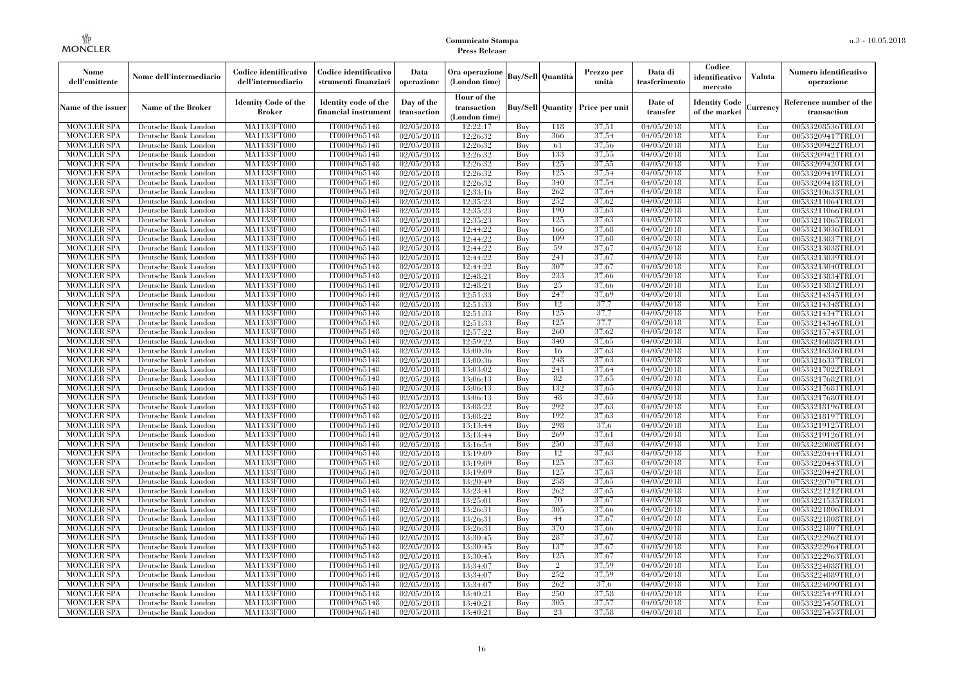| Nome<br>dell'emittente                   | Nome dell'intermediario                      | Codice identificativo<br>dell'intermediario  | Codice identificativo<br>strumenti finanziari | Data<br>operazione        | Ora operazione<br>(London time)             |            | Buy/Sell   Quantità      | Prezzo per<br>unità | Data di<br>trasferimento          | Codice<br>identificativo<br>mercato   | <b>Valuta</b> | Numero identificativo<br>operazione    |
|------------------------------------------|----------------------------------------------|----------------------------------------------|-----------------------------------------------|---------------------------|---------------------------------------------|------------|--------------------------|---------------------|-----------------------------------|---------------------------------------|---------------|----------------------------------------|
| Name of the issuer                       | Name of the Broker                           | <b>Identity Code of the</b><br><b>Broker</b> | Identity code of the<br>financial instrument  | Day of the<br>transaction | Hour of the<br>transaction<br>(London time) |            | <b>Buy/Sell Quantity</b> | Price per unit      | Date of<br>transfer               | <b>Identity Code</b><br>of the market | Currencv      | Reference number of the<br>transaction |
| <b>MONCLER SPA</b>                       | Deutsche Bank London                         | MA1133FT000                                  | IT0004965148                                  | $\sqrt{02}/05/2018$       | 12:22:17                                    | Buy        | 118                      | 37,51               | 04/05/2018                        | <b>MTA</b>                            | Eur           | 00533208536TRLO1                       |
| <b>MONCLER SPA</b>                       | Deutsche Bank London                         | <b>MA1133FT000</b>                           | IT0004965148                                  | 02/05/2018                | 12:26:32                                    | Buy        | 366                      | 37,54               | 04/05/2018                        | <b>MTA</b>                            | Eur           | 00533209417TRLO1                       |
| <b>MONCLER SPA</b>                       | Deutsche Bank London                         | MA1133FT000                                  | IT0004965148                                  | 02/05/2018                | 12:26:32                                    | Buv        | -61                      | 37,56               | 04/05/2018                        | <b>MTA</b>                            | Eur           | 00533209422TRLO1                       |
| <b>MONCLER SPA</b>                       | Deutsche Bank London                         | MA1133FT000                                  | IT0004965148                                  | 02/05/2018                | 12:26:32                                    | Buy        | 133                      | 37,55               | 04/05/2018                        | <b>MTA</b>                            | Eur           | 00533209421TRLO1                       |
| <b>MONCLER SPA</b>                       | Deutsche Bank London                         | MA1133FT000<br><b>MA1133FT000</b>            | IT0004965148                                  | $\sqrt{02}/05/2018$       | 12:26:32                                    | Buy        | 125<br>125               | 37,55<br>37,54      | 04/05/2018                        | <b>MTA</b><br><b>MTA</b>              | Eur           | 00533209420TRLO1                       |
| <b>MONCLER SPA</b><br><b>MONCLER SPA</b> | Deutsche Bank London<br>Deutsche Bank London | MA1133FT000                                  | IT0004965148<br>IT0004965148                  | 02/05/2018<br>02/05/2018  | 12:26:32<br>12:26:32                        | Buy<br>Buy | 340                      | 37,54               | $\sqrt{04}/05/2018$<br>04/05/2018 | <b>MTA</b>                            | Eur<br>Eur    | 00533209419TRLO1<br>00533209418TRLO1   |
| <b>MONCLER SPA</b>                       | Deutsche Bank London                         | MA1133FT000                                  | IT0004965148                                  | 02/05/2018                | 12:33:16                                    | Buy        | 262                      | 37,64               | 04/05/2018                        | <b>MTA</b>                            | Eur           | 00533210633TRLO1                       |
| <b>MONCLER SPA</b>                       | Deutsche Bank London                         | MA1133FT000                                  | IT0004965148                                  | 02/05/2018                | 12:35:23                                    | Buy        | 252                      | 37.62               | 04/05/2018                        | <b>MTA</b>                            | Eur           | 00533211064TRLO1                       |
| <b>MONCLER SPA</b>                       | Deutsche Bank London                         | MA1133FT000                                  | IT0004965148                                  | 02/05/2018                | 12:35:23                                    | Buy        | 190                      | 37,63               | 04/05/2018                        | <b>MTA</b>                            | Eur           | 00533211066TRLO1                       |
| <b>MONCLER SPA</b>                       | Deutsche Bank London                         | <b>MA1133FT000</b>                           | IT0004965148                                  | 02/05/2018                | 12:35:23                                    | Buy        | 125                      | 37,63               | 04/05/2018                        | <b>MTA</b>                            | Eur           | 00533211065TRLO1                       |
| <b>MONCLER SPA</b>                       | Deutsche Bank London                         | MA1133FT000                                  | IT0004965148                                  | 02/05/2018                | 12:44:22                                    | Buy        | 166                      | 37,68               | 04/05/2018                        | <b>MTA</b>                            | Eur           | 00533213036TRLO1                       |
| <b>MONCLER SPA</b>                       | Deutsche Bank London                         | MA1133FT000                                  | IT0004965148                                  | 02/05/2018                | 12:44:22                                    | Buy        | 109                      | 37,68               | 04/05/2018                        | <b>MTA</b>                            | Eur           | 00533213037TRLO1                       |
| <b>MONCLER SPA</b>                       | Deutsche Bank London                         | MA1133FT000                                  | IT0004965148                                  | 02/05/2018                | 12:44:22                                    | Buy        | 59                       | 37,67               | 04/05/2018                        | <b>MTA</b>                            | Eur           | 00533213038TRLO1                       |
| <b>MONCLER SPA</b>                       | Deutsche Bank London                         | MA1133FT000                                  | IT0004965148                                  | 02/05/2018                | 12:44:22                                    | Buy        | 241                      | 37,67               | 04/05/2018                        | <b>MTA</b>                            | Eur           | 00533213039TRLO1                       |
| <b>MONCLER SPA</b>                       | Deutsche Bank London                         | MA1133FT000                                  | IT0004965148                                  | 02/05/2018                | 12:44:22                                    | Buy        | 307                      | 37,67               | 04/05/2018                        | <b>MTA</b>                            | Eur           | 00533213040TRLO1                       |
| <b>MONCLER SPA</b>                       | Deutsche Bank London                         | MA1133FT000                                  | IT0004965148                                  | 02/05/2018                | 12:48:21                                    | Buy        | 233                      | 37,66               | 04/05/2018                        | <b>MTA</b>                            | Eur           | 00533213834TRLO1                       |
| <b>MONCLER SPA</b>                       | Deutsche Bank London                         | MA1133FT000                                  | IT0004965148                                  | 02/05/2018                | 12:48:21                                    | Buy        | 25                       | 37,66               | 04/05/2018                        | <b>MTA</b>                            | Eur           | 00533213832TRLO1                       |
| <b>MONCLER SPA</b>                       | Deutsche Bank London                         | MA1133FT000                                  | IT0004965148                                  | 02/05/2018                | 12:51:33                                    | Buy        | 247                      | 37,69               | 04/05/2018                        | <b>MTA</b>                            | Eur           | 00533214345TRLO1                       |
| <b>MONCLER SPA</b>                       | Deutsche Bank London                         | MA1133FT000                                  | IT0004965148                                  | 02/05/2018                | 12:51:33                                    | Buy        | 12                       | 37.7                | 04/05/2018                        | <b>MTA</b>                            | Eur           | 00533214348TRLO1                       |
| <b>MONCLER SPA</b>                       | Deutsche Bank London                         | MA1133FT000                                  | IT0004965148                                  | 02/05/2018                | 12:51:33                                    | Buy        | 125                      | 37.7                | 04/05/2018                        | <b>MTA</b>                            | Eur           | 00533214347TRLO1                       |
| <b>MONCLER SPA</b><br><b>MONCLER SPA</b> | Deutsche Bank London                         | MA1133FT000<br>MA1133FT000                   | IT0004965148<br>IT0004965148                  | 02/05/2018                | 12:51:33<br>12:57:22                        | Buy<br>Buy | 125<br>260               | 37.7<br>37.62       | 04/05/2018<br>04/05/2018          | <b>MTA</b><br><b>MTA</b>              | Eur<br>Eur    | 00533214346TRLO1                       |
| <b>MONCLER SPA</b>                       | Deutsche Bank London<br>Deutsche Bank London | MA1133FT000                                  | IT0004965148                                  | 02/05/2018<br>02/05/2018  | 12:59:22                                    | Buy        | 340                      | 37.65               | 04/05/2018                        | <b>MTA</b>                            | Eur           | 00533215743TRLO1                       |
| <b>MONCLER SPA</b>                       | Deutsche Bank London                         | MA1133FT000                                  | IT0004965148                                  | 02/05/2018                | 13:00:36                                    | Buy        | 16                       | 37.63               | 04/05/2018                        | <b>MTA</b>                            | Eur           | 00533216088TRLO1<br>00533216336TRLO1   |
| <b>MONCLER SPA</b>                       | Deutsche Bank London                         | MA1133FT000                                  | IT0004965148                                  | 02/05/2018                | 13:00:36                                    | Buy        | 248                      | 37,63               | $\sqrt{04}/05/2018$               | <b>MTA</b>                            | Eur           | 00533216337TRLO1                       |
| <b>MONCLER SPA</b>                       | Deutsche Bank London                         | MA1133FT000                                  | IT0004965148                                  | 02/05/2018                | 13:03:02                                    | Buy        | 241                      | 37,64               | 04/05/2018                        | <b>MTA</b>                            | Eur           | 00533217022TRLO1                       |
| <b>MONCLER SPA</b>                       | Deutsche Bank London                         | MA1133FT000                                  | IT0004965148                                  | 02/05/2018                | 13:06:13                                    | Buy        | 82                       | 37.65               | 04/05/2018                        | <b>MTA</b>                            | Eur           | 00533217682TRLO1                       |
| <b>MONCLER SPA</b>                       | Deutsche Bank London                         | MA1133FT000                                  | IT0004965148                                  | 02/05/2018                | 13:06:13                                    | Buy        | 132                      | 37.65               | $\sqrt{04}/05/2018$               | <b>MTA</b>                            | Eur           | 00533217681TRLO1                       |
| <b>MONCLER SPA</b>                       | Deutsche Bank London                         | <b>MA1133FT000</b>                           | IT0004965148                                  | 02/05/2018                | 13:06:13                                    | Buy        | 48                       | 37,65               | 04/05/2018                        | <b>MTA</b>                            | Eur           | 00533217680TRLO1                       |
| <b>MONCLER SPA</b>                       | Deutsche Bank London                         | MA1133FT000                                  | IT0004965148                                  | 02/05/2018                | 13:08:22                                    | Buy        | 292                      | 37,63               | 04/05/2018                        | <b>MTA</b>                            | Eur           | 00533218196TRLO1                       |
| <b>MONCLER SPA</b>                       | Deutsche Bank London                         | MA1133FT000                                  | IT0004965148                                  | 02/05/2018                | 13:08:22                                    | Buy        | 192                      | 37,63               | 04/05/2018                        | <b>MTA</b>                            | Eur           | 00533218197TRLO1                       |
| <b>MONCLER SPA</b>                       | Deutsche Bank London                         | MA1133FT000                                  | IT0004965148                                  | 02/05/2018                | 13:13:44                                    | Buy        | 298                      | 37.6                | $\sqrt{04}/05/2018$               | <b>MTA</b>                            | Eur           | 00533219125TRLO1                       |
| <b>MONCLER SPA</b>                       | Deutsche Bank London                         | <b>MA1133FT000</b>                           | IT0004965148                                  | 02/05/2018                | 13:13:44                                    | Buy        | 269                      | 37,61               | 04/05/2018                        | <b>MTA</b>                            | Eur           | 00533219126TRLO1                       |
| <b>MONCLER SPA</b>                       | Deutsche Bank London                         | MA1133FT000                                  | IT0004965148                                  | 02/05/2018                | 13:16:54                                    | Buy        | 250                      | 37,63               | 04/05/2018                        | <b>MTA</b>                            | Eur           | 00533220008TRLO1                       |
| <b>MONCLER SPA</b>                       | Deutsche Bank London                         | MA1133FT000                                  | IT0004965148                                  | 02/05/2018                | 13:19:09                                    | Buy        | 12                       | 37,63               | $\sqrt{04}/05/2018$               | <b>MTA</b>                            | Eur           | 00533220444TRLO1                       |
| <b>MONCLER SPA</b>                       | Deutsche Bank London                         | MA1133FT000                                  | IT0004965148                                  | 02/05/2018                | 13:19:09                                    | Buy        | 125                      | 37,63               | 04/05/2018                        | <b>MTA</b>                            | Eur           | 00533220443TRLO1                       |
| <b>MONCLER SPA</b>                       | Deutsche Bank London                         | <b>MA1133FT000</b>                           | IT0004965148                                  | 02/05/2018                | 13:19:09                                    | Buy        | 125                      | 37.63               | 04/05/2018                        | <b>MTA</b>                            | Eur           | 00533220442TRLO1                       |
| <b>MONCLER SPA</b>                       | Deutsche Bank London                         | MA1133FT000                                  | IT0004965148                                  | 02/05/2018                | 13:20:49                                    | Buy        | 258                      | 37.65               | 04/05/2018                        | <b>MTA</b>                            | Eur           | 00533220707TRLO1                       |
| <b>MONCLER SPA</b>                       | Deutsche Bank London                         | <b>MA1133FT000</b>                           | IT0004965148                                  | 02/05/2018                | 13:23:41                                    | Buy        | 262                      | 37,65               | 04/05/2018                        | <b>MTA</b>                            | Eur           | 00533221212TRLO1                       |
| <b>MONCLER SPA</b>                       | Deutsche Bank London                         | MA1133FT000                                  | IT0004965148<br>IT0004965148                  | 02/05/2018<br>02/05/2018  | 13:25:01<br>13:26:31                        | Buy        | 70<br>305                | 37,67<br>37,66      | 04/05/2018<br>$\sqrt{04}/05/2018$ | <b>MTA</b><br><b>MTA</b>              | Eur           | 00533221535TRLO1                       |
| <b>MONCLER SPA</b><br><b>MONCLER SPA</b> | Deutsche Bank London<br>Deutsche Bank London | MA1133FT000<br>MA1133FT000                   | IT0004965148                                  | 02/05/2018                | 13:26:31                                    | Buy<br>Buy | 44                       | 37,67               | 04/05/2018                        | <b>MTA</b>                            | Eur<br>Eur    | 00533221806TRLO1<br>00533221808TRLO1   |
| <b>MONCLER SPA</b>                       | Deutsche Bank London                         | MA1133FT000                                  | IT0004965148                                  | 02/05/2018                | 13:26:31                                    | Buy        | 370                      | 37,66               | 04/05/2018                        | <b>MTA</b>                            | Eur           | 00533221807TRLO1                       |
| <b>MONCLER SPA</b>                       | Deutsche Bank London                         | MA1133FT000                                  | IT0004965148                                  | 02/05/2018                | 13:30:45                                    | Buy        | 287                      | 37,67               | 04/05/2018                        | <b>MTA</b>                            | Eur           | 00533222962TRLO1                       |
| <b>MONCLER SPA</b>                       | Deutsche Bank London                         | MA1133FT000                                  | IT0004965148                                  | 02/05/2018                | 13:30:45                                    | Buy        | 137                      | 37,67               | 04/05/2018                        | <b>MTA</b>                            | Eur           | 00533222964TRLO1                       |
| <b>MONCLER SPA</b>                       | Deutsche Bank London                         | MA1133FT000                                  | IT0004965148                                  | 02/05/2018                | 13:30:45                                    | Buy        | 125                      | 37,67               | 04/05/2018                        | <b>MTA</b>                            | Eur           | 00533222963TRLO1                       |
| <b>MONCLER SPA</b>                       | Deutsche Bank London                         | MA1133FT000                                  | IT0004965148                                  | 02/05/2018                | 13:34:07                                    | Buy        | $\overline{2}$           | 37,59               | 04/05/2018                        | <b>MTA</b>                            | Eur           | 00533224088TRLO1                       |
| <b>MONCLER SPA</b>                       | Deutsche Bank London                         | MA1133FT000                                  | IT0004965148                                  | 02/05/2018                | 13:34:07                                    | Buy        | 252                      | 37,59               | 04/05/2018                        | <b>MTA</b>                            | Eur           | 00533224089TRLO1                       |
| <b>MONCLER SPA</b>                       | Deutsche Bank London                         | MA1133FT000                                  | IT0004965148                                  | 02/05/2018                | 13:34:07                                    | Buy        | 262                      | 37.6                | 04/05/2018                        | <b>MTA</b>                            | Eur           | 00533224090TRLO1                       |
| <b>MONCLER SPA</b>                       | Deutsche Bank London                         | MA1133FT000                                  | IT0004965148                                  | 02/05/2018                | 13:40:21                                    | Buy        | 250                      | 37,58               | 04/05/2018                        | <b>MTA</b>                            | Eur           | 00533225449TRLO1                       |
| <b>MONCLER SPA</b>                       | Deutsche Bank London                         | MA1133FT000                                  | IT0004965148                                  | 02/05/2018                | 13:40:21                                    | Buy        | 305                      | 37,57               | 04/05/2018                        | <b>MTA</b>                            | Eur           | 00533225450TRLO1                       |
| <b>MONCLER SPA</b>                       | Deutsche Bank London                         | MA1133FT000                                  | IT0004965148                                  | 02/05/2018                | 13:40:21                                    | Buy        | 23                       | 37,58               | 04/05/2018                        | <b>MTA</b>                            | Eur           | 00533225453TRLO1                       |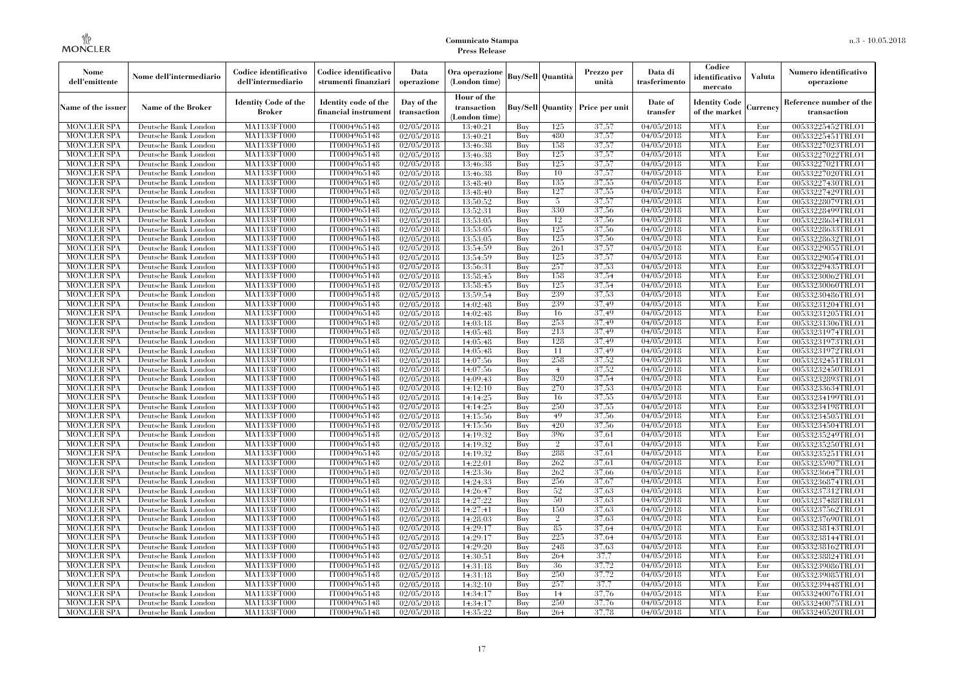| Nome<br>dell'emittente                   | Nome dell'intermediario                      | Codice identificativo<br>dell'intermediario  | Codice identificativo<br>strumenti finanziari | Data<br>operazione        | Ora operazione<br>(London time)             |            | <b>Buy/Sell Quantità</b> | Prezzo per<br>unità | Data di<br>trasferimento | Codice<br>identificativo<br>mercato   | <b>Valuta</b> | Numero identificativo<br>operazione    |
|------------------------------------------|----------------------------------------------|----------------------------------------------|-----------------------------------------------|---------------------------|---------------------------------------------|------------|--------------------------|---------------------|--------------------------|---------------------------------------|---------------|----------------------------------------|
| Name of the issuer                       | Name of the Broker                           | <b>Identity Code of the</b><br><b>Broker</b> | Identity code of the<br>financial instrumen   | Day of the<br>transaction | Hour of the<br>transaction<br>(London time) |            | <b>Buy/Sell Quantity</b> | Price per unit      | Date of<br>transfer      | <b>Identity Code</b><br>of the market | Currency      | Reference number of the<br>transaction |
| <b>MONCLER SPA</b>                       | Deutsche Bank London                         | MA1133FT000                                  | IT0004965148                                  | $\sqrt{02}/05/2018$       | 13:40:21                                    | Buy        | 125                      | 37,57               | 04/05/2018               | <b>MTA</b>                            | Eur           | 00533225452TRLO1                       |
| <b>MONCLER SPA</b>                       | Deutsche Bank London                         | MA1133FT000                                  | IT0004965148                                  | 02/05/2018                | 13:40:21                                    | Buy        | 480                      | 37,57               | 04/05/2018               | <b>MTA</b>                            | Eur           | 00533225451TRLO1                       |
| <b>MONCLER SPA</b>                       | Deutsche Bank London                         | MA1133FT000                                  | IT0004965148                                  | 02/05/2018                | 13:46:38                                    | Buy        | 158                      | 37,57               | 04/05/2018               | <b>MTA</b>                            | Eur           | 00533227023TRLO1                       |
| <b>MONCLER SPA</b>                       | Deutsche Bank London                         | <b>MA1133FT000</b>                           | IT0004965148                                  | 02/05/2018                | 13:46:38                                    | Buy        | 125                      | 37,57               | 04/05/2018               | <b>MTA</b>                            | Eur           | 00533227022TRLO1                       |
| MONCLER SPA                              | Deutsche Bank London                         | MA1133FT000                                  | IT0004965148                                  | 02/05/2018                | 13:46:38                                    | Buy        | 125<br>10                | 37,57               | 04/05/2018               | <b>MTA</b>                            | Eur           | 00533227021TRLO1                       |
| <b>MONCLER SPA</b><br><b>MONCLER SPA</b> | Deutsche Bank London<br>Deutsche Bank London | MA1133FT000<br>MA1133FT000                   | IT0004965148<br>IT0004965148                  | 02/05/2018<br>02/05/2018  | 13:46:38<br>13:48:40                        | Buy<br>Buy | 135                      | 37,57<br>37,55      | 04/05/2018<br>04/05/2018 | <b>MTA</b><br><b>MTA</b>              | Eur<br>Eur    | 00533227020TRLO1<br>00533227430TRLO1   |
| <b>MONCLER SPA</b>                       | Deutsche Bank London                         | MA1133FT000                                  | IT0004965148                                  | 02/05/2018                | 13:48:40                                    | Buy        | 127                      | 37,55               | 04/05/2018               | <b>MTA</b>                            | Eur           | 00533227429TRLO1                       |
| MONCLER SPA                              | Deutsche Bank London                         | MA1133FT000                                  | IT0004965148                                  | $\sqrt{02}/05/2018$       | 13:50:52                                    | Buy        | -5                       | 37,57               | 04/05/2018               | <b>MTA</b>                            | Eur           | 00533228079TRLO1                       |
| <b>MONCLER SPA</b>                       | Deutsche Bank London                         | MA1133FT000                                  | IT0004965148                                  | 02/05/2018                | 13:52:31                                    | Buy        | 330                      | 37,56               | 04/05/2018               | <b>MTA</b>                            | Eur           | 00533228499TRLO1                       |
| <b>MONCLER SPA</b>                       | Deutsche Bank London                         | MA1133FT000                                  | IT0004965148                                  | 02/05/2018                | 13:53:05                                    | Buy        | 12                       | 37,56               | 04/05/2018               | <b>MTA</b>                            | Eur           | 00533228634TRLO1                       |
| <b>MONCLER SPA</b>                       | Deutsche Bank London                         | MA1133FT000                                  | IT0004965148                                  | 02/05/2018                | 13:53:05                                    | Buy        | 125                      | 37,56               | 04/05/2018               | <b>MTA</b>                            | Eur           | 00533228633TRLO1                       |
| MONCLER SPA                              | Deutsche Bank London                         | MA1133FT000                                  | IT0004965148                                  | 02/05/2018                | 13:53:05                                    | Buy        | 125                      | 37,56               | 04/05/2018               | <b>MTA</b>                            | Eur           | 00533228632TRLO1                       |
| <b>MONCLER SPA</b>                       | Deutsche Bank London                         | <b>MA1133FT000</b>                           | IT0004965148                                  | 02/05/2018                | 13:54:59                                    | Buy        | 261                      | 37,57               | 04/05/2018               | <b>MTA</b>                            | Eur           | 00533229055TRLO1                       |
| <b>MONCLER SPA</b>                       | Deutsche Bank London                         | MA1133FT000                                  | IT0004965148                                  | 02/05/2018                | 13:54:59                                    | Buy        | 125                      | 37,57               | 04/05/2018               | <b>MTA</b>                            | Eur           | 00533229054TRLO1                       |
| <b>MONCLER SPA</b>                       | Deutsche Bank London                         | MA1133FT000                                  | IT0004965148                                  | 02/05/2018                | 13:56:31                                    | Buy        | 257                      | 37,53               | 04/05/2018               | <b>MTA</b>                            | Eur           | 00533229435TRLO1                       |
| MONCLER SPA                              | Deutsche Bank London                         | MA1133FT000                                  | IT0004965148                                  | 02/05/2018                | 13:58:45                                    | Buy        | 158                      | 37,54               | 04/05/2018               | <b>MTA</b>                            | Eur           | 00533230062TRLO1                       |
| <b>MONCLER SPA</b>                       | Deutsche Bank London                         | MA1133FT000                                  | IT0004965148                                  | 02/05/2018                | 13:58:45                                    | Buy        | 125                      | 37,54               | 04/05/2018               | <b>MTA</b>                            | Eur           | 00533230060TRLO1                       |
| <b>MONCLER SPA</b>                       | Deutsche Bank London                         | MA1133FT000                                  | IT0004965148                                  | 02/05/2018                | 13:59:54                                    | Buy        | 239                      | 37,53               | 04/05/2018               | <b>MTA</b>                            | Eur           | 00533230486TRLO1                       |
| <b>MONCLER SPA</b>                       | Deutsche Bank London                         | MA1133FT000                                  | IT0004965148                                  | 02/05/2018                | 14:02:48                                    | Buy        | 239                      | 37.49               | 04/05/2018               | <b>MTA</b>                            | Eur           | 00533231204TRLO1                       |
| <b>MONCLER SPA</b>                       | Deutsche Bank London                         | MA1133FT000                                  | IT0004965148                                  | 02/05/2018                | 14:02:48                                    | Buy        | 16                       | 37,49               | 04/05/2018               | <b>MTA</b>                            | Eur           | 00533231205TRLO1                       |
| <b>MONCLER SPA</b>                       | Deutsche Bank London                         | MA1133FT000                                  | IT0004965148                                  | 02/05/2018                | 14:03:18                                    | Buy        | 253                      | 37.49               | 04/05/2018               | <b>MTA</b>                            | Eur           | 00533231306TRLO1                       |
| <b>MONCLER SPA</b>                       | Deutsche Bank London                         | MA1133FT000                                  | IT0004965148                                  | 02/05/2018                | 14:05:48                                    | Buy        | 213                      | 37.49               | 04/05/2018               | <b>MTA</b>                            | Eur           | 00533231974TRLO1                       |
| <b>MONCLER SPA</b>                       | Deutsche Bank London                         | MA1133FT000                                  | IT0004965148                                  | 02/05/2018                | 14:05:48                                    | Buy        | 128                      | 37,49               | 04/05/2018               | <b>MTA</b>                            | Eur           | 00533231973TRLO1                       |
| <b>MONCLER SPA</b>                       | Deutsche Bank London                         | MA1133FT000                                  | IT0004965148                                  | 02/05/2018                | 14:05:48                                    | Buv        | 11                       | 37.49               | 04/05/2018               | <b>MTA</b>                            | Eur           | 00533231972TRLO1                       |
| <b>MONCLER SPA</b>                       | Deutsche Bank London                         | <b>MA1133FT000</b>                           | IT0004965148                                  | 02/05/2018                | 14:07:56                                    | Buy        | 258                      | 37,52               | 04/05/2018               | <b>MTA</b>                            | Eur           | 00533232451TRLO1                       |
| <b>MONCLER SPA</b>                       | Deutsche Bank London                         | MA1133FT000                                  | IT0004965148                                  | 02/05/2018                | 14:07:56                                    | Buy        | $\overline{4}$           | 37,52               | 04/05/2018               | <b>MTA</b>                            | Eur           | 00533232450TRLO1                       |
| <b>MONCLER SPA</b>                       | Deutsche Bank London                         | MA1133FT000                                  | IT0004965148                                  | 02/05/2018                | 14:09:43                                    | Buy        | 320                      | 37,54               | 04/05/2018               | <b>MTA</b>                            | Eur           | 00533232893TRLO1                       |
| <b>MONCLER SPA</b>                       | Deutsche Bank London                         | MA1133FT000                                  | IT0004965148                                  | 02/05/2018                | 14:12:10                                    | Buv        | 270                      | 37,53               | 04/05/2018               | <b>MTA</b>                            | Eur           | 00533233634TRLO1                       |
| <b>MONCLER SPA</b>                       | Deutsche Bank London                         | MA1133FT000                                  | IT0004965148                                  | 02/05/2018                | 14:14:25                                    | Buy        | 16                       | 37.55               | 04/05/2018               | <b>MTA</b>                            | Eur           | 00533234199TRLO1                       |
| MONCLER SPA                              | Deutsche Bank London                         | MA1133FT000                                  | IT0004965148                                  | 02/05/2018                | 14:14:25                                    | Buy        | 250                      | 37,55               | 04/05/2018               | <b>MTA</b>                            | Eur           | 00533234198TRLO1                       |
| <b>MONCLER SPA</b>                       | Deutsche Bank London                         | MA1133FT000                                  | IT0004965148                                  | 02/05/2018                | 14:15:56                                    | Buy        | 49                       | 37,56               | 04/05/2018               | <b>MTA</b>                            | Eur           | 00533234505TRLO1                       |
| <b>MONCLER SPA</b>                       | Deutsche Bank London                         | MA1133FT000                                  | IT0004965148                                  | 02/05/2018                | 14:15:56                                    | Buy        | 420                      | 37,56               | 04/05/2018               | <b>MTA</b>                            | Eur           | 00533234504TRLO1                       |
| <b>MONCLER SPA</b>                       | Deutsche Bank London                         | MA1133FT000                                  | IT0004965148                                  | 02/05/2018                | 14:19:32                                    | Buy        | 396                      | 37,61               | 04/05/2018               | <b>MTA</b>                            | Eur           | 00533235249TRLO1                       |
| MONCLER SPA                              | Deutsche Bank London                         | MA1133FT000                                  | IT0004965148                                  | 02/05/2018                | 14:19:32                                    | Buy        | $\overline{2}$           | 37.61               | 04/05/2018               | <b>MTA</b>                            | Eur           | 00533235250TRLO1                       |
| <b>MONCLER SPA</b>                       | Deutsche Bank London                         | MA1133FT000                                  | IT0004965148                                  | 02/05/2018                | 14:19:32                                    | Buy        | 288                      | 37.61               | 04/05/2018               | <b>MTA</b><br><b>MTA</b>              | Eur           | 00533235251TRLO1                       |
| <b>MONCLER SPA</b><br><b>MONCLER SPA</b> | Deutsche Bank London<br>Deutsche Bank London | MA1133FT000<br>MA1133FT000                   | IT0004965148<br>IT0004965148                  | 02/05/2018                | 14:22:01<br>14:23:36                        | Buy<br>Buy | 262<br>262               | 37.61<br>37,66      | 04/05/2018<br>04/05/2018 | <b>MTA</b>                            | Eur<br>Eur    | 00533235907TRLO1                       |
| <b>MONCLER SPA</b>                       | Deutsche Bank London                         | MA1133FT000                                  | IT0004965148                                  | 02/05/2018<br>02/05/2018  | 14:24:33                                    | Buy        | 256                      | 37,67               | 04/05/2018               | <b>MTA</b>                            | Eur           | 00533236647TRLO1<br>00533236874TRLO1   |
| <b>MONCLER SPA</b>                       | Deutsche Bank London                         | MA1133FT000                                  | IT0004965148                                  | 02/05/2018                | 14:26:47                                    | Buy        | 52                       | 37,63               | 04/05/2018               | <b>MTA</b>                            | Eur           | 00533237312TRLO1                       |
| <b>MONCLER SPA</b>                       | Deutsche Bank London                         | MA1133FT000                                  | IT0004965148                                  | 02/05/2018                | 14:27:22                                    | Buy        | 50                       | 37.63               | 04/05/2018               | <b>MTA</b>                            | Eur           | 00533237488TRLO1                       |
| <b>MONCLER SPA</b>                       | Deutsche Bank London                         | MA1133FT000                                  | IT0004965148                                  | 02/05/2018                | 14:27:41                                    | Buy        | 150                      | 37.63               | 04/05/2018               | <b>MTA</b>                            | Eur           | 00533237562TRLO1                       |
| <b>MONCLER SPA</b>                       | Deutsche Bank London                         | MA1133FT000                                  | IT0004965148                                  | 02/05/2018                | 14:28:03                                    | Buy        | $\overline{2}$           | 37,63               | 04/05/2018               | <b>MTA</b>                            | Eur           | 00533237690TRLO1                       |
| <b>MONCLER SPA</b>                       | Deutsche Bank London                         | MA1133FT000                                  | IT0004965148                                  | 02/05/2018                | 14:29:17                                    | Buy        | 85                       | 37.64               | 04/05/2018               | <b>MTA</b>                            | Eur           | 00533238143TRLO1                       |
| <b>MONCLER SPA</b>                       | Deutsche Bank London                         | MA1133FT000                                  | IT0004965148                                  | 02/05/2018                | 14:29:17                                    | Buy        | 225                      | 37.64               | 04/05/2018               | <b>MTA</b>                            | Eur           | 00533238144TRLO1                       |
| <b>MONCLER SPA</b>                       | Deutsche Bank London                         | MA1133FT000                                  | IT0004965148                                  | 02/05/2018                | 14:29:20                                    | Buy        | 248                      | 37.63               | 04/05/2018               | <b>MTA</b>                            | Eur           | 00533238162TRLO1                       |
| <b>MONCLER SPA</b>                       | Deutsche Bank London                         | MA1133FT000                                  | IT0004965148                                  | 02/05/2018                | 14:30:51                                    | Buy        | 264                      | 37,7                | 04/05/2018               | <b>MTA</b>                            | Eur           | 00533238824TRLO1                       |
| <b>MONCLER SPA</b>                       | Deutsche Bank London                         | MA1133FT000                                  | IT0004965148                                  | 02/05/2018                | 14:31:18                                    | Buy        | 36                       | 37,72               | 04/05/2018               | <b>MTA</b>                            | Eur           | 00533239086TRLO1                       |
| <b>MONCLER SPA</b>                       | Deutsche Bank London                         | MA1133FT000                                  | IT0004965148                                  | 02/05/2018                | 14:31:18                                    | Buy        | 250                      | 37,72               | 04/05/2018               | <b>MTA</b>                            | Eur           | 00533239085TRLO1                       |
| <b>MONCLER SPA</b>                       | Deutsche Bank London                         | MA1133FT000                                  | IT0004965148                                  | 02/05/2018                | 14:32:10                                    | Buy        | 257                      | 37,7                | 04/05/2018               | <b>MTA</b>                            | Eur           | 00533239448TRLO1                       |
| <b>MONCLER SPA</b>                       | Deutsche Bank London                         | MA1133FT000                                  | IT0004965148                                  | 02/05/2018                | 14:34:17                                    | Buy        | 14                       | 37,76               | 04/05/2018               | <b>MTA</b>                            | Eur           | 00533240076TRLO1                       |
| <b>MONCLER SPA</b>                       | Deutsche Bank London                         | MA1133FT000                                  | IT0004965148                                  | 02/05/2018                | 14:34:17                                    | Buy        | 250                      | 37,76               | 04/05/2018               | <b>MTA</b>                            | Eur           | 00533240075TRLO1                       |
| <b>MONCLER SPA</b>                       | Deutsche Bank London                         | MA1133FT000                                  | IT0004965148                                  | 02/05/2018                | 14:35:22                                    | Buy        | 264                      | 37,78               | 04/05/2018               | <b>MTA</b>                            | Eur           | 00533240520TRLO1                       |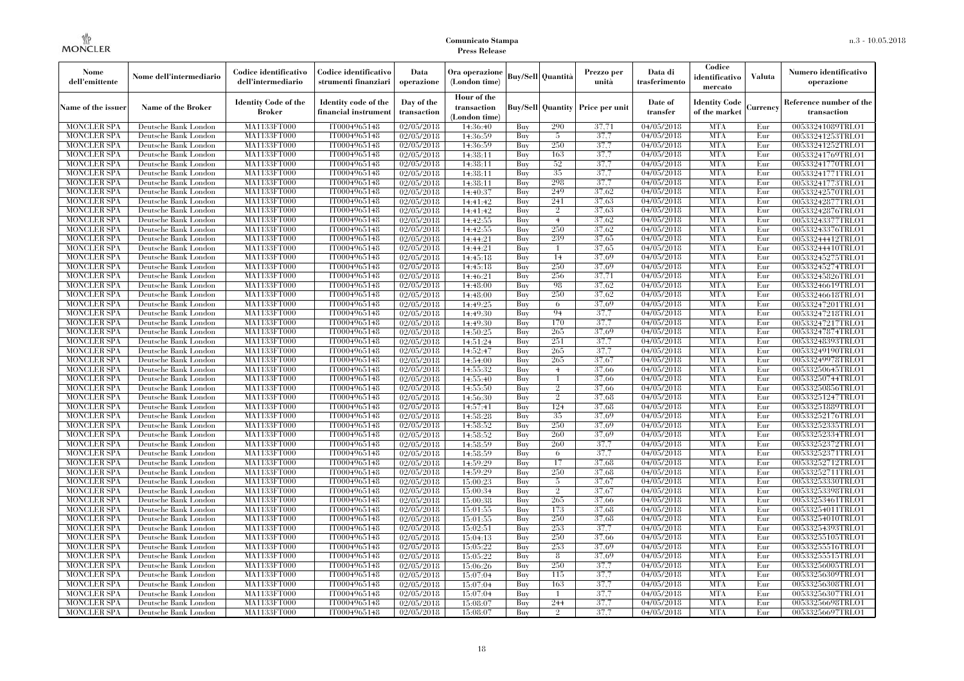| Nome<br>dell'emittente                   | Nome dell'intermediario                      | Codice identificativo<br>dell'intermediario  | Codice identificativo<br>strumenti finanziari | Data<br>operazione        | Ora operazione<br>(London time)             |            | <b>Buy/Sell   Quantità</b> | Prezzo per<br>unità | Data di<br>trasferimento | Codice<br>identificativo<br>mercato   | <b>Valuta</b> | Numero identificativo<br>operazione    |
|------------------------------------------|----------------------------------------------|----------------------------------------------|-----------------------------------------------|---------------------------|---------------------------------------------|------------|----------------------------|---------------------|--------------------------|---------------------------------------|---------------|----------------------------------------|
| Name of the issuer                       | Name of the Broker                           | <b>Identity Code of the</b><br><b>Broker</b> | Identity code of the<br>financial instrument  | Day of the<br>transaction | Hour of the<br>transaction<br>(London time) |            | <b>Buy/Sell</b> Quantity   | Price per unit      | Date of<br>transfer      | <b>Identity Code</b><br>of the market | Currencv      | Reference number of the<br>transaction |
| <b>MONCLER SPA</b>                       | Deutsche Bank London                         | MA1133FT000                                  | IT0004965148                                  | 02/05/2018                | 14:36:40                                    | Buv        | 290                        | 37,71               | 04/05/2018               | <b>MTA</b>                            | Eur           | 00533241089TRLO1                       |
| <b>MONCLER SPA</b>                       | Deutsche Bank London                         | <b>MA1133FT000</b>                           | IT0004965148                                  | 02/05/2018                | 14:36:59                                    | Buy        | -5                         | 37.7                | 04/05/2018               | <b>MTA</b>                            | Eur           | 00533241253TRLO1                       |
| <b>MONCLER SPA</b>                       | Deutsche Bank London                         | MA1133FT000                                  | IT0004965148                                  | 02/05/2018                | 14:36:59                                    | Buy        | 250                        | 37.7                | 04/05/2018               | <b>MTA</b>                            | Eur           | 00533241252TRLO1                       |
| <b>MONCLER SPA</b>                       | Deutsche Bank London                         | <b>MA1133FT000</b>                           | IT0004965148                                  | 02/05/2018                | 14:38:11                                    | Buy        | 163                        | 37,7                | 04/05/2018               | <b>MTA</b>                            | Eur           | 00533241769TRLO1                       |
| <b>MONCLER SPA</b>                       | Deutsche Bank London                         | <b>MA1133FT000</b>                           | IT0004965148                                  | 02/05/2018                | 14:38:11                                    | Buy        | 52<br>35                   | 37.7                | 04/05/2018<br>04/05/2018 | <b>MTA</b><br><b>MTA</b>              | Eur           | 00533241770TRLO1                       |
| <b>MONCLER SPA</b><br><b>MONCLER SPA</b> | Deutsche Bank London<br>Deutsche Bank London | MA1133FT000<br>MA1133FT000                   | IT0004965148<br>IT0004965148                  | 02/05/2018<br>02/05/2018  | 14:38:11<br>14:38:11                        | Buy<br>Buy | 298                        | 37.7<br>37.7        | 04/05/2018               | <b>MTA</b>                            | Eur<br>Eur    | 00533241771TRLO1<br>00533241773TRLO1   |
| <b>MONCLER SPA</b>                       | Deutsche Bank London                         | MA1133FT000                                  | IT0004965148                                  | 02/05/2018                | 14:40:37                                    | Buy        | 249                        | 37.62               | 04/05/2018               | <b>MTA</b>                            | Eur           | 00533242570TRLO1                       |
| <b>MONCLER SPA</b>                       | Deutsche Bank London                         | <b>MA1133FT000</b>                           | IT0004965148                                  | 02/05/2018                | 14:41:42                                    | Buy        | 241                        | 37,63               | 04/05/2018               | <b>MTA</b>                            | Eur           | 00533242877TRLO1                       |
| <b>MONCLER SPA</b>                       | Deutsche Bank London                         | MA1133FT000                                  | IT0004965148                                  | 02/05/2018                | 14:41:42                                    | Buy        | $\overline{2}$             | 37,63               | 04/05/2018               | <b>MTA</b>                            | Eur           | 00533242876TRLO1                       |
| <b>MONCLER SPA</b>                       | Deutsche Bank London                         | MA1133FT000                                  | IT0004965148                                  | 02/05/2018                | 14:42:55                                    | Buy        | 4                          | 37.62               | 04/05/2018               | <b>MTA</b>                            | Eur           | 00533243377TRLO1                       |
| <b>MONCLER SPA</b>                       | Deutsche Bank London                         | MA1133FT000                                  | IT0004965148                                  | 02/05/2018                | 14:42:55                                    | Buy        | 250                        | 37.62               | 04/05/2018               | <b>MTA</b>                            | Eur           | 00533243376TRLO1                       |
| <b>MONCLER SPA</b>                       | Deutsche Bank London                         | MA1133FT000                                  | IT0004965148                                  | 02/05/2018                | 14:44:21                                    | Buy        | 239                        | 37.65               | 04/05/2018               | <b>MTA</b>                            | Eur           | 00533244412TRLO1                       |
| <b>MONCLER SPA</b>                       | Deutsche Bank London                         | <b>MA1133FT000</b>                           | IT0004965148                                  | 02/05/2018                | 14:44:21                                    | Buy        | -1                         | 37,65               | $\sqrt{04}/05/2018$      | <b>MTA</b>                            | Eur           | 00533244410TRLO1                       |
| <b>MONCLER SPA</b>                       | Deutsche Bank London                         | MA1133FT000                                  | IT0004965148                                  | 02/05/2018                | 14:45:18                                    | Buy        | 14                         | 37,69               | 04/05/2018               | <b>MTA</b>                            | Eur           | 00533245275TRLO1                       |
| <b>MONCLER SPA</b>                       | Deutsche Bank London                         | MA1133FT000                                  | IT0004965148                                  | 02/05/2018                | 14:45:18                                    | Buy        | 250                        | 37.69               | 04/05/2018               | <b>MTA</b>                            | Eur           | 00533245274TRLO1                       |
| <b>MONCLER SPA</b>                       | Deutsche Bank London                         | MA1133FT000                                  | IT0004965148                                  | 02/05/2018                | 14:46:21                                    | Buy        | 256                        | 37,71               | 04/05/2018               | <b>MTA</b>                            | Eur           | 00533245826TRLO1                       |
| <b>MONCLER SPA</b>                       | Deutsche Bank London                         | <b>MA1133FT000</b>                           | IT0004965148                                  | 02/05/2018                | 14:48:00                                    | Buy        | 98                         | 37,62               | 04/05/2018               | <b>MTA</b>                            | Eur           | 00533246619TRLO1                       |
| <b>MONCLER SPA</b>                       | Deutsche Bank London                         | MA1133FT000                                  | IT0004965148                                  | 02/05/2018                | 14:48:00                                    | Buy        | 250                        | 37,62               | 04/05/2018               | <b>MTA</b>                            | Eur           | 00533246618TRLO1                       |
| <b>MONCLER SPA</b>                       | Deutsche Bank London                         | MA1133FT000                                  | IT0004965148                                  | 02/05/2018                | 14:49:25                                    | Buy        | 6                          | 37.69               | 04/05/2018               | <b>MTA</b>                            | Eur           | 00533247201TRLO1                       |
| <b>MONCLER SPA</b>                       | Deutsche Bank London                         | MA1133FT000                                  | IT0004965148                                  | 02/05/2018                | 14:49:30                                    | Buy        | 94                         | 37.7                | 04/05/2018               | <b>MTA</b>                            | Eur           | 00533247218TRLO1                       |
| <b>MONCLER SPA</b>                       | Deutsche Bank London                         | MA1133FT000                                  | IT0004965148                                  | 02/05/2018                | 14:49:30                                    | Buy        | 170                        | 37.7                | 04/05/2018               | <b>MTA</b>                            | Eur           | 00533247217TRLO1                       |
| <b>MONCLER SPA</b>                       | Deutsche Bank London                         | <b>MA1133FT000</b>                           | IT0004965148                                  | 02/05/2018                | 14:50:25                                    | Buy        | 265                        | 37,69               | 04/05/2018               | <b>MTA</b>                            | Eur           | 00533247874TRLO1                       |
| <b>MONCLER SPA</b><br><b>MONCLER SPA</b> | Deutsche Bank London<br>Deutsche Bank London | MA1133FT000<br>MA1133FT000                   | IT0004965148<br>IT0004965148                  | 02/05/2018<br>02/05/2018  | 14:51:24<br>14:52:47                        | Buy<br>Buv | 251<br>265                 | 37,7<br>37.7        | 04/05/2018<br>04/05/2018 | <b>MTA</b><br><b>MTA</b>              | Eur<br>Eur    | 00533248393TRLO1<br>00533249190TRLO1   |
| <b>MONCLER SPA</b>                       | Deutsche Bank London                         | <b>MA1133FT000</b>                           | IT0004965148                                  | 02/05/2018                | 14:54:00                                    | Buy        | 265                        | 37,67               | 04/05/2018               | <b>MTA</b>                            | Eur           | 00533249978TRLO1                       |
| <b>MONCLER SPA</b>                       | Deutsche Bank London                         | MA1133FT000                                  | IT0004965148                                  | 02/05/2018                | 14:55:32                                    | Buy        | $\overline{4}$             | 37,66               | 04/05/2018               | <b>MTA</b>                            | Eur           | 00533250645TRLO1                       |
| <b>MONCLER SPA</b>                       | Deutsche Bank London                         | MA1133FT000                                  | IT0004965148                                  | 02/05/2018                | 14:55:40                                    | Buy        | -1                         | 37,66               | 04/05/2018               | <b>MTA</b>                            | Eur           | 00533250744TRLO1                       |
| <b>MONCLER SPA</b>                       | Deutsche Bank London                         | MA1133FT000                                  | IT0004965148                                  | 02/05/2018                | 14:55:50                                    | Buv        | $\mathcal{D}_{1}$          | 37.66               | 04/05/2018               | <b>MTA</b>                            | Eur           | 00533250856TRLO1                       |
| <b>MONCLER SPA</b>                       | Deutsche Bank London                         | MA1133FT000                                  | IT0004965148                                  | 02/05/2018                | 14:56:30                                    | Buy        | $\overline{2}$             | 37.68               | 04/05/2018               | <b>MTA</b>                            | Eur           | 00533251247TRLO1                       |
| <b>MONCLER SPA</b>                       | Deutsche Bank London                         | MA1133FT000                                  | IT0004965148                                  | 02/05/2018                | 14:57:41                                    | Buy        | 124                        | 37.68               | 04/05/2018               | <b>MTA</b>                            | Eur           | 00533251889TRLO1                       |
| <b>MONCLER SPA</b>                       | Deutsche Bank London                         | MA1133FT000                                  | IT0004965148                                  | 02/05/2018                | 14:58:28                                    | Buy        | 35                         | 37.69               | 04/05/2018               | <b>MTA</b>                            | Eur           | 00533252176TRLO1                       |
| <b>MONCLER SPA</b>                       | Deutsche Bank London                         | MA1133FT000                                  | IT0004965148                                  | 02/05/2018                | 14:58:52                                    | Buy        | 250                        | 37,69               | 04/05/2018               | <b>MTA</b>                            | Eur           | 00533252335TRLO1                       |
| <b>MONCLER SPA</b>                       | Deutsche Bank London                         | MA1133FT000                                  | IT0004965148                                  | 02/05/2018                | 14:58:52                                    | Buy        | 260                        | 37,69               | 04/05/2018               | <b>MTA</b>                            | Eur           | 00533252334TRLO1                       |
| <b>MONCLER SPA</b>                       | Deutsche Bank London                         | MA1133FT000                                  | IT0004965148                                  | 02/05/2018                | 14:58:59                                    | Buy        | 260                        | 37,7                | 04/05/2018               | <b>MTA</b>                            | Eur           | 00533252372TRLO1                       |
| <b>MONCLER SPA</b>                       | Deutsche Bank London                         | <b>MA1133FT000</b>                           | IT0004965148                                  | 02/05/2018                | 14:58:59                                    | Buy        | 6                          | 37.7                | 04/05/2018               | <b>MTA</b>                            | Eur           | 00533252371TRLO1                       |
| <b>MONCLER SPA</b>                       | Deutsche Bank London                         | MA1133FT000                                  | IT0004965148                                  | 02/05/2018                | 14:59:29                                    | Buy        | 17                         | 37,68               | 04/05/2018               | <b>MTA</b>                            | Eur           | 00533252712TRLO1                       |
| <b>MONCLER SPA</b>                       | Deutsche Bank London                         | MA1133FT000                                  | IT0004965148                                  | 02/05/2018                | 14:59:29                                    | Buy        | 250                        | 37.68               | 04/05/2018               | <b>MTA</b>                            | Eur           | 00533252711TRLO1                       |
| <b>MONCLER SPA</b>                       | Deutsche Bank London                         | MA1133FT000                                  | IT0004965148                                  | 02/05/2018                | 15:00:23                                    | Buy        | 5                          | 37,67               | 04/05/2018               | <b>MTA</b>                            | Eur           | 00533253330TRLO1                       |
| <b>MONCLER SPA</b>                       | Deutsche Bank London                         | MA1133FT000                                  | IT0004965148                                  | 02/05/2018                | 15:00:34                                    | Buy        | $\overline{2}$             | 37,67               | 04/05/2018               | <b>MTA</b>                            | Eur           | 00533253398TRLO1                       |
| <b>MONCLER SPA</b>                       | Deutsche Bank London                         | MA1133FT000                                  | IT0004965148                                  | 02/05/2018                | 15:00:38                                    | Buy        | 265                        | 37,66               | 04/05/2018               | <b>MTA</b>                            | Eur           | 00533253461TRLO1                       |
| <b>MONCLER SPA</b><br><b>MONCLER SPA</b> | Deutsche Bank London<br>Deutsche Bank London | MA1133FT000<br>MA1133FT000                   | IT0004965148<br>IT0004965148                  | 02/05/2018<br>02/05/2018  | 15:01:55<br>15:01:55                        | Buy<br>Buy | 173<br>250                 | 37,68<br>37.68      | 04/05/2018<br>04/05/2018 | <b>MTA</b><br><b>MTA</b>              | Eur<br>Eur    | 00533254011TRLO1<br>00533254010TRLO1   |
| <b>MONCLER SPA</b>                       | Deutsche Bank London                         | MA1133FT000                                  | IT0004965148                                  | 02/05/2018                | 15:02:51                                    | Buy        | 253                        | 37.7                | 04/05/2018               | <b>MTA</b>                            | Eur           | 00533254393TRLO1                       |
| <b>MONCLER SPA</b>                       | Deutsche Bank London                         | MA1133FT000                                  | IT0004965148                                  | 02/05/2018                | 15:04:13                                    | Buy        | 250                        | 37.66               | 04/05/2018               | <b>MTA</b>                            | Eur           | 00533255105TRLO1                       |
| <b>MONCLER SPA</b>                       | Deutsche Bank London                         | MA1133FT000                                  | IT0004965148                                  | 02/05/2018                | 15:05:22                                    | Buy        | 253                        | 37.69               | 04/05/2018               | <b>MTA</b>                            | Eur           | 00533255516TRLO1                       |
| <b>MONCLER SPA</b>                       | Deutsche Bank London                         | MA1133FT000                                  | IT0004965148                                  | 02/05/2018                | 15:05:22                                    | Buy        | 8                          | 37.69               | 04/05/2018               | <b>MTA</b>                            | Eur           | 00533255515TRLO1                       |
| <b>MONCLER SPA</b>                       | Deutsche Bank London                         | MA1133FT000                                  | IT0004965148                                  | $\sqrt{02}/05/2018$       | 15:06:26                                    | Buy        | 250                        | 37,7                | 04/05/2018               | <b>MTA</b>                            | Eur           | 00533256005TRLO1                       |
| <b>MONCLER SPA</b>                       | Deutsche Bank London                         | MA1133FT000                                  | IT0004965148                                  | 02/05/2018                | 15:07:04                                    | Buy        | 115                        | 37.7                | 04/05/2018               | <b>MTA</b>                            | Eur           | 00533256309TRLO1                       |
| <b>MONCLER SPA</b>                       | Deutsche Bank London                         | MA1133FT000                                  | IT0004965148                                  | 02/05/2018                | 15:07:04                                    | Buy        | 163                        | 37,7                | 04/05/2018               | <b>MTA</b>                            | Eur           | 00533256308TRLO1                       |
| <b>MONCLER SPA</b>                       | Deutsche Bank London                         | MA1133FT000                                  | IT0004965148                                  | 02/05/2018                | 15:07:04                                    | Buy        | $\mathbf{1}$               | 37.7                | 04/05/2018               | <b>MTA</b>                            | Eur           | 00533256307TRLO1                       |
| <b>MONCLER SPA</b>                       | Deutsche Bank London                         | <b>MA1133FT000</b>                           | IT0004965148                                  | 02/05/2018                | 15:08:07                                    | Buy        | 244                        | 37.7                | 04/05/2018               | <b>MTA</b>                            | Eur           | 00533256698TRLO1                       |
| <b>MONCLER SPA</b>                       | Deutsche Bank London                         | MA1133FT000                                  | IT0004965148                                  | 02/05/2018                | 15:08:07                                    | Buy        | $\Omega$                   | 37,7                | 04/05/2018               | <b>MTA</b>                            | Eur           | 00533256697TRLO1                       |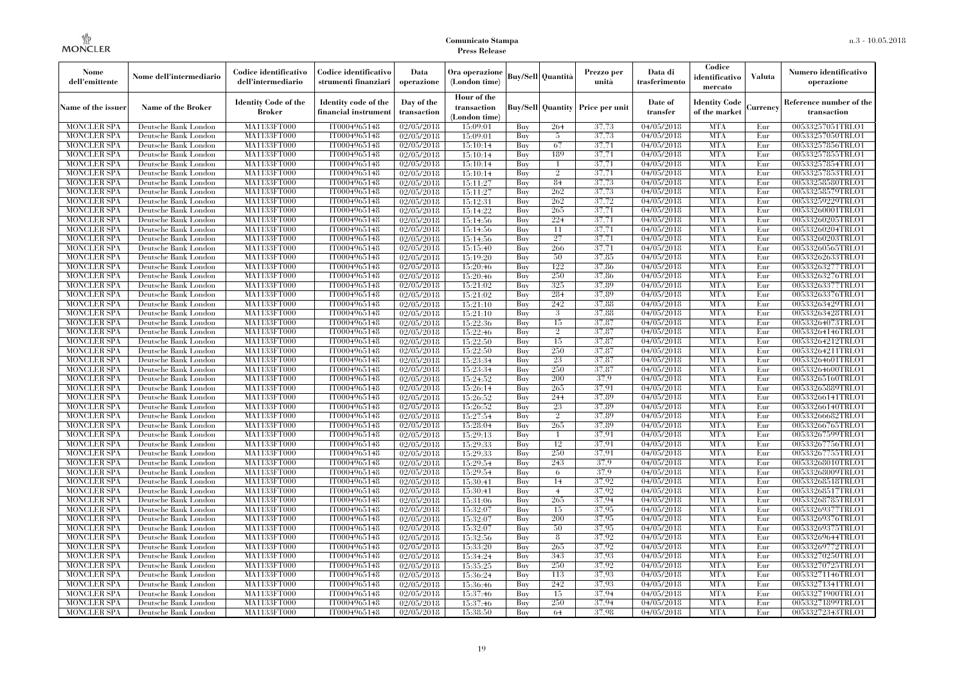| Nome<br>dell'emittente                   | Nome dell'intermediario                      | Codice identificativo<br>dell'intermediario  | Codice identificativo<br>strumenti finanziari | Data<br>operazione        | Ora operazione<br>(London time)             |            | Buy/Sell   Quantità            | Prezzo per<br>unità | Data di<br>trasferimento          | Codice<br>identificativo<br>mercato   | <b>Valuta</b> | Numero identificativo<br>operazione    |
|------------------------------------------|----------------------------------------------|----------------------------------------------|-----------------------------------------------|---------------------------|---------------------------------------------|------------|--------------------------------|---------------------|-----------------------------------|---------------------------------------|---------------|----------------------------------------|
| Name of the issuer                       | Name of the Broker                           | <b>Identity Code of the</b><br><b>Broker</b> | Identity code of the<br>financial instrument  | Day of the<br>transaction | Hour of the<br>transaction<br>(London time) |            | <b>Buy/Sell Quantity</b>       | Price per unit      | Date of<br>transfer               | <b>Identity Code</b><br>of the market | Currencv      | Reference number of the<br>transaction |
| <b>MONCLER SPA</b>                       | Deutsche Bank London                         | MA1133FT000                                  | IT0004965148                                  | $\sqrt{02}/05/2018$       | 15:09:01                                    | Buy        | 264                            | 37,73               | 04/05/2018                        | <b>MTA</b>                            | Eur           | 00533257051TRLO1                       |
| <b>MONCLER SPA</b>                       | Deutsche Bank London                         | <b>MA1133FT000</b>                           | IT0004965148                                  | 02/05/2018                | 15:09:01                                    | Buy        | 5                              | 37,73               | 04/05/2018                        | <b>MTA</b>                            | Eur           | 00533257050TRLO1                       |
| <b>MONCLER SPA</b>                       | Deutsche Bank London                         | MA1133FT000                                  | IT0004965148                                  | 02/05/2018                | 15:10:14                                    | Buv        | 67                             | 37,71               | 04/05/2018                        | <b>MTA</b>                            | Eur           | 00533257856TRLO1                       |
| <b>MONCLER SPA</b>                       | Deutsche Bank London                         | MA1133FT000                                  | IT0004965148                                  | 02/05/2018                | 15:10:14                                    | Buy        | 189                            | 37,71               | 04/05/2018                        | <b>MTA</b>                            | Eur           | 00533257855TRLO1                       |
| <b>MONCLER SPA</b>                       | Deutsche Bank London                         | MA1133FT000<br><b>MA1133FT000</b>            | IT0004965148                                  | $\sqrt{02}/05/2018$       | 15:10:14                                    | Buy        | $\mathbf{1}$<br>$\overline{2}$ | 37,71<br>37,71      | 04/05/2018                        | <b>MTA</b><br><b>MTA</b>              | Eur<br>Eur    | 00533257854TRLO1<br>00533257853TRLO1   |
| <b>MONCLER SPA</b><br><b>MONCLER SPA</b> | Deutsche Bank London<br>Deutsche Bank London | MA1133FT000                                  | IT0004965148<br>IT0004965148                  | 02/05/2018<br>02/05/2018  | 15:10:14<br>15:11:27                        | Buy<br>Buy | 84                             | 37,73               | $\sqrt{04}/05/2018$<br>04/05/2018 | <b>MTA</b>                            | Eur           | 00533258580TRLO1                       |
| <b>MONCLER SPA</b>                       | Deutsche Bank London                         | MA1133FT000                                  | IT0004965148                                  | 02/05/2018                | 15:11:27                                    | Buy        | 262                            | 37,73               | 04/05/2018                        | <b>MTA</b>                            | Eur           | 00533258579TRLO1                       |
| <b>MONCLER SPA</b>                       | Deutsche Bank London                         | MA1133FT000                                  | IT0004965148                                  | 02/05/2018                | 15:12:31                                    | Buy        | 262                            | 37,72               | 04/05/2018                        | <b>MTA</b>                            | Eur           | 00533259229TRLO1                       |
| <b>MONCLER SPA</b>                       | Deutsche Bank London                         | MA1133FT000                                  | IT0004965148                                  | 02/05/2018                | 15:14:22                                    | Buy        | 265                            | 37,71               | 04/05/2018                        | <b>MTA</b>                            | Eur           | 00533260001TRLO1                       |
| <b>MONCLER SPA</b>                       | Deutsche Bank London                         | MA1133FT000                                  | IT0004965148                                  | 02/05/2018                | 15:14:56                                    | Buy        | 224                            | 37,71               | 04/05/2018                        | <b>MTA</b>                            | Eur           | 00533260205TRLO1                       |
| <b>MONCLER SPA</b>                       | Deutsche Bank London                         | MA1133FT000                                  | IT0004965148                                  | 02/05/2018                | 15:14:56                                    | Buy        | 11                             | 37,71               | 04/05/2018                        | <b>MTA</b>                            | Eur           | 00533260204TRLO1                       |
| <b>MONCLER SPA</b>                       | Deutsche Bank London                         | MA1133FT000                                  | IT0004965148                                  | 02/05/2018                | 15:14:56                                    | Buy        | 27                             | 37,71               | 04/05/2018                        | <b>MTA</b>                            | Eur           | 00533260203TRLO1                       |
| <b>MONCLER SPA</b>                       | Deutsche Bank London                         | MA1133FT000                                  | IT0004965148                                  | 02/05/2018                | 15:15:40                                    | Buy        | 266                            | 37,71               | 04/05/2018                        | <b>MTA</b>                            | Eur           | 00533260565TRLO1                       |
| <b>MONCLER SPA</b>                       | Deutsche Bank London                         | MA1133FT000                                  | IT0004965148                                  | 02/05/2018                | 15:19:20                                    | Buy        | 50                             | 37,85               | 04/05/2018                        | <b>MTA</b>                            | Eur           | 00533262633TRLO1                       |
| <b>MONCLER SPA</b>                       | Deutsche Bank London                         | MA1133FT000                                  | IT0004965148                                  | 02/05/2018                | 15:20:46                                    | Buy        | 122                            | 37,86               | 04/05/2018                        | <b>MTA</b>                            | Eur           | 00533263277TRLO1                       |
| <b>MONCLER SPA</b>                       | Deutsche Bank London                         | MA1133FT000                                  | IT0004965148                                  | 02/05/2018                | 15:20:46                                    | Buy        | 250                            | 37,86               | 04/05/2018                        | <b>MTA</b>                            | Eur           | 00533263276TRLO1                       |
| <b>MONCLER SPA</b>                       | Deutsche Bank London                         | MA1133FT000                                  | IT0004965148                                  | 02/05/2018                | 15:21:02                                    | Buy        | 325                            | 37.89               | 04/05/2018                        | <b>MTA</b>                            | Eur           | 00533263377TRLO1                       |
| <b>MONCLER SPA</b>                       | Deutsche Bank London                         | MA1133FT000                                  | IT0004965148                                  | 02/05/2018                | 15:21:02                                    | Buy        | 284                            | 37.89               | 04/05/2018                        | <b>MTA</b>                            | Eur           | 00533263376TRLO1                       |
| <b>MONCLER SPA</b>                       | Deutsche Bank London                         | MA1133FT000                                  | IT0004965148                                  | 02/05/2018                | 15:21:10                                    | Buy        | 242                            | 37.88               | 04/05/2018                        | <b>MTA</b>                            | Eur           | 00533263429TRLO1                       |
| <b>MONCLER SPA</b>                       | Deutsche Bank London                         | MA1133FT000                                  | IT0004965148                                  | 02/05/2018                | 15:21:10                                    | Buy        | 3                              | 37,88               | 04/05/2018                        | <b>MTA</b>                            | Eur           | 00533263428TRLO1                       |
| <b>MONCLER SPA</b>                       | Deutsche Bank London                         | MA1133FT000                                  | IT0004965148                                  | 02/05/2018                | 15:22:36                                    | Buy        | 15                             | 37,87               | 04/05/2018                        | <b>MTA</b>                            | Eur           | 00533264073TRLO1                       |
| <b>MONCLER SPA</b>                       | Deutsche Bank London                         | MA1133FT000                                  | IT0004965148                                  | 02/05/2018                | 15:22:46                                    | Buy        | $\overline{2}$                 | 37,87               | 04/05/2018                        | <b>MTA</b>                            | Eur           | 00533264146TRLO1                       |
| <b>MONCLER SPA</b>                       | Deutsche Bank London                         | MA1133FT000                                  | IT0004965148<br>IT0004965148                  | 02/05/2018<br>02/05/2018  | 15:22:50                                    | Buy        | 15<br>250                      | 37,87<br>37,87      | 04/05/2018<br>04/05/2018          | <b>MTA</b><br><b>MTA</b>              | Eur           | 00533264212TRLO1                       |
| <b>MONCLER SPA</b><br><b>MONCLER SPA</b> | Deutsche Bank London<br>Deutsche Bank London | MA1133FT000<br>MA1133FT000                   | IT0004965148                                  | 02/05/2018                | 15:22:50<br>15:23:34                        | Buy<br>Buy | 23                             | 37,87               | $\sqrt{04}/05/2018$               | <b>MTA</b>                            | Eur<br>Eur    | 00533264211TRLO1<br>00533264601TRLO1   |
| <b>MONCLER SPA</b>                       | Deutsche Bank London                         | MA1133FT000                                  | IT0004965148                                  | 02/05/2018                | 15:23:34                                    | Buy        | 250                            | 37,87               | 04/05/2018                        | <b>MTA</b>                            | Eur           | 00533264600TRLO1                       |
| <b>MONCLER SPA</b>                       | Deutsche Bank London                         | MA1133FT000                                  | IT0004965148                                  | 02/05/2018                | 15:24:52                                    | Buy        | 200                            | 37.9                | 04/05/2018                        | <b>MTA</b>                            | Eur           | 00533265160TRLO1                       |
| <b>MONCLER SPA</b>                       | Deutsche Bank London                         | MA1133FT000                                  | IT0004965148                                  | 02/05/2018                | 15:26:14                                    | Buy        | 265                            | 37.91               | $\sqrt{04}/05/2018$               | <b>MTA</b>                            | Eur           | 00533265889TRLO1                       |
| <b>MONCLER SPA</b>                       | Deutsche Bank London                         | <b>MA1133FT000</b>                           | IT0004965148                                  | 02/05/2018                | 15:26:52                                    | Buy        | 244                            | 37,89               | 04/05/2018                        | <b>MTA</b>                            | Eur           | 00533266141TRLO1                       |
| <b>MONCLER SPA</b>                       | Deutsche Bank London                         | MA1133FT000                                  | IT0004965148                                  | 02/05/2018                | 15:26:52                                    | Buy        | 23                             | 37,89               | 04/05/2018                        | <b>MTA</b>                            | Eur           | 00533266140TRLO1                       |
| <b>MONCLER SPA</b>                       | Deutsche Bank London                         | MA1133FT000                                  | IT0004965148                                  | 02/05/2018                | 15:27:54                                    | Buy        | $\overline{2}$                 | 37,89               | 04/05/2018                        | <b>MTA</b>                            | Eur           | 00533266682TRLO1                       |
| <b>MONCLER SPA</b>                       | Deutsche Bank London                         | MA1133FT000                                  | IT0004965148                                  | 02/05/2018                | 15:28:04                                    | Buy        | 265                            | 37,89               | 04/05/2018                        | <b>MTA</b>                            | Eur           | 00533266765TRLO1                       |
| <b>MONCLER SPA</b>                       | Deutsche Bank London                         | MA1133FT000                                  | IT0004965148                                  | 02/05/2018                | 15:29:13                                    | Buy        | -1                             | 37,91               | 04/05/2018                        | <b>MTA</b>                            | Eur           | 00533267599TRLO1                       |
| <b>MONCLER SPA</b>                       | Deutsche Bank London                         | MA1133FT000                                  | IT0004965148                                  | 02/05/2018                | 15:29:33                                    | Buy        | 12                             | 37,91               | 04/05/2018                        | <b>MTA</b>                            | Eur           | 00533267756TRLO1                       |
| <b>MONCLER SPA</b>                       | Deutsche Bank London                         | MA1133FT000                                  | IT0004965148                                  | 02/05/2018                | 15:29:33                                    | Buy        | 250                            | 37,91               | 04/05/2018                        | <b>MTA</b>                            | Eur           | 00533267755TRLO1                       |
| <b>MONCLER SPA</b>                       | Deutsche Bank London                         | MA1133FT000                                  | IT0004965148                                  | 02/05/2018                | 15:29:54                                    | Buy        | 243                            | 37.9                | 04/05/2018                        | <b>MTA</b>                            | Eur           | 00533268010TRLO1                       |
| <b>MONCLER SPA</b>                       | Deutsche Bank London                         | <b>MA1133FT000</b>                           | IT0004965148                                  | 02/05/2018                | 15:29:54                                    | Buy        | 6                              | 37,9                | 04/05/2018                        | <b>MTA</b>                            | Eur           | 00533268009TRLO1                       |
| <b>MONCLER SPA</b>                       | Deutsche Bank London                         | MA1133FT000                                  | IT0004965148                                  | $\sqrt{02}/05/2018$       | 15:30:41                                    | Buy        | 14                             | 37,92               | 04/05/2018                        | <b>MTA</b>                            | Eur           | 00533268518TRLO1                       |
| <b>MONCLER SPA</b>                       | Deutsche Bank London                         | <b>MA1133FT000</b>                           | IT0004965148                                  | 02/05/2018                | 15:30:41                                    | Buy        | $\overline{4}$                 | 37,92               | 04/05/2018                        | <b>MTA</b>                            | Eur           | 00533268517TRLO1                       |
| <b>MONCLER SPA</b>                       | Deutsche Bank London                         | MA1133FT000                                  | IT0004965148                                  | 02/05/2018                | 15:31:06                                    | Buy        | 265                            | 37,94               | 04/05/2018                        | <b>MTA</b>                            | Eur           | 00533268785TRLO1                       |
| <b>MONCLER SPA</b>                       | Deutsche Bank London                         | MA1133FT000                                  | IT0004965148                                  | 02/05/2018                | 15:32:07                                    | Buy        | 15                             | 37,95               | $\sqrt{04}/05/2018$               | <b>MTA</b>                            | Eur           | 00533269377TRLO1                       |
| <b>MONCLER SPA</b>                       | Deutsche Bank London                         | MA1133FT000                                  | IT0004965148                                  | 02/05/2018                | 15:32:07                                    | Buy        | 200                            | 37,95               | 04/05/2018                        | <b>MTA</b>                            | Eur           | 00533269376TRLO1                       |
| <b>MONCLER SPA</b>                       | Deutsche Bank London                         | MA1133FT000                                  | IT0004965148                                  | 02/05/2018                | 15:32:07                                    | Buy        | 50                             | 37,95<br>37,92      | 04/05/2018                        | <b>MTA</b><br><b>MTA</b>              | Eur           | 00533269375TRLO1                       |
| <b>MONCLER SPA</b><br><b>MONCLER SPA</b> | Deutsche Bank London<br>Deutsche Bank London | MA1133FT000<br>MA1133FT000                   | IT0004965148<br>IT0004965148                  | 02/05/2018<br>02/05/2018  | 15:32:56<br>15:33:20                        | Buy<br>Buy | 8<br>265                       | 37,92               | 04/05/2018<br>04/05/2018          | <b>MTA</b>                            | Eur<br>Eur    | 00533269644TRLO1<br>00533269772TRLO1   |
| <b>MONCLER SPA</b>                       | Deutsche Bank London                         | MA1133FT000                                  | IT0004965148                                  | 02/05/2018                | 15:34:24                                    | Buy        | 343                            | 37,93               | 04/05/2018                        | <b>MTA</b>                            | Eur           | 00533270250TRLO1                       |
| <b>MONCLER SPA</b>                       | Deutsche Bank London                         | MA1133FT000                                  | IT0004965148                                  | $\sqrt{02}/05/2018$       | 15:35:25                                    | Buy        | 250                            | 37,92               | 04/05/2018                        | <b>MTA</b>                            | Eur           | 00533270725TRLO1                       |
| <b>MONCLER SPA</b>                       | Deutsche Bank London                         | MA1133FT000                                  | IT0004965148                                  | 02/05/2018                | 15:36:24                                    | Buy        | 113                            | 37.93               | 04/05/2018                        | <b>MTA</b>                            | Eur           | 00533271146TRLO1                       |
| <b>MONCLER SPA</b>                       | Deutsche Bank London                         | MA1133FT000                                  | IT0004965148                                  | 02/05/2018                | 15:36:46                                    | Buy        | 242                            | 37.93               | 04/05/2018                        | <b>MTA</b>                            | Eur           | 00533271341TRLO1                       |
| <b>MONCLER SPA</b>                       | Deutsche Bank London                         | MA1133FT000                                  | IT0004965148                                  | 02/05/2018                | 15:37:46                                    | Buy        | 15                             | 37,94               | 04/05/2018                        | <b>MTA</b>                            | Eur           | 00533271900TRLO1                       |
| <b>MONCLER SPA</b>                       | Deutsche Bank London                         | <b>MA1133FT000</b>                           | IT0004965148                                  | 02/05/2018                | 15:37:46                                    | Buy        | 250                            | 37,94               | 04/05/2018                        | <b>MTA</b>                            | Eur           | 00533271899TRLO1                       |
| <b>MONCLER SPA</b>                       | Deutsche Bank London                         | MA1133FT000                                  | IT0004965148                                  | 02/05/2018                | 15:38:50                                    | Buy        | 64                             | 37.98               | 04/05/2018                        | <b>MTA</b>                            | Eur           | 00533272343TRLO1                       |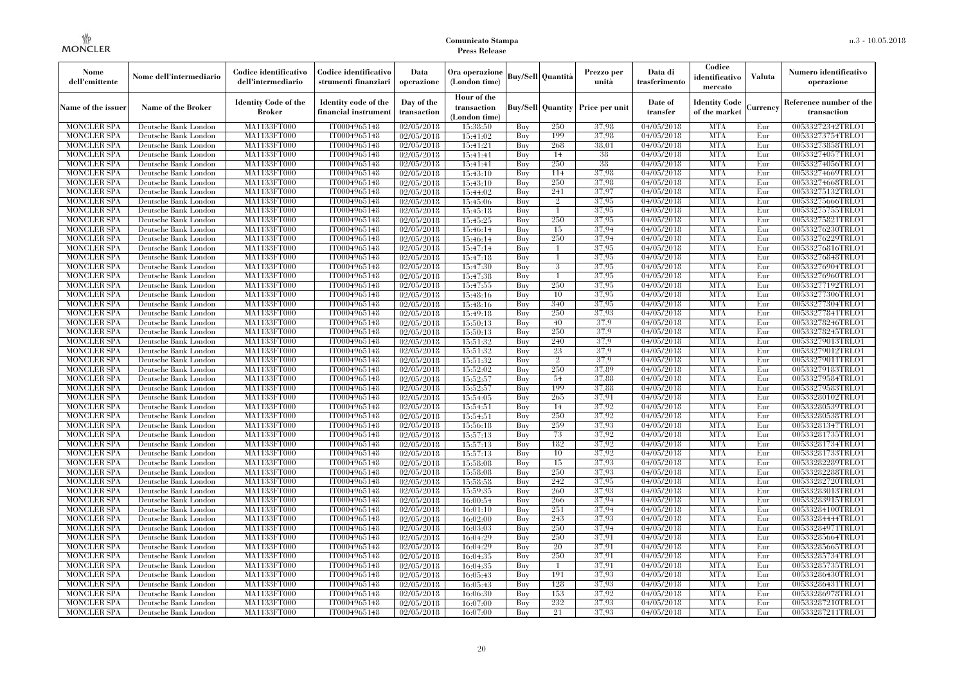| Nome<br>dell'emittente                   | Nome dell'intermediario                      | Codice identificativo<br>dell'intermediario  | Codice identificativo<br>strumenti finanziari | Data<br>operazione        | Ora operazione<br>(London time)             |            | <b>Buy/Sell Quantità</b> | Prezzo per<br>unità                     | Data di<br>trasferimento          | Codice<br>identificativo<br>mercato   | <b>Valuta</b> | Numero identificativo<br>operazione    |
|------------------------------------------|----------------------------------------------|----------------------------------------------|-----------------------------------------------|---------------------------|---------------------------------------------|------------|--------------------------|-----------------------------------------|-----------------------------------|---------------------------------------|---------------|----------------------------------------|
| Name of the issuer                       | Name of the Broker                           | <b>Identity Code of the</b><br><b>Broker</b> | Identity code of the<br>financial instrument  | Day of the<br>transaction | Hour of the<br>transaction<br>(London time) |            |                          | <b>Buy/Sell Quantity Price per unit</b> | Date of<br>transfer               | <b>Identity Code</b><br>of the market | Currencv      | Reference number of the<br>transaction |
| <b>MONCLER SPA</b>                       | Deutsche Bank London                         | MA1133FT000                                  | IT0004965148                                  | 02/05/2018                | 15:38:50                                    | Buy        | 250                      | 37.98                                   | 04/05/2018                        | <b>MTA</b>                            | Eur           | 00533272342TRLO1                       |
| <b>MONCLER SPA</b>                       | Deutsche Bank London                         | MA1133FT000                                  | IT0004965148                                  | 02/05/2018                | 15:41:02                                    | Buy        | 199                      | 37.98                                   | 04/05/2018                        | <b>MTA</b>                            | Eur           | 00533273754TRLO1                       |
| <b>MONCLER SPA</b>                       | Deutsche Bank London                         | MA1133FT000                                  | IT0004965148                                  | 02/05/2018                | 15:41:21                                    | Buy        | 268                      | 38.01                                   | 04/05/2018                        | <b>MTA</b>                            | Eur           | 00533273858TRLO1                       |
| <b>MONCLER SPA</b>                       | Deutsche Bank London                         | <b>MA1133FT000</b>                           | IT0004965148                                  | 02/05/2018                | 15:41:41                                    | Buy        | 14                       | 38                                      | 04/05/2018                        | <b>MTA</b>                            | Eur           | 00533274057TRLO1                       |
| MONCLER SPA                              | Deutsche Bank London                         | <b>MA1133FT000</b>                           | IT0004965148                                  | $\sqrt{02}/05/2018$       | 15:41:41                                    | Buy        | 250                      | 38                                      | 04/05/2018                        | <b>MTA</b><br><b>MTA</b>              | Eur           | 00533274056TRLO1                       |
| <b>MONCLER SPA</b><br><b>MONCLER SPA</b> | Deutsche Bank London<br>Deutsche Bank London | MA1133FT000<br>MA1133FT000                   | IT0004965148<br>IT0004965148                  | 02/05/2018                | 15:43:10<br>15:43:10                        | Buy<br>Buy | 114<br>250               | 37,98<br>37.98                          | 04/05/2018<br>04/05/2018          | <b>MTA</b>                            | Eur<br>Eur    | 00533274669TRLO1<br>00533274668TRLO1   |
| <b>MONCLER SPA</b>                       | Deutsche Bank London                         | MA1133FT000                                  | IT0004965148                                  | 02/05/2018<br>02/05/2018  | 15:44:02                                    | Buy        | 241                      | 37,97                                   | 04/05/2018                        | <b>MTA</b>                            | Eur           | 00533275132TRLO1                       |
| <b>MONCLER SPA</b>                       | Deutsche Bank London                         | <b>MA1133FT000</b>                           | IT0004965148                                  | 02/05/2018                | 15:45:06                                    | Buy        | $\overline{2}$           | 37,95                                   | 04/05/2018                        | <b>MTA</b>                            | Eur           | 00533275666TRLO1                       |
| <b>MONCLER SPA</b>                       | Deutsche Bank London                         | MA1133FT000                                  | IT0004965148                                  | 02/05/2018                | 15:45:18                                    | Buy        |                          | 37,95                                   | 04/05/2018                        | <b>MTA</b>                            | Eur           | 00533275755TRLO1                       |
| <b>MONCLER SPA</b>                       | Deutsche Bank London                         | MA1133FT000                                  | IT0004965148                                  | 02/05/2018                | 15:45:25                                    | Buy        | 250                      | 37,95                                   | 04/05/2018                        | <b>MTA</b>                            | Eur           | 00533275821TRLO1                       |
| <b>MONCLER SPA</b>                       | Deutsche Bank London                         | MA1133FT000                                  | IT0004965148                                  | 02/05/2018                | 15:46:14                                    | Buy        | 15                       | 37,94                                   | 04/05/2018                        | <b>MTA</b>                            | Eur           | 00533276230TRLO1                       |
| <b>MONCLER SPA</b>                       | Deutsche Bank London                         | MA1133FT000                                  | IT0004965148                                  | 02/05/2018                | 15:46:14                                    | Buy        | 250                      | 37,94                                   | 04/05/2018                        | <b>MTA</b>                            | Eur           | 00533276229TRLO1                       |
| <b>MONCLER SPA</b>                       | Deutsche Bank London                         | <b>MA1133FT000</b>                           | IT0004965148                                  | 02/05/2018                | 15:47:14                                    | Buy        |                          | 37,95                                   | 04/05/2018                        | <b>MTA</b>                            | Eur           | 00533276816TRLO1                       |
| <b>MONCLER SPA</b>                       | Deutsche Bank London                         | MA1133FT000                                  | IT0004965148                                  | 02/05/2018                | 15:47:18                                    | Buy        |                          | 37,95                                   | 04/05/2018                        | <b>MTA</b>                            | Eur           | 00533276848TRLO1                       |
| <b>MONCLER SPA</b>                       | Deutsche Bank London                         | MA1133FT000                                  | IT0004965148                                  | 02/05/2018                | 15:47:30                                    | Buy        | 3                        | 37,95                                   | 04/05/2018                        | <b>MTA</b>                            | Eur           | 00533276904TRLO1                       |
| <b>MONCLER SPA</b>                       | Deutsche Bank London                         | MA1133FT000                                  | IT0004965148                                  | 02/05/2018                | 15:47:38                                    | Buy        |                          | 37,95                                   | 04/05/2018                        | <b>MTA</b>                            | Eur           | 00533276960TRLO1                       |
| <b>MONCLER SPA</b>                       | Deutsche Bank London                         | MA1133FT000                                  | IT0004965148                                  | 02/05/2018                | 15:47:55                                    | Buy        | 250                      | 37.95                                   | 04/05/2018                        | <b>MTA</b>                            | Eur           | 00533277192TRLO1                       |
| MONCLER SPA                              | Deutsche Bank London                         | MA1133FT000                                  | IT0004965148                                  | 02/05/2018                | 15:48:16                                    | Buy        | 10                       | 37,95                                   | 04/05/2018                        | <b>MTA</b>                            | Eur           | 00533277306TRLO1                       |
| <b>MONCLER SPA</b>                       | Deutsche Bank London                         | <b>MA1133FT000</b>                           | IT0004965148                                  | 02/05/2018                | 15:48:16                                    | Buy        | 340                      | 37,95                                   | 04/05/2018                        | <b>MTA</b>                            | Eur           | 00533277304TRLO1                       |
| <b>MONCLER SPA</b>                       | Deutsche Bank London                         | MA1133FT000                                  | IT0004965148                                  | 02/05/2018                | 15:49:18                                    | Buy        | 250                      | 37,93                                   | 04/05/2018                        | <b>MTA</b>                            | Eur           | 00533277841TRLO1                       |
| <b>MONCLER SPA</b>                       | Deutsche Bank London                         | MA1133FT000                                  | IT0004965148                                  | 02/05/2018                | 15:50:13                                    | Buy        | 40                       | 37.9                                    | 04/05/2018                        | <b>MTA</b>                            | Eur           | 00533278246TRLO1                       |
| MONCLER SPA                              | Deutsche Bank London                         | <b>MA1133FT000</b>                           | IT0004965148                                  | 02/05/2018                | 15:50:13                                    | Buy        | 250                      | 37.9                                    | 04/05/2018                        | <b>MTA</b>                            | Eur           | 00533278245TRLO1                       |
| <b>MONCLER SPA</b>                       | Deutsche Bank London                         | MA1133FT000                                  | IT0004965148                                  | 02/05/2018                | 15:51:32                                    | Buy        | 240                      | 37.9                                    | $\sqrt{04}/05/2018$               | <b>MTA</b>                            | Eur           | 00533279013TRLO1                       |
| <b>MONCLER SPA</b>                       | Deutsche Bank London                         | MA1133FT000<br><b>MA1133FT000</b>            | IT0004965148<br>IT0004965148                  | 02/05/2018                | 15:51:32<br>15:51:32                        | Buy<br>Buy | 23<br>$\overline{2}$     | 37.9<br>37.9                            | $\sqrt{04}/05/2018$<br>04/05/2018 | <b>MTA</b><br><b>MTA</b>              | Eur<br>Eur    | 00533279012TRLO1<br>00533279011TRLO1   |
| <b>MONCLER SPA</b><br><b>MONCLER SPA</b> | Deutsche Bank London<br>Deutsche Bank London | MA1133FT000                                  | IT0004965148                                  | 02/05/2018<br>02/05/2018  | 15:52:02                                    | Buy        | 250                      | 37,89                                   | 04/05/2018                        | <b>MTA</b>                            | Eur           | 00533279183TRLO1                       |
| <b>MONCLER SPA</b>                       | Deutsche Bank London                         | MA1133FT000                                  | IT0004965148                                  | 02/05/2018                | 15:52:57                                    | Buy        | 54                       | 37,88                                   | 04/05/2018                        | <b>MTA</b>                            | Eur           | 00533279584TRLO1                       |
| MONCLER SPA                              | Deutsche Bank London                         | <b>MA1133FT000</b>                           | IT0004965148                                  | 02/05/2018                | 15:52:57                                    | Buv        | 199                      | 37.88                                   | 04/05/2018                        | <b>MTA</b>                            | Eur           | 00533279583TRLO1                       |
| <b>MONCLER SPA</b>                       | Deutsche Bank London                         | MA1133FT000                                  | IT0004965148                                  | 02/05/2018                | 15:54:05                                    | Buy        | 265                      | 37,91                                   | 04/05/2018                        | <b>MTA</b>                            | Eur           | 00533280102TRLO1                       |
| <b>MONCLER SPA</b>                       | Deutsche Bank London                         | MA1133FT000                                  | IT0004965148                                  | 02/05/2018                | 15:54:51                                    | Buy        | 14                       | 37.92                                   | 04/05/2018                        | <b>MTA</b>                            | Eur           | 00533280539TRLO1                       |
| <b>MONCLER SPA</b>                       | Deutsche Bank London                         | MA1133FT000                                  | IT0004965148                                  | 02/05/2018                | 15:54:51                                    | Buy        | 250                      | 37.92                                   | 04/05/2018                        | <b>MTA</b>                            | Eur           | 00533280538TRLO1                       |
| MONCLER SPA                              | Deutsche Bank London                         | <b>MA1133FT000</b>                           | IT0004965148                                  | 02/05/2018                | 15:56:18                                    | Buy        | 259                      | 37,93                                   | 04/05/2018                        | <b>MTA</b>                            | Eur           | 00533281347TRLO1                       |
| <b>MONCLER SPA</b>                       | Deutsche Bank London                         | MA1133FT000                                  | IT0004965148                                  | 02/05/2018                | 15:57:13                                    | Buy        | 73                       | 37.92                                   | 04/05/2018                        | <b>MTA</b>                            | Eur           | 00533281735TRLO1                       |
| <b>MONCLER SPA</b>                       | Deutsche Bank London                         | MA1133FT000                                  | IT0004965148                                  | 02/05/2018                | 15:57:13                                    | Buy        | 182                      | 37.92                                   | 04/05/2018                        | <b>MTA</b>                            | Eur           | 00533281734TRLO1                       |
| <b>MONCLER SPA</b>                       | Deutsche Bank London                         | MA1133FT000                                  | IT0004965148                                  | 02/05/2018                | 15:57:13                                    | Buy        | 10                       | 37.92                                   | 04/05/2018                        | <b>MTA</b>                            | Eur           | 00533281733TRLO1                       |
| <b>MONCLER SPA</b>                       | Deutsche Bank London                         | MA1133FT000                                  | IT0004965148                                  | 02/05/2018                | 15:58:08                                    | Buy        | 15                       | 37.93                                   | 04/05/2018                        | <b>MTA</b>                            | Eur           | 00533282289TRLO1                       |
| <b>MONCLER SPA</b>                       | Deutsche Bank London                         | MA1133FT000                                  | IT0004965148                                  | 02/05/2018                | 15:58:08                                    | Buy        | 250                      | 37.93                                   | 04/05/2018                        | <b>MTA</b>                            | Eur           | 00533282288TRLO1                       |
| <b>MONCLER SPA</b>                       | Deutsche Bank London                         | MA1133FT000                                  | IT0004965148                                  | 02/05/2018                | 15:58:58                                    | Buy        | 242                      | 37.95                                   | 04/05/2018                        | <b>MTA</b>                            | Eur           | 00533282720TRLO1                       |
| <b>MONCLER SPA</b>                       | Deutsche Bank London                         | MA1133FT000                                  | IT0004965148                                  | 02/05/2018                | 15:59:35                                    | Buy        | 260                      | 37,93                                   | 04/05/2018                        | <b>MTA</b>                            | Eur           | 00533283013TRLO1                       |
| <b>MONCLER SPA</b>                       | Deutsche Bank London                         | MA1133FT000                                  | IT0004965148                                  | 02/05/2018                | 16:00:54                                    | Buy        | 266                      | 37,94                                   | 04/05/2018                        | <b>MTA</b>                            | Eur           | 00533283915TRLO1                       |
| <b>MONCLER SPA</b>                       | Deutsche Bank London                         | MA1133FT000                                  | IT0004965148                                  | 02/05/2018                | 16:01:10                                    | Buy        | 251                      | 37.94                                   | 04/05/2018                        | <b>MTA</b>                            | Eur           | 00533284100TRLO1                       |
| <b>MONCLER SPA</b>                       | Deutsche Bank London                         | MA1133FT000                                  | IT0004965148                                  | 02/05/2018                | 16:02:00                                    | Buy        | 243                      | 37.93                                   | 04/05/2018                        | <b>MTA</b>                            | Eur           | 00533284444TRLO1                       |
| <b>MONCLER SPA</b>                       | Deutsche Bank London                         | MA1133FT000                                  | IT0004965148                                  | 02/05/2018                | 16:03:03                                    | Buy        | 250                      | 37,94                                   | 04/05/2018                        | <b>MTA</b>                            | Eur           | 00533284971TRLO1                       |
| <b>MONCLER SPA</b>                       | Deutsche Bank London                         | MA1133FT000                                  | IT0004965148                                  | 02/05/2018                | 16:04:29                                    | Buy        | 250                      | 37.91                                   | 04/05/2018                        | <b>MTA</b>                            | Eur           | 00533285664TRLO1                       |
| <b>MONCLER SPA</b><br><b>MONCLER SPA</b> | Deutsche Bank London<br>Deutsche Bank London | MA1133FT000<br>MA1133FT000                   | IT0004965148<br>IT0004965148                  | 02/05/2018<br>02/05/2018  | 16:04:29<br>16:04:35                        | Buy<br>Buy | 20<br>250                | 37.91<br>37,91                          | 04/05/2018<br>04/05/2018          | <b>MTA</b><br><b>MTA</b>              | Eur<br>Eur    | 00533285665TRLO1<br>00533285734TRLO1   |
| <b>MONCLER SPA</b>                       | Deutsche Bank London                         | MA1133FT000                                  | IT0004965148                                  | 02/05/2018                | 16:04:35                                    | Buy        |                          | 37.91                                   | 04/05/2018                        | <b>MTA</b>                            | Eur           | 00533285735TRLO1                       |
| <b>MONCLER SPA</b>                       | Deutsche Bank London                         | MA1133FT000                                  | IT0004965148                                  | 02/05/2018                | 16:05:43                                    | Buy        | 191                      | 37,93                                   | 04/05/2018                        | <b>MTA</b>                            | Eur           | 00533286430TRLO1                       |
| <b>MONCLER SPA</b>                       | Deutsche Bank London                         | MA1133FT000                                  | IT0004965148                                  | 02/05/2018                | 16:05:43                                    | Buy        | 128                      | 37,93                                   | 04/05/2018                        | <b>MTA</b>                            | Eur           | 00533286431TRLO1                       |
| <b>MONCLER SPA</b>                       | Deutsche Bank London                         | MA1133FT000                                  | IT0004965148                                  | 02/05/2018                | 16:06:30                                    | Buy        | 153                      | 37,92                                   | 04/05/2018                        | <b>MTA</b>                            | Eur           | 00533286978TRLO1                       |
| <b>MONCLER SPA</b>                       | Deutsche Bank London                         | <b>MA1133FT000</b>                           | IT0004965148                                  | 02/05/2018                | 16:07:00                                    | Buy        | 232                      | 37.93                                   | 04/05/2018                        | <b>MTA</b>                            | Eur           | 00533287210TRLO1                       |
| <b>MONCLER SPA</b>                       | Deutsche Bank London                         | MA1133FT000                                  | IT0004965148                                  | 02/05/2018                | 16:07:00                                    | Buy        | 21                       | 37,93                                   | 04/05/2018                        | <b>MTA</b>                            | Eur           | 00533287211TRLO1                       |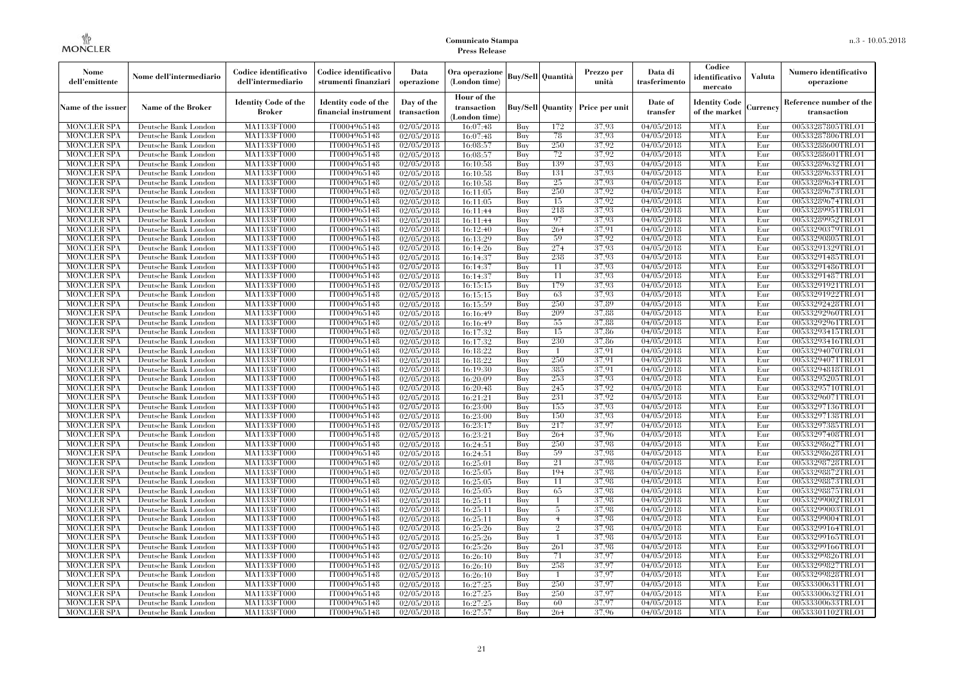| Nome<br>dell'emittente                   | Nome dell'intermediario                      | Codice identificativo<br>dell'intermediario  | Codice identificativo<br>strumenti finanziari | Data<br>operazione        | Ora operazione<br>(London time)             |            | Buy/Sell   Quantità      | Prezzo per<br>unità | Data di<br>trasferimento          | Codice<br>identificativo<br>mercato   | <b>Valuta</b> | Numero identificativo<br>operazione    |
|------------------------------------------|----------------------------------------------|----------------------------------------------|-----------------------------------------------|---------------------------|---------------------------------------------|------------|--------------------------|---------------------|-----------------------------------|---------------------------------------|---------------|----------------------------------------|
| Name of the issuer                       | Name of the Broker                           | <b>Identity Code of the</b><br><b>Broker</b> | Identity code of the<br>financial instrument  | Day of the<br>transaction | Hour of the<br>transaction<br>(London time) |            | <b>Buy/Sell Quantity</b> | Price per unit      | Date of<br>transfer               | <b>Identity Code</b><br>of the market | Currencv      | Reference number of the<br>transaction |
| <b>MONCLER SPA</b>                       | Deutsche Bank London                         | MA1133FT000                                  | IT0004965148                                  | $\sqrt{02}/05/2018$       | 16:07:48                                    | Buy        | 172                      | 37,93               | 04/05/2018                        | <b>MTA</b>                            | Eur           | 00533287805TRLO1                       |
| <b>MONCLER SPA</b>                       | Deutsche Bank London                         | <b>MA1133FT000</b>                           | IT0004965148                                  | 02/05/2018                | 16:07:48                                    | Buy        | 78                       | 37,93               | 04/05/2018                        | <b>MTA</b>                            | Eur           | 00533287806TRLO1                       |
| <b>MONCLER SPA</b>                       | Deutsche Bank London                         | MA1133FT000                                  | IT0004965148                                  | 02/05/2018                | 16:08:57                                    | Buv        | 250                      | 37,92               | 04/05/2018                        | <b>MTA</b>                            | Eur           | 00533288600TRLO1                       |
| <b>MONCLER SPA</b>                       | Deutsche Bank London                         | MA1133FT000                                  | IT0004965148                                  | 02/05/2018                | 16:08:57                                    | Buy        | 72                       | 37,92               | 04/05/2018                        | <b>MTA</b>                            | Eur           | 00533288601TRLO1                       |
| <b>MONCLER SPA</b>                       | Deutsche Bank London                         | MA1133FT000                                  | IT0004965148                                  | $\sqrt{02}/05/2018$       | 16:10:58                                    | Buy        | 139                      | 37,93               | 04/05/2018                        | <b>MTA</b>                            | Eur           | 00533289632TRLO1                       |
| <b>MONCLER SPA</b>                       | Deutsche Bank London                         | <b>MA1133FT000</b>                           | IT0004965148                                  | 02/05/2018                | 16:10:58                                    | Buy        | 131                      | 37.93               | $\sqrt{04}/05/2018$               | <b>MTA</b>                            | Eur           | 00533289633TRLO1                       |
| <b>MONCLER SPA</b>                       | Deutsche Bank London                         | MA1133FT000                                  | IT0004965148                                  | 02/05/2018                | 16:10:58                                    | Buy        | 25                       | 37,93               | 04/05/2018                        | <b>MTA</b>                            | Eur           | 00533289634TRLO1                       |
| <b>MONCLER SPA</b>                       | Deutsche Bank London                         | MA1133FT000                                  | IT0004965148                                  | 02/05/2018                | 16:11:05                                    | Buy        | 250                      | 37,92               | 04/05/2018                        | <b>MTA</b>                            | Eur           | 00533289673TRLO1                       |
| <b>MONCLER SPA</b>                       | Deutsche Bank London                         | MA1133FT000                                  | IT0004965148                                  | 02/05/2018                | 16:11:05                                    | Buy        | 15                       | 37,92               | 04/05/2018                        | <b>MTA</b>                            | Eur           | 00533289674TRLO1                       |
| <b>MONCLER SPA</b>                       | Deutsche Bank London                         | MA1133FT000                                  | IT0004965148                                  | 02/05/2018                | 16:11:44                                    | Buy        | 218                      | 37,93               | 04/05/2018                        | <b>MTA</b>                            | Eur           | 00533289951TRLO1                       |
| <b>MONCLER SPA</b>                       | Deutsche Bank London                         | MA1133FT000                                  | IT0004965148                                  | 02/05/2018                | 16:11:44                                    | Buy        | 97                       | 37,93               | 04/05/2018                        | <b>MTA</b>                            | Eur           | 00533289952TRLO1                       |
| <b>MONCLER SPA</b>                       | Deutsche Bank London                         | MA1133FT000                                  | IT0004965148                                  | 02/05/2018                | 16:12:40                                    | Buy        | 264                      | 37,91               | 04/05/2018                        | <b>MTA</b>                            | Eur           | 00533290379TRLO1                       |
| <b>MONCLER SPA</b>                       | Deutsche Bank London                         | MA1133FT000                                  | IT0004965148                                  | 02/05/2018                | 16:13:29                                    | Buy        | 59                       | 37,92               | 04/05/2018                        | <b>MTA</b>                            | Eur           | 00533290805TRLO1                       |
| <b>MONCLER SPA</b>                       | Deutsche Bank London                         | MA1133FT000                                  | IT0004965148                                  | 02/05/2018                | 16:14:26                                    | Buy        | 274                      | 37,93               | 04/05/2018                        | <b>MTA</b>                            | Eur           | 00533291329TRLO1                       |
| <b>MONCLER SPA</b>                       | Deutsche Bank London                         | MA1133FT000                                  | IT0004965148                                  | 02/05/2018                | 16:14:37                                    | Buy        | 238                      | 37,93               | 04/05/2018                        | <b>MTA</b>                            | Eur           | 00533291485TRLO1                       |
| <b>MONCLER SPA</b>                       | Deutsche Bank London                         | MA1133FT000                                  | IT0004965148                                  | 02/05/2018                | 16:14:37                                    | Buy        | 11<br>11                 | 37.93<br>37.93      | 04/05/2018                        | <b>MTA</b>                            | Eur           | 00533291486TRLO1                       |
| <b>MONCLER SPA</b>                       | Deutsche Bank London                         | MA1133FT000                                  | IT0004965148                                  | 02/05/2018                | 16:14:37                                    | Buy        | 179                      |                     | 04/05/2018                        | <b>MTA</b>                            | Eur           | 00533291487TRLO1                       |
| <b>MONCLER SPA</b>                       | Deutsche Bank London                         | MA1133FT000                                  | IT0004965148                                  | 02/05/2018                | 16:15:15                                    | Buy        |                          | 37,93               | 04/05/2018                        | <b>MTA</b>                            | Eur           | 00533291921TRLO1                       |
| <b>MONCLER SPA</b>                       | Deutsche Bank London                         | MA1133FT000                                  | IT0004965148                                  | 02/05/2018                | 16:15:15                                    | Buy        | 63                       | 37,93               | 04/05/2018                        | <b>MTA</b>                            | Eur           | 00533291922TRLO1                       |
| <b>MONCLER SPA</b><br><b>MONCLER SPA</b> | Deutsche Bank London                         | MA1133FT000                                  | IT0004965148<br>IT0004965148                  | 02/05/2018<br>02/05/2018  | 16:15:59                                    | Buy<br>Buy | 250<br>209               | 37.89<br>37,88      | 04/05/2018<br>04/05/2018          | <b>MTA</b><br><b>MTA</b>              | Eur<br>Eur    | 00533292428TRLO1<br>00533292960TRLO1   |
|                                          | Deutsche Bank London                         | MA1133FT000                                  |                                               |                           | 16:16:49                                    |            | 55                       | 37,88               | 04/05/2018                        | <b>MTA</b>                            |               |                                        |
| <b>MONCLER SPA</b>                       | Deutsche Bank London                         | MA1133FT000                                  | IT0004965148                                  | 02/05/2018                | 16:16:49                                    | Buy        | 15                       | 37,86               |                                   | <b>MTA</b>                            | Eur<br>Eur    | 00533292961TRLO1                       |
| <b>MONCLER SPA</b>                       | Deutsche Bank London                         | MA1133FT000                                  | IT0004965148                                  | 02/05/2018                | 16:17:32                                    | Buy        |                          |                     | 04/05/2018                        |                                       |               | 00533293415TRLO1                       |
| <b>MONCLER SPA</b>                       | Deutsche Bank London                         | MA1133FT000                                  | IT0004965148                                  | 02/05/2018                | 16:17:32                                    | Buy        | 230                      | 37.86               | 04/05/2018                        | <b>MTA</b>                            | Eur           | 00533293416TRLO1                       |
| <b>MONCLER SPA</b>                       | Deutsche Bank London                         | MA1133FT000                                  | IT0004965148                                  | 02/05/2018                | 16:18:22                                    | Buy        | $\overline{1}$<br>250    | 37.91<br>37,91      | 04/05/2018                        | <b>MTA</b><br><b>MTA</b>              | Eur           | 00533294070TRLO1                       |
| <b>MONCLER SPA</b><br><b>MONCLER SPA</b> | Deutsche Bank London                         | MA1133FT000                                  | IT0004965148                                  | 02/05/2018                | 16:18:22                                    | Buy<br>Buy | 385                      | 37,91               | $\sqrt{04}/05/2018$<br>04/05/2018 | <b>MTA</b>                            | Eur<br>Eur    | 00533294071TRLO1                       |
| <b>MONCLER SPA</b>                       | Deutsche Bank London<br>Deutsche Bank London | MA1133FT000<br>MA1133FT000                   | IT0004965148<br>IT0004965148                  | 02/05/2018<br>02/05/2018  | 16:19:30                                    | Buy        | 253                      | 37.93               | 04/05/2018                        | <b>MTA</b>                            | Eur           | 00533294818TRLO1<br>00533295205TRLO1   |
| <b>MONCLER SPA</b>                       | Deutsche Bank London                         | MA1133FT000                                  | IT0004965148                                  |                           | 16:20:09                                    | Buy        | 245                      | 37.92               | $\sqrt{04}/05/2018$               | <b>MTA</b>                            | Eur           | 00533295710TRLO1                       |
| <b>MONCLER SPA</b>                       | Deutsche Bank London                         | <b>MA1133FT000</b>                           | IT0004965148                                  | 02/05/2018<br>02/05/2018  | 16:20:48<br>16:21:21                        | Buy        | 231                      | 37.92               | 04/05/2018                        | <b>MTA</b>                            | Eur           | 00533296071TRLO1                       |
| <b>MONCLER SPA</b>                       | Deutsche Bank London                         | MA1133FT000                                  | IT0004965148                                  | 02/05/2018                | 16:23:00                                    | Buy        | 155                      | 37,93               | 04/05/2018                        | <b>MTA</b>                            | Eur           | 00533297136TRLO1                       |
| <b>MONCLER SPA</b>                       | Deutsche Bank London                         | MA1133FT000                                  | IT0004965148                                  | 02/05/2018                | 16:23:00                                    | Buy        | 150                      | 37,93               | 04/05/2018                        | <b>MTA</b>                            | Eur           | 00533297138TRLO1                       |
| <b>MONCLER SPA</b>                       | Deutsche Bank London                         | MA1133FT000                                  | IT0004965148                                  | 02/05/2018                | 16:23:17                                    | Buv        | 217                      | 37,97               | 04/05/2018                        | <b>MTA</b>                            | Eur           | 00533297385TRLO1                       |
| <b>MONCLER SPA</b>                       | Deutsche Bank London                         | MA1133FT000                                  | IT0004965148                                  | 02/05/2018                | 16:23:21                                    | Buy        | 264                      | 37.96               | 04/05/2018                        | <b>MTA</b>                            | Eur           | 00533297408TRLO1                       |
| <b>MONCLER SPA</b>                       | Deutsche Bank London                         | <b>MA1133FT000</b>                           | IT0004965148                                  | 02/05/2018                | 16:24:51                                    | Buy        | 250                      | 37,98               | 04/05/2018                        | <b>MTA</b>                            | Eur           | 00533298627TRLO1                       |
| <b>MONCLER SPA</b>                       | Deutsche Bank London                         | MA1133FT000                                  | IT0004965148                                  | 02/05/2018                | 16:24:51                                    | Buy        | 59                       | 37,98               | 04/05/2018                        | <b>MTA</b>                            | Eur           | 00533298628TRLO1                       |
| <b>MONCLER SPA</b>                       | Deutsche Bank London                         | MA1133FT000                                  | IT0004965148                                  | 02/05/2018                | 16:25:01                                    | Buy        | 21                       | 37,98               | 04/05/2018                        | <b>MTA</b>                            | Eur           | 00533298728TRLO1                       |
| <b>MONCLER SPA</b>                       | Deutsche Bank London                         | <b>MA1133FT000</b>                           | IT0004965148                                  | 02/05/2018                | 16:25:05                                    | Buy        | 194                      | 37.98               | 04/05/2018                        | <b>MTA</b>                            | Eur           | 00533298872TRLO1                       |
| <b>MONCLER SPA</b>                       | Deutsche Bank London                         | MA1133FT000                                  | IT0004965148                                  | $\sqrt{02}/05/2018$       | 16:25:05                                    | Buy        | 11                       | 37,98               | 04/05/2018                        | <b>MTA</b>                            | Eur           | 00533298873TRLO1                       |
| <b>MONCLER SPA</b>                       | Deutsche Bank London                         | <b>MA1133FT000</b>                           | IT0004965148                                  | 02/05/2018                | 16:25:05                                    | Buy        | 65                       | 37,98               | 04/05/2018                        | <b>MTA</b>                            | Eur           | 00533298875TRLO1                       |
| <b>MONCLER SPA</b>                       | Deutsche Bank London                         | MA1133FT000                                  | IT0004965148                                  | 02/05/2018                | 16:25:11                                    | Buy        | $\overline{1}$           | 37,98               | 04/05/2018                        | <b>MTA</b>                            | Eur           | 00533299002TRLO1                       |
| <b>MONCLER SPA</b>                       | Deutsche Bank London                         | MA1133FT000                                  | IT0004965148                                  | 02/05/2018                | 16:25:11                                    | Buy        | 5                        | 37,98               | $\sqrt{04}/05/2018$               | <b>MTA</b>                            | Eur           | 00533299003TRLO1                       |
| <b>MONCLER SPA</b>                       | Deutsche Bank London                         | MA1133FT000                                  | IT0004965148                                  | 02/05/2018                | 16:25:11                                    | Buy        | $\overline{4}$           | 37,98               | 04/05/2018                        | <b>MTA</b>                            | Eur           | 00533299004TRLO1                       |
| <b>MONCLER SPA</b>                       | Deutsche Bank London                         | MA1133FT000                                  | IT0004965148                                  | 02/05/2018                | 16:25:26                                    | Buy        | $\overline{2}$           | 37,98               | 04/05/2018                        | <b>MTA</b>                            | Eur           | 00533299164TRLO1                       |
| <b>MONCLER SPA</b>                       | Deutsche Bank London                         | MA1133FT000                                  | IT0004965148                                  | 02/05/2018                | 16:25:26                                    | Buy        | $\mathbf{1}$             | 37,98               | 04/05/2018                        | <b>MTA</b>                            | Eur           | 00533299165TRLO1                       |
| <b>MONCLER SPA</b>                       | Deutsche Bank London                         | MA1133FT000                                  | IT0004965148                                  | 02/05/2018                | 16:25:26                                    | Buy        | 261                      | 37.98               | 04/05/2018                        | <b>MTA</b>                            | Eur           | 00533299166TRLO1                       |
| <b>MONCLER SPA</b>                       | Deutsche Bank London                         | MA1133FT000                                  | IT0004965148                                  | 02/05/2018                | 16:26:10                                    | Buy        | 71                       | 37,97               | 04/05/2018                        | <b>MTA</b>                            | Eur           | 00533299826TRLO1                       |
| <b>MONCLER SPA</b>                       | Deutsche Bank London                         | MA1133FT000                                  | IT0004965148                                  | 02/05/2018                | 16:26:10                                    | Buy        | 258                      | 37,97               | 04/05/2018                        | <b>MTA</b>                            | Eur           | 00533299827TRLO1                       |
| <b>MONCLER SPA</b>                       | Deutsche Bank London                         | MA1133FT000                                  | IT0004965148                                  | 02/05/2018                | 16:26:10                                    | Buy        | 1                        | 37,97               | 04/05/2018                        | <b>MTA</b>                            | Eur           | 00533299828TRLO1                       |
| <b>MONCLER SPA</b>                       | Deutsche Bank London                         | MA1133FT000                                  | IT0004965148                                  | 02/05/2018                | 16:27:25                                    | Buy        | 250                      | 37,97               | 04/05/2018                        | <b>MTA</b>                            | Eur           | 00533300631TRLO1                       |
| <b>MONCLER SPA</b>                       | Deutsche Bank London                         | MA1133FT000                                  | IT0004965148                                  | 02/05/2018                | 16:27:25                                    | Buy        | 250                      | 37,97               | 04/05/2018                        | <b>MTA</b>                            | Eur           | 00533300632TRLO1                       |
| <b>MONCLER SPA</b>                       | Deutsche Bank London                         | MA1133FT000                                  | IT0004965148                                  | 02/05/2018                | 16:27:25                                    | Buy        | 60                       | 37,97               | 04/05/2018                        | <b>MTA</b>                            | Eur           | 00533300633TRLO1                       |
| <b>MONCLER SPA</b>                       | Deutsche Bank London                         | MA1133FT000                                  | IT0004965148                                  | 02/05/2018                | 16:27:57                                    | Buy        | 264                      | 37.96               | 04/05/2018                        | <b>MTA</b>                            | Eur           | 00533301102TRLO1                       |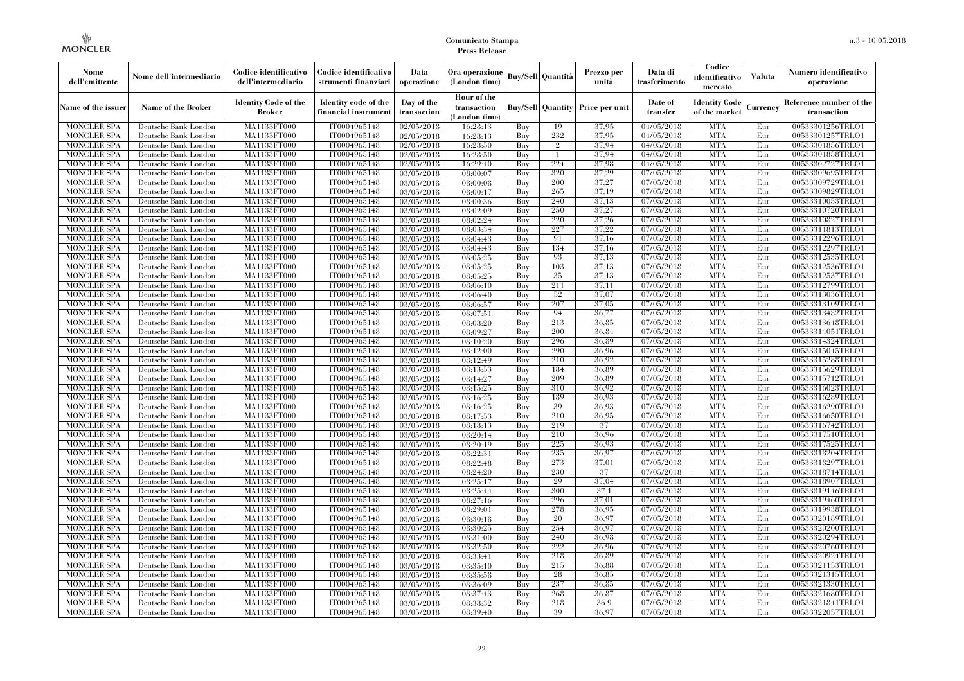| Nome<br>dell'emittente                   | Nome dell'intermediario                      | Codice identificativo<br>dell'intermediario  | Codice identificativo<br>strumenti finanziari | Data<br>operazione        | Ora operazione<br>(London time)             |            | Buy/Sell   Quantità      | Prezzo per<br>unità | Data di<br>trasferimento          | Codice<br>identificativo<br>mercato   | <b>Valuta</b> | Numero identificativo<br>operazione    |
|------------------------------------------|----------------------------------------------|----------------------------------------------|-----------------------------------------------|---------------------------|---------------------------------------------|------------|--------------------------|---------------------|-----------------------------------|---------------------------------------|---------------|----------------------------------------|
| Name of the issuer                       | Name of the Broker                           | <b>Identity Code of the</b><br><b>Broker</b> | Identity code of the<br>financial instrument  | Day of the<br>transaction | Hour of the<br>transaction<br>(London time) |            | <b>Buy/Sell Quantity</b> | Price per unit      | Date of<br>transfer               | <b>Identity Code</b><br>of the market | Currencv      | Reference number of the<br>transaction |
| <b>MONCLER SPA</b>                       | Deutsche Bank London                         | MA1133FT000                                  | IT0004965148                                  | $\sqrt{02}/05/2018$       | 16:28:13                                    | Buy        | 19                       | 37,95               | 04/05/2018                        | <b>MTA</b>                            | Eur           | 00533301256TRLO1                       |
| <b>MONCLER SPA</b>                       | Deutsche Bank London                         | <b>MA1133FT000</b>                           | IT0004965148                                  | 02/05/2018                | 16:28:13                                    | Buy        | 232                      | 37,95               | 04/05/2018                        | <b>MTA</b>                            | Eur           | 00533301257TRLO1                       |
| <b>MONCLER SPA</b>                       | Deutsche Bank London                         | MA1133FT000                                  | IT0004965148                                  | 02/05/2018                | 16:28:50                                    | Buv        | $\overline{2}$           | 37,94               | 04/05/2018                        | <b>MTA</b>                            | Eur           | 00533301856TRLO1                       |
| <b>MONCLER SPA</b>                       | Deutsche Bank London                         | MA1133FT000                                  | IT0004965148                                  | 02/05/2018                | 16:28:50                                    | Buy        | $\mathbf{1}$             | 37.94               | 04/05/2018                        | <b>MTA</b>                            | Eur           | 00533301858TRLO1                       |
| <b>MONCLER SPA</b>                       | Deutsche Bank London                         | MA1133FT000                                  | IT0004965148                                  | $\sqrt{02}/05/2018$       | 16:29:40                                    | Buy        | 224<br>320               | 37,98<br>37,29      | 04/05/2018                        | <b>MTA</b><br><b>MTA</b>              | Eur<br>Eur    | 00533302727TRLO1                       |
| <b>MONCLER SPA</b><br><b>MONCLER SPA</b> | Deutsche Bank London<br>Deutsche Bank London | <b>MA1133FT000</b><br>MA1133FT000            | IT0004965148<br>IT0004965148                  | 03/05/2018<br>03/05/2018  | 08:00:07<br>08:00:08                        | Buy<br>Buy | 200                      | 37,27               | $\sqrt{07}/05/2018$<br>07/05/2018 | <b>MTA</b>                            | Eur           | 00533309695TRLO1<br>00533309729TRLO1   |
| <b>MONCLER SPA</b>                       | Deutsche Bank London                         | MA1133FT000                                  | IT0004965148                                  | 03/05/2018                | 08:00:17                                    | Buy        | 265                      | 37,19               | 07/05/2018                        | <b>MTA</b>                            | Eur           | 00533309829TRLO1                       |
| <b>MONCLER SPA</b>                       | Deutsche Bank London                         | MA1133FT000                                  | IT0004965148                                  | 03/05/2018                | 08:00:36                                    | Buy        | 240                      | 37,13               | 07/05/2018                        | <b>MTA</b>                            | Eur           | 00533310053TRLO1                       |
| <b>MONCLER SPA</b>                       | Deutsche Bank London                         | MA1133FT000                                  | IT0004965148                                  | 03/05/2018                | 08:02:09                                    | Buy        | 250                      | 37,27               | 07/05/2018                        | <b>MTA</b>                            | Eur           | 00533310720TRLO1                       |
| <b>MONCLER SPA</b>                       | Deutsche Bank London                         | MA1133FT000                                  | IT0004965148                                  | 03/05/2018                | 08:02:24                                    | Buy        | 220                      | 37,26               | 07/05/2018                        | <b>MTA</b>                            | Eur           | 00533310827TRLO1                       |
| <b>MONCLER SPA</b>                       | Deutsche Bank London                         | MA1133FT000                                  | IT0004965148                                  | 03/05/2018                | 08:03:34                                    | Buy        | 227                      | 37,22               | 07/05/2018                        | <b>MTA</b>                            | Eur           | 00533311813TRLO1                       |
| <b>MONCLER SPA</b>                       | Deutsche Bank London                         | MA1133FT000                                  | IT0004965148                                  | 03/05/2018                | 08:04:43                                    | Buy        | 91                       | 37,16               | 07/05/2018                        | <b>MTA</b>                            | Eur           | 00533312296TRLO1                       |
| <b>MONCLER SPA</b>                       | Deutsche Bank London                         | MA1133FT000                                  | IT0004965148                                  | 03/05/2018                | 08:04:43                                    | Buy        | 134                      | 37,16               | 07/05/2018                        | <b>MTA</b>                            | Eur           | 00533312297TRLO1                       |
| <b>MONCLER SPA</b>                       | Deutsche Bank London                         | MA1133FT000                                  | IT0004965148                                  | 03/05/2018                | 08:05:25                                    | Buy        | 93                       | 37,13               | 07/05/2018                        | <b>MTA</b>                            | Eur           | 00533312535TRLO1                       |
| <b>MONCLER SPA</b>                       | Deutsche Bank London                         | MA1133FT000                                  | IT0004965148                                  | 03/05/2018                | 08:05:25                                    | Buy        | 103                      | 37,13               | 07/05/2018                        | <b>MTA</b>                            | Eur           | 00533312536TRLO1                       |
| <b>MONCLER SPA</b>                       | Deutsche Bank London                         | MA1133FT000                                  | IT0004965148                                  | 03/05/2018                | 08:05:25                                    | Buy        | 35                       | 37,13               | 07/05/2018                        | <b>MTA</b>                            | Eur           | 00533312537TRLO1                       |
| <b>MONCLER SPA</b>                       | Deutsche Bank London                         | MA1133FT000                                  | IT0004965148                                  | 03/05/2018                | 08:06:10                                    | Buy        | 211                      | 37,11               | 07/05/2018                        | <b>MTA</b>                            | Eur           | 00533312799TRLO1                       |
| <b>MONCLER SPA</b>                       | Deutsche Bank London                         | MA1133FT000                                  | IT0004965148                                  | 03/05/2018                | 08:06:40                                    | Buy        | 52                       | 37,07               | 07/05/2018                        | <b>MTA</b>                            | Eur           | 00533313036TRLO1                       |
| <b>MONCLER SPA</b>                       | Deutsche Bank London                         | MA1133FT000                                  | IT0004965148                                  | 03/05/2018                | 08:06:57                                    | Buy        | 207                      | 37.05               | 07/05/2018                        | <b>MTA</b>                            | Eur           | 00533313109TRLO1                       |
| <b>MONCLER SPA</b>                       | Deutsche Bank London                         | MA1133FT000                                  | IT0004965148                                  | 03/05/2018                | 08:07:51                                    | Buy        | 94<br>213                | 36,77               | 07/05/2018                        | <b>MTA</b>                            | Eur           | 00533313482TRLO1                       |
| <b>MONCLER SPA</b><br><b>MONCLER SPA</b> | Deutsche Bank London                         | MA1133FT000<br>MA1133FT000                   | IT0004965148<br>IT0004965148                  | 03/05/2018                | 08:08:20                                    | Buy<br>Buy | 200                      | 36,85<br>36.84      | 07/05/2018<br>07/05/2018          | <b>MTA</b><br><b>MTA</b>              | Eur<br>Eur    | 00533313648TRLO1<br>00533314051TRLO1   |
| <b>MONCLER SPA</b>                       | Deutsche Bank London<br>Deutsche Bank London | MA1133FT000                                  | IT0004965148                                  | 03/05/2018<br>03/05/2018  | 08:09:27<br>08:10:20                        | Buy        | 296                      | 36.89               | 07/05/2018                        | <b>MTA</b>                            | Eur           | 00533314324TRLO1                       |
| <b>MONCLER SPA</b>                       | Deutsche Bank London                         | MA1133FT000                                  | IT0004965148                                  | 03/05/2018                | 08:12:00                                    | Buy        | 290                      | 36.96               | 07/05/2018                        | <b>MTA</b>                            | Eur           | 00533315045TRLO1                       |
| <b>MONCLER SPA</b>                       | Deutsche Bank London                         | MA1133FT000                                  | IT0004965148                                  | 03/05/2018                | 08:12:49                                    | Buy        | 210                      | 36.92               | $\sqrt{07}/05/2018$               | <b>MTA</b>                            | Eur           | 00533315288TRLO1                       |
| <b>MONCLER SPA</b>                       | Deutsche Bank London                         | MA1133FT000                                  | IT0004965148                                  | 03/05/2018                | 08:13:53                                    | Buy        | 184                      | 36.89               | $\sqrt{07/05}/2018$               | <b>MTA</b>                            | Eur           | 00533315629TRLO1                       |
| <b>MONCLER SPA</b>                       | Deutsche Bank London                         | MA1133FT000                                  | IT0004965148                                  | 03/05/2018                | 08:14:27                                    | Buy        | 209                      | 36.89               | 07/05/2018                        | <b>MTA</b>                            | Eur           | 00533315712TRLO1                       |
| <b>MONCLER SPA</b>                       | Deutsche Bank London                         | MA1133FT000                                  | IT0004965148                                  | 03/05/2018                | 08:15:25                                    | Buy        | 310                      | 36.92               | 07/05/2018                        | <b>MTA</b>                            | Eur           | 00533316023TRLO1                       |
| <b>MONCLER SPA</b>                       | Deutsche Bank London                         | <b>MA1133FT000</b>                           | IT0004965148                                  | 03/05/2018                | 08:16:25                                    | Buy        | 189                      | 36.93               | 07/05/2018                        | <b>MTA</b>                            | Eur           | 00533316289TRLO1                       |
| <b>MONCLER SPA</b>                       | Deutsche Bank London                         | MA1133FT000                                  | IT0004965148                                  | 03/05/2018                | 08:16:25                                    | Buy        | 39                       | 36,93               | 07/05/2018                        | <b>MTA</b>                            | Eur           | 00533316290TRLO1                       |
| <b>MONCLER SPA</b>                       | Deutsche Bank London                         | MA1133FT000                                  | IT0004965148                                  | 03/05/2018                | 08:17:53                                    | Buy        | 210                      | 36,95               | 07/05/2018                        | <b>MTA</b>                            | Eur           | 00533316650TRLO1                       |
| <b>MONCLER SPA</b>                       | Deutsche Bank London                         | MA1133FT000                                  | IT0004965148                                  | 03/05/2018                | 08:18:13                                    | Buv        | 219                      | 37                  | 07/05/2018                        | <b>MTA</b>                            | Eur           | 00533316742TRLO1                       |
| <b>MONCLER SPA</b>                       | Deutsche Bank London                         | <b>MA1133FT000</b>                           | IT0004965148                                  | 03/05/2018                | 08:20:14                                    | Buy        | 210                      | 36.96               | 07/05/2018                        | <b>MTA</b>                            | Eur           | 00533317510TRLO1                       |
| <b>MONCLER SPA</b>                       | Deutsche Bank London                         | MA1133FT000                                  | IT0004965148                                  | 03/05/2018                | 08:20:19                                    | Buy        | 225                      | 36.93               | 07/05/2018                        | <b>MTA</b>                            | Eur           | 00533317525TRLO1                       |
| <b>MONCLER SPA</b>                       | Deutsche Bank London                         | MA1133FT000                                  | IT0004965148                                  | 03/05/2018                | 08:22:31                                    | Buy        | 235                      | 36,97               | 07/05/2018                        | <b>MTA</b>                            | Eur           | 00533318204TRLO1                       |
| <b>MONCLER SPA</b>                       | Deutsche Bank London                         | MA1133FT000                                  | IT0004965148                                  | 03/05/2018                | 08:22:48                                    | Buy        | 273                      | 37,01               | 07/05/2018                        | <b>MTA</b>                            | Eur           | 00533318297TRLO1                       |
| <b>MONCLER SPA</b>                       | Deutsche Bank London                         | <b>MA1133FT000</b>                           | IT0004965148                                  | 03/05/2018                | 08:24:20                                    | Buy        | 230                      | 37                  | 07/05/2018                        | <b>MTA</b>                            | Eur           | 00533318714TRLO1                       |
| <b>MONCLER SPA</b>                       | Deutsche Bank London                         | MA1133FT000                                  | IT0004965148                                  | $\overline{03}/05/2018$   | 08:25:17                                    | Buy        | 29                       | 37,04               | 07/05/2018                        | <b>MTA</b>                            | Eur           | 00533318907TRLO1                       |
| <b>MONCLER SPA</b>                       | Deutsche Bank London                         | <b>MA1133FT000</b>                           | IT0004965148                                  | 03/05/2018                | 08:25:44                                    | Buy        | 300                      | 37,1                | 07/05/2018                        | <b>MTA</b>                            | Eur           | 00533319146TRLO1                       |
| <b>MONCLER SPA</b>                       | Deutsche Bank London                         | MA1133FT000                                  | IT0004965148<br>IT0004965148                  | 03/05/2018<br>03/05/2018  | 08:27:16<br>08:29:01                        | Buy        | 296<br>278               | 37,01<br>36.95      | 07/05/2018<br>07/05/2018          | <b>MTA</b><br><b>MTA</b>              | Eur           | 00533319460TRLO1<br>00533319938TRLO1   |
| <b>MONCLER SPA</b><br><b>MONCLER SPA</b> | Deutsche Bank London<br>Deutsche Bank London | MA1133FT000<br>MA1133FT000                   | IT0004965148                                  | 03/05/2018                | 08:30:18                                    | Buy<br>Buy | 20                       | 36.97               | 07/05/2018                        | <b>MTA</b>                            | Eur<br>Eur    | 00533320189TRLO1                       |
| <b>MONCLER SPA</b>                       | Deutsche Bank London                         | MA1133FT000                                  | IT0004965148                                  | 03/05/2018                | 08:30:25                                    | Buy        | 254                      | 36,97               | 07/05/2018                        | <b>MTA</b>                            | Eur           | 00533320200TRLO1                       |
| <b>MONCLER SPA</b>                       | Deutsche Bank London                         | MA1133FT000                                  | IT0004965148                                  | 03/05/2018                | 08:31:00                                    | Buy        | 240                      | 36.98               | 07/05/2018                        | <b>MTA</b>                            | Eur           | 00533320294TRLO1                       |
| <b>MONCLER SPA</b>                       | Deutsche Bank London                         | MA1133FT000                                  | IT0004965148                                  | 03/05/2018                | 08:32:50                                    | Buy        | 222                      | 36.96               | 07/05/2018                        | <b>MTA</b>                            | Eur           | 00533320760TRLO1                       |
| <b>MONCLER SPA</b>                       | Deutsche Bank London                         | MA1133FT000                                  | IT0004965148                                  | 03/05/2018                | 08:33:41                                    | Buy        | 218                      | 36.89               | 07/05/2018                        | <b>MTA</b>                            | Eur           | 00533320924TRLO1                       |
| <b>MONCLER SPA</b>                       | Deutsche Bank London                         | MA1133FT000                                  | IT0004965148                                  | 03/05/2018                | 08:35:10                                    | Buy        | 215                      | 36.88               | 07/05/2018                        | <b>MTA</b>                            | Eur           | 00533321153TRLO1                       |
| <b>MONCLER SPA</b>                       | Deutsche Bank London                         | MA1133FT000                                  | IT0004965148                                  | 03/05/2018                | 08:35:58                                    | Buy        | 28                       | 36.85               | 07/05/2018                        | <b>MTA</b>                            | Eur           | 00533321315TRLO1                       |
| <b>MONCLER SPA</b>                       | Deutsche Bank London                         | MA1133FT000                                  | IT0004965148                                  | 03/05/2018                | 08:36:09                                    | Buy        | 237                      | 36.85               | 07/05/2018                        | <b>MTA</b>                            | Eur           | 00533321330TRLO1                       |
| <b>MONCLER SPA</b>                       | Deutsche Bank London                         | MA1133FT000                                  | IT0004965148                                  | 03/05/2018                | 08:37:43                                    | Buy        | 268                      | 36,87               | 07/05/2018                        | <b>MTA</b>                            | Eur           | 00533321680TRLO1                       |
| <b>MONCLER SPA</b>                       | Deutsche Bank London                         | MA1133FT000                                  | IT0004965148                                  | 03/05/2018                | 08:38:32                                    | Buy        | 218                      | 36.9                | 07/05/2018                        | <b>MTA</b>                            | Eur           | 00533321841TRLO1                       |
| <b>MONCLER SPA</b>                       | Deutsche Bank London                         | MA1133FT000                                  | IT0004965148                                  | 03/05/2018                | 08:39:40                                    | Buy        | 39                       | 36.97               | 07/05/2018                        | <b>MTA</b>                            | Eur           | 00533322057TRLO1                       |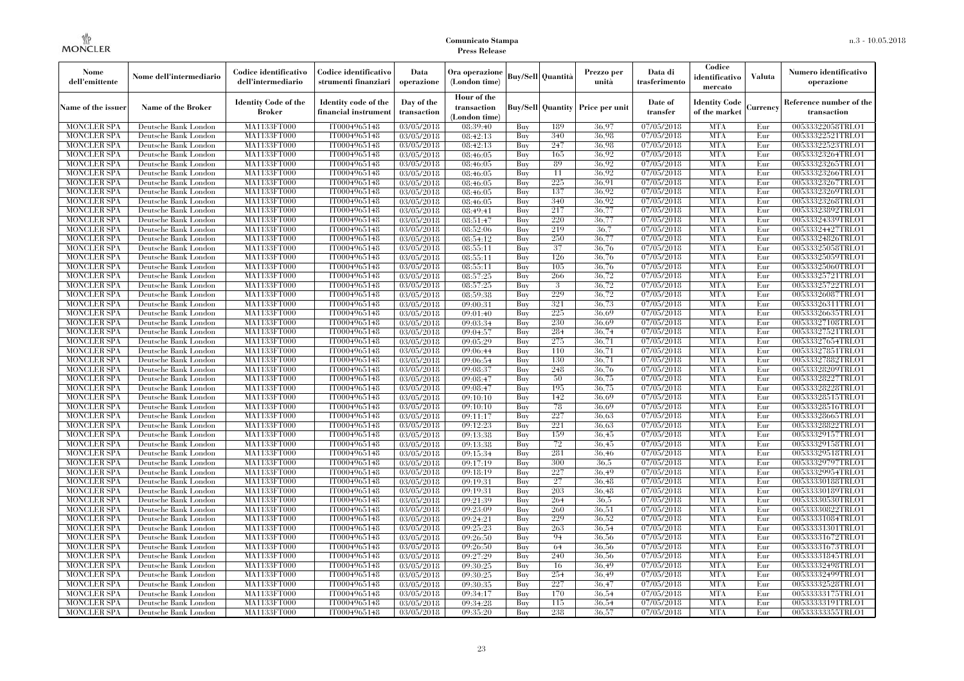| Nome<br>dell'emittente                   | Nome dell'intermediario                      | Codice identificativo<br>dell'intermediario  | Codice identificativo<br>strumenti finanziari | Data<br>operazione                    | Ora operazione<br>(London time)             |            | Buy/Sell Quantità        | Prezzo per<br>unità | Data di<br>trasferimento | Codice<br>identificativo<br>mercato   | Valuta     | Numero identificativo<br>operazione    |
|------------------------------------------|----------------------------------------------|----------------------------------------------|-----------------------------------------------|---------------------------------------|---------------------------------------------|------------|--------------------------|---------------------|--------------------------|---------------------------------------|------------|----------------------------------------|
| Name of the issuer                       | Name of the Broker                           | <b>Identity Code of the</b><br><b>Broker</b> | Identity code of the<br>financial instrument  | Day of the<br>transaction             | Hour of the<br>transaction<br>(London time) |            | <b>Buy/Sell Quantity</b> | Price per unit      | Date of<br>transfer      | <b>Identity Code</b><br>of the market | Currency   | Reference number of the<br>transaction |
| <b>MONCLER SPA</b>                       | Deutsche Bank London                         | MA1133FT000                                  | IT0004965148                                  | 03/05/2018                            | 08:39:40                                    | Buy        | 189                      | 36,97               | 07/05/2018               | <b>MTA</b>                            | Eur        | 00533322058TRLO1                       |
| <b>MONCLER SPA</b>                       | Deutsche Bank London                         | MA1133FT000                                  | IT0004965148                                  | 03/05/2018                            | 08:42:13                                    | Buy        | 340                      | 36.98               | 07/05/2018               | <b>MTA</b>                            | Eur        | 00533322521TRLO1                       |
| <b>MONCLER SPA</b>                       | Deutsche Bank London                         | MA1133FT000                                  | IT0004965148                                  | 03/05/2018                            | 08:42:13                                    | Buy        | 247                      | 36.98               | 07/05/2018               | <b>MTA</b>                            | Eur        | 00533322523TRLO1                       |
| <b>MONCLER SPA</b>                       | Deutsche Bank London                         | MA1133FT000                                  | IT0004965148                                  | 03/05/2018                            | 08:46:05                                    | Buy        | 165                      | 36,92               | 07/05/2018               | <b>MTA</b>                            | Eur        | 00533323264TRLO1                       |
| <b>MONCLER SPA</b>                       | Deutsche Bank London                         | MA1133FT000                                  | IT0004965148                                  | 03/05/2018                            | 08:46:05                                    | Buy        | 89                       | 36,92               | 07/05/2018               | <b>MTA</b>                            | Eur        | 00533323265TRLO1                       |
| <b>MONCLER SPA</b>                       | Deutsche Bank London                         | MA1133FT000                                  | IT0004965148                                  | 03/05/2018                            | 08:46:05                                    | Buy        | 11                       | 36,92               | 07/05/2018               | <b>MTA</b>                            | Eur        | 00533323266TRLO1                       |
| <b>MONCLER SPA</b><br><b>MONCLER SPA</b> | Deutsche Bank London<br>Deutsche Bank London | MA1133FT000<br>MA1133FT000                   | IT0004965148<br>IT0004965148                  | 03/05/2018<br>03/05/2018              | 08:46:05<br>08:46:05                        | Buy<br>Buy | 225<br>137               | 36.91<br>36,92      | 07/05/2018<br>07/05/2018 | <b>MTA</b><br><b>MTA</b>              | Eur<br>Eur | 00533323267TRLO1<br>00533323269TRLO1   |
| <b>MONCLER SPA</b>                       | Deutsche Bank London                         | MA1133FT000                                  | IT0004965148                                  | 03/05/2018                            | 08:46:05                                    | Buy        | 340                      | 36,92               | 07/05/2018               | <b>MTA</b>                            | Eur        | 00533323268TRLO1                       |
| <b>MONCLER SPA</b>                       | Deutsche Bank London                         | MA1133FT000                                  | IT0004965148                                  | 03/05/2018                            | 08:49:41                                    | Buy        | 217                      | 36,77               | 07/05/2018               | <b>MTA</b>                            | Eur        | 00533323892TRLO1                       |
| <b>MONCLER SPA</b>                       | Deutsche Bank London                         | MA1133FT000                                  | IT0004965148                                  | 03/05/2018                            | 08:51:47                                    | Buy        | 220                      | 36,77               | 07/05/2018               | <b>MTA</b>                            | Eur        | 00533324339TRLO1                       |
| <b>MONCLER SPA</b>                       | Deutsche Bank London                         | MA1133FT000                                  | IT0004965148                                  | 03/05/2018                            | 08:52:06                                    | Buy        | 219                      | 36.7                | 07/05/2018               | <b>MTA</b>                            | Eur        | 00533324427TRLO1                       |
| <b>MONCLER SPA</b>                       | Deutsche Bank London                         | MA1133FT000                                  | IT0004965148                                  | $\sqrt{03}/05/2018$                   | 08:54:12                                    | Buy        | 250                      | 36,77               | 07/05/2018               | <b>MTA</b>                            | Eur        | 00533324826TRLO1                       |
| <b>MONCLER SPA</b>                       | Deutsche Bank London                         | MA1133FT000                                  | IT0004965148                                  | 03/05/2018                            | 08:55:11                                    | Buy        | 37                       | 36,76               | 07/05/2018               | <b>MTA</b>                            | Eur        | 00533325058TRLO1                       |
| <b>MONCLER SPA</b>                       | Deutsche Bank London                         | MA1133FT000                                  | IT0004965148                                  | 03/05/2018                            | 08:55:11                                    | Buy        | 126                      | 36,76               | 07/05/2018               | <b>MTA</b>                            | Eur        | 00533325059TRLO1                       |
| <b>MONCLER SPA</b>                       | Deutsche Bank London                         | MA1133FT000                                  | IT0004965148                                  | 03/05/2018                            | 08:55:11                                    | Buy        | 105                      | 36,76               | 07/05/2018               | <b>MTA</b>                            | Eur        | 00533325060TRLO1                       |
| <b>MONCLER SPA</b>                       | Deutsche Bank London                         | MA1133FT000                                  | IT0004965148                                  | 03/05/2018                            | 08:57:25                                    | Buy        | 266                      | 36,72               | 07/05/2018               | <b>MTA</b>                            | Eur        | 00533325721TRLO1                       |
| <b>MONCLER SPA</b>                       | Deutsche Bank London                         | MA1133FT000                                  | IT0004965148                                  | 03/05/2018                            | 08:57:25                                    | Buy        | 3                        | 36,72               | $\overline{07/05/2018}$  | <b>MTA</b>                            | Eur        | 00533325722TRLO1                       |
| <b>MONCLER SPA</b>                       | Deutsche Bank London                         | MA1133FT000                                  | IT0004965148                                  | 03/05/2018                            | 08:59:38                                    | Buy        | 229                      | 36,72               | 07/05/2018               | <b>MTA</b>                            | Eur        | 00533326087TRLO1                       |
| <b>MONCLER SPA</b>                       | Deutsche Bank London                         | MA1133FT000                                  | IT0004965148                                  | 03/05/2018                            | 09:00:31                                    | Buy        | 321                      | 36,73               | 07/05/2018               | <b>MTA</b>                            | Eur        | 00533326311TRLO1                       |
| <b>MONCLER SPA</b>                       | Deutsche Bank London                         | MA1133FT000                                  | IT0004965148                                  | 03/05/2018                            | 09:01:40                                    | Buy        | 225                      | 36,69               | 07/05/2018               | <b>MTA</b>                            | Eur        | 00533326635TRLO1                       |
| <b>MONCLER SPA</b>                       | Deutsche Bank London                         | MA1133FT000                                  | IT0004965148                                  | $\overline{03}/05/2018$               | 09:03:34                                    | Buy        | 230                      | 36.69               | 07/05/2018               | <b>MTA</b>                            | Eur        | 00533327108TRLO1                       |
| <b>MONCLER SPA</b>                       | Deutsche Bank London                         | MA1133FT000                                  | IT0004965148                                  | 03/05/2018                            | 09:04:57                                    | Buy        | 284                      | 36,74               | 07/05/2018               | <b>MTA</b>                            | Eur        | 00533327521TRLO1                       |
| <b>MONCLER SPA</b>                       | Deutsche Bank London                         | MA1133FT000                                  | IT0004965148                                  | 03/05/2018                            | 09:05:29                                    | Buy        | 275                      | 36,71               | 07/05/2018               | <b>MTA</b>                            | Eur        | 00533327654TRLO1                       |
| <b>MONCLER SPA</b>                       | Deutsche Bank London                         | MA1133FT000                                  | IT0004965148                                  | 03/05/2018                            | 09:06:44                                    | Buy        | 110                      | 36,71               | 07/05/2018               | <b>MTA</b>                            | Eur        | 00533327851TRLO1                       |
| <b>MONCLER SPA</b>                       | Deutsche Bank London                         | MA1133FT000                                  | IT0004965148                                  | 03/05/2018                            | 09:06:54                                    | Buy        | 130                      | 36,71               | 07/05/2018               | <b>MTA</b>                            | Eur        | 00533327882TRLO1                       |
| <b>MONCLER SPA</b>                       | Deutsche Bank London                         | MA1133FT000                                  | IT0004965148                                  | 03/05/2018                            | 09:08:37                                    | Buy        | 248                      | 36,76               | 07/05/2018               | <b>MTA</b>                            | Eur        | 00533328209TRLO1                       |
| <b>MONCLER SPA</b>                       | Deutsche Bank London                         | MA1133FT000                                  | IT0004965148                                  | 03/05/2018                            | 09:08:47                                    | Buy        | 50                       | 36,75               | 07/05/2018               | <b>MTA</b>                            | Eur        | 00533328227TRLO1                       |
| <b>MONCLER SPA</b>                       | Deutsche Bank London                         | MA1133FT000                                  | IT0004965148                                  | 03/05/2018                            | 09:08:47                                    | Buy        | 195                      | 36,75               | 07/05/2018               | <b>MTA</b>                            | Eur        | 00533328228TRLO1                       |
| <b>MONCLER SPA</b>                       | Deutsche Bank London                         | MA1133FT000                                  | IT0004965148                                  | 03/05/2018                            | 09:10:10                                    | Buy        | 142                      | 36,69               | 07/05/2018               | <b>MTA</b>                            | Eur        | 00533328515TRLO1                       |
| <b>MONCLER SPA</b>                       | Deutsche Bank London                         | MA1133FT000                                  | IT0004965148                                  | 03/05/2018                            | 09:10:10                                    | Buy        | 78                       | 36.69               | 07/05/2018               | <b>MTA</b>                            | Eur        | 00533328516TRLO1                       |
| <b>MONCLER SPA</b>                       | Deutsche Bank London                         | MA1133FT000                                  | IT0004965148                                  | 03/05/2018                            | 09:11:17                                    | Buy        | 227                      | 36.63               | 07/05/2018               | <b>MTA</b>                            | Eur        | 00533328665TRLO1                       |
| <b>MONCLER SPA</b>                       | Deutsche Bank London                         | MA1133FT000                                  | IT0004965148                                  | 03/05/2018                            | 09:12:23                                    | Buy        | 221                      | 36.63               | 07/05/2018               | <b>MTA</b>                            | Eur        | 00533328822TRLO1                       |
| <b>MONCLER SPA</b>                       | Deutsche Bank London                         | MA1133FT000                                  | IT0004965148                                  | 03/05/2018                            | 09:13:38                                    | Buy        | 159                      | 36,45               | 07/05/2018               | <b>MTA</b>                            | Eur        | 00533329157TRLO1                       |
| <b>MONCLER SPA</b>                       | Deutsche Bank London                         | MA1133FT000                                  | IT0004965148                                  | 03/05/2018                            | 09:13:38                                    | Buy        | 72                       | 36.45               | 07/05/2018               | <b>MTA</b>                            | Eur        | 00533329158TRLO1                       |
| <b>MONCLER SPA</b>                       | Deutsche Bank London                         | MA1133FT000                                  | IT0004965148                                  | 03/05/2018                            | 09:15:34                                    | Buy        | 281                      | 36.46               | 07/05/2018               | <b>MTA</b>                            | Eur        | 00533329518TRLO1                       |
| <b>MONCLER SPA</b>                       | Deutsche Bank London                         | MA1133FT000                                  | IT0004965148                                  | 03/05/2018                            | 09:17:19                                    | Buy        | 300<br>227               | 36.5                | 07/05/2018               | <b>MTA</b>                            | Eur        | 00533329797TRLO1                       |
| <b>MONCLER SPA</b>                       | Deutsche Bank London                         | MA1133FT000                                  | IT0004965148                                  | 03/05/2018                            | 09:18:19                                    | Buy        | 27                       | 36,49               | 07/05/2018               | <b>MTA</b>                            | Eur        | 00533329954TRLO1                       |
| <b>MONCLER SPA</b><br><b>MONCLER SPA</b> | Deutsche Bank London<br>Deutsche Bank London | MA1133FT000<br>MA1133FT000                   | IT0004965148<br>IT0004965148                  | 03/05/2018<br>$\overline{03}/05/2018$ | 09:19:31<br>09:19:31                        | Buy<br>Buy | 203                      | 36,48<br>36,48      | 07/05/2018<br>07/05/2018 | <b>MTA</b><br><b>MTA</b>              | Eur<br>Eur | 00533330188TRLO1<br>00533330189TRLO1   |
| <b>MONCLER SPA</b>                       | Deutsche Bank London                         | MA1133FT000                                  | IT0004965148                                  | 03/05/2018                            | 09:21:39                                    | Buy        | 264                      | 36.5                | 07/05/2018               | <b>MTA</b>                            | Eur        | 00533330530TRLO1                       |
| <b>MONCLER SPA</b>                       | Deutsche Bank London                         | MA1133FT000                                  | IT0004965148                                  | 03/05/2018                            | 09:23:09                                    | Buy        | 260                      | 36.51               | 07/05/2018               | <b>MTA</b>                            | Eur        | 00533330822TRLO1                       |
| <b>MONCLER SPA</b>                       | Deutsche Bank London                         | MA1133FT000                                  | IT0004965148                                  | 03/05/2018                            | 09:24:21                                    | Buy        | 229                      | 36,52               | 07/05/2018               | <b>MTA</b>                            | Eur        | 00533331084TRLO1                       |
| <b>MONCLER SPA</b>                       | Deutsche Bank London                         | MA1133FT000                                  | IT0004965148                                  | 03/05/2018                            | 09:25:23                                    | Buy        | 263                      | 36,54               | 07/05/2018               | <b>MTA</b>                            | Eur        | 00533331301TRLO1                       |
| <b>MONCLER SPA</b>                       | Deutsche Bank London                         | MA1133FT000                                  | IT0004965148                                  | 03/05/2018                            | 09:26:50                                    | Buy        | 94                       | 36,56               | 07/05/2018               | <b>MTA</b>                            | Eur        | 00533331672TRLO1                       |
| <b>MONCLER SPA</b>                       | Deutsche Bank London                         | MA1133FT000                                  | IT0004965148                                  | 03/05/2018                            | 09:26:50                                    | Buy        | 64                       | 36,56               | 07/05/2018               | <b>MTA</b>                            | Eur        | 00533331673TRLO1                       |
| <b>MONCLER SPA</b>                       | Deutsche Bank London                         | MA1133FT000                                  | IT0004965148                                  | 03/05/2018                            | 09:27:29                                    | Buy        | 240                      | 36,56               | 07/05/2018               | <b>MTA</b>                            | Eur        | 00533331845TRLO1                       |
| <b>MONCLER SPA</b>                       | Deutsche Bank London                         | MA1133FT000                                  | IT0004965148                                  | 03/05/2018                            | 09:30:25                                    | Buy        | 16                       | 36,49               | 07/05/2018               | <b>MTA</b>                            | Eur        | 00533332498TRLO1                       |
| <b>MONCLER SPA</b>                       | Deutsche Bank London                         | MA1133FT000                                  | IT0004965148                                  | 03/05/2018                            | 09:30:25                                    | Buy        | 254                      | 36,49               | 07/05/2018               | <b>MTA</b>                            | Eur        | 00533332499TRLO1                       |
| <b>MONCLER SPA</b>                       | Deutsche Bank London                         | MA1133FT000                                  | IT0004965148                                  | 03/05/2018                            | 09:30:35                                    | Buy        | 227                      | 36,47               | 07/05/2018               | <b>MTA</b>                            | Eur        | 00533332528TRLO1                       |
| <b>MONCLER SPA</b>                       | Deutsche Bank London                         | MA1133FT000                                  | IT0004965148                                  | 03/05/2018                            | 09:34:17                                    | Buy        | 170                      | 36.54               | 07/05/2018               | <b>MTA</b>                            | Eur        | 00533333175TRLO1                       |
| <b>MONCLER SPA</b>                       | Deutsche Bank London                         | MA1133FT000                                  | IT0004965148                                  | 03/05/2018                            | 09:34:28                                    | Buy        | 115                      | 36,54               | 07/05/2018               | <b>MTA</b>                            | Eur        | 00533333191TRLO1                       |
| <b>MONCLER SPA</b>                       | Deutsche Bank London                         | MA1133FT000                                  | IT0004965148                                  | 03/05/2018                            | 09:35:20                                    | Buy        | 238                      | 36,57               | 07/05/2018               | <b>MTA</b>                            | Eur        | 00533333355TRLO1                       |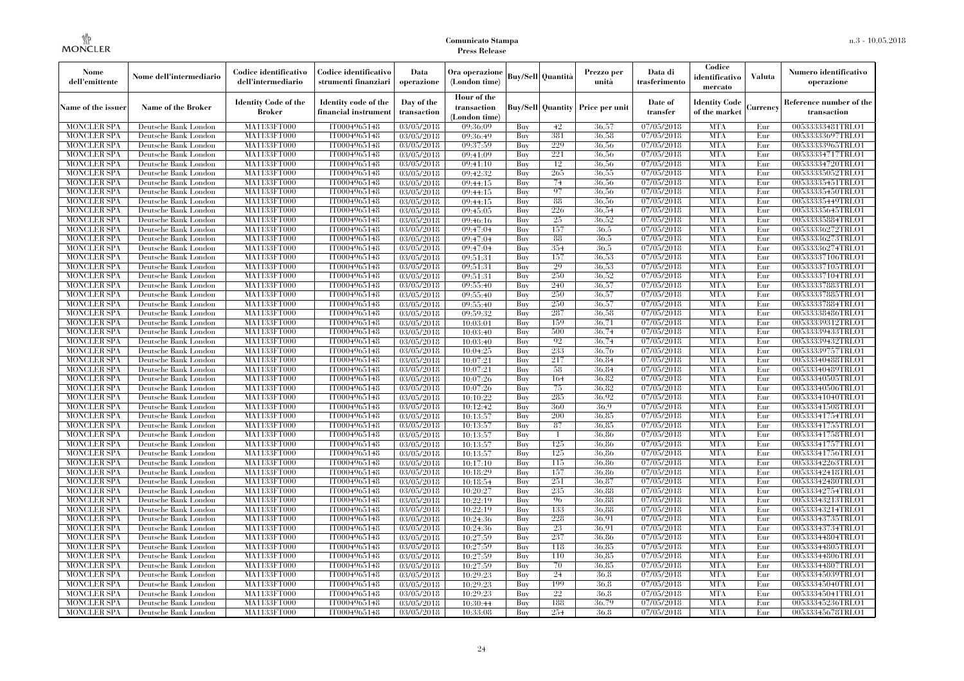| Nome<br>dell'emittente | Nome dell'intermediario   | Codice identificativo<br>dell'intermediario  | Codice identificativo<br>strumenti finanziari | Data<br>operazione        | Ora operazione<br>(London time)            |     | <b>Buy/Sell Quantità</b> | Prezzo per<br>unità                     | Data di<br>trasferimento | Codice<br>identificativo<br>mercato   | <b>Valuta</b> | Numero identificativo<br>operazione    |
|------------------------|---------------------------|----------------------------------------------|-----------------------------------------------|---------------------------|--------------------------------------------|-----|--------------------------|-----------------------------------------|--------------------------|---------------------------------------|---------------|----------------------------------------|
| Name of the issuer     | <b>Name of the Broker</b> | <b>Identity Code of the</b><br><b>Broker</b> | Identity code of the<br>financial instrument  | Day of the<br>transaction | Hour of the<br>transaction<br>(London time |     |                          | <b>Buy/Sell Quantity Price per unit</b> | Date of<br>transfer      | <b>Identity Code</b><br>of the market | Currency      | Reference number of the<br>transaction |
| <b>MONCLER SPA</b>     | Deutsche Bank London      | MA1133FT000                                  | IT0004965148                                  | 03/05/2018                | 09:36:09                                   | Buy | 42                       | 36,57                                   | 07/05/2018               | <b>MTA</b>                            | Eur           | 00533333481TRLO1                       |
| <b>MONCLER SPA</b>     | Deutsche Bank London      | MA1133FT000                                  | IT0004965148                                  | 03/05/2018                | 09:36:49                                   | Buy | 381                      | 36,58                                   | 07/05/2018               | <b>MTA</b>                            | Eur           | 00533333697TRLO1                       |
| <b>MONCLER SPA</b>     | Deutsche Bank London      | MA1133FT000                                  | IT0004965148                                  | 03/05/2018                | 09:37:59                                   | Buy | 229                      | 36,56                                   | 07/05/2018               | <b>MTA</b>                            | Eur           | 00533333965TRLO1                       |
| <b>MONCLER SPA</b>     | Deutsche Bank London      | <b>MA1133FT000</b>                           | IT0004965148                                  | 03/05/2018                | 09:41:09                                   | Buy | 221                      | 36.56                                   | 07/05/2018               | <b>MTA</b>                            | Eur           | 00533334717TRLO1                       |
| <b>MONCLER SPA</b>     | Deutsche Bank London      | <b>MA1133FT000</b>                           | IT0004965148                                  | 03/05/2018                | 09:41:10                                   | Buy | 12                       | 36,56                                   | 07/05/2018               | <b>MTA</b>                            | Eur           | 00533334720TRLO1                       |
| <b>MONCLER SPA</b>     | Deutsche Bank London      | MA1133FT000                                  | IT0004965148                                  | 03/05/2018                | 09:42:32                                   | Buy | 265                      | 36,55                                   | 07/05/2018               | <b>MTA</b>                            | Eur           | 00533335052TRLO1                       |
| <b>MONCLER SPA</b>     | Deutsche Bank London      | MA1133FT000                                  | IT0004965148                                  | 03/05/2018                | 09:44:15                                   | Buy | 74                       | 36,56                                   | 07/05/2018               | <b>MTA</b>                            | Eur           | 00533335451TRLO1                       |
| <b>MONCLER SPA</b>     | Deutsche Bank London      | MA1133FT000                                  | IT0004965148                                  | 03/05/2018                | 09:44:15                                   | Buy | 97                       | 36,56                                   | 07/05/2018               | <b>MTA</b>                            | Eur           | 00533335450TRLO1                       |
| <b>MONCLER SPA</b>     | Deutsche Bank London      | MA1133FT000                                  | IT0004965148                                  | 03/05/2018                | 09:44:15                                   | Buy | 88                       | 36,56                                   | 07/05/2018               | <b>MTA</b>                            | Eur           | 00533335449TRLO1                       |
| <b>MONCLER SPA</b>     | Deutsche Bank London      | MA1133FT000                                  | IT0004965148                                  | 03/05/2018                | 09:45:05                                   | Buy | 226                      | 36.54                                   | 07/05/2018               | <b>MTA</b>                            | Eur           | 00533335645TRLO1                       |
| MONCLER SPA            | Deutsche Bank London      | <b>MA1133FT000</b>                           | IT0004965148                                  | 03/05/2018                | 09:46:16                                   | Buy | 25                       | 36,52                                   | 07/05/2018               | <b>MTA</b>                            | Eur           | 00533335884TRLO1                       |
| <b>MONCLER SPA</b>     | Deutsche Bank London      | MA1133FT000                                  | IT0004965148                                  | 03/05/2018                | 09:47:04                                   | Buy | 157                      | 36.5                                    | 07/05/2018               | <b>MTA</b>                            | Eur           | 00533336272TRLO1                       |
| <b>MONCLER SPA</b>     | Deutsche Bank London      | MA1133FT000                                  | IT0004965148                                  | 03/05/2018                | 09:47:04                                   | Buy | -88                      | 36.5                                    | 07/05/2018               | <b>MTA</b>                            | Eur           | 00533336273TRLO1                       |
| <b>MONCLER SPA</b>     | Deutsche Bank London      | MA1133FT000                                  | IT0004965148                                  | 03/05/2018                | 09:47:04                                   | Buy | 354                      | 36.5                                    | 07/05/2018               | <b>MTA</b>                            | Eur           | 00533336274TRLO1                       |
| <b>MONCLER SPA</b>     | Deutsche Bank London      | MA1133FT000                                  | IT0004965148                                  | 03/05/2018                | 09:51:31                                   | Buy | 157                      | 36.53                                   | 07/05/2018               | <b>MTA</b>                            | Eur           | 00533337106TRLO1                       |
| <b>MONCLER SPA</b>     | Deutsche Bank London      | MA1133FT000                                  | IT0004965148                                  | 03/05/2018                | 09:51:31                                   | Buy | 29                       | 36.53                                   | 07/05/2018               | <b>MTA</b>                            | Eur           | 00533337105TRLO1                       |
| <b>MONCLER SPA</b>     | Deutsche Bank London      | <b>MA1133FT000</b>                           | IT0004965148                                  | 03/05/2018                | 09:51:31                                   | Buy | 250                      | 36.52                                   | 07/05/2018               | <b>MTA</b>                            | Eur           | 00533337104TRLO1                       |
| MONCLER SPA            | Deutsche Bank London      | <b>MA1133FT000</b>                           | IT0004965148                                  | $\overline{03}/05/2018$   | 09:55:40                                   | Buy | 240                      | 36.57                                   | 07/05/2018               | <b>MTA</b>                            | Eur           | 00533337883TRLO1                       |
| <b>MONCLER SPA</b>     | Deutsche Bank London      | MA1133FT000                                  | IT0004965148                                  | 03/05/2018                | 09:55:40                                   | Buy | 250                      | 36,57                                   | 07/05/2018               | <b>MTA</b>                            | Eur           | 00533337885TRLO1                       |
| MONCLER SPA            | Deutsche Bank London      | MA1133FT000                                  | IT0004965148                                  | 03/05/2018                | 09:55:40                                   | Buy | 250                      | 36,57                                   | 07/05/2018               | <b>MTA</b>                            | Eur           | 00533337884TRLO1                       |
| <b>MONCLER SPA</b>     | Deutsche Bank London      | MA1133FT000                                  | IT0004965148                                  | 03/05/2018                | 09:59:32                                   | Buy | 287                      | 36.58                                   | 07/05/2018               | <b>MTA</b>                            | Eur           | 00533338486TRLO1                       |
| <b>MONCLER SPA</b>     | Deutsche Bank London      | MA1133FT000                                  | IT0004965148                                  | 03/05/2018                | 10:03:01                                   | Buy | 159                      | 36,71                                   | 07/05/2018               | <b>MTA</b>                            | Eur           | 00533339312TRLO1                       |
| <b>MONCLER SPA</b>     | Deutsche Bank London      | MA1133FT000                                  | IT0004965148                                  | 03/05/2018                | 10:03:40                                   | Buy | 500                      | 36,74                                   | 07/05/2018               | <b>MTA</b>                            | Eur           | 00533339433TRLO1                       |
| <b>MONCLER SPA</b>     | Deutsche Bank London      | MA1133FT000                                  | IT0004965148                                  | 03/05/2018                | 10:03:40                                   | Buy | 92                       | 36,74                                   | 07/05/2018               | <b>MTA</b>                            | Eur           | 00533339432TRLO1                       |
| <b>MONCLER SPA</b>     | Deutsche Bank London      | MA1133FT000                                  | IT0004965148                                  | 03/05/2018                | 10:04:25                                   | Buy | 233                      | 36,76                                   | 07/05/2018               | <b>MTA</b>                            | Eur           | 00533339757TRLO1                       |
| <b>MONCLER SPA</b>     | Deutsche Bank London      | <b>MA1133FT000</b>                           | IT0004965148                                  | 03/05/2018                | 10:07:21                                   | Buy | 217                      | 36.84                                   | 07/05/2018               | <b>MTA</b>                            | Eur           | 00533340488TRLO1                       |
| <b>MONCLER SPA</b>     | Deutsche Bank London      | MA1133FT000                                  | IT0004965148                                  | 03/05/2018                | 10:07:21                                   | Buy | 58                       | 36.84                                   | 07/05/2018               | <b>MTA</b>                            | Eur           | 00533340489TRLO1                       |
| <b>MONCLER SPA</b>     | Deutsche Bank London      | <b>MA1133FT000</b>                           | IT0004965148                                  | 03/05/2018                | 10:07:26                                   | Buy | 164                      | 36.82                                   | 07/05/2018               | <b>MTA</b>                            | Eur           | 00533340505TRLO1                       |
| <b>MONCLER SPA</b>     | Deutsche Bank London      | MA1133FT000                                  | IT0004965148                                  | 03/05/2018                | 10:07:26                                   | Buy | 75                       | 36.82                                   | 07/05/2018               | <b>MTA</b>                            | Eur           | 00533340506TRLO1                       |
| <b>MONCLER SPA</b>     | Deutsche Bank London      | MA1133FT000                                  | IT0004965148                                  | 03/05/2018                | 10:10:22                                   | Buy | 285                      | 36,92                                   | 07/05/2018               | <b>MTA</b>                            | Eur           | 00533341040TRLO1                       |
| <b>MONCLER SPA</b>     | Deutsche Bank London      | MA1133FT000                                  | IT0004965148                                  | 03/05/2018                | 10:12:42                                   | Buy | 360                      | 36,9                                    | 07/05/2018               | <b>MTA</b>                            | Eur           | 00533341508TRLO1                       |
| <b>MONCLER SPA</b>     | Deutsche Bank London      | MA1133FT000                                  | IT0004965148                                  | 03/05/2018                | 10:13:57                                   | Buy | 200                      | 36,85                                   | 07/05/2018               | <b>MTA</b>                            | Eur           | 00533341754TRLO1                       |
| <b>MONCLER SPA</b>     | Deutsche Bank London      | <b>MA1133FT000</b>                           | IT0004965148                                  | 03/05/2018                | 10:13:57                                   | Buy | 87                       | 36,85                                   | 07/05/2018               | <b>MTA</b>                            | Eur           | 00533341755TRLO1                       |
| <b>MONCLER SPA</b>     | Deutsche Bank London      | MA1133FT000                                  | IT0004965148                                  | 03/05/2018                | 10:13:57                                   | Buy | $\mathbf{1}$             | 36,86                                   | 07/05/2018               | <b>MTA</b>                            | Eur           | 00533341758TRLO1                       |
| <b>MONCLER SPA</b>     | Deutsche Bank London      | MA1133FT000                                  | IT0004965148                                  | 03/05/2018                | 10:13:57                                   | Buy | 125                      | 36,86                                   | 07/05/2018               | <b>MTA</b>                            | Eur           | 00533341757TRLO1                       |
| <b>MONCLER SPA</b>     | Deutsche Bank London      | <b>MA1133FT000</b>                           | IT0004965148                                  | 03/05/2018                | 10:13:57                                   | Buy | 125                      | 36,86                                   | 07/05/2018               | <b>MTA</b>                            | Eur           | 00533341756TRLO1                       |
| <b>MONCLER SPA</b>     | Deutsche Bank London      | MA1133FT000                                  | IT0004965148                                  | 03/05/2018                | 10:17:10                                   | Buy | 115                      | 36.86                                   | 07/05/2018               | <b>MTA</b>                            | Eur           | 00533342263TRLO1                       |
| <b>MONCLER SPA</b>     | Deutsche Bank London      | <b>MA1133FT000</b>                           | IT0004965148                                  | 03/05/2018                | 10:18:29                                   | Buy | 157                      | 36,86                                   | 07/05/2018               | <b>MTA</b>                            | Eur           | 00533342418TRLO1                       |
| <b>MONCLER SPA</b>     | Deutsche Bank London      | MA1133FT000                                  | IT0004965148                                  | 03/05/2018                | 10:18:54                                   | Buy | 251                      | 36,87                                   | 07/05/2018               | <b>MTA</b>                            | Eur           | 00533342480TRLO1                       |
| MONCLER SPA            | Deutsche Bank London      | <b>MA1133FT000</b>                           | IT0004965148                                  | 03/05/2018                | 10:20:27                                   | Buy | 235                      | 36,88                                   | 07/05/2018               | <b>MTA</b>                            | Eur           | 00533342754TRLO1                       |
| <b>MONCLER SPA</b>     | Deutsche Bank London      | MA1133FT000                                  | IT0004965148                                  | 03/05/2018                | 10:22:19                                   | Buy | 96                       | 36.88                                   | 07/05/2018               | <b>MTA</b>                            | Eur           | 00533343213TRLO1                       |
| <b>MONCLER SPA</b>     | Deutsche Bank London      | MA1133FT000                                  | IT0004965148                                  | 03/05/2018                | 10:22:19                                   | Buy | 133                      | 36,88                                   | 07/05/2018               | <b>MTA</b>                            | Eur           | 00533343214TRLO1                       |
| <b>MONCLER SPA</b>     | Deutsche Bank London      | MA1133FT000                                  | IT0004965148                                  | 03/05/2018                | 10:24:36                                   | Buy | 228                      | 36.91                                   | 07/05/2018               | <b>MTA</b>                            | Eur           | 00533343735TRLO1                       |
| <b>MONCLER SPA</b>     | Deutsche Bank London      | MA1133FT000                                  | IT0004965148                                  | $\overline{03}/05/2018$   | 10:24:36                                   | Buy | 23                       | 36.91                                   | 07/05/2018               | <b>MTA</b>                            | Eur           | 00533343734TRLO1                       |
| <b>MONCLER SPA</b>     | Deutsche Bank London      | MA1133FT000                                  | IT0004965148                                  | 03/05/2018                | 10:27:59                                   | Buy | 237                      | 36.86                                   | 07/05/2018               | <b>MTA</b>                            | Eur           | 00533344804TRLO1                       |
| <b>MONCLER SPA</b>     | Deutsche Bank London      | MA1133FT000                                  | IT0004965148                                  | 03/05/2018                | 10:27:59                                   | Buy | 118                      | 36,85                                   | 07/05/2018               | <b>MTA</b>                            | Eur           | 00533344805TRLO1                       |
| <b>MONCLER SPA</b>     | Deutsche Bank London      | MA1133FT000                                  | IT0004965148                                  | 03/05/2018                | 10:27:59                                   | Buy | 110                      | 36.85                                   | 07/05/2018               | <b>MTA</b>                            | Eur           | 00533344806TRLO1                       |
| <b>MONCLER SPA</b>     | Deutsche Bank London      | <b>MA1133FT000</b>                           | IT0004965148                                  | 03/05/2018                | 10:27:59                                   | Buy | 70                       | 36.85                                   | 07/05/2018               | <b>MTA</b>                            | Eur           | 00533344807TRLO1                       |
| MONCLER SPA            | Deutsche Bank London      | MA1133FT000                                  | IT0004965148                                  | 03/05/2018                | 10:29:23                                   | Buy | 24                       | 36.8                                    | 07/05/2018               | <b>MTA</b>                            | Eur           | 00533345039TRLO1                       |
| <b>MONCLER SPA</b>     | Deutsche Bank London      | MA1133FT000                                  | IT0004965148                                  | 03/05/2018                | 10:29:23                                   | Buy | 199                      | 36.8                                    | 07/05/2018               | <b>MTA</b>                            | Eur           | 00533345040TRLO1                       |
| <b>MONCLER SPA</b>     | Deutsche Bank London      | MA1133FT000                                  | IT0004965148                                  | 03/05/2018                | 10:29:23                                   | Buy | 22                       | 36,8                                    | 07/05/2018               | <b>MTA</b>                            | Eur           | 00533345041TRLO1                       |
| <b>MONCLER SPA</b>     | Deutsche Bank London      | <b>MA1133FT000</b>                           | IT0004965148                                  | 03/05/2018                | 10:30:44                                   | Buy | 188                      | 36,79                                   | 07/05/2018               | <b>MTA</b>                            | Eur           | 00533345236TRLO1                       |
| <b>MONCLER SPA</b>     | Deutsche Bank London      | MA1133FT000                                  | IT0004965148                                  | 03/05/2018                | 10:33:08                                   | Buy | 254                      | 36.8                                    | 07/05/2018               | <b>MTA</b>                            | Eur           | 00533345678TRLO1                       |
|                        |                           |                                              |                                               |                           |                                            |     |                          |                                         |                          |                                       |               |                                        |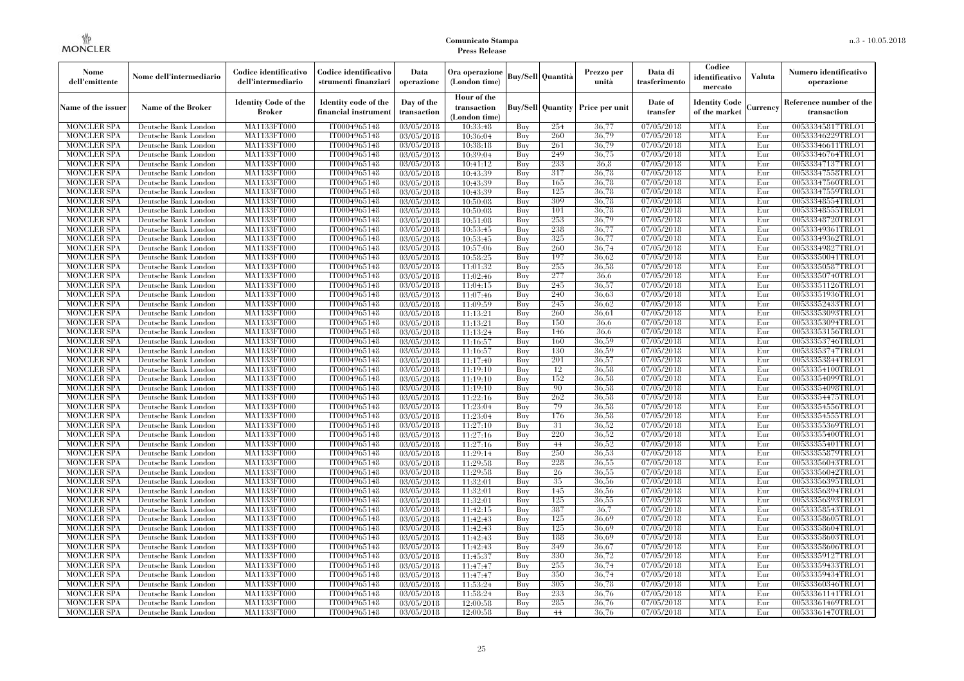| Nome<br>dell'emittente                   | Nome dell'intermediario                      | Codice identificativo<br>dell'intermediario  | Codice identificativo<br>strumenti finanziari | Data<br>operazione        | Ora operazione<br>(London time)             |            | Buy/Sell   Quantità      | Prezzo per<br>unità | Data di<br>trasferimento          | Codice<br>identificativo<br>mercato   | <b>Valuta</b> | Numero identificativo<br>operazione    |
|------------------------------------------|----------------------------------------------|----------------------------------------------|-----------------------------------------------|---------------------------|---------------------------------------------|------------|--------------------------|---------------------|-----------------------------------|---------------------------------------|---------------|----------------------------------------|
| Name of the issuer                       | Name of the Broker                           | <b>Identity Code of the</b><br><b>Broker</b> | Identity code of the<br>financial instrument  | Day of the<br>transaction | Hour of the<br>transaction<br>(London time) |            | <b>Buy/Sell Quantity</b> | Price per unit      | Date of<br>transfer               | <b>Identity Code</b><br>of the market | Currencv      | Reference number of the<br>transaction |
| <b>MONCLER SPA</b>                       | Deutsche Bank London                         | MA1133FT000                                  | IT0004965148                                  | $\overline{03}/05/2018$   | 10:33:48                                    | Buy        | 254                      | 36,77               | 07/05/2018                        | <b>MTA</b>                            | Eur           | 00533345817TRLO1                       |
| <b>MONCLER SPA</b>                       | Deutsche Bank London                         | <b>MA1133FT000</b>                           | IT0004965148                                  | 03/05/2018                | 10:36:04                                    | Buy        | 260                      | 36,79               | 07/05/2018                        | <b>MTA</b>                            | Eur           | 00533346229TRLO1                       |
| <b>MONCLER SPA</b>                       | Deutsche Bank London                         | MA1133FT000                                  | IT0004965148                                  | 03/05/2018                | 10:38:18                                    | Buv        | 261                      | 36.79               | 07/05/2018                        | <b>MTA</b>                            | Eur           | 00533346611TRLO1                       |
| <b>MONCLER SPA</b>                       | Deutsche Bank London                         | MA1133FT000                                  | IT0004965148                                  | 03/05/2018                | 10:39:04                                    | Buy        | 249<br>233               | 36,75               | 07/05/2018                        | <b>MTA</b>                            | Eur           | 00533346764TRLO1                       |
| <b>MONCLER SPA</b>                       | Deutsche Bank London                         | MA1133FT000<br><b>MA1133FT000</b>            | IT0004965148                                  | $\overline{03}/05/2018$   | 10:41:12                                    | Buy        | 317                      | 36.8<br>36,78       | 07/05/2018                        | <b>MTA</b><br><b>MTA</b>              | Eur<br>Eur    | 00533347137TRLO1                       |
| <b>MONCLER SPA</b><br><b>MONCLER SPA</b> | Deutsche Bank London<br>Deutsche Bank London | MA1133FT000                                  | IT0004965148<br>IT0004965148                  | 03/05/2018<br>03/05/2018  | 10:43:39<br>10:43:39                        | Buy<br>Buy | 165                      | 36,78               | $\sqrt{07}/05/2018$<br>07/05/2018 | <b>MTA</b>                            | Eur           | 00533347558TRLO1<br>00533347560TRLO1   |
| <b>MONCLER SPA</b>                       | Deutsche Bank London                         | MA1133FT000                                  | IT0004965148                                  | 03/05/2018                | 10:43:39                                    | Buy        | 125                      | 36.78               | 07/05/2018                        | <b>MTA</b>                            | Eur           | 00533347559TRLO1                       |
| <b>MONCLER SPA</b>                       | Deutsche Bank London                         | MA1133FT000                                  | IT0004965148                                  | 03/05/2018                | 10:50:08                                    | Buy        | 309                      | 36,78               | 07/05/2018                        | <b>MTA</b>                            | Eur           | 00533348554TRLO1                       |
| <b>MONCLER SPA</b>                       | Deutsche Bank London                         | MA1133FT000                                  | IT0004965148                                  | 03/05/2018                | 10:50:08                                    | Buy        | 101                      | 36.78               | 07/05/2018                        | <b>MTA</b>                            | Eur           | 00533348555TRLO1                       |
| <b>MONCLER SPA</b>                       | Deutsche Bank London                         | MA1133FT000                                  | IT0004965148                                  | 03/05/2018                | 10:51:08                                    | Buy        | 253                      | 36,79               | 07/05/2018                        | <b>MTA</b>                            | Eur           | 00533348720TRLO1                       |
| <b>MONCLER SPA</b>                       | Deutsche Bank London                         | MA1133FT000                                  | IT0004965148                                  | 03/05/2018                | 10:53:45                                    | Buy        | 238                      | 36,77               | 07/05/2018                        | <b>MTA</b>                            | Eur           | 00533349361TRLO1                       |
| <b>MONCLER SPA</b>                       | Deutsche Bank London                         | MA1133FT000                                  | IT0004965148                                  | 03/05/2018                | 10:53:45                                    | Buy        | 325                      | 36,77               | 07/05/2018                        | <b>MTA</b>                            | Eur           | 00533349362TRLO1                       |
| <b>MONCLER SPA</b>                       | Deutsche Bank London                         | MA1133FT000                                  | IT0004965148                                  | 03/05/2018                | 10:57:06                                    | Buy        | 260                      | 36,74               | 07/05/2018                        | <b>MTA</b>                            | Eur           | 00533349827TRLO1                       |
| <b>MONCLER SPA</b>                       | Deutsche Bank London                         | MA1133FT000                                  | IT0004965148                                  | 03/05/2018                | 10:58:25                                    | Buy        | 197                      | 36.62               | 07/05/2018                        | <b>MTA</b>                            | Eur           | 00533350041TRLO1                       |
| <b>MONCLER SPA</b>                       | Deutsche Bank London                         | MA1133FT000                                  | IT0004965148                                  | 03/05/2018                | 11:01:32                                    | Buy        | 255                      | 36.58               | 07/05/2018                        | <b>MTA</b>                            | Eur           | 00533350587TRLO1                       |
| <b>MONCLER SPA</b>                       | Deutsche Bank London                         | MA1133FT000                                  | IT0004965148                                  | 03/05/2018                | 11:02:46                                    | Buy        | 277                      | 36.6                | 07/05/2018                        | <b>MTA</b>                            | Eur           | 00533350740TRLO1                       |
| <b>MONCLER SPA</b>                       | Deutsche Bank London                         | MA1133FT000                                  | IT0004965148                                  | 03/05/2018                | 11:04:15                                    | Buy        | 245                      | 36,57               | 07/05/2018                        | <b>MTA</b>                            | Eur           | 00533351126TRLO1                       |
| <b>MONCLER SPA</b>                       | Deutsche Bank London                         | MA1133FT000                                  | IT0004965148                                  | 03/05/2018                | 11:07:46                                    | Buy        | 240                      | 36,63               | 07/05/2018                        | <b>MTA</b>                            | Eur           | 00533351936TRLO1                       |
| <b>MONCLER SPA</b>                       | Deutsche Bank London                         | MA1133FT000                                  | IT0004965148                                  | 03/05/2018                | 11:09:59                                    | Buy        | 245                      | 36.62               | 07/05/2018                        | <b>MTA</b>                            | Eur           | 00533352433TRLO1                       |
| <b>MONCLER SPA</b>                       | Deutsche Bank London                         | MA1133FT000                                  | IT0004965148                                  | 03/05/2018                | 11:13:21                                    | Buy        | 260                      | 36,61               | 07/05/2018                        | <b>MTA</b>                            | Eur           | 00533353093TRLO1                       |
| <b>MONCLER SPA</b>                       | Deutsche Bank London                         | MA1133FT000                                  | IT0004965148                                  | 03/05/2018                | 11:13:21                                    | Buy        | 150                      | 36,6                | 07/05/2018                        | <b>MTA</b>                            | Eur           | 00533353094TRLO1                       |
| <b>MONCLER SPA</b>                       | Deutsche Bank London                         | MA1133FT000                                  | IT0004965148                                  | 03/05/2018                | 11:13:24                                    | Buy        | 146                      | 36.6                | 07/05/2018                        | <b>MTA</b>                            | Eur           | 00533353156TRLO1                       |
| <b>MONCLER SPA</b>                       | Deutsche Bank London                         | MA1133FT000                                  | IT0004965148                                  | 03/05/2018                | 11:16:57                                    | Buy        | 160                      | 36,59               | 07/05/2018                        | <b>MTA</b>                            | Eur           | 00533353746TRLO1                       |
| <b>MONCLER SPA</b>                       | Deutsche Bank London                         | MA1133FT000                                  | IT0004965148                                  | 03/05/2018                | 11:16:57                                    | Buy        | 130                      | 36.59               | 07/05/2018                        | <b>MTA</b>                            | Eur           | 00533353747TRLO1                       |
| <b>MONCLER SPA</b>                       | Deutsche Bank London                         | MA1133FT000                                  | IT0004965148                                  | 03/05/2018                | 11:17:40                                    | Buy        | 201                      | 36,57               | $\sqrt{07}/05/2018$               | <b>MTA</b>                            | Eur           | 00533353844TRLO1                       |
| <b>MONCLER SPA</b>                       | Deutsche Bank London                         | MA1133FT000                                  | IT0004965148                                  | 03/05/2018                | 11:19:10                                    | Buy        | 12                       | 36,58               | $\sqrt{07/05}/2018$               | <b>MTA</b>                            | Eur           | 00533354100TRLO1                       |
| <b>MONCLER SPA</b>                       | Deutsche Bank London                         | MA1133FT000                                  | IT0004965148                                  | 03/05/2018                | 11:19:10                                    | Buy        | 152                      | 36,58               | 07/05/2018                        | <b>MTA</b>                            | Eur           | 00533354099TRLO1                       |
| <b>MONCLER SPA</b>                       | Deutsche Bank London                         | MA1133FT000                                  | IT0004965148                                  | 03/05/2018                | 11:19:10                                    | Buy        | 90                       | 36,58               | 07/05/2018                        | <b>MTA</b>                            | Eur           | 00533354098TRLO1                       |
| <b>MONCLER SPA</b>                       | Deutsche Bank London                         | <b>MA1133FT000</b>                           | IT0004965148                                  | 03/05/2018                | 11:22:16                                    | Buy        | 262<br>79                | 36,58<br>36,58      | 07/05/2018                        | <b>MTA</b>                            | Eur           | 00533354475TRLO1                       |
| <b>MONCLER SPA</b>                       | Deutsche Bank London                         | MA1133FT000                                  | IT0004965148                                  | 03/05/2018                | 11:23:04                                    | Buy        | 176                      | 36,58               | 07/05/2018<br>07/05/2018          | <b>MTA</b><br><b>MTA</b>              | Eur           | 00533354556TRLO1                       |
| <b>MONCLER SPA</b><br><b>MONCLER SPA</b> | Deutsche Bank London<br>Deutsche Bank London | MA1133FT000<br>MA1133FT000                   | IT0004965148<br>IT0004965148                  | 03/05/2018<br>03/05/2018  | 11:23:04<br>11:27:10                        | Buy<br>Buv | 31                       | 36,52               | 07/05/2018                        | <b>MTA</b>                            | Eur<br>Eur    | 00533354555TRLO1<br>00533355369TRLO1   |
| <b>MONCLER SPA</b>                       | Deutsche Bank London                         | MA1133FT000                                  | IT0004965148                                  | 03/05/2018                | 11:27:16                                    | Buy        | 220                      | 36.52               | 07/05/2018                        | <b>MTA</b>                            | Eur           | 00533355400TRLO1                       |
| <b>MONCLER SPA</b>                       | Deutsche Bank London                         | <b>MA1133FT000</b>                           | IT0004965148                                  | 03/05/2018                | 11:27:16                                    | Buy        | 44                       | 36,52               | 07/05/2018                        | <b>MTA</b>                            | Eur           | 00533355401TRLO1                       |
| <b>MONCLER SPA</b>                       | Deutsche Bank London                         | MA1133FT000                                  | IT0004965148                                  | 03/05/2018                | 11:29:14                                    | Buy        | 250                      | 36,53               | 07/05/2018                        | <b>MTA</b>                            | Eur           | 00533355879TRLO1                       |
| <b>MONCLER SPA</b>                       | Deutsche Bank London                         | MA1133FT000                                  | IT0004965148                                  | 03/05/2018                | 11:29:58                                    | Buy        | 228                      | 36,55               | 07/05/2018                        | <b>MTA</b>                            | Eur           | 00533356043TRLO1                       |
| <b>MONCLER SPA</b>                       | Deutsche Bank London                         | <b>MA1133FT000</b>                           | IT0004965148                                  | 03/05/2018                | 11:29:58                                    | Buy        | 26                       | 36,55               | 07/05/2018                        | <b>MTA</b>                            | Eur           | 00533356042TRLO1                       |
| <b>MONCLER SPA</b>                       | Deutsche Bank London                         | MA1133FT000                                  | IT0004965148                                  | $\overline{03}/05/2018$   | 11:32:01                                    | Buy        | 35                       | 36,56               | 07/05/2018                        | <b>MTA</b>                            | Eur           | 00533356395TRLO1                       |
| <b>MONCLER SPA</b>                       | Deutsche Bank London                         | <b>MA1133FT000</b>                           | IT0004965148                                  | 03/05/2018                | 11:32:01                                    | Buy        | 145                      | 36,56               | 07/05/2018                        | <b>MTA</b>                            | Eur           | 00533356394TRLO1                       |
| <b>MONCLER SPA</b>                       | Deutsche Bank London                         | MA1133FT000                                  | IT0004965148                                  | 03/05/2018                | 11:32:01                                    | Buy        | 125                      | 36,55               | 07/05/2018                        | <b>MTA</b>                            | Eur           | 00533356393TRLO1                       |
| <b>MONCLER SPA</b>                       | Deutsche Bank London                         | MA1133FT000                                  | IT0004965148                                  | 03/05/2018                | 11:42:15                                    | Buy        | 387                      | 36,7                | 07/05/2018                        | <b>MTA</b>                            | Eur           | 00533358543TRLO1                       |
| <b>MONCLER SPA</b>                       | Deutsche Bank London                         | MA1133FT000                                  | IT0004965148                                  | 03/05/2018                | 11:42:43                                    | Buy        | 125                      | 36.69               | 07/05/2018                        | <b>MTA</b>                            | Eur           | 00533358605TRLO1                       |
| <b>MONCLER SPA</b>                       | Deutsche Bank London                         | MA1133FT000                                  | IT0004965148                                  | $\overline{03}/05/2018$   | 11:42:43                                    | Buy        | 125                      | 36.69               | 07/05/2018                        | <b>MTA</b>                            | Eur           | 00533358604TRLO1                       |
| <b>MONCLER SPA</b>                       | Deutsche Bank London                         | MA1133FT000                                  | IT0004965148                                  | 03/05/2018                | 11:42:43                                    | Buy        | 188                      | 36.69               | 07/05/2018                        | <b>MTA</b>                            | Eur           | 00533358603TRLO1                       |
| <b>MONCLER SPA</b>                       | Deutsche Bank London                         | MA1133FT000                                  | IT0004965148                                  | 03/05/2018                | 11:42:43                                    | Buy        | 349                      | 36,67               | 07/05/2018                        | <b>MTA</b>                            | Eur           | 00533358606TRLO1                       |
| <b>MONCLER SPA</b>                       | Deutsche Bank London                         | MA1133FT000                                  | IT0004965148                                  | 03/05/2018                | 11:45:37                                    | Buy        | 330                      | 36,72               | 07/05/2018                        | <b>MTA</b>                            | Eur           | 00533359127TRLO1                       |
| <b>MONCLER SPA</b>                       | Deutsche Bank London                         | MA1133FT000                                  | IT0004965148                                  | $\overline{03}/05/2018$   | 11:47:47                                    | Buy        | 255                      | 36,74               | 07/05/2018                        | <b>MTA</b>                            | Eur           | 00533359433TRLO1                       |
| <b>MONCLER SPA</b>                       | Deutsche Bank London                         | MA1133FT000                                  | IT0004965148                                  | 03/05/2018                | 11:47:47                                    | Buy        | 350                      | 36,74               | 07/05/2018                        | <b>MTA</b>                            | Eur           | 00533359434TRLO1                       |
| <b>MONCLER SPA</b>                       | Deutsche Bank London                         | MA1133FT000                                  | IT0004965148                                  | 03/05/2018                | 11:53:24                                    | Buy        | 305                      | 36.78               | 07/05/2018                        | <b>MTA</b>                            | Eur           | 00533360346TRLO1                       |
| <b>MONCLER SPA</b>                       | Deutsche Bank London                         | MA1133FT000                                  | IT0004965148                                  | 03/05/2018                | 11:58:24                                    | Buy        | 233                      | 36,76               | 07/05/2018                        | <b>MTA</b>                            | Eur           | 00533361141TRLO1                       |
| <b>MONCLER SPA</b>                       | Deutsche Bank London                         | MA1133FT000                                  | IT0004965148                                  | 03/05/2018                | 12:00:58                                    | Buy        | 285                      | 36,76               | 07/05/2018                        | <b>MTA</b>                            | Eur           | 00533361469TRLO1                       |
| <b>MONCLER SPA</b>                       | Deutsche Bank London                         | MA1133FT000                                  | IT0004965148                                  | 03/05/2018                | 12:00:58                                    | Buy        | 44                       | 36,76               | 07/05/2018                        | <b>MTA</b>                            | Eur           | 00533361470TRLO1                       |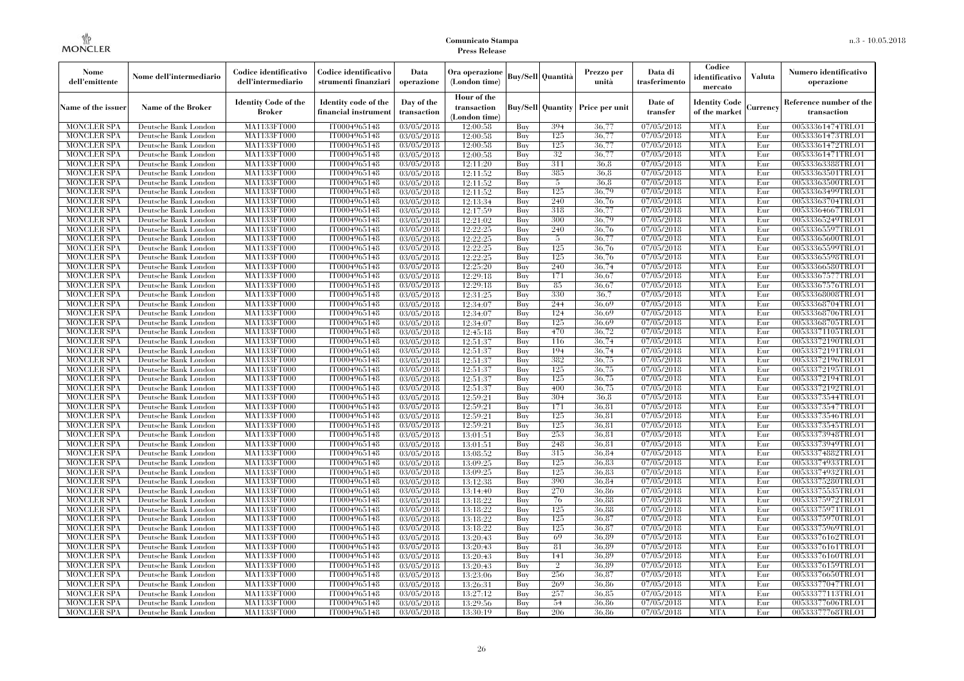| Nome<br>dell'emittente                   | Nome dell'intermediario                      | Codice identificativo<br>dell'intermediario  | Codice identificativo<br>strumenti finanziari | Data<br>operazione        | Ora operazione<br>(London time)             |            | Buy/Sell   Quantità      | Prezzo per<br>unità | Data di<br>trasferimento          | Codice<br>identificativo<br>mercato   | <b>Valuta</b> | Numero identificativo<br>operazione    |
|------------------------------------------|----------------------------------------------|----------------------------------------------|-----------------------------------------------|---------------------------|---------------------------------------------|------------|--------------------------|---------------------|-----------------------------------|---------------------------------------|---------------|----------------------------------------|
| Name of the issuer                       | Name of the Broker                           | <b>Identity Code of the</b><br><b>Broker</b> | Identity code of the<br>financial instrument  | Day of the<br>transaction | Hour of the<br>transaction<br>(London time) |            | <b>Buy/Sell</b> Quantity | Price per unit      | Date of<br>transfer               | <b>Identity Code</b><br>of the market | Currencv      | Reference number of the<br>transaction |
| <b>MONCLER SPA</b>                       | Deutsche Bank London                         | MA1133FT000                                  | IT0004965148                                  | 03/05/2018                | 12:00:58                                    | Buy        | 394                      | 36.77               | 07/05/2018                        | <b>MTA</b>                            | Eur           | 00533361474TRLO1                       |
| <b>MONCLER SPA</b>                       | Deutsche Bank London                         | <b>MA1133FT000</b>                           | IT0004965148                                  | 03/05/2018                | 12:00:58                                    | Buy        | 125                      | 36,77               | 07/05/2018                        | <b>MTA</b>                            | Eur           | 00533361473TRLO1                       |
| <b>MONCLER SPA</b>                       | Deutsche Bank London                         | MA1133FT000                                  | IT0004965148                                  | 03/05/2018                | 12:00:58                                    | Buy        | 125                      | 36,77               | 07/05/2018                        | <b>MTA</b>                            | Eur           | 00533361472TRLO1                       |
| <b>MONCLER SPA</b>                       | Deutsche Bank London                         | <b>MA1133FT000</b>                           | IT0004965148                                  | 03/05/2018                | 12:00:58                                    | Buy        | 32                       | 36,77               | 07/05/2018                        | <b>MTA</b>                            | Eur           | 00533361471TRLO1                       |
| <b>MONCLER SPA</b>                       | Deutsche Bank London                         | <b>MA1133FT000</b>                           | IT0004965148                                  | $\overline{03}/05/2018$   | 12:11:20                                    | Buy        | 311<br>385               | 36.8                | 07/05/2018                        | <b>MTA</b><br><b>MTA</b>              | Eur           | 00533363388TRLO1<br>00533363501TRLO1   |
| <b>MONCLER SPA</b><br><b>MONCLER SPA</b> | Deutsche Bank London<br>Deutsche Bank London | MA1133FT000<br>MA1133FT000                   | IT0004965148<br>IT0004965148                  | 03/05/2018<br>03/05/2018  | 12:11:52<br>12:11:52                        | Buy<br>Buy | 5                        | 36.8<br>36.8        | $\sqrt{07/05/20}18$<br>07/05/2018 | <b>MTA</b>                            | Eur<br>Eur    | 00533363500TRLO1                       |
| <b>MONCLER SPA</b>                       | Deutsche Bank London                         | MA1133FT000                                  | IT0004965148                                  | 03/05/2018                | 12:11:52                                    | Buy        | 125                      | 36,79               | 07/05/2018                        | <b>MTA</b>                            | Eur           | 00533363499TRLO1                       |
| <b>MONCLER SPA</b>                       | Deutsche Bank London                         | <b>MA1133FT000</b>                           | IT0004965148                                  | 03/05/2018                | 12:13:34                                    | Buy        | 240                      | 36,76               | 07/05/2018                        | <b>MTA</b>                            | Eur           | 00533363704TRLO1                       |
| <b>MONCLER SPA</b>                       | Deutsche Bank London                         | MA1133FT000                                  | IT0004965148                                  | 03/05/2018                | 12:17:59                                    | Buy        | 318                      | 36,77               | 07/05/2018                        | <b>MTA</b>                            | Eur           | 00533364667TRLO1                       |
| <b>MONCLER SPA</b>                       | Deutsche Bank London                         | MA1133FT000                                  | IT0004965148                                  | 03/05/2018                | 12:21:02                                    | Buv        | 300                      | 36.79               | 07/05/2018                        | <b>MTA</b>                            | Eur           | 00533365249TRLO1                       |
| <b>MONCLER SPA</b>                       | Deutsche Bank London                         | MA1133FT000                                  | IT0004965148                                  | 03/05/2018                | 12:22:25                                    | Buy        | 240                      | 36,76               | 07/05/2018                        | <b>MTA</b>                            | Eur           | 00533365597TRLO1                       |
| <b>MONCLER SPA</b>                       | Deutsche Bank London                         | MA1133FT000                                  | IT0004965148                                  | $\overline{03}/05/2018$   | 12:22:25                                    | Buy        | 5                        | 36,77               | 07/05/2018                        | <b>MTA</b>                            | Eur           | 00533365600TRLO1                       |
| <b>MONCLER SPA</b>                       | Deutsche Bank London                         | <b>MA1133FT000</b>                           | IT0004965148                                  | 03/05/2018                | 12:22:25                                    | Buy        | 125                      | 36,76               | 07/05/2018                        | <b>MTA</b>                            | Eur           | 00533365599TRLO1                       |
| <b>MONCLER SPA</b>                       | Deutsche Bank London                         | MA1133FT000                                  | IT0004965148                                  | 03/05/2018                | 12:22:25                                    | Buy        | 125                      | 36,76               | 07/05/2018                        | <b>MTA</b>                            | Eur           | 00533365598TRLO1                       |
| <b>MONCLER SPA</b>                       | Deutsche Bank London                         | MA1133FT000                                  | IT0004965148                                  | 03/05/2018                | 12:25:20                                    | Buy        | 240                      | 36,74               | 07/05/2018                        | <b>MTA</b>                            | Eur           | 00533366580TRLO1                       |
| <b>MONCLER SPA</b>                       | Deutsche Bank London                         | MA1133FT000                                  | IT0004965148                                  | $\overline{03}/05/2018$   | 12:29:18                                    | Buy        | 171                      | 36.67               | 07/05/2018                        | <b>MTA</b>                            | Eur           | 00533367577TRLO1                       |
| <b>MONCLER SPA</b>                       | Deutsche Bank London                         | MA1133FT000                                  | IT0004965148                                  | 03/05/2018                | 12:29:18                                    | Buy        | 85                       | 36,67               | 07/05/2018                        | <b>MTA</b>                            | Eur           | 00533367576TRLO1                       |
| <b>MONCLER SPA</b>                       | Deutsche Bank London                         | MA1133FT000                                  | IT0004965148                                  | 03/05/2018                | 12:31:25                                    | Buy        | 330                      | 36,7                | 07/05/2018                        | <b>MTA</b>                            | Eur           | 00533368008TRLO1                       |
| <b>MONCLER SPA</b>                       | Deutsche Bank London                         | MA1133FT000                                  | IT0004965148                                  | 03/05/2018                | 12:34:07                                    | Buy        | 244                      | 36.69               | 07/05/2018                        | <b>MTA</b>                            | Eur           | 00533368704TRLO1                       |
| <b>MONCLER SPA</b>                       | Deutsche Bank London                         | MA1133FT000                                  | IT0004965148                                  | 03/05/2018                | 12:34:07                                    | Buy        | 124                      | 36.69               | 07/05/2018                        | <b>MTA</b>                            | Eur           | 00533368706TRLO1                       |
| <b>MONCLER SPA</b>                       | Deutsche Bank London                         | MA1133FT000                                  | IT0004965148                                  | 03/05/2018                | 12:34:07                                    | Buy        | 125                      | 36.69               | 07/05/2018                        | <b>MTA</b>                            | Eur           | 00533368705TRLO1                       |
| <b>MONCLER SPA</b>                       | Deutsche Bank London                         | <b>MA1133FT000</b>                           | IT0004965148                                  | 03/05/2018                | 12:45:18                                    | Buy        | 470                      | 36,72               | 07/05/2018                        | <b>MTA</b>                            | Eur           | 00533371105TRLO1                       |
| <b>MONCLER SPA</b>                       | Deutsche Bank London                         | MA1133FT000                                  | IT0004965148                                  | 03/05/2018                | 12:51:37                                    | Buy        | 116                      | 36,74               | 07/05/2018                        | <b>MTA</b>                            | Eur           | 00533372190TRLO1                       |
| <b>MONCLER SPA</b>                       | Deutsche Bank London                         | MA1133FT000                                  | IT0004965148                                  | 03/05/2018                | 12:51:37                                    | Buy        | 194                      | 36,74               | 07/05/2018                        | <b>MTA</b>                            | Eur           | 00533372191TRLO1                       |
| <b>MONCLER SPA</b>                       | Deutsche Bank London                         | <b>MA1133FT000</b>                           | IT0004965148                                  | 03/05/2018                | 12:51:37                                    | Buy        | 382                      | 36,75               | 07/05/2018                        | <b>MTA</b>                            | Eur           | 00533372196TRLO1                       |
| <b>MONCLER SPA</b>                       | Deutsche Bank London                         | MA1133FT000                                  | IT0004965148                                  | 03/05/2018                | 12:51:37                                    | Buy        | 125                      | 36,75               | 07/05/2018                        | <b>MTA</b>                            | Eur           | 00533372195TRLO1                       |
| <b>MONCLER SPA</b>                       | Deutsche Bank London                         | MA1133FT000                                  | IT0004965148                                  | 03/05/2018                | 12:51:37                                    | Buy        | 125                      | 36,75               | 07/05/2018                        | <b>MTA</b>                            | Eur           | 00533372194TRLO1                       |
| <b>MONCLER SPA</b>                       | Deutsche Bank London                         | MA1133FT000                                  | IT0004965148                                  | 03/05/2018                | 12:51:37                                    | Buy        | 400                      | 36,75               | 07/05/2018                        | <b>MTA</b>                            | Eur           | 00533372192TRLO1                       |
| <b>MONCLER SPA</b>                       | Deutsche Bank London                         | MA1133FT000                                  | IT0004965148                                  | 03/05/2018                | 12:59:21                                    | Buy        | 304                      | 36.8                | 07/05/2018                        | <b>MTA</b>                            | Eur           | 00533373544TRLO1                       |
| <b>MONCLER SPA</b>                       | Deutsche Bank London                         | <b>MA1133FT000</b>                           | IT0004965148                                  | 03/05/2018                | 12:59:21                                    | Buy        | 171                      | 36.81               | 07/05/2018                        | <b>MTA</b>                            | Eur           | 00533373547TRLO1                       |
| <b>MONCLER SPA</b>                       | Deutsche Bank London                         | MA1133FT000                                  | IT0004965148                                  | 03/05/2018                | 12:59:21                                    | Buy        | 125                      | 36.81               | 07/05/2018                        | <b>MTA</b>                            | Eur           | 00533373546TRLO1                       |
| <b>MONCLER SPA</b>                       | Deutsche Bank London                         | MA1133FT000                                  | IT0004965148                                  | 03/05/2018                | 12:59:21                                    | Buy        | 125                      | 36,81               | 07/05/2018                        | <b>MTA</b>                            | Eur           | 00533373545TRLO1                       |
| <b>MONCLER SPA</b>                       | Deutsche Bank London                         | MA1133FT000                                  | IT0004965148                                  | 03/05/2018                | 13:01:51                                    | Buy        | 253                      | 36.81               | 07/05/2018                        | <b>MTA</b>                            | Eur           | 00533373948TRLO1                       |
| <b>MONCLER SPA</b>                       | Deutsche Bank London                         | MA1133FT000                                  | IT0004965148                                  | 03/05/2018                | 13:01:51                                    | Buy        | 248                      | 36.81               | 07/05/2018                        | <b>MTA</b>                            | Eur           | 00533373949TRLO1                       |
| <b>MONCLER SPA</b>                       | Deutsche Bank London                         | <b>MA1133FT000</b>                           | IT0004965148                                  | 03/05/2018                | 13:08:52                                    | Buy        | 315                      | 36.84               | 07/05/2018                        | <b>MTA</b>                            | Eur           | 00533374882TRLO1                       |
| <b>MONCLER SPA</b>                       | Deutsche Bank London                         | MA1133FT000                                  | IT0004965148                                  | 03/05/2018                | 13:09:25                                    | Buy        | 125                      | 36,83               | 07/05/2018                        | <b>MTA</b>                            | Eur           | 00533374933TRLO1                       |
| <b>MONCLER SPA</b>                       | Deutsche Bank London                         | MA1133FT000                                  | IT0004965148                                  | 03/05/2018                | 13:09:25                                    | Buy        | 125<br>390               | 36.83<br>36,84      | 07/05/2018                        | <b>MTA</b><br><b>MTA</b>              | Eur           | 00533374932TRLO1                       |
| <b>MONCLER SPA</b>                       | Deutsche Bank London                         | MA1133FT000                                  | IT0004965148                                  | 03/05/2018                | 13:12:38                                    | Buy        |                          |                     | 07/05/2018                        | <b>MTA</b>                            | Eur           | 00533375280TRLO1                       |
| <b>MONCLER SPA</b>                       | Deutsche Bank London<br>Deutsche Bank London | MA1133FT000<br>MA1133FT000                   | IT0004965148                                  | 03/05/2018                | 13:14:40                                    | Buy<br>Buy | 270<br>76                | 36.86<br>36.88      | 07/05/2018<br>07/05/2018          | <b>MTA</b>                            | Eur<br>Eur    | 00533375535TRLO1                       |
| <b>MONCLER SPA</b><br><b>MONCLER SPA</b> | Deutsche Bank London                         | MA1133FT000                                  | IT0004965148<br>IT0004965148                  | 03/05/2018<br>03/05/2018  | 13:18:22<br>13:18:22                        | Buy        | 125                      | 36.88               | 07/05/2018                        | <b>MTA</b>                            | Eur           | 00533375972TRLO1<br>00533375971TRLO1   |
| <b>MONCLER SPA</b>                       | Deutsche Bank London                         | MA1133FT000                                  | IT0004965148                                  | 03/05/2018                | 13:18:22                                    | Buy        | 125                      | 36,87               | 07/05/2018                        | <b>MTA</b>                            | Eur           | 00533375970TRLO1                       |
| <b>MONCLER SPA</b>                       | Deutsche Bank London                         | MA1133FT000                                  | IT0004965148                                  | 03/05/2018                | 13:18:22                                    | Buy        | 125                      | 36,87               | 07/05/2018                        | <b>MTA</b>                            | Eur           | 00533375969TRLO1                       |
| <b>MONCLER SPA</b>                       | Deutsche Bank London                         | MA1133FT000                                  | IT0004965148                                  | 03/05/2018                | 13:20:43                                    | Buy        | 69                       | 36.89               | 07/05/2018                        | <b>MTA</b>                            | Eur           | 00533376162TRLO1                       |
| <b>MONCLER SPA</b>                       | Deutsche Bank London                         | MA1133FT000                                  | IT0004965148                                  | 03/05/2018                | 13:20:43                                    | Buy        | 81                       | 36.89               | 07/05/2018                        | <b>MTA</b>                            | Eur           | 00533376161TRLO1                       |
| <b>MONCLER SPA</b>                       | Deutsche Bank London                         | MA1133FT000                                  | IT0004965148                                  | 03/05/2018                | 13:20:43                                    | Buy        | 141                      | 36.89               | 07/05/2018                        | <b>MTA</b>                            | Eur           | 00533376160TRLO1                       |
| <b>MONCLER SPA</b>                       | Deutsche Bank London                         | MA1133FT000                                  | IT0004965148                                  | 03/05/2018                | 13:20:43                                    | Buy        | $\overline{2}$           | 36.89               | 07/05/2018                        | <b>MTA</b>                            | Eur           | 00533376159TRLO1                       |
| <b>MONCLER SPA</b>                       | Deutsche Bank London                         | MA1133FT000                                  | IT0004965148                                  | 03/05/2018                | 13:23:06                                    | Buy        | 256                      | 36,87               | 07/05/2018                        | <b>MTA</b>                            | Eur           | 00533376650TRLO1                       |
| <b>MONCLER SPA</b>                       | Deutsche Bank London                         | MA1133FT000                                  | IT0004965148                                  | 03/05/2018                | 13:26:31                                    | Buy        | 269                      | 36.86               | 07/05/2018                        | <b>MTA</b>                            | Eur           | 00533377047TRLO1                       |
| <b>MONCLER SPA</b>                       | Deutsche Bank London                         | MA1133FT000                                  | IT0004965148                                  | 03/05/2018                | 13:27:12                                    | Buy        | 257                      | 36,85               | 07/05/2018                        | <b>MTA</b>                            | Eur           | 00533377113TRLO1                       |
| <b>MONCLER SPA</b>                       | Deutsche Bank London                         | MA1133FT000                                  | IT0004965148                                  | 03/05/2018                | 13:29:56                                    | Buy        | 54                       | 36,86               | 07/05/2018                        | <b>MTA</b>                            | Eur           | 00533377606TRLO1                       |
| <b>MONCLER SPA</b>                       | Deutsche Bank London                         | MA1133FT000                                  | IT0004965148                                  | 03/05/2018                | 13:30:19                                    | Buy        | 206                      | 36.86               | 07/05/2018                        | <b>MTA</b>                            | Eur           | 00533377768TRLO1                       |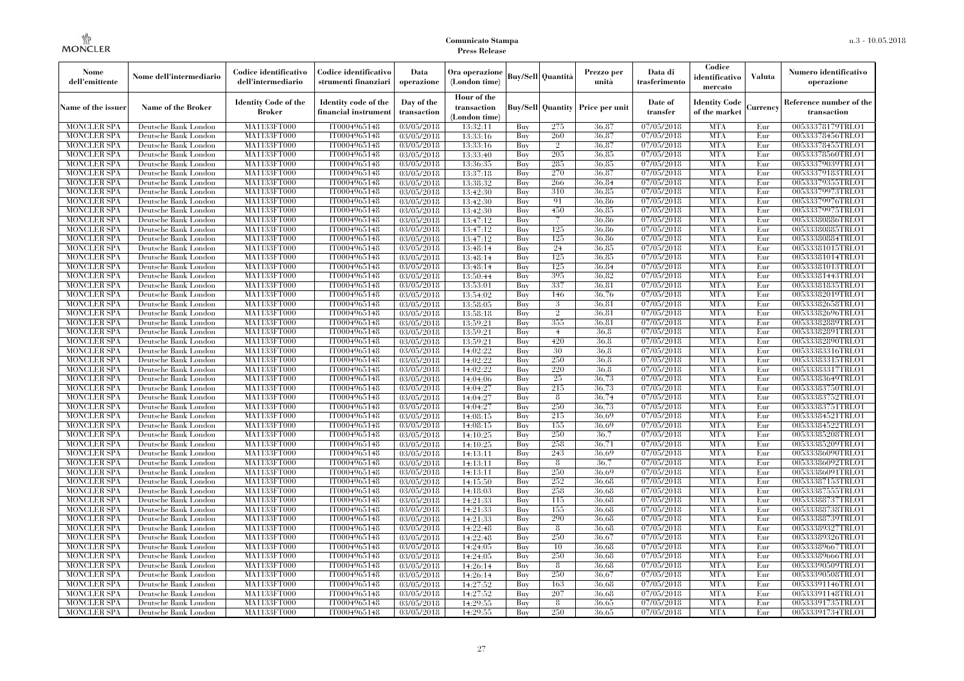| Nome<br>dell'emittente                   | Nome dell'intermediario                      | Codice identificativo<br>dell'intermediario  | Codice identificativo<br>strumenti finanziari | Data<br>operazione        | Ora operazione<br>(London time)             |            | Buy/Sell   Quantità      | Prezzo per<br>unità | Data di<br>trasferimento          | Codice<br>identificativo<br>mercato   | <b>Valuta</b> | Numero identificativo<br>operazione    |
|------------------------------------------|----------------------------------------------|----------------------------------------------|-----------------------------------------------|---------------------------|---------------------------------------------|------------|--------------------------|---------------------|-----------------------------------|---------------------------------------|---------------|----------------------------------------|
| Name of the issuer                       | Name of the Broker                           | <b>Identity Code of the</b><br><b>Broker</b> | Identity code of the<br>financial instrument  | Day of the<br>transaction | Hour of the<br>transaction<br>(London time) |            | <b>Buy/Sell</b> Quantity | Price per unit      | Date of<br>transfer               | <b>Identity Code</b><br>of the market | Currencv      | Reference number of the<br>transaction |
| <b>MONCLER SPA</b>                       | Deutsche Bank London                         | MA1133FT000                                  | IT0004965148                                  | 03/05/2018                | 13:32:11                                    | Buy        | 275                      | 36.87               | 07/05/2018                        | <b>MTA</b>                            | Eur           | 00533378179TRLO1                       |
| <b>MONCLER SPA</b>                       | Deutsche Bank London                         | <b>MA1133FT000</b>                           | IT0004965148                                  | 03/05/2018                | 13:33:16                                    | Buy        | 260                      | 36,87               | 07/05/2018                        | <b>MTA</b>                            | Eur           | 00533378456TRLO1                       |
| <b>MONCLER SPA</b>                       | Deutsche Bank London                         | MA1133FT000                                  | IT0004965148                                  | 03/05/2018                | 13:33:16                                    | Buy        | $\overline{2}$           | 36,87               | 07/05/2018                        | <b>MTA</b>                            | Eur           | 00533378455TRLO1                       |
| <b>MONCLER SPA</b>                       | Deutsche Bank London                         | <b>MA1133FT000</b>                           | IT0004965148                                  | 03/05/2018                | 13:33:40                                    | Buy        | 205                      | 36.85               | 07/05/2018                        | <b>MTA</b>                            | Eur           | 00533378560TRLO1                       |
| <b>MONCLER SPA</b>                       | Deutsche Bank London                         | <b>MA1133FT000</b>                           | IT0004965148                                  | $\overline{03}/05/2018$   | 13:36:35                                    | Buy        | 285<br>270               | 36,85               | 07/05/2018                        | <b>MTA</b><br><b>MTA</b>              | Eur           | 00533379039TRLO1                       |
| <b>MONCLER SPA</b><br><b>MONCLER SPA</b> | Deutsche Bank London<br>Deutsche Bank London | MA1133FT000<br>MA1133FT000                   | IT0004965148<br>IT0004965148                  | 03/05/2018<br>03/05/2018  | 13:37:18<br>13:38:32                        | Buy<br>Buy | 266                      | 36,87<br>36.84      | $\sqrt{07/05/20}18$<br>07/05/2018 | <b>MTA</b>                            | Eur<br>Eur    | 00533379183TRLO1<br>00533379355TRLO1   |
| <b>MONCLER SPA</b>                       | Deutsche Bank London                         | MA1133FT000                                  | IT0004965148                                  | 03/05/2018                | 13:42:30                                    | Buy        | 310                      | 36.85               | 07/05/2018                        | <b>MTA</b>                            | Eur           | 00533379973TRLO1                       |
| <b>MONCLER SPA</b>                       | Deutsche Bank London                         | <b>MA1133FT000</b>                           | IT0004965148                                  | 03/05/2018                | 13:42:30                                    | Buy        | 91                       | 36.86               | 07/05/2018                        | <b>MTA</b>                            | Eur           | 00533379976TRLO1                       |
| <b>MONCLER SPA</b>                       | Deutsche Bank London                         | MA1133FT000                                  | IT0004965148                                  | 03/05/2018                | 13:42:30                                    | Buy        | 450                      | 36,85               | 07/05/2018                        | <b>MTA</b>                            | Eur           | 00533379975TRLO1                       |
| <b>MONCLER SPA</b>                       | Deutsche Bank London                         | MA1133FT000                                  | IT0004965148                                  | 03/05/2018                | 13:47:12                                    | Buy        |                          | 36,86               | 07/05/2018                        | <b>MTA</b>                            | Eur           | 00533380886TRLO1                       |
| <b>MONCLER SPA</b>                       | Deutsche Bank London                         | MA1133FT000                                  | IT0004965148                                  | 03/05/2018                | 13:47:12                                    | Buy        | 125                      | 36,86               | 07/05/2018                        | <b>MTA</b>                            | Eur           | 00533380885TRLO1                       |
| <b>MONCLER SPA</b>                       | Deutsche Bank London                         | MA1133FT000                                  | IT0004965148                                  | $\overline{03}/05/2018$   | 13:47:12                                    | Buy        | 125                      | 36.86               | 07/05/2018                        | <b>MTA</b>                            | Eur           | 00533380884TRLO1                       |
| <b>MONCLER SPA</b>                       | Deutsche Bank London                         | <b>MA1133FT000</b>                           | IT0004965148                                  | 03/05/2018                | 13:48:14                                    | Buy        | 24                       | 36,85               | 07/05/2018                        | <b>MTA</b>                            | Eur           | 00533381015TRLO1                       |
| <b>MONCLER SPA</b>                       | Deutsche Bank London                         | MA1133FT000                                  | IT0004965148                                  | 03/05/2018                | 13:48:14                                    | Buy        | 125                      | 36.85               | 07/05/2018                        | <b>MTA</b>                            | Eur           | 00533381014TRLO1                       |
| <b>MONCLER SPA</b>                       | Deutsche Bank London                         | MA1133FT000                                  | IT0004965148                                  | 03/05/2018                | 13:48:14                                    | Buy        | 125                      | 36.84               | 07/05/2018                        | <b>MTA</b>                            | Eur           | 00533381013TRLO1                       |
| <b>MONCLER SPA</b>                       | Deutsche Bank London                         | MA1133FT000                                  | IT0004965148                                  | $\overline{03}/05/2018$   | 13:50:44                                    | Buy        | 395                      | 36.82               | 07/05/2018                        | <b>MTA</b>                            | Eur           | 00533381443TRLO1                       |
| <b>MONCLER SPA</b>                       | Deutsche Bank London                         | <b>MA1133FT000</b>                           | IT0004965148                                  | 03/05/2018                | 13:53:01                                    | Buy        | 337                      | 36.81               | 07/05/2018                        | <b>MTA</b>                            | Eur           | 00533381835TRLO1                       |
| <b>MONCLER SPA</b>                       | Deutsche Bank London                         | MA1133FT000                                  | IT0004965148                                  | 03/05/2018                | 13:54:02                                    | Buy        | 146                      | 36,76               | 07/05/2018                        | <b>MTA</b>                            | Eur           | 00533382019TRLO1                       |
| <b>MONCLER SPA</b>                       | Deutsche Bank London                         | MA1133FT000                                  | IT0004965148                                  | 03/05/2018                | 13:58:05                                    | Buy        | 3                        | 36,81               | 07/05/2018                        | <b>MTA</b>                            | Eur           | 00533382658TRLO1                       |
| <b>MONCLER SPA</b>                       | Deutsche Bank London                         | MA1133FT000                                  | IT0004965148                                  | 03/05/2018                | 13:58:18                                    | Buy        | $\overline{2}$           | 36.81               | 07/05/2018                        | <b>MTA</b>                            | Eur           | 00533382696TRLO1                       |
| <b>MONCLER SPA</b>                       | Deutsche Bank London                         | MA1133FT000                                  | IT0004965148                                  | 03/05/2018                | 13:59:21                                    | Buy        | 355                      | 36.81               | 07/05/2018                        | <b>MTA</b>                            | Eur           | 00533382889TRLO1                       |
| <b>MONCLER SPA</b><br><b>MONCLER SPA</b> | Deutsche Bank London                         | <b>MA1133FT000</b><br>MA1133FT000            | IT0004965148                                  | 03/05/2018                | 13:59:21<br>13:59:21                        | Buy<br>Buy | $\overline{4}$<br>420    | 36,8<br>36,8        | 07/05/2018<br>07/05/2018          | <b>MTA</b><br><b>MTA</b>              | Eur<br>Eur    | 00533382891TRLO1<br>00533382890TRLO1   |
| <b>MONCLER SPA</b>                       | Deutsche Bank London<br>Deutsche Bank London | MA1133FT000                                  | IT0004965148<br>IT0004965148                  | 03/05/2018<br>03/05/2018  | 14:02:22                                    | Buv        | 30                       | 36.8                | 07/05/2018                        | <b>MTA</b>                            | Eur           | 00533383316TRLO1                       |
| <b>MONCLER SPA</b>                       | Deutsche Bank London                         | <b>MA1133FT000</b>                           | IT0004965148                                  | 03/05/2018                | 14:02:22                                    | Buy        | 250                      | 36.8                | 07/05/2018                        | <b>MTA</b>                            | Eur           | 00533383315TRLO1                       |
| <b>MONCLER SPA</b>                       | Deutsche Bank London                         | MA1133FT000                                  | IT0004965148                                  | 03/05/2018                | 14:02:22                                    | Buy        | 220                      | 36.8                | 07/05/2018                        | <b>MTA</b>                            | Eur           | 00533383317TRLO1                       |
| <b>MONCLER SPA</b>                       | Deutsche Bank London                         | MA1133FT000                                  | IT0004965148                                  | 03/05/2018                | 14:04:06                                    | Buy        | $25\,$                   | 36,73               | 07/05/2018                        | <b>MTA</b>                            | Eur           | 00533383649TRLO1                       |
| <b>MONCLER SPA</b>                       | Deutsche Bank London                         | MA1133FT000                                  | IT0004965148                                  | 03/05/2018                | 14:04:27                                    | Buy        | 215                      | 36.73               | 07/05/2018                        | <b>MTA</b>                            | Eur           | 00533383750TRLO1                       |
| <b>MONCLER SPA</b>                       | Deutsche Bank London                         | MA1133FT000                                  | IT0004965148                                  | 03/05/2018                | 14:04:27                                    | Buy        | 8                        | 36,74               | 07/05/2018                        | <b>MTA</b>                            | Eur           | 00533383752TRLO1                       |
| <b>MONCLER SPA</b>                       | Deutsche Bank London                         | MA1133FT000                                  | IT0004965148                                  | 03/05/2018                | 14:04:27                                    | Buy        | 250                      | 36,73               | 07/05/2018                        | <b>MTA</b>                            | Eur           | 00533383751TRLO1                       |
| <b>MONCLER SPA</b>                       | Deutsche Bank London                         | MA1133FT000                                  | IT0004965148                                  | 03/05/2018                | 14:08:15                                    | Buy        | 215                      | 36.69               | 07/05/2018                        | <b>MTA</b>                            | Eur           | 00533384521TRLO1                       |
| <b>MONCLER SPA</b>                       | Deutsche Bank London                         | MA1133FT000                                  | IT0004965148                                  | 03/05/2018                | 14:08:15                                    | Buy        | 155                      | 36,69               | 07/05/2018                        | <b>MTA</b>                            | Eur           | 00533384522TRLO1                       |
| <b>MONCLER SPA</b>                       | Deutsche Bank London                         | MA1133FT000                                  | IT0004965148                                  | 03/05/2018                | 14:10:25                                    | Buy        | 250                      | 36.7                | 07/05/2018                        | <b>MTA</b>                            | Eur           | 00533385208TRLO1                       |
| <b>MONCLER SPA</b>                       | Deutsche Bank London                         | MA1133FT000                                  | IT0004965148                                  | 03/05/2018                | 14:10:25                                    | Buy        | 258                      | 36,71               | 07/05/2018                        | <b>MTA</b>                            | Eur           | 00533385209TRLO1                       |
| <b>MONCLER SPA</b>                       | Deutsche Bank London                         | <b>MA1133FT000</b>                           | IT0004965148                                  | 03/05/2018                | 14:13:11                                    | Buy        | 243                      | 36.69               | 07/05/2018                        | <b>MTA</b>                            | Eur           | 00533386090TRLO1                       |
| <b>MONCLER SPA</b>                       | Deutsche Bank London                         | MA1133FT000                                  | IT0004965148                                  | 03/05/2018                | 14:13:11                                    | Buy        | 8                        | 36.7                | 07/05/2018                        | <b>MTA</b>                            | Eur           | 00533386092TRLO1                       |
| <b>MONCLER SPA</b>                       | Deutsche Bank London                         | MA1133FT000                                  | IT0004965148                                  | 03/05/2018                | 14:13:11                                    | Buy        | 250                      | 36.69               | 07/05/2018                        | <b>MTA</b>                            | Eur           | 00533386091TRLO1                       |
| <b>MONCLER SPA</b>                       | Deutsche Bank London                         | MA1133FT000                                  | IT0004965148                                  | 03/05/2018                | 14:15:50                                    | Buy        | 252                      | 36.68               | 07/05/2018                        | <b>MTA</b>                            | Eur           | 00533387153TRLO1                       |
| <b>MONCLER SPA</b>                       | Deutsche Bank London                         | MA1133FT000                                  | IT0004965148                                  | 03/05/2018                | 14:18:03                                    | Buy        | 258                      | 36.68               | 07/05/2018                        | <b>MTA</b><br><b>MTA</b>              | Eur           | 00533387555TRLO1                       |
| <b>MONCLER SPA</b><br><b>MONCLER SPA</b> | Deutsche Bank London                         | MA1133FT000<br>MA1133FT000                   | IT0004965148<br>IT0004965148                  | 03/05/2018<br>03/05/2018  | 14:21:33<br>14:21:33                        | Buy<br>Buy | 115<br>155               | 36.68<br>36,68      | 07/05/2018<br>07/05/2018          | <b>MTA</b>                            | Eur<br>Eur    | 00533388737TRLO1<br>00533388738TRLO1   |
| <b>MONCLER SPA</b>                       | Deutsche Bank London<br>Deutsche Bank London | MA1133FT000                                  | IT0004965148                                  | 03/05/2018                | 14:21:33                                    | Buy        | 290                      | 36.68               | 07/05/2018                        | <b>MTA</b>                            | Eur           | 00533388739TRLO1                       |
| <b>MONCLER SPA</b>                       | Deutsche Bank London                         | MA1133FT000                                  | IT0004965148                                  | 03/05/2018                | 14:22:48                                    | Buy        | 8                        | 36.68               | 07/05/2018                        | <b>MTA</b>                            | Eur           | 00533389327TRLO1                       |
| <b>MONCLER SPA</b>                       | Deutsche Bank London                         | MA1133FT000                                  | IT0004965148                                  | 03/05/2018                | 14:22:48                                    | Buy        | 250                      | 36.67               | 07/05/2018                        | <b>MTA</b>                            | Eur           | 00533389326TRLO1                       |
| <b>MONCLER SPA</b>                       | Deutsche Bank London                         | MA1133FT000                                  | IT0004965148                                  | 03/05/2018                | 14:24:05                                    | Buy        | 10                       | 36.68               | 07/05/2018                        | <b>MTA</b>                            | Eur           | 00533389667TRLO1                       |
| <b>MONCLER SPA</b>                       | Deutsche Bank London                         | MA1133FT000                                  | IT0004965148                                  | 03/05/2018                | 14:24:05                                    | Buy        | 250                      | 36,68               | 07/05/2018                        | <b>MTA</b>                            | Eur           | 00533389666TRLO1                       |
| <b>MONCLER SPA</b>                       | Deutsche Bank London                         | MA1133FT000                                  | IT0004965148                                  | 03/05/2018                | 14:26:14                                    | Buy        | 8                        | 36.68               | 07/05/2018                        | <b>MTA</b>                            | Eur           | 00533390509TRLO1                       |
| <b>MONCLER SPA</b>                       | Deutsche Bank London                         | MA1133FT000                                  | IT0004965148                                  | 03/05/2018                | 14:26:14                                    | Buy        | 250                      | 36.67               | 07/05/2018                        | <b>MTA</b>                            | Eur           | 00533390508TRLO1                       |
| <b>MONCLER SPA</b>                       | Deutsche Bank London                         | MA1133FT000                                  | IT0004965148                                  | 03/05/2018                | 14:27:52                                    | Buy        | 163                      | 36.68               | 07/05/2018                        | <b>MTA</b>                            | Eur           | 00533391146TRLO1                       |
| <b>MONCLER SPA</b>                       | Deutsche Bank London                         | MA1133FT000                                  | IT0004965148                                  | 03/05/2018                | 14:27:52                                    | Buy        | 207                      | 36,68               | 07/05/2018                        | <b>MTA</b>                            | Eur           | 00533391148TRLO1                       |
| <b>MONCLER SPA</b>                       | Deutsche Bank London                         | MA1133FT000                                  | IT0004965148                                  | 03/05/2018                | 14:29:55                                    | Buy        | 8                        | 36.65               | 07/05/2018                        | <b>MTA</b>                            | Eur           | 00533391735TRLO1                       |
| <b>MONCLER SPA</b>                       | Deutsche Bank London                         | MA1133FT000                                  | IT0004965148                                  | $\overline{03}/05/2018$   | 14:29:55                                    | Buy        | 250                      | 36.65               | 07/05/2018                        | <b>MTA</b>                            | Eur           | 00533391734TRLO1                       |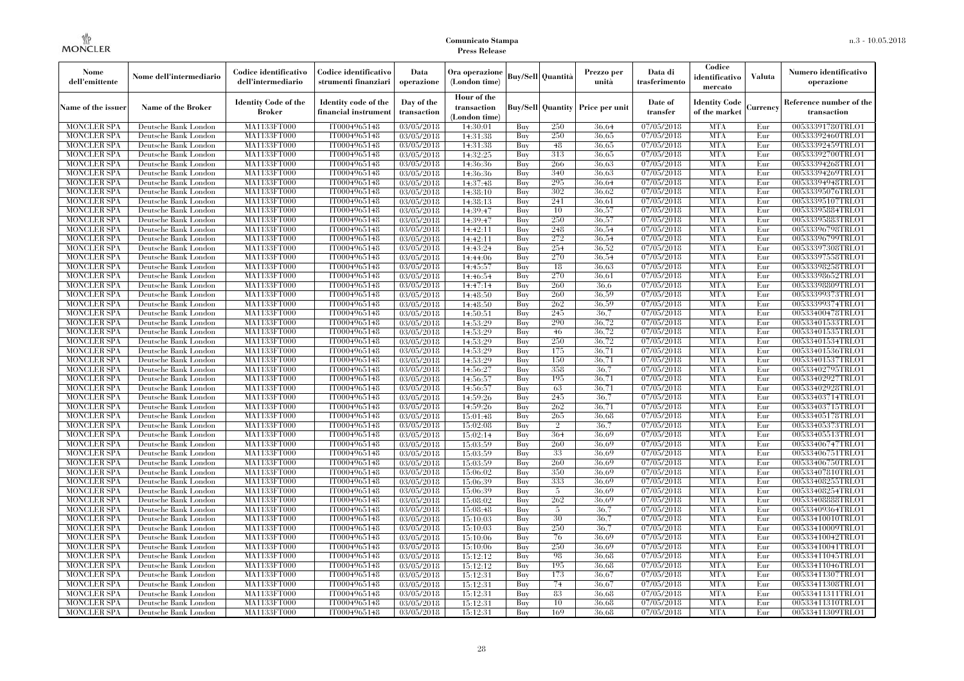| Nome<br>dell'emittente                   | Nome dell'intermediario                      | Codice identificativo<br>dell'intermediario  | Codice identificativo<br>strumenti finanziari | Data<br>operazione        | Ora operazione<br>(London time)             |            | <b>Buy/Sell Quantità</b> | Prezzo per<br>unità                     | Data di<br>trasferimento          | Codice<br>identificativo<br>mercato   | Valuta     | Numero identificativo<br>operazione    |
|------------------------------------------|----------------------------------------------|----------------------------------------------|-----------------------------------------------|---------------------------|---------------------------------------------|------------|--------------------------|-----------------------------------------|-----------------------------------|---------------------------------------|------------|----------------------------------------|
| Name of the issuer                       | Name of the Broker                           | <b>Identity Code of the</b><br><b>Broker</b> | Identity code of the<br>financial instrument  | Day of the<br>transaction | Hour of the<br>transaction<br>(London time) |            |                          | <b>Buy/Sell Quantity Price per unit</b> | Date of<br>transfer               | <b>Identity Code</b><br>of the market | Currencv   | Reference number of the<br>transaction |
| <b>MONCLER SPA</b>                       | Deutsche Bank London                         | MA1133FT000                                  | IT0004965148                                  | 03/05/2018                | 14:30:01                                    | Buy        | 250                      | 36.64                                   | 07/05/2018                        | <b>MTA</b>                            | Eur        | 00533391780TRLO1                       |
| <b>MONCLER SPA</b>                       | Deutsche Bank London                         | <b>MA1133FT000</b>                           | IT0004965148                                  | 03/05/2018                | 14:31:38                                    | Buy        | 250                      | 36,65                                   | $\overline{07/05}/2018$           | <b>MTA</b>                            | Eur        | 00533392460TRLO1                       |
| <b>MONCLER SPA</b>                       | Deutsche Bank London                         | MA1133FT000                                  | IT0004965148                                  | 03/05/2018                | 14:31:38                                    | Buy        | 48                       | 36.65                                   | 07/05/2018                        | <b>MTA</b>                            | Eur        | 00533392459TRLO1                       |
| <b>MONCLER SPA</b>                       | Deutsche Bank London                         | MA1133FT000                                  | IT0004965148                                  | 03/05/2018                | 14:32:25                                    | Buy        | 313                      | 36.65                                   | 07/05/2018                        | <b>MTA</b>                            | Eur        | 00533392700TRLO1                       |
| <b>MONCLER SPA</b>                       | Deutsche Bank London                         | MA1133FT000                                  | IT0004965148                                  | 03/05/2018                | 14:36:36                                    | Buy        | 266                      | 36.63                                   | 07/05/2018                        | <b>MTA</b>                            | Eur        | 00533394268TRLO1                       |
| <b>MONCLER SPA</b><br><b>MONCLER SPA</b> | Deutsche Bank London                         | <b>MA1133FT000</b>                           | IT0004965148<br>IT0004965148                  | 03/05/2018                | 14:36:36                                    | Buy        | 340<br>295               | 36,63<br>36.64                          | $\sqrt{07}/05/2018$               | <b>MTA</b><br><b>MTA</b>              | Eur        | 00533394269TRLO1                       |
| <b>MONCLER SPA</b>                       | Deutsche Bank London<br>Deutsche Bank London | MA1133FT000<br><b>MA1133FT000</b>            | IT0004965148                                  | 03/05/2018<br>03/05/2018  | 14:37:48<br>14:38:10                        | Buy<br>Buy | 302                      | 36.62                                   | 07/05/2018<br>07/05/2018          | <b>MTA</b>                            | Eur<br>Eur | 00533394948TRLO1<br>00533395076TRLO1   |
| <b>MONCLER SPA</b>                       | Deutsche Bank London                         | MA1133FT000                                  | IT0004965148                                  | 03/05/2018                | 14:38:13                                    | Buy        | 241                      | 36.61                                   | 07/05/2018                        | <b>MTA</b>                            | Eur        | 00533395107TRLO1                       |
| <b>MONCLER SPA</b>                       | Deutsche Bank London                         | <b>MA1133FT000</b>                           | IT0004965148                                  | 03/05/2018                | 14:39:47                                    | Buy        | 10                       | 36,57                                   | 07/05/2018                        | <b>MTA</b>                            | Eur        | 00533395884TRLO1                       |
| <b>MONCLER SPA</b>                       | Deutsche Bank London                         | MA1133FT000                                  | IT0004965148                                  | 03/05/2018                | 14:39:47                                    | Buy        | 250                      | 36,57                                   | 07/05/2018                        | <b>MTA</b>                            | Eur        | 00533395883TRLO1                       |
| <b>MONCLER SPA</b>                       | Deutsche Bank London                         | MA1133FT000                                  | IT0004965148                                  | 03/05/2018                | 14:42:11                                    | Buy        | 248                      | 36,54                                   | 07/05/2018                        | <b>MTA</b>                            | Eur        | 00533396798TRLO1                       |
| <b>MONCLER SPA</b>                       | Deutsche Bank London                         | MA1133FT000                                  | IT0004965148                                  | 03/05/2018                | 14:42:11                                    | Buy        | 272                      | 36,54                                   | 07/05/2018                        | <b>MTA</b>                            | Eur        | 00533396799TRLO1                       |
| <b>MONCLER SPA</b>                       | Deutsche Bank London                         | MA1133FT000                                  | IT0004965148                                  | 03/05/2018                | 14:43:24                                    | Buy        | 254                      | 36.52                                   | 07/05/2018                        | <b>MTA</b>                            | Eur        | 00533397308TRLO1                       |
| <b>MONCLER SPA</b>                       | Deutsche Bank London                         | MA1133FT000                                  | IT0004965148                                  | 03/05/2018                | 14:44:06                                    | Buy        | 270                      | 36,54                                   | 07/05/2018                        | <b>MTA</b>                            | Eur        | 00533397558TRLO1                       |
| <b>MONCLER SPA</b>                       | Deutsche Bank London                         | MA1133FT000                                  | IT0004965148                                  | 03/05/2018                | 14:45:57                                    | Buy        | 18                       | 36.63                                   | 07/05/2018                        | <b>MTA</b>                            | Eur        | 00533398258TRLO1                       |
| <b>MONCLER SPA</b>                       | Deutsche Bank London                         | MA1133FT000                                  | IT0004965148                                  | 03/05/2018                | 14:46:54                                    | Buy        | 270                      | 36.61                                   | 07/05/2018                        | <b>MTA</b>                            | Eur        | 00533398652TRLO1                       |
| <b>MONCLER SPA</b>                       | Deutsche Bank London                         | MA1133FT000                                  | IT0004965148                                  | 03/05/2018                | 14:47:14                                    | Buy        | 260                      | 36.6                                    | 07/05/2018                        | <b>MTA</b>                            | Eur        | 00533398809TRLO1                       |
| <b>MONCLER SPA</b>                       | Deutsche Bank London                         | MA1133FT000                                  | IT0004965148                                  | 03/05/2018                | 14:48:50                                    | Buy        | 260                      | 36.59                                   | 07/05/2018                        | <b>MTA</b>                            | Eur        | 00533399373TRLO1                       |
| <b>MONCLER SPA</b>                       | Deutsche Bank London                         | MA1133FT000                                  | IT0004965148                                  | 03/05/2018                | 14:48:50                                    | Buy        | 262                      | 36,59                                   | 07/05/2018                        | <b>MTA</b>                            | Eur        | 00533399374TRLO1                       |
| MONCLER SPA                              | Deutsche Bank London                         | MA1133FT000                                  | IT0004965148                                  | 03/05/2018                | 14:50:51                                    | Buy        | 245                      | 36,7                                    | $\sqrt{07}/05/2018$               | <b>MTA</b>                            | Eur        | 00533400478TRLO1                       |
| <b>MONCLER SPA</b>                       | Deutsche Bank London                         | MA1133FT000                                  | IT0004965148                                  | 03/05/2018                | 14:53:29                                    | Buy        | 290                      | 36,72                                   | 07/05/2018                        | <b>MTA</b>                            | Eur        | 00533401533TRLO1                       |
| <b>MONCLER SPA</b>                       | Deutsche Bank London                         | MA1133FT000                                  | IT0004965148                                  | 03/05/2018                | 14:53:29                                    | Buy        | 46                       | 36,72                                   | 07/05/2018                        | <b>MTA</b>                            | Eur        | 00533401535TRLO1                       |
| <b>MONCLER SPA</b>                       | Deutsche Bank London                         | MA1133FT000                                  | IT0004965148                                  | 03/05/2018                | 14:53:29                                    | Buy        | 250                      | 36,72                                   | 07/05/2018                        | <b>MTA</b>                            | Eur        | 00533401534TRLO1                       |
| <b>MONCLER SPA</b>                       | Deutsche Bank London                         | MA1133FT000                                  | IT0004965148                                  | 03/05/2018                | 14:53:29                                    | Buy        | 175                      | 36,71                                   | 07/05/2018                        | <b>MTA</b>                            | Eur        | 00533401536TRLO1                       |
| <b>MONCLER SPA</b>                       | Deutsche Bank London                         | MA1133FT000                                  | IT0004965148                                  | 03/05/2018                | 14:53:29                                    | Buy        | 150                      | 36,71                                   | 07/05/2018                        | <b>MTA</b>                            | Eur        | 00533401537TRLO1                       |
| <b>MONCLER SPA</b>                       | Deutsche Bank London                         | MA1133FT000                                  | IT0004965148                                  | 03/05/2018                | 14:56:27                                    | Buy        | 358                      | 36,7                                    | 07/05/2018                        | <b>MTA</b>                            | Eur        | 00533402795TRLO1                       |
| <b>MONCLER SPA</b>                       | Deutsche Bank London                         | MA1133FT000                                  | IT0004965148                                  | 03/05/2018                | 14:56:57                                    | Buy        | 195                      | 36,71                                   | 07/05/2018                        | <b>MTA</b>                            | Eur        | 00533402927TRLO1                       |
| <b>MONCLER SPA</b>                       | Deutsche Bank London                         | MA1133FT000                                  | IT0004965148                                  | 03/05/2018                | 14:56:57                                    | Buy        | 63                       | 36,71                                   | 07/05/2018                        | <b>MTA</b>                            | Eur        | 00533402928TRLO1                       |
| <b>MONCLER SPA</b>                       | Deutsche Bank London                         | <b>MA1133FT000</b>                           | IT0004965148                                  | 03/05/2018                | 14:59:26                                    | Buy        | 245                      | 36.7                                    | 07/05/2018                        | <b>MTA</b>                            | Eur        | 00533403714TRLO1                       |
| MONCLER SPA                              | Deutsche Bank London                         | MA1133FT000                                  | IT0004965148                                  | 03/05/2018                | 14:59:26                                    | Buy        | 262                      | 36,71                                   | 07/05/2018                        | <b>MTA</b>                            | Eur        | 00533403715TRLO1                       |
| <b>MONCLER SPA</b>                       | Deutsche Bank London                         | MA1133FT000                                  | IT0004965148                                  | 03/05/2018                | 15:01:48                                    | Buy        | 265                      | 36,68                                   | 07/05/2018                        | <b>MTA</b>                            | Eur        | 00533405178TRLO1                       |
| <b>MONCLER SPA</b>                       | Deutsche Bank London                         | MA1133FT000                                  | IT0004965148                                  | 03/05/2018                | 15:02:08                                    | Buy        | $\overline{2}$           | 36.7                                    | 07/05/2018                        | <b>MTA</b>                            | Eur        | 00533405373TRLO1                       |
| <b>MONCLER SPA</b>                       | Deutsche Bank London                         | MA1133FT000                                  | IT0004965148                                  | 03/05/2018                | 15:02:14                                    | Buy        | 364                      | 36.69                                   | 07/05/2018                        | <b>MTA</b>                            | Eur        | 00533405513TRLO1                       |
| <b>MONCLER SPA</b>                       | Deutsche Bank London                         | MA1133FT000                                  | IT0004965148                                  | 03/05/2018                | 15:03:59                                    | Buy        | 260                      | 36.69                                   | 07/05/2018                        | <b>MTA</b>                            | Eur        | 00533406747TRLO1                       |
| <b>MONCLER SPA</b>                       | Deutsche Bank London                         | MA1133FT000                                  | IT0004965148                                  | 03/05/2018                | 15:03:59                                    | Buy        | 33                       | 36.69                                   | 07/05/2018                        | <b>MTA</b>                            | Eur        | 00533406751TRLO1                       |
| <b>MONCLER SPA</b>                       | Deutsche Bank London                         | MA1133FT000                                  | IT0004965148                                  | 03/05/2018                | 15:03:59                                    | Buv        | 260                      | 36.69                                   | 07/05/2018                        | <b>MTA</b>                            | Eur        | 00533406750TRLO1                       |
| <b>MONCLER SPA</b>                       | Deutsche Bank London                         | <b>MA1133FT000</b>                           | IT0004965148                                  | 03/05/2018                | 15:06:02                                    | Buy        | 350                      | 36.69                                   | 07/05/2018                        | <b>MTA</b>                            | Eur        | 00533407810TRLO1                       |
| <b>MONCLER SPA</b>                       | Deutsche Bank London                         | MA1133FT000                                  | IT0004965148                                  | 03/05/2018                | 15:06:39                                    | Buy        | 333                      | 36.69                                   | 07/05/2018                        | <b>MTA</b>                            | Eur        | 00533408255TRLO1                       |
| <b>MONCLER SPA</b>                       | Deutsche Bank London                         | <b>MA1133FT000</b>                           | IT0004965148                                  | 03/05/2018                | 15:06:39                                    | Buy        | 5                        | 36.69                                   | 07/05/2018                        | <b>MTA</b>                            | Eur        | 00533408254TRLO1                       |
| <b>MONCLER SPA</b>                       | Deutsche Bank London                         | <b>MA1133FT000</b>                           | IT0004965148                                  | 03/05/2018                | 15:08:02                                    | Buy        | 262<br>5                 | 36.69                                   | 07/05/2018                        | <b>MTA</b><br><b>MTA</b>              | Eur        | 00533408888TRLO1                       |
| <b>MONCLER SPA</b><br><b>MONCLER SPA</b> | Deutsche Bank London<br>Deutsche Bank London | MA1133FT000<br>MA1133FT000                   | IT0004965148<br>IT0004965148                  | 03/05/2018<br>03/05/2018  | 15:08:48<br>15:10:03                        | Buy<br>Buy | 30                       | 36,7<br>36.7                            | $\sqrt{07}/05/2018$<br>07/05/2018 | <b>MTA</b>                            | Eur<br>Eur | 00533409364TRLO1<br>00533410010TRLO1   |
| <b>MONCLER SPA</b>                       | Deutsche Bank London                         | MA1133FT000                                  | IT0004965148                                  | 03/05/2018                | 15:10:03                                    | Buy        | 250                      | 36.7                                    | 07/05/2018                        | <b>MTA</b>                            | Eur        | 00533410009TRLO1                       |
|                                          |                                              |                                              | IT0004965148                                  |                           |                                             | Buy        | 76                       | 36.69                                   | 07/05/2018                        | <b>MTA</b>                            | Eur        | 00533410042TRLO1                       |
| <b>MONCLER SPA</b><br><b>MONCLER SPA</b> | Deutsche Bank London<br>Deutsche Bank London | MA1133FT000<br>MA1133FT000                   | IT0004965148                                  | 03/05/2018<br>03/05/2018  | 15:10:06<br>15:10:06                        | Buy        | 250                      | 36.69                                   | 07/05/2018                        | <b>MTA</b>                            | Eur        | 00533410041TRLO1                       |
| <b>MONCLER SPA</b>                       | Deutsche Bank London                         | MA1133FT000                                  | IT0004965148                                  | 03/05/2018                | 15:12:12                                    | Buy        | 98                       | 36.68                                   | 07/05/2018                        | <b>MTA</b>                            | Eur        | 00533411045TRLO1                       |
| <b>MONCLER SPA</b>                       | Deutsche Bank London                         | MA1133FT000                                  | IT0004965148                                  | 03/05/2018                | 15:12:12                                    | Buy        | 195                      | 36.68                                   | 07/05/2018                        | <b>MTA</b>                            | Eur        | 00533411046TRLO1                       |
| <b>MONCLER SPA</b>                       | Deutsche Bank London                         | MA1133FT000                                  | IT0004965148                                  | 03/05/2018                | 15:12:31                                    | Buy        | 173                      | 36.67                                   | 07/05/2018                        | <b>MTA</b>                            | Eur        | 00533411307TRLO1                       |
| <b>MONCLER SPA</b>                       | Deutsche Bank London                         | MA1133FT000                                  | IT0004965148                                  | 03/05/2018                | 15:12:31                                    | Buy        | 74                       | 36,67                                   | 07/05/2018                        | <b>MTA</b>                            | Eur        | 00533411308TRLO1                       |
| <b>MONCLER SPA</b>                       | Deutsche Bank London                         | MA1133FT000                                  | IT0004965148                                  | 03/05/2018                | 15:12:31                                    | Buy        | 83                       | 36.68                                   | 07/05/2018                        | <b>MTA</b>                            | Eur        | 00533411311TRLO1                       |
| <b>MONCLER SPA</b>                       | Deutsche Bank London                         | <b>MA1133FT000</b>                           | IT0004965148                                  | 03/05/2018                | 15:12:31                                    | Buy        | 10                       | 36,68                                   | 07/05/2018                        | <b>MTA</b>                            | Eur        | 00533411310TRLO1                       |
| <b>MONCLER SPA</b>                       | Deutsche Bank London                         | MA1133FT000                                  | IT0004965148                                  | 03/05/2018                | 15:12:31                                    | Buy        | 169                      | 36.68                                   | 07/05/2018                        | <b>MTA</b>                            | Eur        | 00533411309TRLO1                       |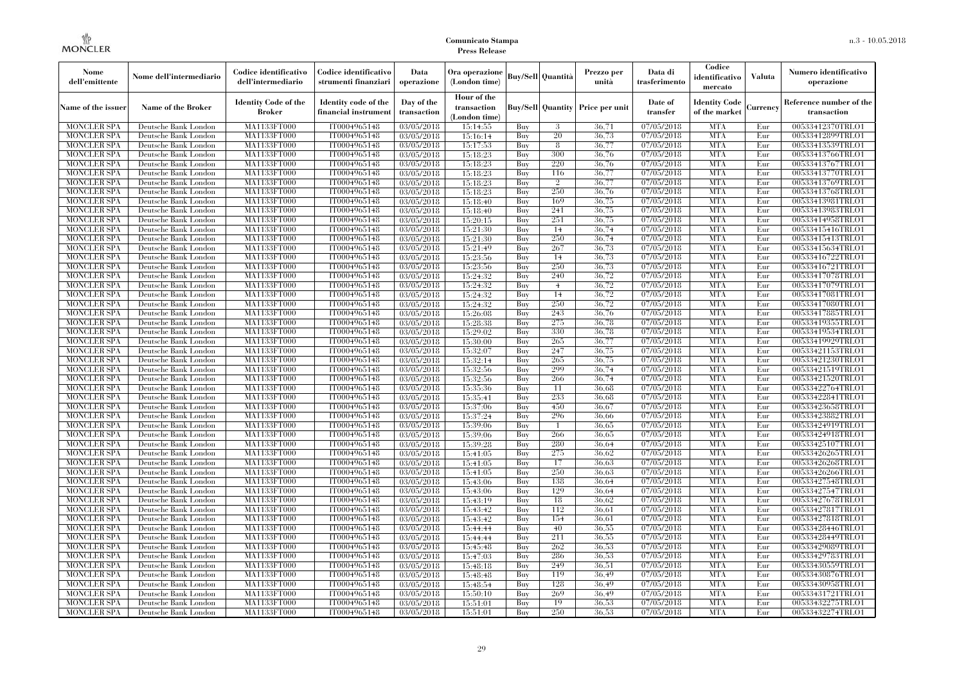| Nome<br>dell'emittente | Nome dell'intermediario   | Codice identificativo<br>dell'intermediario  | Codice identificativo<br>strumenti finanziari | Data<br>operazione        | Ora operazione<br>(London time)             |     | <b>Buy/Sell Quantità</b> | Prezzo per<br>unità                     | Data di<br>trasferimento | Codice<br>identificativo<br>mercato   | Valuta   | Numero identificativo<br>operazione    |
|------------------------|---------------------------|----------------------------------------------|-----------------------------------------------|---------------------------|---------------------------------------------|-----|--------------------------|-----------------------------------------|--------------------------|---------------------------------------|----------|----------------------------------------|
| Name of the issuer     | <b>Name of the Broker</b> | <b>Identity Code of the</b><br><b>Broker</b> | Identity code of the<br>financial instrumen   | Day of the<br>transaction | Hour of the<br>transaction<br>(London time) |     |                          | <b>Buy/Sell Quantity Price per unit</b> | Date of<br>transfer      | <b>Identity Code</b><br>of the market | Currency | Reference number of the<br>transaction |
| <b>MONCLER SPA</b>     | Deutsche Bank London      | MA1133FT000                                  | IT0004965148                                  | 03/05/2018                | 15:14:55                                    | Buy | 3                        | 36,71                                   | 07/05/2018               | <b>MTA</b>                            | Eur      | 00533412370TRLO1                       |
| <b>MONCLER SPA</b>     | Deutsche Bank London      | MA1133FT000                                  | IT0004965148                                  | 03/05/2018                | 15:16:14                                    | Buy | 20                       | 36,73                                   | 07/05/2018               | <b>MTA</b>                            | Eur      | 00533412899TRLO1                       |
| <b>MONCLER SPA</b>     | Deutsche Bank London      | <b>MA1133FT000</b>                           | IT0004965148                                  | 03/05/2018                | 15:17:53                                    | Buy | 8                        | 36,77                                   | 07/05/2018               | <b>MTA</b>                            | Eur      | 00533413539TRLO1                       |
| <b>MONCLER SPA</b>     | Deutsche Bank London      | MA1133FT000                                  | IT0004965148                                  | 03/05/2018                | 15:18:23                                    | Buy | 300                      | 36,76                                   | 07/05/2018               | <b>MTA</b>                            | Eur      | 00533413766TRLO1                       |
| <b>MONCLER SPA</b>     | Deutsche Bank London      | MA1133FT000                                  | IT0004965148                                  | 03/05/2018                | 15:18:23                                    | Buy | 220                      | 36,76                                   | 07/05/2018               | <b>MTA</b>                            | Eur      | 00533413767TRLO1                       |
| <b>MONCLER SPA</b>     | Deutsche Bank London      | MA1133FT000                                  | IT0004965148                                  | 03/05/2018                | 15:18:23                                    | Buy | 116                      | 36,77                                   | 07/05/2018               | <b>MTA</b>                            | Eur      | 00533413770TRLO1                       |
| <b>MONCLER SPA</b>     | Deutsche Bank London      | <b>MA1133FT000</b>                           | IT0004965148                                  | 03/05/2018                | 15:18:23                                    | Buy | $\overline{2}$           | 36,77                                   | 07/05/2018               | <b>MTA</b>                            | Eur      | 00533413769TRLO1                       |
| <b>MONCLER SPA</b>     | Deutsche Bank London      | <b>MA1133FT000</b>                           | IT0004965148                                  | 03/05/2018                | 15:18:23                                    | Buy | 250                      | 36,76                                   | 07/05/2018               | <b>MTA</b>                            | Eur      | 00533413768TRLO1                       |
| <b>MONCLER SPA</b>     | Deutsche Bank London      | MA1133FT000                                  | IT0004965148                                  | 03/05/2018                | 15:18:40                                    | Buy | 169                      | 36,75                                   | 07/05/2018               | <b>MTA</b>                            | Eur      | 00533413981TRLO1                       |
| <b>MONCLER SPA</b>     | Deutsche Bank London      | MA1133FT000                                  | IT0004965148                                  | 03/05/2018                | 15:18:40                                    | Buy | 241                      | 36,75                                   | 07/05/2018               | <b>MTA</b>                            | Eur      | 00533413983TRLO1                       |
| <b>MONCLER SPA</b>     | Deutsche Bank London      | <b>MA1133FT000</b>                           | IT0004965148                                  | 03/05/2018                | 15:20:15                                    | Buy | 251                      | 36,75                                   | 07/05/2018               | <b>MTA</b>                            | Eur      | 00533414958TRLO1                       |
| <b>MONCLER SPA</b>     | Deutsche Bank London      | <b>MA1133FT000</b>                           | IT0004965148                                  | 03/05/2018                | 15:21:30                                    | Buy | 14                       | 36,74                                   | 07/05/2018               | <b>MTA</b>                            | Eur      | 00533415416TRLO1                       |
| <b>MONCLER SPA</b>     | Deutsche Bank London      | MA1133FT000                                  | IT0004965148                                  | 03/05/2018                | 15:21:30                                    | Buy | 250                      | 36,74                                   | 07/05/2018               | <b>MTA</b>                            | Eur      | 00533415413TRLO1                       |
| <b>MONCLER SPA</b>     | Deutsche Bank London      | MA1133FT000                                  | IT0004965148                                  | 03/05/2018                | 15:21:49                                    | Buy | 267                      | 36,73                                   | 07/05/2018               | <b>MTA</b>                            | Eur      | 00533415634TRLO1                       |
| <b>MONCLER SPA</b>     | Deutsche Bank London      | <b>MA1133FT000</b>                           | IT0004965148                                  | 03/05/2018                | 15:23:56                                    | Buy | 14                       | 36,73                                   | 07/05/2018               | <b>MTA</b>                            | Eur      | 00533416722TRLO1                       |
| <b>MONCLER SPA</b>     | Deutsche Bank London      | <b>MA1133FT000</b>                           | IT0004965148                                  | 03/05/2018                | 15:23:56                                    | Buy | 250                      | 36,73                                   | 07/05/2018               | <b>MTA</b>                            | Eur      | 00533416721TRLO1                       |
| <b>MONCLER SPA</b>     | Deutsche Bank London      | MA1133FT000                                  | IT0004965148                                  | 03/05/2018                | 15:24:32                                    | Buy | 240                      | 36,72                                   | 07/05/2018               | <b>MTA</b>                            | Eur      | 00533417078TRLO1                       |
| <b>MONCLER SPA</b>     | Deutsche Bank London      | MA1133FT000                                  | IT0004965148                                  | 03/05/2018                | 15:24:32                                    | Buy | $\overline{4}$           | 36,72                                   | 07/05/2018               | <b>MTA</b>                            | Eur      | 00533417079TRLO1                       |
| <b>MONCLER SPA</b>     | Deutsche Bank London      | <b>MA1133FT000</b>                           | IT0004965148                                  | 03/05/2018                | 15:24:32                                    | Buy | 14                       | 36,72                                   | 07/05/2018               | <b>MTA</b>                            | Eur      | 00533417081TRLO1                       |
| <b>MONCLER SPA</b>     | Deutsche Bank London      | <b>MA1133FT000</b>                           | IT0004965148                                  | 03/05/2018                | 15:24:32                                    | Buy | 250                      | 36,72                                   | 07/05/2018               | <b>MTA</b>                            | Eur      | 00533417080TRLO1                       |
| <b>MONCLER SPA</b>     | Deutsche Bank London      | <b>MA1133FT000</b>                           | IT0004965148                                  | 03/05/2018                | 15:26:08                                    | Buy | 243                      | 36,76                                   | 07/05/2018               | <b>MTA</b>                            | Eur      | 00533417885TRLO1                       |
| <b>MONCLER SPA</b>     | Deutsche Bank London      | MA1133FT000                                  | IT0004965148                                  | 03/05/2018                | 15:28:38                                    | Buy | 275                      | 36,78                                   | 07/05/2018               | <b>MTA</b>                            | Eur      | 00533419355TRLO1                       |
| MONCLER SPA            | Deutsche Bank London      | <b>MA1133FT000</b>                           | IT0004965148                                  | 03/05/2018                | 15:29:02                                    | Buy | 330                      | 36,78                                   | 07/05/2018               | <b>MTA</b>                            | Eur      | 00533419534TRLO1                       |
| <b>MONCLER SPA</b>     | Deutsche Bank London      | MA1133FT000                                  | IT0004965148                                  | 03/05/2018                | 15:30:00                                    | Buy | 265                      | 36,77                                   | 07/05/2018               | <b>MTA</b>                            | Eur      | 00533419929TRLO1                       |
| <b>MONCLER SPA</b>     | Deutsche Bank London      | MA1133FT000                                  | IT0004965148                                  | 03/05/2018                | 15:32:07                                    | Buy | 247                      | 36,75                                   | 07/05/2018               | <b>MTA</b>                            | Eur      | 00533421153TRLO1                       |
| <b>MONCLER SPA</b>     | Deutsche Bank London      | <b>MA1133FT000</b>                           | IT0004965148                                  | 03/05/2018                | 15:32:14                                    | Buy | 265                      | 36,75                                   | 07/05/2018               | <b>MTA</b>                            | Eur      | 00533421230TRLO1                       |
| MONCLER SPA            | Deutsche Bank London      | <b>MA1133FT000</b>                           | IT0004965148                                  | 03/05/2018                | 15:32:56                                    | Buy | 299                      | 36,74                                   | 07/05/2018               | <b>MTA</b>                            | Eur      | 00533421519TRLO1                       |
| <b>MONCLER SPA</b>     | Deutsche Bank London      | MA1133FT000                                  | IT0004965148                                  | 03/05/2018                | 15:32:56                                    | Buy | 266                      | 36,74                                   | 07/05/2018               | <b>MTA</b>                            | Eur      | 00533421520TRLO1                       |
| <b>MONCLER SPA</b>     | Deutsche Bank London      | MA1133FT000                                  | IT0004965148                                  | 03/05/2018                | 15:35:36                                    | Buy | 11                       | 36.68                                   | 07/05/2018               | <b>MTA</b>                            | Eur      | 00533422764TRLO1                       |
| <b>MONCLER SPA</b>     | Deutsche Bank London      | <b>MA1133FT000</b>                           | IT0004965148                                  | 03/05/2018                | 15:35:41                                    | Buy | 233                      | 36,68                                   | 07/05/2018               | <b>MTA</b>                            | Eur      | 00533422841TRLO1                       |
| <b>MONCLER SPA</b>     | Deutsche Bank London      | <b>MA1133FT000</b>                           | IT0004965148                                  | 03/05/2018                | 15:37:06                                    | Buy | 450                      | 36,67                                   | 07/05/2018               | <b>MTA</b>                            | Eur      | 00533423658TRLO1                       |
| <b>MONCLER SPA</b>     | Deutsche Bank London      | MA1133FT000                                  | IT0004965148                                  | 03/05/2018                | 15:37:24                                    | Buy | 296                      | 36.66                                   | 07/05/2018               | <b>MTA</b>                            | Eur      | 00533423882TRLO1                       |
| <b>MONCLER SPA</b>     | Deutsche Bank London      | MA1133FT000                                  | IT0004965148                                  | 03/05/2018                | 15:39:06                                    | Buy | $\overline{1}$           | 36.65                                   | 07/05/2018               | <b>MTA</b>                            | Eur      | 00533424919TRLO1                       |
| <b>MONCLER SPA</b>     | Deutsche Bank London      | <b>MA1133FT000</b>                           | IT0004965148                                  | 03/05/2018                | 15:39:06                                    | Buy | 266                      | 36,65                                   | 07/05/2018               | <b>MTA</b>                            | Eur      | 00533424918TRLO1                       |
| <b>MONCLER SPA</b>     | Deutsche Bank London      | <b>MA1133FT000</b>                           | IT0004965148                                  | 03/05/2018                | 15:39:28                                    | Buy | 280                      | 36.64                                   | 07/05/2018               | <b>MTA</b>                            | Eur      | 00533425107TRLO1                       |
| <b>MONCLER SPA</b>     | Deutsche Bank London      | MA1133FT000                                  | IT0004965148                                  | 03/05/2018                | 15:41:05                                    | Buy | 275                      | 36.62                                   | 07/05/2018               | <b>MTA</b>                            | Eur      | 00533426265TRLO1                       |
| <b>MONCLER SPA</b>     | Deutsche Bank London      | MA1133FT000                                  | IT0004965148                                  | 03/05/2018                | 15:41:05                                    | Buy | 17                       | 36,63                                   | 07/05/2018               | <b>MTA</b>                            | Eur      | 00533426268TRLO1                       |
| <b>MONCLER SPA</b>     | Deutsche Bank London      | <b>MA1133FT000</b>                           | IT0004965148                                  | 03/05/2018                | 15:41:05                                    | Buy | 250                      | 36,63                                   | 07/05/2018               | <b>MTA</b>                            | Eur      | 00533426266TRLO1                       |
| <b>MONCLER SPA</b>     | Deutsche Bank London      | <b>MA1133FT000</b>                           | IT0004965148                                  | 03/05/2018                | 15:43:06                                    | Buy | 138                      | 36,64                                   | 07/05/2018               | <b>MTA</b>                            | Eur      | 00533427548TRLO1                       |
| <b>MONCLER SPA</b>     | Deutsche Bank London      | MA1133FT000                                  | IT0004965148                                  | 03/05/2018                | 15:43:06                                    | Buy | 129                      | 36.64                                   | 07/05/2018               | <b>MTA</b>                            | Eur      | 00533427547TRLO1                       |
| <b>MONCLER SPA</b>     | Deutsche Bank London      | MA1133FT000                                  | IT0004965148                                  | 03/05/2018                | 15:43:19                                    | Buy | 18                       | 36.62                                   | 07/05/2018               | <b>MTA</b>                            | Eur      | 00533427678TRLO1                       |
| <b>MONCLER SPA</b>     | Deutsche Bank London      | MA1133FT000                                  | IT0004965148                                  | 03/05/2018                | 15:43:42                                    | Buy | 112                      | 36.61                                   | 07/05/2018               | <b>MTA</b>                            | Eur      | 00533427817TRLO1                       |
| <b>MONCLER SPA</b>     | Deutsche Bank London      | <b>MA1133FT000</b>                           | IT0004965148                                  | 03/05/2018                | 15:43:42                                    | Buy | 154                      | 36,61                                   | 07/05/2018               | MTA                                   | Eur      | 00533427818TRLO1                       |
| <b>MONCLER SPA</b>     | Deutsche Bank London      | MA1133FT000                                  | IT0004965148                                  | 03/05/2018                | 15:44:44                                    | Buy | 40                       | 36.55                                   | 07/05/2018               | <b>MTA</b>                            | Eur      | 00533428446TRLO1                       |
| <b>MONCLER SPA</b>     | Deutsche Bank London      | MA1133FT000                                  | IT0004965148                                  | 03/05/2018                | 15:44:44                                    | Buy | 211                      | 36,55                                   | 07/05/2018               | <b>MTA</b>                            | Eur      | 00533428449TRLO1                       |
| <b>MONCLER SPA</b>     | Deutsche Bank London      | MA1133FT000                                  | IT0004965148                                  | 03/05/2018                | 15:45:48                                    | Buy | 262                      | 36,53                                   | 07/05/2018               | <b>MTA</b>                            | Eur      | 00533429089TRLO1                       |
| <b>MONCLER SPA</b>     | Deutsche Bank London      | <b>MA1133FT000</b>                           | IT0004965148                                  | 03/05/2018                | 15:47:03                                    | Buy | 286                      | 36,53                                   | 07/05/2018               | <b>MTA</b>                            | Eur      | 00533429783TRLO1                       |
| <b>MONCLER SPA</b>     | Deutsche Bank London      | MA1133FT000                                  | IT0004965148                                  | 03/05/2018                | 15:48:18                                    | Buy | 249                      | 36,51                                   | 07/05/2018               | <b>MTA</b>                            | Eur      | 00533430559TRLO1                       |
| <b>MONCLER SPA</b>     | Deutsche Bank London      | MA1133FT000                                  | IT0004965148                                  | 03/05/2018                | 15:48:48                                    | Buy | 119                      | 36.49                                   | 07/05/2018               | <b>MTA</b>                            | Eur      | 00533430876TRLO1                       |
| <b>MONCLER SPA</b>     | Deutsche Bank London      | MA1133FT000                                  | IT0004965148                                  | 03/05/2018                | 15:48:54                                    | Buy | 128                      | 36.49                                   | 07/05/2018               | <b>MTA</b>                            | Eur      | 00533430958TRLO1                       |
| MONCLER SPA            | Deutsche Bank London      | <b>MA1133FT000</b>                           | IT0004965148                                  | 03/05/2018                | 15:50:10                                    | Buy | 269                      | 36.49                                   | 07/05/2018               | <b>MTA</b>                            | Eur      | 00533431721TRLO1                       |
| <b>MONCLER SPA</b>     | Deutsche Bank London      | <b>MA1133FT000</b>                           | IT0004965148                                  | 03/05/2018                | 15:51:01                                    | Buy | 19                       | 36,53                                   | 07/05/2018               | <b>MTA</b>                            | Eur      | 00533432275TRLO1                       |
| <b>MONCLER SPA</b>     | Deutsche Bank London      | MA1133FT000                                  | IT0004965148                                  | 03/05/2018                | 15:51:01                                    | Buy | 250                      | 36,53                                   | 07/05/2018               | <b>MTA</b>                            | Eur      | 00533432274TRLO1                       |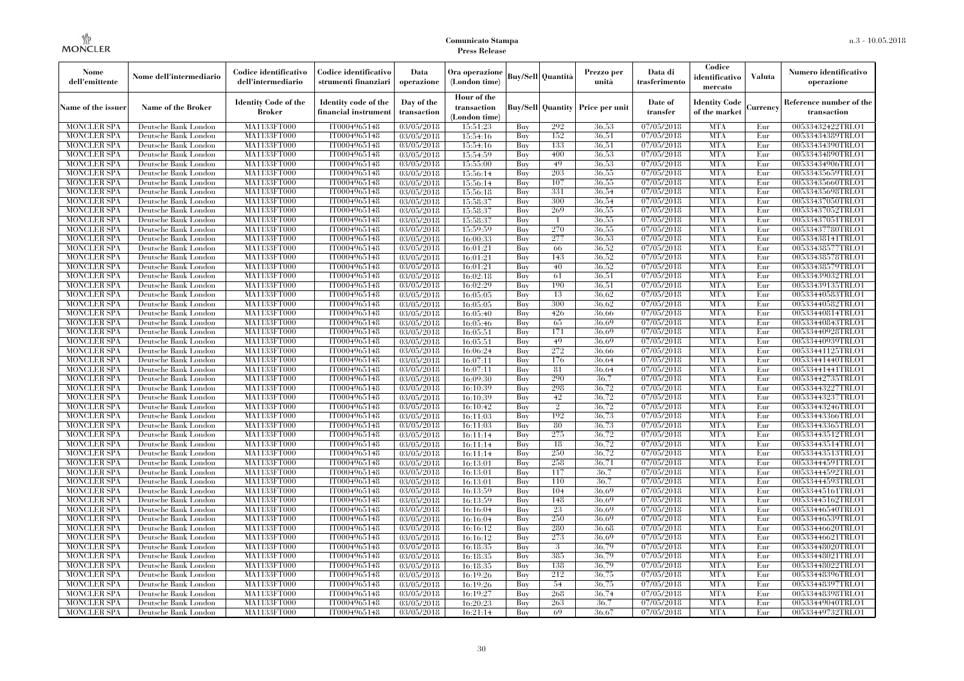| Nome<br>dell'emittente                   | Nome dell'intermediario                      | Codice identificativo<br>dell'intermediario  | Codice identificativo<br>strumenti finanziari | Data<br>operazione        | Ora operazione<br>(London time)             |            | Buy/Sell   Quantità      | Prezzo per<br>unità | Data di<br>trasferimento          | Codice<br>identificativo<br>mercato   | <b>Valuta</b> | Numero identificativo<br>operazione    |
|------------------------------------------|----------------------------------------------|----------------------------------------------|-----------------------------------------------|---------------------------|---------------------------------------------|------------|--------------------------|---------------------|-----------------------------------|---------------------------------------|---------------|----------------------------------------|
| Name of the issuer                       | Name of the Broker                           | <b>Identity Code of the</b><br><b>Broker</b> | Identity code of the<br>financial instrument  | Day of the<br>transaction | Hour of the<br>transaction<br>(London time) |            | <b>Buy/Sell</b> Quantity | Price per unit      | Date of<br>transfer               | <b>Identity Code</b><br>of the market | Currencv      | Reference number of the<br>transaction |
| <b>MONCLER SPA</b>                       | Deutsche Bank London                         | MA1133FT000                                  | IT0004965148                                  | 03/05/2018                | 15:51:23                                    | Buy        | 292                      | 36.53               | 07/05/2018                        | <b>MTA</b>                            | Eur           | 00533432422TRLO1                       |
| <b>MONCLER SPA</b>                       | Deutsche Bank London                         | <b>MA1133FT000</b>                           | IT0004965148                                  | 03/05/2018                | 15:54:16                                    | Buy        | 152                      | 36,51               | 07/05/2018                        | <b>MTA</b>                            | Eur           | 00533434389TRLO1                       |
| <b>MONCLER SPA</b>                       | Deutsche Bank London                         | MA1133FT000                                  | IT0004965148                                  | 03/05/2018                | 15:54:16                                    | Buy        | 133                      | 36,51               | 07/05/2018                        | <b>MTA</b>                            | Eur           | 00533434390TRLO1                       |
| <b>MONCLER SPA</b>                       | Deutsche Bank London                         | <b>MA1133FT000</b>                           | IT0004965148                                  | 03/05/2018                | 15:54:59                                    | Buy        | 400                      | 36,53               | 07/05/2018                        | <b>MTA</b>                            | Eur           | 00533434890TRLO1                       |
| <b>MONCLER SPA</b>                       | Deutsche Bank London                         | MA1133FT000                                  | IT0004965148                                  | $\overline{03}/05/2018$   | 15:55:00                                    | Buy        | 49<br>203                | 36,53               | 07/05/2018                        | <b>MTA</b><br><b>MTA</b>              | Eur           | 00533434906TRLO1                       |
| <b>MONCLER SPA</b><br><b>MONCLER SPA</b> | Deutsche Bank London<br>Deutsche Bank London | MA1133FT000<br>MA1133FT000                   | IT0004965148<br>IT0004965148                  | 03/05/2018<br>03/05/2018  | 15:56:14<br>15:56:14                        | Buy<br>Buy | 107                      | 36,55<br>36.55      | $\sqrt{07/05/20}18$<br>07/05/2018 | <b>MTA</b>                            | Eur<br>Eur    | 00533435659TRLO1<br>00533435660TRLO1   |
| <b>MONCLER SPA</b>                       | Deutsche Bank London                         | MA1133FT000                                  | IT0004965148                                  | 03/05/2018                | 15:56:18                                    | Buy        | 331                      | 36.54               | 07/05/2018                        | <b>MTA</b>                            | Eur           | 00533435698TRLO1                       |
| <b>MONCLER SPA</b>                       | Deutsche Bank London                         | <b>MA1133FT000</b>                           | IT0004965148                                  | 03/05/2018                | 15:58:37                                    | Buy        | 300                      | 36.54               | 07/05/2018                        | <b>MTA</b>                            | Eur           | 00533437050TRLO1                       |
| <b>MONCLER SPA</b>                       | Deutsche Bank London                         | MA1133FT000                                  | IT0004965148                                  | 03/05/2018                | 15:58:37                                    | Buy        | 269                      | 36,55               | 07/05/2018                        | <b>MTA</b>                            | Eur           | 00533437052TRLO1                       |
| <b>MONCLER SPA</b>                       | Deutsche Bank London                         | MA1133FT000                                  | IT0004965148                                  | 03/05/2018                | 15:58:37                                    | Buy        |                          | 36,55               | 07/05/2018                        | <b>MTA</b>                            | Eur           | 00533437051TRLO1                       |
| <b>MONCLER SPA</b>                       | Deutsche Bank London                         | MA1133FT000                                  | IT0004965148                                  | 03/05/2018                | 15:59:59                                    | Buy        | 270                      | 36.55               | 07/05/2018                        | <b>MTA</b>                            | Eur           | 00533437780TRLO1                       |
| <b>MONCLER SPA</b>                       | Deutsche Bank London                         | MA1133FT000                                  | IT0004965148                                  | $\overline{03}/05/2018$   | 16:00:33                                    | Buy        | 277                      | 36,53               | 07/05/2018                        | <b>MTA</b>                            | Eur           | 00533438141TRLO1                       |
| <b>MONCLER SPA</b>                       | Deutsche Bank London                         | <b>MA1133FT000</b>                           | IT0004965148                                  | 03/05/2018                | 16:01:21                                    | Buy        | -66                      | 36,52               | 07/05/2018                        | <b>MTA</b>                            | Eur           | 00533438577TRLO1                       |
| <b>MONCLER SPA</b>                       | Deutsche Bank London                         | MA1133FT000                                  | IT0004965148                                  | 03/05/2018                | 16:01:21                                    | Buy        | 143                      | 36,52               | 07/05/2018                        | <b>MTA</b>                            | Eur           | 00533438578TRLO1                       |
| <b>MONCLER SPA</b>                       | Deutsche Bank London                         | MA1133FT000                                  | IT0004965148                                  | 03/05/2018                | 16:01:21                                    | Buy        | 40                       | 36,52               | 07/05/2018                        | <b>MTA</b>                            | Eur           | 00533438579TRLO1                       |
| <b>MONCLER SPA</b>                       | Deutsche Bank London                         | MA1133FT000                                  | IT0004965148                                  | $\overline{03}/05/2018$   | 16:02:18                                    | Buy        | 61                       | 36.51               | 07/05/2018                        | <b>MTA</b>                            | Eur           | 00533439032TRLO1                       |
| <b>MONCLER SPA</b>                       | Deutsche Bank London                         | MA1133FT000                                  | IT0004965148                                  | 03/05/2018                | 16:02:29                                    | Buy        | 190                      | 36,51               | 07/05/2018                        | <b>MTA</b>                            | Eur           | 00533439135TRLO1                       |
| <b>MONCLER SPA</b>                       | Deutsche Bank London                         | MA1133FT000                                  | IT0004965148                                  | 03/05/2018                | 16:05:05                                    | Buy        | 13                       | 36.62               | 07/05/2018                        | <b>MTA</b>                            | Eur           | 00533440583TRLO1                       |
| <b>MONCLER SPA</b>                       | Deutsche Bank London                         | MA1133FT000                                  | IT0004965148                                  | 03/05/2018                | 16:05:05                                    | Buy        | 300                      | 36.62               | 07/05/2018                        | <b>MTA</b>                            | Eur           | 00533440582TRLO1                       |
| <b>MONCLER SPA</b>                       | Deutsche Bank London                         | MA1133FT000                                  | IT0004965148                                  | 03/05/2018                | 16:05:40                                    | Buy        | 426                      | 36.66               | 07/05/2018                        | <b>MTA</b>                            | Eur           | 00533440814TRLO1                       |
| <b>MONCLER SPA</b>                       | Deutsche Bank London                         | MA1133FT000                                  | IT0004965148                                  | 03/05/2018                | 16:05:46                                    | <b>Buy</b> | 65                       | 36.69               | 07/05/2018                        | <b>MTA</b>                            | Eur           | 00533440843TRLO1                       |
| <b>MONCLER SPA</b>                       | Deutsche Bank London                         | <b>MA1133FT000</b>                           | IT0004965148                                  | 03/05/2018                | 16:05:51                                    | Buy        | 171                      | 36,69               | 07/05/2018                        | <b>MTA</b>                            | Eur           | 00533440928TRLO1                       |
| <b>MONCLER SPA</b>                       | Deutsche Bank London                         | MA1133FT000                                  | IT0004965148                                  | 03/05/2018                | 16:05:51                                    | Buy        | 49                       | 36,69               | 07/05/2018                        | <b>MTA</b>                            | Eur           | 00533440939TRLO1                       |
| <b>MONCLER SPA</b>                       | Deutsche Bank London                         | MA1133FT000                                  | IT0004965148                                  | 03/05/2018                | 16:06:24                                    | Buy        | 272                      | 36.66               | 07/05/2018                        | <b>MTA</b>                            | Eur           | 00533441125TRLO1                       |
| <b>MONCLER SPA</b>                       | Deutsche Bank London                         | <b>MA1133FT000</b>                           | IT0004965148                                  | 03/05/2018                | 16:07:11                                    | Buy        | 176                      | 36.64               | 07/05/2018                        | <b>MTA</b>                            | Eur           | 00533441440TRLO1                       |
| <b>MONCLER SPA</b>                       | Deutsche Bank London                         | MA1133FT000                                  | IT0004965148                                  | 03/05/2018                | 16:07:11                                    | Buy        | 81                       | 36.64               | 07/05/2018                        | <b>MTA</b>                            | Eur           | 00533441441TRLO1                       |
| <b>MONCLER SPA</b>                       | Deutsche Bank London                         | MA1133FT000                                  | IT0004965148                                  | 03/05/2018                | 16:09:30                                    | Buy        | 290                      | 36,7                | 07/05/2018                        | <b>MTA</b>                            | Eur           | 00533442735TRLO1                       |
| <b>MONCLER SPA</b>                       | Deutsche Bank London                         | MA1133FT000                                  | IT0004965148                                  | 03/05/2018                | 16:10:39                                    | Buy        | 298                      | 36.72               | 07/05/2018                        | <b>MTA</b>                            | Eur           | 00533443227TRLO1                       |
| <b>MONCLER SPA</b>                       | Deutsche Bank London                         | MA1133FT000                                  | IT0004965148                                  | 03/05/2018                | 16:10:39                                    | Buy        | 42                       | 36,72               | 07/05/2018                        | <b>MTA</b>                            | Eur           | 00533443237TRLO1                       |
| <b>MONCLER SPA</b>                       | Deutsche Bank London                         | MA1133FT000                                  | IT0004965148                                  | 03/05/2018                | 16:10:42                                    | Buy        | $\mathcal{D}_{1}$        | 36,72               | 07/05/2018                        | <b>MTA</b>                            | Eur           | 00533443246TRLO1                       |
| <b>MONCLER SPA</b>                       | Deutsche Bank London                         | MA1133FT000                                  | IT0004965148                                  | 03/05/2018                | 16:11:03                                    | Buy        | 192                      | 36,73               | 07/05/2018                        | <b>MTA</b>                            | Eur           | 00533443366TRLO1                       |
| <b>MONCLER SPA</b>                       | Deutsche Bank London                         | MA1133FT000                                  | IT0004965148                                  | 03/05/2018                | 16:11:03                                    | Buy        | 80                       | 36,73               | 07/05/2018                        | <b>MTA</b>                            | Eur           | 00533443365TRLO1                       |
| <b>MONCLER SPA</b>                       | Deutsche Bank London                         | MA1133FT000                                  | IT0004965148                                  | 03/05/2018                | 16:11:14                                    | Buy        | 275                      | 36,72               | 07/05/2018                        | <b>MTA</b>                            | Eur           | 00533443512TRLO1                       |
| <b>MONCLER SPA</b>                       | Deutsche Bank London                         | MA1133FT000                                  | IT0004965148                                  | 03/05/2018                | 16:11:14                                    | Buy        | 18                       | 36,72               | 07/05/2018                        | <b>MTA</b>                            | Eur           | 00533443514TRLO1                       |
| <b>MONCLER SPA</b>                       | Deutsche Bank London                         | <b>MA1133FT000</b>                           | IT0004965148                                  | 03/05/2018                | 16:11:14                                    | Buy        | 250                      | 36,72               | 07/05/2018                        | <b>MTA</b>                            | Eur           | 00533443513TRLO1                       |
| <b>MONCLER SPA</b>                       | Deutsche Bank London                         | MA1133FT000                                  | IT0004965148                                  | 03/05/2018                | 16:13:01                                    | Buy        | 258                      | 36,71               | 07/05/2018                        | <b>MTA</b>                            | Eur           | 00533444591TRLO1                       |
| <b>MONCLER SPA</b>                       | Deutsche Bank London                         | MA1133FT000                                  | IT0004965148                                  | $\overline{03}/05/2018$   | 16:13:01                                    | Buy        | 117<br>110               | 36.7<br>36.7        | 07/05/2018                        | <b>MTA</b><br><b>MTA</b>              | Eur           | 00533444592TRLO1                       |
| <b>MONCLER SPA</b>                       | Deutsche Bank London                         | MA1133FT000                                  | IT0004965148                                  | 03/05/2018                | 16:13:01                                    | Buy        |                          |                     | 07/05/2018                        | <b>MTA</b>                            | Eur           | 00533444593TRLO1                       |
| <b>MONCLER SPA</b>                       | Deutsche Bank London<br>Deutsche Bank London | MA1133FT000<br>MA1133FT000                   | IT0004965148                                  | 03/05/2018                | 16:13:59                                    | Buy<br>Buy | 104<br>148               | 36.69<br>36.69      | 07/05/2018<br>07/05/2018          | <b>MTA</b>                            | Eur<br>Eur    | 00533445161TRLO1                       |
| <b>MONCLER SPA</b><br><b>MONCLER SPA</b> | Deutsche Bank London                         | MA1133FT000                                  | IT0004965148<br>IT0004965148                  | 03/05/2018<br>03/05/2018  | 16:13:59<br>16:16:04                        | Buy        | 23                       | 36,69               | 07/05/2018                        | <b>MTA</b>                            | Eur           | 00533445162TRLO1<br>00533446540TRLO1   |
| <b>MONCLER SPA</b>                       | Deutsche Bank London                         | MA1133FT000                                  | IT0004965148                                  | 03/05/2018                | 16:16:04                                    | Buy        | 250                      | 36.69               | 07/05/2018                        | <b>MTA</b>                            | Eur           | 00533446539TRLO1                       |
| <b>MONCLER SPA</b>                       | Deutsche Bank London                         | MA1133FT000                                  | IT0004965148                                  | 03/05/2018                | 16:16:12                                    | Buy        | 280                      | 36.68               | 07/05/2018                        | <b>MTA</b>                            | Eur           | 00533446620TRLO1                       |
| <b>MONCLER SPA</b>                       | Deutsche Bank London                         | MA1133FT000                                  | IT0004965148                                  | 03/05/2018                | 16:16:12                                    | Buy        | 273                      | 36.69               | 07/05/2018                        | <b>MTA</b>                            | Eur           | 00533446621TRLO1                       |
| <b>MONCLER SPA</b>                       | Deutsche Bank London                         | MA1133FT000                                  | IT0004965148                                  | 03/05/2018                | 16:18:35                                    | Buy        | 3                        | 36,79               | 07/05/2018                        | <b>MTA</b>                            | Eur           | 00533448020TRLO1                       |
| <b>MONCLER SPA</b>                       | Deutsche Bank London                         | MA1133FT000                                  | IT0004965148                                  | 03/05/2018                | 16:18:35                                    | Buy        | 385                      | 36.79               | 07/05/2018                        | <b>MTA</b>                            | Eur           | 00533448021TRLO1                       |
| <b>MONCLER SPA</b>                       | Deutsche Bank London                         | MA1133FT000                                  | IT0004965148                                  | 03/05/2018                | 16:18:35                                    | Buy        | 138                      | 36,79               | 07/05/2018                        | <b>MTA</b>                            | Eur           | 00533448022TRLO1                       |
| <b>MONCLER SPA</b>                       | Deutsche Bank London                         | MA1133FT000                                  | IT0004965148                                  | 03/05/2018                | 16:19:26                                    | Buy        | 212                      | 36,75               | 07/05/2018                        | <b>MTA</b>                            | Eur           | 00533448396TRLO1                       |
| <b>MONCLER SPA</b>                       | Deutsche Bank London                         | MA1133FT000                                  | IT0004965148                                  | 03/05/2018                | 16:19:26                                    | Buy        | 54                       | 36,75               | 07/05/2018                        | <b>MTA</b>                            | Eur           | 00533448397TRLO1                       |
| <b>MONCLER SPA</b>                       | Deutsche Bank London                         | MA1133FT000                                  | IT0004965148                                  | 03/05/2018                | 16:19:27                                    | Buy        | 268                      | 36,74               | 07/05/2018                        | <b>MTA</b>                            | Eur           | 00533448398TRLO1                       |
| <b>MONCLER SPA</b>                       | Deutsche Bank London                         | MA1133FT000                                  | IT0004965148                                  | 03/05/2018                | 16:20:23                                    | Buy        | 263                      | 36.7                | 07/05/2018                        | <b>MTA</b>                            | Eur           | 00533449040TRLO1                       |
| <b>MONCLER SPA</b>                       | Deutsche Bank London                         | MA1133FT000                                  | IT0004965148                                  | 03/05/2018                | 16:21:14                                    | Buy        | 69                       | 36.67               | 07/05/2018                        | <b>MTA</b>                            | Eur           | 00533449732TRLO1                       |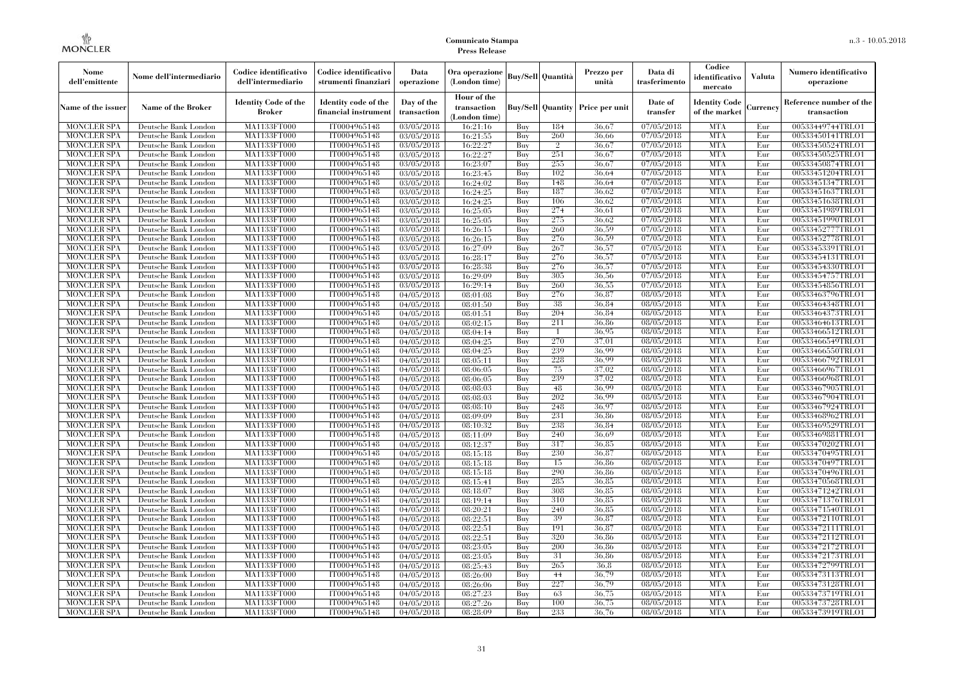| Nome<br>dell'emittente                   | Nome dell'intermediario                      | Codice identificativo<br>dell'intermediario  | Codice identificativo<br>strumenti finanziari | Data<br>operazione        | Ora operazione<br>(London time)             |            | <b>Buy/Sell Quantità</b> | Prezzo per<br>unità                     | Data di<br>trasferimento              | Codice<br>identificativo<br>mercato   | Valuta     | Numero identificativo<br>operazione    |
|------------------------------------------|----------------------------------------------|----------------------------------------------|-----------------------------------------------|---------------------------|---------------------------------------------|------------|--------------------------|-----------------------------------------|---------------------------------------|---------------------------------------|------------|----------------------------------------|
| Name of the issuer                       | Name of the Broker                           | <b>Identity Code of the</b><br><b>Broker</b> | Identity code of the<br>financial instrument  | Day of the<br>transaction | Hour of the<br>transaction<br>(London time) |            |                          | <b>Buy/Sell Quantity Price per unit</b> | Date of<br>transfer                   | <b>Identity Code</b><br>of the market | Currencv   | Reference number of the<br>transaction |
| <b>MONCLER SPA</b>                       | Deutsche Bank London                         | MA1133FT000                                  | IT0004965148                                  | 03/05/2018                | 16:21:16                                    | Buy        | 184                      | 36,67                                   | 07/05/2018                            | <b>MTA</b>                            | Eur        | 00533449744TRLO1                       |
| <b>MONCLER SPA</b>                       | Deutsche Bank London                         | MA1133FT000                                  | IT0004965148                                  | 03/05/2018                | 16:21:55                                    | Buy        | 260                      | 36,66                                   | 07/05/2018                            | <b>MTA</b>                            | Eur        | 00533450141TRLO1                       |
| <b>MONCLER SPA</b>                       | Deutsche Bank London                         | MA1133FT000                                  | IT0004965148                                  | 03/05/2018                | 16:22:27                                    | Buv        | $\overline{2}$           | 36.67                                   | 07/05/2018                            | <b>MTA</b>                            | Eur        | 00533450524TRLO1                       |
| <b>MONCLER SPA</b>                       | Deutsche Bank London                         | MA1133FT000                                  | IT0004965148                                  | 03/05/2018                | 16:22:27                                    | Buy        | 251                      | 36.67                                   | 07/05/2018                            | <b>MTA</b>                            | Eur        | 00533450525TRLO1                       |
| <b>MONCLER SPA</b>                       | Deutsche Bank London                         | MA1133FT000                                  | IT0004965148                                  | 03/05/2018                | 16:23:07                                    | Buy        | 255<br>102               | 36.67<br>36.64                          | 07/05/2018                            | <b>MTA</b><br><b>MTA</b>              | Eur        | 00533450874TRLO1                       |
| <b>MONCLER SPA</b><br><b>MONCLER SPA</b> | Deutsche Bank London<br>Deutsche Bank London | <b>MA1133FT000</b><br>MA1133FT000            | IT0004965148<br>IT0004965148                  | 03/05/2018                | 16:23:45                                    | Buy<br>Buy | 148                      | 36.64                                   | 07/05/2018<br>07/05/2018              | <b>MTA</b>                            | Eur<br>Eur | 00533451204TRLO1<br>00533451347TRLO1   |
| <b>MONCLER SPA</b>                       | Deutsche Bank London                         | MA1133FT000                                  | IT0004965148                                  | 03/05/2018<br>03/05/2018  | 16:24:02<br>16:24:25                        | Buv        | 187                      | 36.62                                   | 07/05/2018                            | <b>MTA</b>                            | Eur        | 00533451637TRLO1                       |
| <b>MONCLER SPA</b>                       | Deutsche Bank London                         | MA1133FT000                                  | IT0004965148                                  | 03/05/2018                | 16:24:25                                    | Buy        | 106                      | 36.62                                   | 07/05/2018                            | <b>MTA</b>                            | Eur        | 00533451638TRLO1                       |
| <b>MONCLER SPA</b>                       | Deutsche Bank London                         | <b>MA1133FT000</b>                           | IT0004965148                                  | 03/05/2018                | 16:25:05                                    | Buy        | 274                      | 36,61                                   | 07/05/2018                            | <b>MTA</b>                            | Eur        | 00533451989TRLO1                       |
| <b>MONCLER SPA</b>                       | Deutsche Bank London                         | MA1133FT000                                  | IT0004965148                                  | 03/05/2018                | 16:25:05                                    | Buy        | 275                      | 36.62                                   | 07/05/2018                            | <b>MTA</b>                            | Eur        | 00533451990TRLO1                       |
| <b>MONCLER SPA</b>                       | Deutsche Bank London                         | MA1133FT000                                  | IT0004965148                                  | 03/05/2018                | 16:26:15                                    | Buy        | 260                      | 36,59                                   | 07/05/2018                            | <b>MTA</b>                            | Eur        | 00533452777TRLO1                       |
| <b>MONCLER SPA</b>                       | Deutsche Bank London                         | MA1133FT000                                  | IT0004965148                                  | 03/05/2018                | 16:26:15                                    | Buy        | 276                      | 36.59                                   | 07/05/2018                            | <b>MTA</b>                            | Eur        | 00533452778TRLO1                       |
| <b>MONCLER SPA</b>                       | Deutsche Bank London                         | MA1133FT000                                  | IT0004965148                                  | 03/05/2018                | 16:27:09                                    | Buy        | 267                      | 36,57                                   | 07/05/2018                            | <b>MTA</b>                            | Eur        | 00533453391TRLO1                       |
| <b>MONCLER SPA</b>                       | Deutsche Bank London                         | MA1133FT000                                  | IT0004965148                                  | 03/05/2018                | 16:28:17                                    | Buy        | 276                      | 36,57                                   | 07/05/2018                            | <b>MTA</b>                            | Eur        | 00533454131TRLO1                       |
| <b>MONCLER SPA</b>                       | Deutsche Bank London                         | MA1133FT000                                  | IT0004965148                                  | 03/05/2018                | 16:28:38                                    | Buy        | 276                      | 36,57                                   | 07/05/2018                            | <b>MTA</b>                            | Eur        | 00533454330TRLO1                       |
| <b>MONCLER SPA</b>                       | Deutsche Bank London                         | MA1133FT000                                  | IT0004965148                                  | 03/05/2018                | 16:29:09                                    | Buy        | 305                      | 36.56                                   | 07/05/2018                            | <b>MTA</b>                            | Eur        | 00533454757TRLO1                       |
| <b>MONCLER SPA</b>                       | Deutsche Bank London                         | MA1133FT000                                  | IT0004965148                                  | 03/05/2018                | 16:29:14                                    | Buy        | 260                      | 36,55                                   | 07/05/2018                            | <b>MTA</b>                            | Eur        | 00533454856TRLO1                       |
| <b>MONCLER SPA</b>                       | Deutsche Bank London                         | MA1133FT000                                  | IT0004965148                                  | 04/05/2018                | 08:01:08                                    | Buy        | 276                      | 36,87                                   | 08/05/2018                            | <b>MTA</b>                            | Eur        | 00533463796TRLO1                       |
| <b>MONCLER SPA</b>                       | Deutsche Bank London                         | MA1133FT000                                  | IT0004965148                                  | 04/05/2018                | 08:01:50                                    | Buy        | 38                       | 36.84                                   | 08/05/2018                            | <b>MTA</b>                            | Eur        | 00533464348TRLO1                       |
| <b>MONCLER SPA</b>                       | Deutsche Bank London                         | MA1133FT000                                  | IT0004965148                                  | 04/05/2018                | 08:01:51                                    | Buy        | 204                      | 36.84                                   | 08/05/2018                            | <b>MTA</b>                            | Eur        | 00533464373TRLO1                       |
| <b>MONCLER SPA</b>                       | Deutsche Bank London                         | MA1133FT000                                  | IT0004965148                                  | 04/05/2018                | 08:02:15                                    | Buy        | 211                      | 36,86                                   | 08/05/2018                            | <b>MTA</b>                            | Eur        | 00533464613TRLO1                       |
| <b>MONCLER SPA</b>                       | Deutsche Bank London                         | MA1133FT000                                  | IT0004965148                                  | 04/05/2018                | 08:04:14                                    | Buy        |                          | 36.95                                   | 08/05/2018                            | <b>MTA</b>                            | Eur        | 00533466512TRLO1                       |
| <b>MONCLER SPA</b>                       | Deutsche Bank London                         | MA1133FT000                                  | IT0004965148                                  | 04/05/2018                | 08:04:25<br>08:04:25                        | Buy        | 270<br>239               | 37.01<br>36.99                          | 08/05/2018<br>$\overline{08}/05/2018$ | <b>MTA</b><br><b>MTA</b>              | Eur        | 00533466549TRLO1                       |
| <b>MONCLER SPA</b><br><b>MONCLER SPA</b> | Deutsche Bank London<br>Deutsche Bank London | MA1133FT000<br>MA1133FT000                   | IT0004965148<br>IT0004965148                  | 04/05/2018<br>04/05/2018  | 08:05:11                                    | Buy<br>Buy | 228                      | 36,99                                   | 08/05/2018                            | <b>MTA</b>                            | Eur<br>Eur | 00533466550TRLO1<br>00533466792TRLO1   |
| <b>MONCLER SPA</b>                       | Deutsche Bank London                         | MA1133FT000                                  | IT0004965148                                  | 04/05/2018                | 08:06:05                                    | Buy        | 75                       | 37.02                                   | 08/05/2018                            | <b>MTA</b>                            | Eur        | 00533466967TRLO1                       |
| <b>MONCLER SPA</b>                       | Deutsche Bank London                         | MA1133FT000                                  | IT0004965148                                  | 04/05/2018                | 08:06:05                                    | Buy        | 239                      | 37,02                                   | 08/05/2018                            | <b>MTA</b>                            | Eur        | 00533466968TRLO1                       |
| <b>MONCLER SPA</b>                       | Deutsche Bank London                         | MA1133FT000                                  | IT0004965148                                  | 04/05/2018                | 08:08:03                                    | Buy        | 48                       | 36.99                                   | 08/05/2018                            | <b>MTA</b>                            | Eur        | 00533467905TRLO1                       |
| <b>MONCLER SPA</b>                       | Deutsche Bank London                         | <b>MA1133FT000</b>                           | IT0004965148                                  | 04/05/2018                | 08:08:03                                    | Buy        | 202                      | 36.99                                   | 08/05/2018                            | <b>MTA</b>                            | Eur        | 00533467904TRLO1                       |
| <b>MONCLER SPA</b>                       | Deutsche Bank London                         | MA1133FT000                                  | IT0004965148                                  | 04/05/2018                | 08:08:10                                    | Buy        | 248                      | 36.97                                   | 08/05/2018                            | <b>MTA</b>                            | Eur        | 00533467924TRLO1                       |
| <b>MONCLER SPA</b>                       | Deutsche Bank London                         | MA1133FT000                                  | IT0004965148                                  | 04/05/2018                | 08:09:09                                    | Buy        | 231                      | 36,86                                   | 08/05/2018                            | <b>MTA</b>                            | Eur        | 00533468962TRLO1                       |
| <b>MONCLER SPA</b>                       | Deutsche Bank London                         | MA1133FT000                                  | IT0004965148                                  | 04/05/2018                | 08:10:32                                    | Buy        | 238                      | 36.84                                   | 08/05/2018                            | <b>MTA</b>                            | Eur        | 00533469529TRLO1                       |
| <b>MONCLER SPA</b>                       | Deutsche Bank London                         | <b>MA1133FT000</b>                           | IT0004965148                                  | 04/05/2018                | 08:11:09                                    | Buy        | 240                      | 36.69                                   | 08/05/2018                            | <b>MTA</b>                            | Eur        | 00533469881TRLO1                       |
| <b>MONCLER SPA</b>                       | Deutsche Bank London                         | MA1133FT000                                  | IT0004965148                                  | 04/05/2018                | 08:12:37                                    | Buy        | 317                      | 36.85                                   | 08/05/2018                            | <b>MTA</b>                            | Eur        | 00533470202TRLO1                       |
| <b>MONCLER SPA</b>                       | Deutsche Bank London                         | MA1133FT000                                  | IT0004965148                                  | 04/05/2018                | 08:15:18                                    | Buy        | 230                      | 36,87                                   | 08/05/2018                            | <b>MTA</b>                            | Eur        | 00533470495TRLO1                       |
| <b>MONCLER SPA</b>                       | Deutsche Bank London                         | MA1133FT000                                  | IT0004965148                                  | 04/05/2018                | 08:15:18                                    | Buy        | 15                       | 36.86                                   | 08/05/2018                            | <b>MTA</b>                            | Eur        | 00533470497TRLO1                       |
| <b>MONCLER SPA</b>                       | Deutsche Bank London                         | MA1133FT000                                  | IT0004965148                                  | 04/05/2018                | 08:15:18                                    | Buy        | 290                      | 36.86                                   | 08/05/2018                            | <b>MTA</b>                            | Eur        | 00533470496TRLO1                       |
| <b>MONCLER SPA</b>                       | Deutsche Bank London                         | MA1133FT000                                  | IT0004965148                                  | 04/05/2018                | 08:15:41                                    | Buy        | 285                      | 36.85                                   | 08/05/2018                            | <b>MTA</b>                            | Eur        | 00533470568TRLO1                       |
| <b>MONCLER SPA</b>                       | Deutsche Bank London                         | MA1133FT000                                  | IT0004965148                                  | 04/05/2018                | 08:18:07                                    | Buy        | 308                      | 36.85                                   | 08/05/2018                            | <b>MTA</b>                            | Eur        | 00533471242TRLO1                       |
| <b>MONCLER SPA</b>                       | Deutsche Bank London                         | MA1133FT000                                  | IT0004965148                                  | 04/05/2018                | 08:19:14                                    | Buy        | 310                      | 36.85                                   | 08/05/2018                            | <b>MTA</b>                            | Eur        | 00533471376TRLO1                       |
| <b>MONCLER SPA</b>                       | Deutsche Bank London                         | MA1133FT000                                  | IT0004965148                                  | 04/05/2018                | 08:20:21                                    | Buy        | 240                      | 36,85                                   | 08/05/2018                            | <b>MTA</b>                            | Eur        | 00533471540TRLO1                       |
| <b>MONCLER SPA</b>                       | Deutsche Bank London                         | MA1133FT000                                  | IT0004965148                                  | 04/05/2018                | 08:22:51                                    | Buy        | 39                       | 36.87                                   | 08/05/2018                            | <b>MTA</b>                            | Eur        | 00533472110TRLO1                       |
| <b>MONCLER SPA</b>                       | Deutsche Bank London                         | MA1133FT000                                  | IT0004965148                                  | 04/05/2018                | 08:22:51                                    | Buy        | 191                      | 36.87                                   | 08/05/2018                            | <b>MTA</b>                            | Eur        | 00533472111TRLO1                       |
| <b>MONCLER SPA</b><br><b>MONCLER SPA</b> | Deutsche Bank London<br>Deutsche Bank London | MA1133FT000<br>MA1133FT000                   | IT0004965148<br>IT0004965148                  | 04/05/2018<br>04/05/2018  | 08:22:51<br>08:23:05                        | Buy<br>Buy | 320<br>200               | 36.86<br>36,86                          | 08/05/2018<br>08/05/2018              | <b>MTA</b><br><b>MTA</b>              | Eur<br>Eur | 00533472112TRLO1<br>00533472172TRLO1   |
| <b>MONCLER SPA</b>                       | Deutsche Bank London                         | MA1133FT000                                  | IT0004965148                                  | 04/05/2018                | 08:23:05                                    | Buy        | 31                       | 36.86                                   | 08/05/2018                            | <b>MTA</b>                            | Eur        | 00533472173TRLO1                       |
| <b>MONCLER SPA</b>                       | Deutsche Bank London                         | MA1133FT000                                  | IT0004965148                                  | 04/05/2018                | 08:25:43                                    | Buy        | 265                      | 36.8                                    | 08/05/2018                            | <b>MTA</b>                            | Eur        | 00533472799TRLO1                       |
| <b>MONCLER SPA</b>                       | Deutsche Bank London                         | MA1133FT000                                  | IT0004965148                                  | 04/05/2018                | 08:26:00                                    | Buy        | 44                       | 36,79                                   | 08/05/2018                            | <b>MTA</b>                            | Eur        | 00533473113TRLO1                       |
| <b>MONCLER SPA</b>                       | Deutsche Bank London                         | MA1133FT000                                  | IT0004965148                                  | 04/05/2018                | 08:26:06                                    | Buy        | 227                      | 36.79                                   | 08/05/2018                            | <b>MTA</b>                            | Eur        | 00533473128TRLO1                       |
| <b>MONCLER SPA</b>                       | Deutsche Bank London                         | MA1133FT000                                  | IT0004965148                                  | 04/05/2018                | 08:27:23                                    | Buy        | 63                       | 36,75                                   | 08/05/2018                            | <b>MTA</b>                            | Eur        | 00533473719TRLO1                       |
| <b>MONCLER SPA</b>                       | Deutsche Bank London                         | MA1133FT000                                  | IT0004965148                                  | 04/05/2018                | 08:27:26                                    | Buy        | 100                      | 36.75                                   | 08/05/2018                            | <b>MTA</b>                            | Eur        | 00533473728TRLO1                       |
| <b>MONCLER SPA</b>                       | Deutsche Bank London                         | MA1133FT000                                  | IT0004965148                                  | 04/05/2018                | 08:28:09                                    | Buy        | 233                      | 36,76                                   | 08/05/2018                            | <b>MTA</b>                            | Eur        | 00533473919TRLO1                       |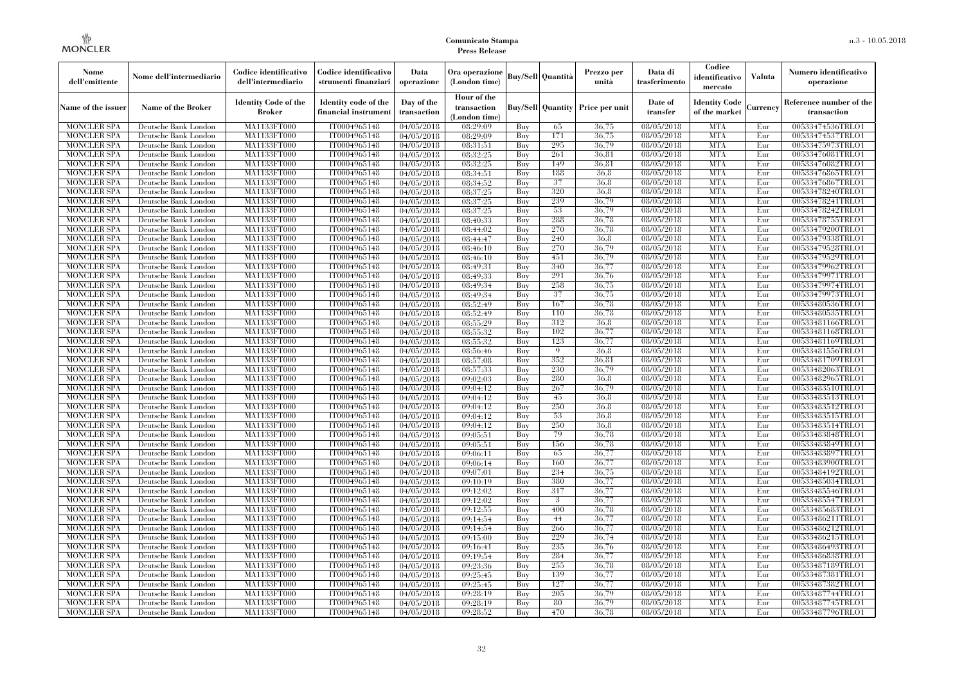| Nome<br>dell'emittente                   | Nome dell'intermediario                      | Codice identificativo<br>dell'intermediario  | Codice identificativo<br>strumenti finanziari | Data<br>operazione        | Ora operazione<br>(London time)             |            | <b>Buy/Sell Quantità</b> | Prezzo per<br>unità                     | Data di<br>trasferimento          | Codice<br>identificativo<br>mercato   | Valuta     | Numero identificativo<br>operazione    |
|------------------------------------------|----------------------------------------------|----------------------------------------------|-----------------------------------------------|---------------------------|---------------------------------------------|------------|--------------------------|-----------------------------------------|-----------------------------------|---------------------------------------|------------|----------------------------------------|
| Name of the issuer                       | Name of the Broker                           | <b>Identity Code of the</b><br><b>Broker</b> | Identity code of the<br>financial instrument  | Day of the<br>transaction | Hour of the<br>transaction<br>(London time) |            |                          | <b>Buy/Sell Quantity Price per unit</b> | Date of<br>transfer               | <b>Identity Code</b><br>of the market | durrency   | Reference number of the<br>transaction |
| <b>MONCLER SPA</b>                       | Deutsche Bank London                         | MA1133FT000                                  | IT0004965148                                  | 04/05/2018                | 08:29:09                                    | Buy        | 65                       | 36,75                                   | 08/05/2018                        | <b>MTA</b>                            | Eur        | 00533474536TRLO1                       |
| <b>MONCLER SPA</b>                       | Deutsche Bank London                         | <b>MA1133FT000</b>                           | IT0004965148                                  | 04/05/2018                | 08:29:09                                    | Buy        | 171                      | 36,75                                   | 08/05/2018                        | <b>MTA</b>                            | Eur        | 00533474537TRLO1                       |
| <b>MONCLER SPA</b>                       | Deutsche Bank London                         | MA1133FT000                                  | IT0004965148                                  | 04/05/2018                | 08:31:51                                    | Buy        | 295                      | 36.79                                   | 08/05/2018                        | <b>MTA</b>                            | Eur        | 00533475973TRLO1                       |
| <b>MONCLER SPA</b>                       | Deutsche Bank London                         | MA1133FT000                                  | IT0004965148                                  | 04/05/2018                | 08:32:25                                    | Buy        | 261                      | 36.81                                   | 08/05/2018                        | <b>MTA</b>                            | Eur        | 00533476081TRLO1                       |
| <b>MONCLER SPA</b>                       | Deutsche Bank London                         | MA1133FT000<br><b>MA1133FT000</b>            | IT0004965148<br>IT0004965148                  | 04/05/2018                | 08:32:25                                    | Buy        | 149<br>188               | 36,81<br>36.8                           | 08/05/2018<br>$\sqrt{08}/05/2018$ | <b>MTA</b><br><b>MTA</b>              | Eur<br>Eur | 00533476082TRLO1                       |
| <b>MONCLER SPA</b><br><b>MONCLER SPA</b> | Deutsche Bank London<br>Deutsche Bank London | MA1133FT000                                  | IT0004965148                                  | 04/05/2018                | 08:34:51<br>08:34:52                        | Buy<br>Buy | 37                       | 36.8                                    | 08/05/2018                        | <b>MTA</b>                            | Eur        | 00533476865TRLO1<br>00533476867TRLO1   |
| <b>MONCLER SPA</b>                       | Deutsche Bank London                         | MA1133FT000                                  | IT0004965148                                  | 04/05/2018<br>04/05/2018  | 08:37:25                                    | Buv        | 320                      | 36.8                                    | 08/05/2018                        | <b>MTA</b>                            | Eur        | 00533478240TRLO1                       |
| <b>MONCLER SPA</b>                       | Deutsche Bank London                         | MA1133FT000                                  | IT0004965148                                  | 04/05/2018                | 08:37:25                                    | Buy        | 239                      | 36,79                                   | 08/05/2018                        | <b>MTA</b>                            | Eur        | 00533478241TRLO1                       |
| <b>MONCLER SPA</b>                       | Deutsche Bank London                         | <b>MA1133FT000</b>                           | IT0004965148                                  | 04/05/2018                | 08:37:25                                    | Buy        | 53                       | 36,79                                   | 08/05/2018                        | <b>MTA</b>                            | Eur        | 00533478242TRLO1                       |
| <b>MONCLER SPA</b>                       | Deutsche Bank London                         | MA1133FT000                                  | IT0004965148                                  | 04/05/2018                | 08:40:33                                    | Buy        | 288                      | 36.78                                   | 08/05/2018                        | <b>MTA</b>                            | Eur        | 00533478755TRLO1                       |
| <b>MONCLER SPA</b>                       | Deutsche Bank London                         | MA1133FT000                                  | IT0004965148                                  | 04/05/2018                | 08:44:02                                    | Buy        | 270                      | 36.78                                   | 08/05/2018                        | <b>MTA</b>                            | Eur        | 00533479200TRLO1                       |
| <b>MONCLER SPA</b>                       | Deutsche Bank London                         | MA1133FT000                                  | IT0004965148                                  | 04/05/2018                | 08:44:47                                    | Buy        | 240                      | 36.8                                    | 08/05/2018                        | <b>MTA</b>                            | Eur        | 00533479338TRLO1                       |
| <b>MONCLER SPA</b>                       | Deutsche Bank London                         | MA1133FT000                                  | IT0004965148                                  | 04/05/2018                | 08:46:10                                    | Buy        | 270                      | 36,79                                   | 08/05/2018                        | <b>MTA</b>                            | Eur        | 00533479528TRLO1                       |
| <b>MONCLER SPA</b>                       | Deutsche Bank London                         | MA1133FT000                                  | IT0004965148                                  | 04/05/2018                | 08:46:10                                    | Buy        | 451                      | 36,79                                   | 08/05/2018                        | <b>MTA</b>                            | Eur        | 00533479529TRLO1                       |
| <b>MONCLER SPA</b>                       | Deutsche Bank London                         | MA1133FT000                                  | IT0004965148                                  | 04/05/2018                | 08:49:31                                    | Buy        | 340                      | 36,77                                   | 08/05/2018                        | <b>MTA</b>                            | Eur        | 00533479962TRLO1                       |
| <b>MONCLER SPA</b>                       | Deutsche Bank London                         | MA1133FT000                                  | IT0004965148                                  | 04/05/2018                | 08:49:33                                    | Buy        | 291                      | 36.76                                   | 08/05/2018                        | <b>MTA</b>                            | Eur        | 00533479971TRLO1                       |
| <b>MONCLER SPA</b>                       | Deutsche Bank London                         | MA1133FT000                                  | IT0004965148                                  | 04/05/2018                | 08:49:34                                    | Buy        | 258                      | 36,75                                   | 08/05/2018                        | <b>MTA</b>                            | Eur        | 00533479974TRLO1                       |
| <b>MONCLER SPA</b>                       | Deutsche Bank London                         | MA1133FT000                                  | IT0004965148                                  | 04/05/2018                | 08:49:34                                    | Buy        | 37                       | 36,75                                   | 08/05/2018                        | <b>MTA</b>                            | Eur        | 00533479973TRLO1                       |
| <b>MONCLER SPA</b>                       | Deutsche Bank London                         | MA1133FT000                                  | IT0004965148                                  | 04/05/2018                | 08:52:49                                    | Buy        | 167                      | 36,78                                   | 08/05/2018                        | <b>MTA</b>                            | Eur        | 00533480536TRLO1                       |
| MONCLER SPA                              | Deutsche Bank London                         | MA1133FT000                                  | IT0004965148                                  | 04/05/2018                | 08:52:49                                    | Buy        | 110                      | 36,78                                   | $\sqrt{08}/05/2018$               | <b>MTA</b>                            | Eur        | 00533480535TRLO1                       |
| <b>MONCLER SPA</b>                       | Deutsche Bank London                         | MA1133FT000                                  | IT0004965148                                  | 04/05/2018                | 08:55:29                                    | Buy        | 312                      | 36,8                                    | 08/05/2018                        | <b>MTA</b>                            | Eur        | 00533481166TRLO1                       |
| <b>MONCLER SPA</b>                       | Deutsche Bank London                         | MA1133FT000                                  | IT0004965148                                  | 04/05/2018                | 08:55:32                                    | Buy        | 102                      | 36,77                                   | 08/05/2018                        | <b>MTA</b>                            | Eur        | 00533481168TRLO1                       |
| <b>MONCLER SPA</b>                       | Deutsche Bank London                         | MA1133FT000                                  | IT0004965148                                  | 04/05/2018                | 08:55:32                                    | Buy        | 123                      | 36,77                                   | 08/05/2018                        | <b>MTA</b>                            | Eur        | 00533481169TRLO1                       |
| <b>MONCLER SPA</b>                       | Deutsche Bank London                         | MA1133FT000                                  | IT0004965148                                  | 04/05/2018                | 08:56:46                                    | Buy        | 9                        | 36.8                                    | 08/05/2018                        | <b>MTA</b>                            | Eur        | 00533481556TRLO1                       |
| <b>MONCLER SPA</b>                       | Deutsche Bank London                         | MA1133FT000                                  | IT0004965148                                  | $\sqrt{04}/05/2018$       | 08:57:08                                    | Buy        | 352                      | 36,81                                   | $\sqrt{08}/05/2018$               | <b>MTA</b>                            | Eur        | 00533481709TRLO1                       |
| <b>MONCLER SPA</b>                       | Deutsche Bank London                         | MA1133FT000                                  | IT0004965148                                  | 04/05/2018                | 08:57:33                                    | Buy        | 230                      | 36,79                                   | 08/05/2018                        | <b>MTA</b>                            | Eur        | 00533482063TRLO1                       |
| <b>MONCLER SPA</b>                       | Deutsche Bank London                         | MA1133FT000                                  | IT0004965148                                  | 04/05/2018                | 09:02:03                                    | Buy        | 280                      | 36.8                                    | 08/05/2018                        | <b>MTA</b>                            | Eur        | 00533482965TRLO1                       |
| <b>MONCLER SPA</b>                       | Deutsche Bank London                         | MA1133FT000                                  | IT0004965148                                  | 04/05/2018                | 09:04:12                                    | Buy        | 267                      | 36,79                                   | $\sqrt{08}/05/2018$               | <b>MTA</b>                            | Eur        | 00533483510TRLO1                       |
| <b>MONCLER SPA</b>                       | Deutsche Bank London                         | <b>MA1133FT000</b>                           | IT0004965148                                  | 04/05/2018                | 09:04:12                                    | Buy        | 45                       | 36.8                                    | 08/05/2018                        | <b>MTA</b>                            | Eur        | 00533483513TRLO1                       |
| MONCLER SPA                              | Deutsche Bank London                         | MA1133FT000                                  | IT0004965148                                  | 04/05/2018                | 09:04:12                                    | Buy        | 250                      | 36,8                                    | 08/05/2018                        | <b>MTA</b>                            | Eur        | 00533483512TRLO1                       |
| <b>MONCLER SPA</b>                       | Deutsche Bank London                         | MA1133FT000                                  | IT0004965148                                  | 04/05/2018                | 09:04:12                                    | Buy        | 53                       | 36,8                                    | 08/05/2018                        | <b>MTA</b>                            | Eur        | 00533483515TRLO1                       |
| <b>MONCLER SPA</b>                       | Deutsche Bank London                         | MA1133FT000                                  | IT0004965148                                  | 04/05/2018                | 09:04:12                                    | Buy        | 250                      | 36.8                                    | $\sqrt{08}/05/2018$               | <b>MTA</b>                            | Eur        | 00533483514TRLO1                       |
| <b>MONCLER SPA</b>                       | Deutsche Bank London                         | <b>MA1133FT000</b>                           | IT0004965148                                  | 04/05/2018                | 09:05:51                                    | Buy        | 79                       | 36,78                                   | 08/05/2018                        | <b>MTA</b>                            | Eur        | 00533483848TRLO1                       |
| <b>MONCLER SPA</b>                       | Deutsche Bank London                         | MA1133FT000                                  | IT0004965148                                  | 04/05/2018                | 09:05:51                                    | Buy        | 156                      | 36,78                                   | 08/05/2018                        | <b>MTA</b>                            | Eur        | 00533483849TRLO1                       |
| <b>MONCLER SPA</b>                       | Deutsche Bank London                         | MA1133FT000                                  | IT0004965148                                  | 04/05/2018                | 09:06:11                                    | Buy        | 65                       | 36,77                                   | 08/05/2018                        | <b>MTA</b>                            | Eur        | 00533483897TRLO1                       |
| <b>MONCLER SPA</b><br><b>MONCLER SPA</b> | Deutsche Bank London<br>Deutsche Bank London | MA1133FT000<br><b>MA1133FT000</b>            | IT0004965148<br>IT0004965148                  | 04/05/2018                | 09:06:14                                    | Buy<br>Buy | 160<br>234               | 36,77<br>36,75                          | 08/05/2018<br>08/05/2018          | <b>MTA</b><br><b>MTA</b>              | Eur<br>Eur | 00533483900TRLO1<br>00533484192TRLO1   |
| <b>MONCLER SPA</b>                       | Deutsche Bank London                         | MA1133FT000                                  | IT0004965148                                  | 04/05/2018<br>04/05/2018  | 09:07:01<br>09:10:19                        | Buy        | 380                      | 36,77                                   | 08/05/2018                        | <b>MTA</b>                            | Eur        | 00533485034TRLO1                       |
| <b>MONCLER SPA</b>                       | Deutsche Bank London                         | <b>MA1133FT000</b>                           | IT0004965148                                  | 04/05/2018                | 09:12:02                                    | Buy        | 317                      | 36,77                                   | 08/05/2018                        | <b>MTA</b>                            | Eur        | 00533485546TRLO1                       |
| <b>MONCLER SPA</b>                       | Deutsche Bank London                         | MA1133FT000                                  | IT0004965148                                  | 04/05/2018                | 09:12:02                                    | Buy        | 3                        | 36,77                                   | 08/05/2018                        | <b>MTA</b>                            | Eur        | 00533485547TRLO1                       |
| <b>MONCLER SPA</b>                       | Deutsche Bank London                         | MA1133FT000                                  | IT0004965148                                  | 04/05/2018                | 09:12:55                                    | Buy        | 400                      | 36,78                                   | 08/05/2018                        | <b>MTA</b>                            | Eur        | 00533485683TRLO1                       |
| <b>MONCLER SPA</b>                       | Deutsche Bank London                         | MA1133FT000                                  | IT0004965148                                  | 04/05/2018                | 09:14:54                                    | Buy        | 44                       | 36,77                                   | 08/05/2018                        | <b>MTA</b>                            | Eur        | 00533486211TRLO1                       |
| <b>MONCLER SPA</b>                       | Deutsche Bank London                         | MA1133FT000                                  | IT0004965148                                  | 04/05/2018                | 09:14:54                                    | Buy        | 266                      | 36,77                                   | 08/05/2018                        | <b>MTA</b>                            | Eur        | 00533486212TRLO1                       |
| <b>MONCLER SPA</b>                       | Deutsche Bank London                         | MA1133FT000                                  | IT0004965148                                  | 04/05/2018                | 09:15:00                                    | Buy        | 229                      | 36,74                                   | 08/05/2018                        | <b>MTA</b>                            | Eur        | 00533486215TRLO1                       |
| <b>MONCLER SPA</b>                       | Deutsche Bank London                         | MA1133FT000                                  | IT0004965148                                  | 04/05/2018                | 09:16:41                                    | Buy        | 235                      | 36,76                                   | 08/05/2018                        | <b>MTA</b>                            | Eur        | 00533486493TRLO1                       |
| <b>MONCLER SPA</b>                       | Deutsche Bank London                         | MA1133FT000                                  | IT0004965148                                  | 04/05/2018                | 09:19:54                                    | Buy        | 284                      | 36,77                                   | 08/05/2018                        | <b>MTA</b>                            | Eur        | 00533486838TRLO1                       |
| <b>MONCLER SPA</b>                       | Deutsche Bank London                         | MA1133FT000                                  | IT0004965148                                  | 04/05/2018                | 09:23:36                                    | Buy        | 255                      | 36,78                                   | 08/05/2018                        | <b>MTA</b>                            | Eur        | 00533487189TRLO1                       |
| <b>MONCLER SPA</b>                       | Deutsche Bank London                         | MA1133FT000                                  | IT0004965148                                  | 04/05/2018                | 09:25:45                                    | Buy        | 139                      | 36,77                                   | 08/05/2018                        | <b>MTA</b>                            | Eur        | 00533487381TRLO1                       |
| <b>MONCLER SPA</b>                       | Deutsche Bank London                         | MA1133FT000                                  | IT0004965148                                  | 04/05/2018                | 09:25:45                                    | Buy        | 127                      | 36,77                                   | 08/05/2018                        | <b>MTA</b>                            | Eur        | 00533487382TRLO1                       |
| <b>MONCLER SPA</b>                       | Deutsche Bank London                         | MA1133FT000                                  | IT0004965148                                  | 04/05/2018                | 09:28:19                                    | Buy        | 205                      | 36,79                                   | 08/05/2018                        | <b>MTA</b>                            | Eur        | 00533487744TRLO1                       |
| <b>MONCLER SPA</b>                       | Deutsche Bank London                         | <b>MA1133FT000</b>                           | IT0004965148                                  | 04/05/2018                | 09:28:19                                    | Buy        | 80                       | 36,79                                   | 08/05/2018                        | <b>MTA</b>                            | Eur        | 00533487745TRLO1                       |
| <b>MONCLER SPA</b>                       | Deutsche Bank London                         | MA1133FT000                                  | IT0004965148                                  | 04/05/2018                | 09:28:52                                    | Buy        | 470                      | 36,78                                   | 08/05/2018                        | <b>MTA</b>                            | Eur        | 00533487796TRLO1                       |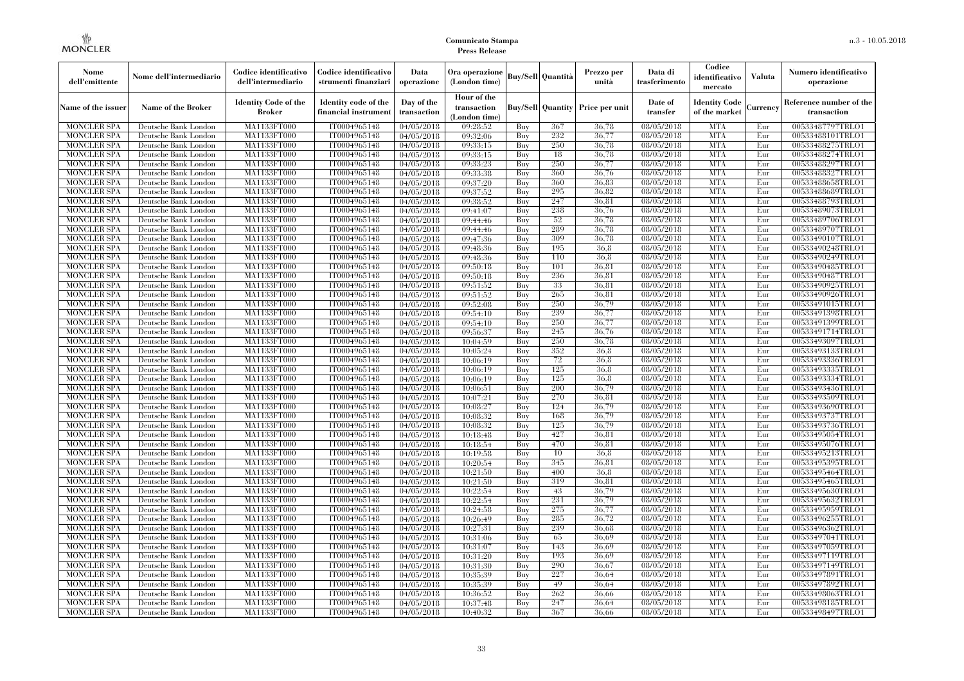| Nome<br>dell'emittente                   | Nome dell'intermediario                      | Codice identificativo<br>dell'intermediario  | Codice identificativo<br>strumenti finanziari | Data<br>operazione        | Ora operazione<br>(London time)           |            | Buv/Sell Quantità        | Prezzo per<br>unità | Data di<br>trasferimento          | Codice<br>identificativo<br>mercato   | <b>Valuta</b> | Numero identificativo<br>operazione    |
|------------------------------------------|----------------------------------------------|----------------------------------------------|-----------------------------------------------|---------------------------|-------------------------------------------|------------|--------------------------|---------------------|-----------------------------------|---------------------------------------|---------------|----------------------------------------|
| Name of the issuer                       | Name of the Broker                           | <b>Identity Code of the</b><br><b>Broker</b> | Identity code of the<br>financial instrument  | Day of the<br>transaction | Hour of the<br>transaction<br>London time |            | <b>Buy/Sell Quantity</b> | Price per unit      | Date of<br>transfer               | <b>Identity Code</b><br>of the market | Currencv      | Reference number of the<br>transaction |
| <b>MONCLER SPA</b>                       | Deutsche Bank London                         | MA1133FT000                                  | IT0004965148                                  | 04/05/2018                | 09:28:52                                  | Buv        | 367                      | 36,78               | 08/05/2018                        | <b>MTA</b>                            | Eur           | 00533487797TRLO1                       |
| <b>MONCLER SPA</b>                       | Deutsche Bank London                         | <b>MA1133FT000</b>                           | IT0004965148                                  | 04/05/2018                | 09:32:06                                  | Buy        | 232                      | 36,77               | 08/05/2018                        | <b>MTA</b>                            | Eur           | 00533488101TRLO1                       |
| <b>MONCLER SPA</b>                       | Deutsche Bank London                         | MA1133FT000                                  | IT0004965148                                  | 04/05/2018                | 09:33:15                                  | Buy        | 250                      | 36,78               | 08/05/2018                        | <b>MTA</b>                            | Eur           | 00533488275TRLO1                       |
| <b>MONCLER SPA</b>                       | Deutsche Bank London                         | MA1133FT000                                  | IT0004965148                                  | 04/05/2018                | 09:33:15                                  | Buy        | 18                       | 36.78               | 08/05/2018                        | <b>MTA</b>                            | Eur           | 00533488274TRLO1                       |
| <b>MONCLER SPA</b>                       | Deutsche Bank London                         | MA1133FT000                                  | IT0004965148                                  | 04/05/2018                | 09:33:23                                  | Buv        | 250                      | 36,77               | 08/05/2018                        | <b>MTA</b>                            | Eur           | 00533488297TRLO1                       |
| <b>MONCLER SPA</b>                       | Deutsche Bank London                         | MA1133FT000                                  | IT0004965148                                  | 04/05/2018                | 09:33:38                                  | Buy        | 360                      | 36,76<br>36,83      | $\sqrt{08}/05/2018$               | <b>MTA</b>                            | Eur           | 00533488327TRLO1                       |
| <b>MONCLER SPA</b><br><b>MONCLER SPA</b> | Deutsche Bank London<br>Deutsche Bank London | <b>MA1133FT000</b><br>MA1133FT000            | IT0004965148<br>IT0004965148                  | 04/05/2018                | 09:37:20<br>09:37:52                      | Buy<br>Buy | 360<br>295               | 36,82               | 08/05/2018<br>08/05/2018          | <b>MTA</b><br><b>MTA</b>              | Eur<br>Eur    | 00533488658TRLO1<br>00533488689TRLO1   |
| <b>MONCLER SPA</b>                       | Deutsche Bank London                         | MA1133FT000                                  | IT0004965148                                  | 04/05/2018<br>04/05/2018  | 09:38:52                                  | Buy        | 247                      | 36.81               | 08/05/2018                        | <b>MTA</b>                            | Eur           | 00533488793TRLO1                       |
| <b>MONCLER SPA</b>                       | Deutsche Bank London                         | MA1133FT000                                  | IT0004965148                                  | 04/05/2018                | 09:41:07                                  | Buy        | 238                      | 36,76               | 08/05/2018                        | <b>MTA</b>                            | Eur           | 00533489073TRLO1                       |
| <b>MONCLER SPA</b>                       | Deutsche Bank London                         | MA1133FT000                                  | IT0004965148                                  | 04/05/2018                | 09:44:46                                  | Buv        | 52                       | 36.78               | 08/05/2018                        | <b>MTA</b>                            | Eur           | 00533489706TRLO1                       |
| <b>MONCLER SPA</b>                       | Deutsche Bank London                         | MA1133FT000                                  | IT0004965148                                  | 04/05/2018                | 09:44:46                                  | Buy        | 289                      | 36,78               | $\sqrt{08}/05/2018$               | <b>MTA</b>                            | Eur           | 00533489707TRLO1                       |
| <b>MONCLER SPA</b>                       | Deutsche Bank London                         | MA1133FT000                                  | IT0004965148                                  | 04/05/2018                | 09:47:36                                  | Buy        | 309                      | 36,78               | 08/05/2018                        | <b>MTA</b>                            | Eur           | 00533490107TRLO1                       |
| <b>MONCLER SPA</b>                       | Deutsche Bank London                         | MA1133FT000                                  | IT0004965148                                  | 04/05/2018                | 09:48:36                                  | Buy        | 195                      | 36.8                | $\sqrt{08}/05/2018$               | <b>MTA</b>                            | Eur           | 00533490248TRLO1                       |
| <b>MONCLER SPA</b>                       | Deutsche Bank London                         | MA1133FT000                                  | IT0004965148                                  | 04/05/2018                | 09:48:36                                  | Buy        | 110                      | 36.8                | 08/05/2018                        | <b>MTA</b>                            | Eur           | 00533490249TRLO1                       |
| <b>MONCLER SPA</b>                       | Deutsche Bank London                         | MA1133FT000                                  | IT0004965148                                  | 04/05/2018                | 09:50:18                                  | Buy        | 101                      | 36,81               | $\sqrt{08}/05/2018$               | <b>MTA</b>                            | Eur           | 00533490485TRLO1                       |
| <b>MONCLER SPA</b>                       | Deutsche Bank London                         | <b>MA1133FT000</b>                           | IT0004965148                                  | 04/05/2018                | 09:50:18                                  | Buy        | 236                      | 36,81               | 08/05/2018                        | <b>MTA</b>                            | Eur           | 00533490487TRLO1                       |
| <b>MONCLER SPA</b>                       | Deutsche Bank London                         | <b>MA1133FT000</b>                           | IT0004965148                                  | 04/05/2018                | 09:51:52                                  | Buy        | 33                       | 36,81               | $\sqrt{08/05}/2018$               | <b>MTA</b>                            | Eur           | 00533490925TRLO1                       |
| <b>MONCLER SPA</b>                       | Deutsche Bank London                         | MA1133FT000                                  | IT0004965148                                  | 04/05/2018                | 09:51:52                                  | Buy        | 265                      | 36,81               | 08/05/2018                        | <b>MTA</b>                            | Eur           | 00533490926TRLO1                       |
| <b>MONCLER SPA</b>                       | Deutsche Bank London                         | MA1133FT000                                  | IT0004965148                                  | 04/05/2018                | 09:52:08                                  | Buy        | 250                      | 36,79               | 08/05/2018                        | <b>MTA</b>                            | Eur           | 00533491015TRLO1                       |
| <b>MONCLER SPA</b>                       | Deutsche Bank London                         | MA1133FT000                                  | IT0004965148                                  | 04/05/2018                | 09:54:10                                  | Buy        | 239                      | 36.77               | 08/05/2018                        | <b>MTA</b>                            | Eur           | 00533491398TRLO1                       |
| <b>MONCLER SPA</b>                       | Deutsche Bank London                         | <b>MA1133FT000</b>                           | IT0004965148                                  | 04/05/2018                | 09:54:10                                  | Buy        | 250                      | 36,77               | 08/05/2018                        | <b>MTA</b>                            | Eur           | 00533491399TRLO1                       |
| <b>MONCLER SPA</b>                       | Deutsche Bank London                         | MA1133FT000                                  | IT0004965148                                  | 04/05/2018                | 09:56:37                                  | Buy        | 245                      | 36,76               | 08/05/2018                        | <b>MTA</b>                            | Eur           | 00533491714TRLO1                       |
| <b>MONCLER SPA</b>                       | Deutsche Bank London                         | MA1133FT000                                  | IT0004965148                                  | 04/05/2018                | 10:04:59                                  | Buy        | 250                      | 36,78               | 08/05/2018                        | <b>MTA</b>                            | Eur           | 00533493097TRLO1                       |
| <b>MONCLER SPA</b>                       | Deutsche Bank London                         | MA1133FT000                                  | IT0004965148                                  | 04/05/2018                | 10:05:24                                  | Buy        | 352                      | 36.8                | 08/05/2018                        | <b>MTA</b>                            | Eur           | 00533493133TRLO1                       |
| <b>MONCLER SPA</b>                       | Deutsche Bank London                         | MA1133FT000                                  | IT0004965148                                  | $\sqrt{04}/05/2018$       | 10:06:19                                  | Buy        | 72                       | 36.8                | 08/05/2018                        | <b>MTA</b>                            | Eur           | 00533493336TRLO1                       |
| <b>MONCLER SPA</b>                       | Deutsche Bank London                         | MA1133FT000                                  | IT0004965148                                  | 04/05/2018                | 10:06:19                                  | Buy        | 125                      | 36.8                | 08/05/2018                        | <b>MTA</b>                            | Eur           | 00533493335TRLO1                       |
| <b>MONCLER SPA</b>                       | Deutsche Bank London                         | MA1133FT000                                  | IT0004965148                                  | 04/05/2018                | 10:06:19                                  | Buy        | 125                      | 36.8                | 08/05/2018                        | <b>MTA</b>                            | Eur           | 00533493334TRLO1                       |
| <b>MONCLER SPA</b>                       | Deutsche Bank London                         | MA1133FT000                                  | IT0004965148                                  | 04/05/2018                | 10:06:51                                  | Buy        | 200                      | 36,79               | $\sqrt{08}/05/2018$               | <b>MTA</b>                            | Eur           | 00533493436TRLO1                       |
| <b>MONCLER SPA</b>                       | Deutsche Bank London                         | MA1133FT000                                  | IT0004965148                                  | 04/05/2018                | 10:07:21                                  | Buy        | 270                      | 36.81               | 08/05/2018                        | <b>MTA</b>                            | Eur           | 00533493509TRLO1                       |
| <b>MONCLER SPA</b>                       | Deutsche Bank London                         | MA1133FT000                                  | IT0004965148                                  | 04/05/2018                | 10:08:27                                  | Buy        | 124                      | 36.79               | 08/05/2018                        | <b>MTA</b>                            | Eur           | 00533493690TRLO1                       |
| <b>MONCLER SPA</b>                       | Deutsche Bank London                         | MA1133FT000                                  | IT0004965148                                  | 04/05/2018                | 10:08:32                                  | Buy        | 168                      | 36,79               | 08/05/2018                        | <b>MTA</b>                            | Eur           | 00533493737TRLO1                       |
| <b>MONCLER SPA</b>                       | Deutsche Bank London                         | MA1133FT000                                  | IT0004965148<br>IT0004965148                  | 04/05/2018                | 10:08:32                                  | Buy        | 125<br>427               | 36,79<br>36,81      | $\sqrt{08}/05/2018$<br>08/05/2018 | <b>MTA</b><br><b>MTA</b>              | Eur<br>Eur    | 00533493736TRLO1                       |
| <b>MONCLER SPA</b><br><b>MONCLER SPA</b> | Deutsche Bank London<br>Deutsche Bank London | <b>MA1133FT000</b><br>MA1133FT000            | IT0004965148                                  | 04/05/2018<br>04/05/2018  | 10:18:48<br>10:18:54                      | Buy<br>Buy | 470                      | 36,81               | 08/05/2018                        | <b>MTA</b>                            | Eur           | 00533495054TRLO1<br>00533495076TRLO1   |
| <b>MONCLER SPA</b>                       | Deutsche Bank London                         | MA1133FT000                                  | IT0004965148                                  | 04/05/2018                | 10:19:58                                  | Buy        | 10                       | 36.8                | 08/05/2018                        | <b>MTA</b>                            | Eur           | 00533495213TRLO1                       |
| <b>MONCLER SPA</b>                       | Deutsche Bank London                         | MA1133FT000                                  | IT0004965148                                  | 04/05/2018                | 10:20:54                                  | Buy        | 345                      | 36.81               | 08/05/2018                        | <b>MTA</b>                            | Eur           | 00533495395TRLO1                       |
| <b>MONCLER SPA</b>                       | Deutsche Bank London                         | <b>MA1133FT000</b>                           | IT0004965148                                  | 04/05/2018                | 10:21:50                                  | Buy        | 400                      | 36.8                | 08/05/2018                        | <b>MTA</b>                            | Eur           | 00533495464TRLO1                       |
| <b>MONCLER SPA</b>                       | Deutsche Bank London                         | MA1133FT000                                  | IT0004965148                                  | 04/05/2018                | 10:21:50                                  | Buy        | 319                      | 36.81               | 08/05/2018                        | <b>MTA</b>                            | Eur           | 00533495465TRLO1                       |
| <b>MONCLER SPA</b>                       | Deutsche Bank London                         | MA1133FT000                                  | IT0004965148                                  | 04/05/2018                | 10:22:54                                  | Buy        | 43                       | 36,79               | 08/05/2018                        | <b>MTA</b>                            | Eur           | 00533495630TRLO1                       |
| <b>MONCLER SPA</b>                       | Deutsche Bank London                         | MA1133FT000                                  | IT0004965148                                  | 04/05/2018                | 10:22:54                                  | Buy        | 231                      | 36.79               | 08/05/2018                        | <b>MTA</b>                            | Eur           | 00533495632TRLO1                       |
| <b>MONCLER SPA</b>                       | Deutsche Bank London                         | MA1133FT000                                  | IT0004965148                                  | 04/05/2018                | 10:24:58                                  | Buy        | 275                      | 36,77               | 08/05/2018                        | <b>MTA</b>                            | Eur           | 00533495959TRLO1                       |
| <b>MONCLER SPA</b>                       | Deutsche Bank London                         | MA1133FT000                                  | IT0004965148                                  | 04/05/2018                | 10:26:49                                  | Buy        | 285                      | 36,72               | 08/05/2018                        | <b>MTA</b>                            | Eur           | 00533496255TRLO1                       |
| <b>MONCLER SPA</b>                       | Deutsche Bank London                         | <b>MA1133FT000</b>                           | IT0004965148                                  | 04/05/2018                | 10:27:31                                  | Buy        | 239                      | 36.68               | 08/05/2018                        | <b>MTA</b>                            | Eur           | 00533496362TRLO1                       |
| <b>MONCLER SPA</b>                       | Deutsche Bank London                         | MA1133FT000                                  | IT0004965148                                  | 04/05/2018                | 10:31:06                                  | Buy        | 65                       | 36.69               | 08/05/2018                        | <b>MTA</b>                            | Eur           | 00533497041TRLO1                       |
| <b>MONCLER SPA</b>                       | Deutsche Bank London                         | MA1133FT000                                  | IT0004965148                                  | 04/05/2018                | 10:31:07                                  | Buy        | 143                      | 36,69               | 08/05/2018                        | <b>MTA</b>                            | Eur           | 00533497059TRLO1                       |
| <b>MONCLER SPA</b>                       | Deutsche Bank London                         | MA1133FT000                                  | IT0004965148                                  | 04/05/2018                | 10:31:20                                  | Buy        | 193                      | 36.69               | 08/05/2018                        | <b>MTA</b>                            | Eur           | 00533497119TRLO1                       |
| <b>MONCLER SPA</b>                       | Deutsche Bank London                         | MA1133FT000                                  | IT0004965148                                  | 04/05/2018                | 10:31:30                                  | Buy        | 290                      | 36.67               | 08/05/2018                        | <b>MTA</b>                            | Eur           | 00533497149TRLO1                       |
| <b>MONCLER SPA</b>                       | Deutsche Bank London                         | MA1133FT000                                  | IT0004965148                                  | 04/05/2018                | 10:35:39                                  | Buy        | 227                      | 36.64               | 08/05/2018                        | <b>MTA</b>                            | Eur           | 00533497891TRLO1                       |
| <b>MONCLER SPA</b>                       | Deutsche Bank London                         | MA1133FT000                                  | IT0004965148                                  | 04/05/2018                | 10:35:39                                  | Buy        | 49                       | 36.64               | 08/05/2018                        | <b>MTA</b>                            | Eur           | 00533497892TRLO1                       |
| <b>MONCLER SPA</b>                       | Deutsche Bank London                         | MA1133FT000                                  | IT0004965148                                  | 04/05/2018                | 10:36:52                                  | Buy        | 262                      | 36,66               | 08/05/2018                        | <b>MTA</b>                            | Eur           | 00533498063TRLO1                       |
| <b>MONCLER SPA</b>                       | Deutsche Bank London                         | MA1133FT000                                  | IT0004965148                                  | 04/05/2018                | 10:37:48                                  | Buy        | 247                      | 36.64               | 08/05/2018                        | <b>MTA</b>                            | Eur           | 00533498185TRLO1                       |
| <b>MONCLER SPA</b>                       | Deutsche Bank London                         | MA1133FT000                                  | IT0004965148                                  | 04/05/2018                | 10:40:32                                  | Buy        | 367                      | 36.66               | 08/05/2018                        | <b>MTA</b>                            | Eur           | 00533498497TRLO1                       |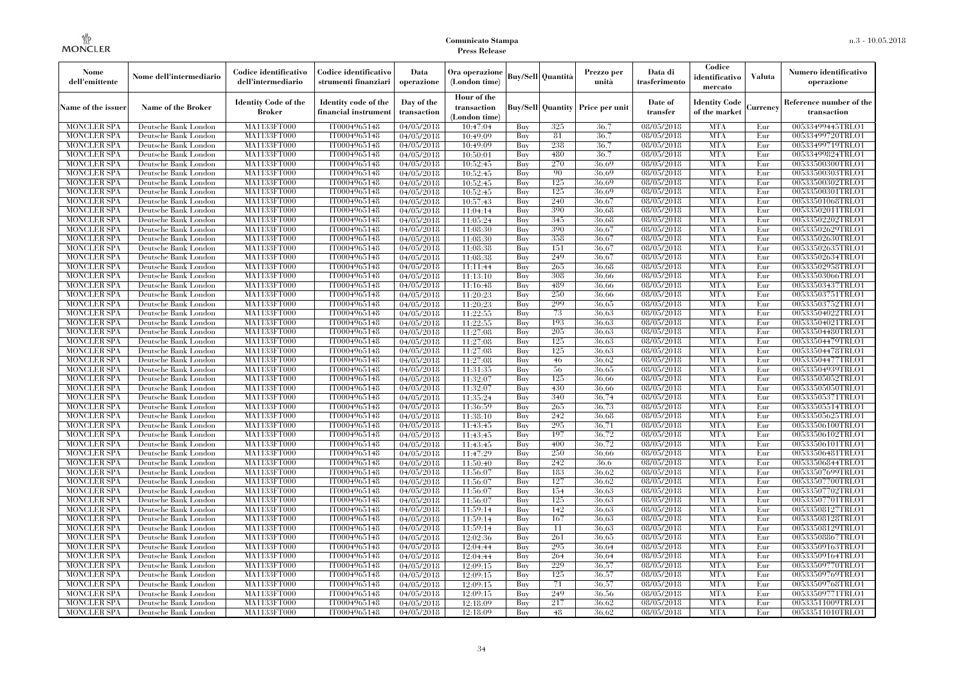| Nome<br>dell'emittente                   | Nome dell'intermediario                      | Codice identificativo<br>dell'intermediario  | Codice identificativo<br>strumenti finanziari | Data<br>operazione        | Ora operazione<br>(London time)             |            | Buy/Sell   Quantità      | Prezzo per<br>unità | Data di<br>trasferimento          | Codice<br>identificativo<br>mercato   | <b>Valuta</b> | Numero identificativo<br>operazione    |
|------------------------------------------|----------------------------------------------|----------------------------------------------|-----------------------------------------------|---------------------------|---------------------------------------------|------------|--------------------------|---------------------|-----------------------------------|---------------------------------------|---------------|----------------------------------------|
| Name of the issuer                       | Name of the Broker                           | <b>Identity Code of the</b><br><b>Broker</b> | Identity code of the<br>financial instrument  | Day of the<br>transaction | Hour of the<br>transaction<br>(London time) |            | <b>Buy/Sell Quantity</b> | Price per unit      | Date of<br>transfer               | <b>Identity Code</b><br>of the market | Currencv      | Reference number of the<br>transaction |
| <b>MONCLER SPA</b>                       | Deutsche Bank London                         | MA1133FT000                                  | IT0004965148                                  | $\sqrt{04}/05/2018$       | 10:47:04                                    | Buy        | 325                      | 36,7                | 08/05/2018                        | <b>MTA</b>                            | Eur           | 00533499445TRLO1                       |
| <b>MONCLER SPA</b>                       | Deutsche Bank London                         | <b>MA1133FT000</b>                           | IT0004965148                                  | 04/05/2018                | 10:49:09                                    | Buy        | 81                       | 36,7                | $\sqrt{08/05}/2018$               | <b>MTA</b>                            | Eur           | 00533499720TRLO1                       |
| <b>MONCLER SPA</b>                       | Deutsche Bank London                         | MA1133FT000                                  | IT0004965148                                  | 04/05/2018                | 10:49:09                                    | Buv        | 238                      | 36.7                | 08/05/2018                        | <b>MTA</b>                            | Eur           | 00533499719TRLO1                       |
| <b>MONCLER SPA</b>                       | Deutsche Bank London                         | MA1133FT000                                  | IT0004965148                                  | 04/05/2018                | 10:50:01                                    | Buy        | 480                      | 36.7                | 08/05/2018                        | <b>MTA</b>                            | Eur           | 00533499824TRLO1                       |
| <b>MONCLER SPA</b>                       | Deutsche Bank London                         | MA1133FT000                                  | IT0004965148                                  | 04/05/2018                | 10:52:45                                    | Buy        | 270<br>90                | 36.69<br>36,69      | 08/05/2018                        | <b>MTA</b><br><b>MTA</b>              | Eur<br>Eur    | 00533500300TRLO1                       |
| <b>MONCLER SPA</b><br><b>MONCLER SPA</b> | Deutsche Bank London<br>Deutsche Bank London | <b>MA1133FT000</b><br>MA1133FT000            | IT0004965148<br>IT0004965148                  | 04/05/2018<br>04/05/2018  | 10:52:45<br>10:52:45                        | Buy<br>Buy | 125                      | 36,69               | $\sqrt{08}/05/2018$<br>08/05/2018 | <b>MTA</b>                            | Eur           | 00533500303TRLO1<br>00533500302TRLO1   |
| <b>MONCLER SPA</b>                       | Deutsche Bank London                         | MA1133FT000                                  | IT0004965148                                  | 04/05/2018                | 10:52:45                                    | Buy        | 125                      | 36.69               | 08/05/2018                        | <b>MTA</b>                            | Eur           | 00533500301TRLO1                       |
| <b>MONCLER SPA</b>                       | Deutsche Bank London                         | MA1133FT000                                  | IT0004965148                                  | 04/05/2018                | 10:57:43                                    | Buy        | 240                      | 36,67               | 08/05/2018                        | <b>MTA</b>                            | Eur           | 00533501068TRLO1                       |
| <b>MONCLER SPA</b>                       | Deutsche Bank London                         | MA1133FT000                                  | IT0004965148                                  | 04/05/2018                | 11:04:14                                    | Buy        | 390                      | 36.68               | 08/05/2018                        | <b>MTA</b>                            | Eur           | 00533502011TRLO1                       |
| <b>MONCLER SPA</b>                       | Deutsche Bank London                         | MA1133FT000                                  | IT0004965148                                  | 04/05/2018                | 11:05:24                                    | Buy        | 345                      | 36.68               | 08/05/2018                        | <b>MTA</b>                            | Eur           | 00533502202TRLO1                       |
| <b>MONCLER SPA</b>                       | Deutsche Bank London                         | MA1133FT000                                  | IT0004965148                                  | 04/05/2018                | 11:08:30                                    | Buy        | 390                      | 36,67               | 08/05/2018                        | <b>MTA</b>                            | Eur           | 00533502629TRLO1                       |
| <b>MONCLER SPA</b>                       | Deutsche Bank London                         | MA1133FT000                                  | IT0004965148                                  | 04/05/2018                | 11:08:30                                    | Buy        | 358                      | 36.67               | 08/05/2018                        | <b>MTA</b>                            | Eur           | 00533502630TRLO1                       |
| <b>MONCLER SPA</b>                       | Deutsche Bank London                         | MA1133FT000                                  | IT0004965148                                  | 04/05/2018                | 11:08:38                                    | Buy        | 151                      | 36,67               | 08/05/2018                        | <b>MTA</b>                            | Eur           | 00533502635TRLO1                       |
| <b>MONCLER SPA</b>                       | Deutsche Bank London                         | MA1133FT000                                  | IT0004965148                                  | 04/05/2018                | 11:08:38                                    | Buy        | 249                      | 36,67               | 08/05/2018                        | <b>MTA</b>                            | Eur           | 00533502634TRLO1                       |
| <b>MONCLER SPA</b>                       | Deutsche Bank London                         | MA1133FT000                                  | IT0004965148                                  | 04/05/2018                | 11:11:44                                    | Buy        | 265                      | 36.68               | 08/05/2018                        | <b>MTA</b>                            | Eur           | 00533502958TRLO1                       |
| <b>MONCLER SPA</b>                       | Deutsche Bank London                         | MA1133FT000                                  | IT0004965148                                  | 04/05/2018                | 11:13:10                                    | Buy        | 308                      | 36.66               | 08/05/2018                        | <b>MTA</b>                            | Eur           | 00533503066TRLO1                       |
| <b>MONCLER SPA</b>                       | Deutsche Bank London                         | MA1133FT000                                  | IT0004965148                                  | 04/05/2018                | 11:16:48                                    | Buy        | 489                      | 36,66               | 08/05/2018                        | <b>MTA</b>                            | Eur           | 00533503437TRLO1                       |
| <b>MONCLER SPA</b>                       | Deutsche Bank London                         | MA1133FT000                                  | IT0004965148                                  | 04/05/2018                | 11:20:23                                    | Buy        | 250                      | 36,66               | 08/05/2018                        | <b>MTA</b>                            | Eur           | 00533503751TRLO1                       |
| <b>MONCLER SPA</b>                       | Deutsche Bank London                         | MA1133FT000                                  | IT0004965148                                  | 04/05/2018                | 11:20:23                                    | Buy        | 299                      | 36.65               | 08/05/2018                        | <b>MTA</b>                            | Eur           | 00533503752TRLO1                       |
| <b>MONCLER SPA</b>                       | Deutsche Bank London                         | MA1133FT000                                  | IT0004965148                                  | 04/05/2018                | 11:22:55                                    | Buy        | 73                       | 36,63               | 08/05/2018                        | <b>MTA</b>                            | Eur           | 00533504022TRLO1                       |
| <b>MONCLER SPA</b>                       | Deutsche Bank London                         | MA1133FT000                                  | IT0004965148                                  | 04/05/2018                | 11:22:55                                    | Buy        | 193                      | 36,63               | 08/05/2018                        | <b>MTA</b>                            | Eur           | 00533504021TRLO1                       |
| <b>MONCLER SPA</b>                       | Deutsche Bank London                         | MA1133FT000                                  | IT0004965148                                  | 04/05/2018                | 11:27:08                                    | Buy        | 205                      | 36.63               | 08/05/2018                        | <b>MTA</b>                            | Eur           | 00533504480TRLO1                       |
| <b>MONCLER SPA</b>                       | Deutsche Bank London                         | MA1133FT000                                  | IT0004965148                                  | 04/05/2018                | 11:27:08                                    | Buy        | 125                      | 36.63               | $\sqrt{08}/05/2018$               | <b>MTA</b>                            | Eur           | 00533504479TRLO1                       |
| <b>MONCLER SPA</b>                       | Deutsche Bank London                         | MA1133FT000                                  | IT0004965148                                  | 04/05/2018                | 11:27:08                                    | Buy        | 125                      | 36.63               | $\sqrt{08}/05/2018$               | <b>MTA</b>                            | Eur           | 00533504478TRLO1                       |
| <b>MONCLER SPA</b>                       | Deutsche Bank London                         | MA1133FT000                                  | IT0004965148                                  | 04/05/2018                | 11:27:08                                    | Buy        | 46                       | 36,62               | 08/05/2018                        | <b>MTA</b>                            | Eur           | 00533504477TRLO1                       |
| <b>MONCLER SPA</b>                       | Deutsche Bank London                         | MA1133FT000                                  | IT0004965148                                  | 04/05/2018                | 11:31:35                                    | Buy        | 56                       | 36,65               | 08/05/2018                        | <b>MTA</b>                            | Eur           | 00533504939TRLO1                       |
| <b>MONCLER SPA</b>                       | Deutsche Bank London                         | MA1133FT000                                  | IT0004965148                                  | 04/05/2018                | 11:32:07                                    | Buy        | 125                      | 36.66               | 08/05/2018                        | <b>MTA</b>                            | Eur           | 00533505052TRLO1                       |
| <b>MONCLER SPA</b>                       | Deutsche Bank London<br>Deutsche Bank London | MA1133FT000                                  | IT0004965148<br>IT0004965148                  | 04/05/2018                | 11:32:07                                    | Buy<br>Buy | 430<br>340               | 36,66<br>36,74      | $\sqrt{08}/05/2018$<br>08/05/2018 | <b>MTA</b><br><b>MTA</b>              | Eur<br>Eur    | 00533505050TRLO1<br>00533505371TRLO1   |
| <b>MONCLER SPA</b><br><b>MONCLER SPA</b> | Deutsche Bank London                         | <b>MA1133FT000</b><br>MA1133FT000            | IT0004965148                                  | 04/05/2018<br>04/05/2018  | 11:35:24<br>11:36:59                        | Buy        | 265                      | 36,73               | 08/05/2018                        | <b>MTA</b>                            | Eur           | 00533505514TRLO1                       |
| <b>MONCLER SPA</b>                       | Deutsche Bank London                         | MA1133FT000                                  | IT0004965148                                  | 04/05/2018                | 11:38:10                                    | Buy        | 242                      | 36,68               | 08/05/2018                        | <b>MTA</b>                            | Eur           | 00533505625TRLO1                       |
| <b>MONCLER SPA</b>                       | Deutsche Bank London                         | MA1133FT000                                  | IT0004965148                                  | 04/05/2018                | 11:43:45                                    | Buv        | 295                      | 36.71               | 08/05/2018                        | <b>MTA</b>                            | Eur           | 00533506100TRLO1                       |
| <b>MONCLER SPA</b>                       | Deutsche Bank London                         | MA1133FT000                                  | IT0004965148                                  | 04/05/2018                | 11:43:45                                    | Buy        | 197                      | 36,72               | 08/05/2018                        | <b>MTA</b>                            | Eur           | 00533506102TRLO1                       |
| <b>MONCLER SPA</b>                       | Deutsche Bank London                         | MA1133FT000                                  | IT0004965148                                  | 04/05/2018                | 11:43:45                                    | Buy        | 400                      | 36,72               | 08/05/2018                        | <b>MTA</b>                            | Eur           | 00533506101TRLO1                       |
| <b>MONCLER SPA</b>                       | Deutsche Bank London                         | MA1133FT000                                  | IT0004965148                                  | 04/05/2018                | 11:47:29                                    | Buy        | 250                      | 36,66               | 08/05/2018                        | <b>MTA</b>                            | Eur           | 00533506481TRLO1                       |
| <b>MONCLER SPA</b>                       | Deutsche Bank London                         | MA1133FT000                                  | IT0004965148                                  | 04/05/2018                | 11:50:40                                    | Buy        | 242                      | 36.6                | 08/05/2018                        | <b>MTA</b>                            | Eur           | 00533506844TRLO1                       |
| <b>MONCLER SPA</b>                       | Deutsche Bank London                         | <b>MA1133FT000</b>                           | IT0004965148                                  | 04/05/2018                | 11:56:07                                    | Buy        | 183                      | 36.62               | 08/05/2018                        | <b>MTA</b>                            | Eur           | 00533507699TRLO1                       |
| <b>MONCLER SPA</b>                       | Deutsche Bank London                         | MA1133FT000                                  | IT0004965148                                  | 04/05/2018                | 11:56:07                                    | Buy        | 127                      | 36.62               | 08/05/2018                        | <b>MTA</b>                            | Eur           | 00533507700TRLO1                       |
| <b>MONCLER SPA</b>                       | Deutsche Bank London                         | <b>MA1133FT000</b>                           | IT0004965148                                  | 04/05/2018                | 11:56:07                                    | Buy        | 154                      | 36.63               | 08/05/2018                        | <b>MTA</b>                            | Eur           | 00533507702TRLO1                       |
| <b>MONCLER SPA</b>                       | Deutsche Bank London                         | MA1133FT000                                  | IT0004965148                                  | 04/05/2018                | 11:56:07                                    | Buy        | 125                      | 36.63               | 08/05/2018                        | <b>MTA</b>                            | Eur           | 00533507701TRLO1                       |
| <b>MONCLER SPA</b>                       | Deutsche Bank London                         | MA1133FT000                                  | IT0004965148                                  | 04/05/2018                | 11:59:14                                    | Buy        | 142                      | 36,63               | 08/05/2018                        | <b>MTA</b>                            | Eur           | 00533508127TRLO1                       |
| <b>MONCLER SPA</b>                       | Deutsche Bank London                         | MA1133FT000                                  | IT0004965148                                  | 04/05/2018                | 11:59:14                                    | Buy        | 167                      | 36.63               | 08/05/2018                        | <b>MTA</b>                            | Eur           | 00533508128TRLO1                       |
| <b>MONCLER SPA</b>                       | Deutsche Bank London                         | MA1133FT000                                  | IT0004965148                                  | 04/05/2018                | 11:59:14                                    | Buy        | 11                       | 36.63               | 08/05/2018                        | <b>MTA</b>                            | Eur           | 00533508129TRLO1                       |
| <b>MONCLER SPA</b>                       | Deutsche Bank London                         | MA1133FT000                                  | IT0004965148                                  | 04/05/2018                | 12:02:36                                    | Buy        | 261                      | 36.65               | 08/05/2018                        | <b>MTA</b>                            | Eur           | 00533508867TRLO1                       |
| <b>MONCLER SPA</b>                       | Deutsche Bank London                         | MA1133FT000                                  | IT0004965148                                  | 04/05/2018                | 12:04:44                                    | Buy        | 295                      | 36,64               | 08/05/2018                        | <b>MTA</b>                            | Eur           | 00533509163TRLO1                       |
| <b>MONCLER SPA</b>                       | Deutsche Bank London                         | MA1133FT000                                  | IT0004965148                                  | 04/05/2018                | 12:04:44                                    | Buy        | 264                      | 36.64               | 08/05/2018                        | <b>MTA</b>                            | Eur           | 00533509164TRLO1                       |
| <b>MONCLER SPA</b>                       | Deutsche Bank London                         | MA1133FT000                                  | IT0004965148                                  | 04/05/2018                | 12:09:15                                    | Buy        | 229                      | 36,57               | 08/05/2018                        | <b>MTA</b>                            | Eur           | 00533509770TRLO1                       |
| <b>MONCLER SPA</b>                       | Deutsche Bank London                         | MA1133FT000                                  | IT0004965148                                  | 04/05/2018                | 12:09:15                                    | Buy        | 125                      | 36,57               | 08/05/2018                        | <b>MTA</b>                            | Eur           | 00533509769TRLO1                       |
| <b>MONCLER SPA</b>                       | Deutsche Bank London                         | MA1133FT000                                  | IT0004965148                                  | 04/05/2018                | 12:09:15                                    | Buy        | 71                       | 36,57               | 08/05/2018                        | <b>MTA</b>                            | Eur           | 00533509768TRLO1                       |
| <b>MONCLER SPA</b>                       | Deutsche Bank London                         | MA1133FT000                                  | IT0004965148                                  | 04/05/2018                | 12:09:15                                    | Buy        | 249                      | 36,56               | 08/05/2018                        | <b>MTA</b>                            | Eur           | 00533509771TRLO1                       |
| <b>MONCLER SPA</b>                       | Deutsche Bank London                         | MA1133FT000                                  | IT0004965148                                  | 04/05/2018                | 12:18:09                                    | Buy        | 217                      | 36.62               | 08/05/2018                        | <b>MTA</b>                            | Eur           | 00533511009TRLO1                       |
| <b>MONCLER SPA</b>                       | Deutsche Bank London                         | MA1133FT000                                  | IT0004965148                                  | 04/05/2018                | 12:18:09                                    | Buy        | 48                       | 36.62               | 08/05/2018                        | <b>MTA</b>                            | Eur           | 00533511010TRLO1                       |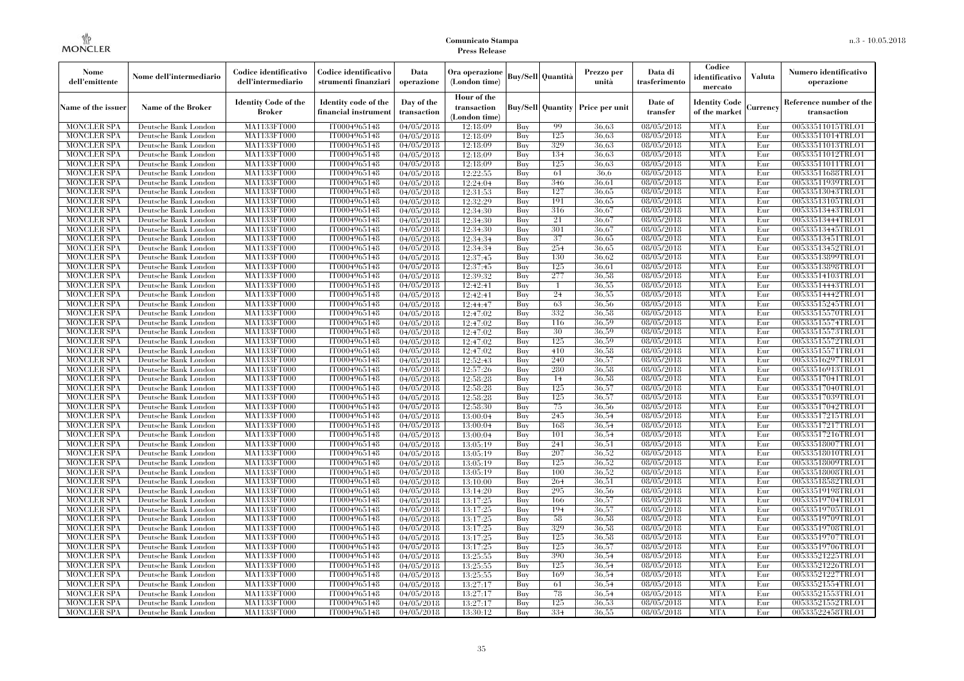| Nome<br>dell'emittente                   | Nome dell'intermediario                      | Codice identificativo<br>dell'intermediario  | Codice identificativo<br>strumenti finanziari | Data<br>operazione        | Ora operazione<br>(London time)             |            | Buy/Sell   Quantità      | Prezzo per<br>unità | Data di<br>trasferimento          | Codice<br>identificativo<br>mercato   | <b>Valuta</b> | Numero identificativo<br>operazione    |
|------------------------------------------|----------------------------------------------|----------------------------------------------|-----------------------------------------------|---------------------------|---------------------------------------------|------------|--------------------------|---------------------|-----------------------------------|---------------------------------------|---------------|----------------------------------------|
| Name of the issuer                       | Name of the Broker                           | <b>Identity Code of the</b><br><b>Broker</b> | Identity code of the<br>financial instrument  | Day of the<br>transaction | Hour of the<br>transaction<br>(London time) |            | <b>Buy/Sell Quantity</b> | Price per unit      | Date of<br>transfer               | <b>Identity Code</b><br>of the market | Currencv      | Reference number of the<br>transaction |
| <b>MONCLER SPA</b>                       | Deutsche Bank London                         | MA1133FT000                                  | IT0004965148                                  | $\sqrt{04}/05/2018$       | 12:18:09                                    | Buy        | 99                       | 36,63               | 08/05/2018                        | <b>MTA</b>                            | Eur           | 00533511015TRLO1                       |
| <b>MONCLER SPA</b>                       | Deutsche Bank London                         | <b>MA1133FT000</b>                           | IT0004965148                                  | 04/05/2018                | 12:18:09                                    | Buy        | 125                      | 36,63               | 08/05/2018                        | <b>MTA</b>                            | Eur           | 00533511014TRLO1                       |
| <b>MONCLER SPA</b>                       | Deutsche Bank London                         | MA1133FT000                                  | IT0004965148                                  | 04/05/2018                | 12:18:09                                    | Buv        | 329                      | 36.63               | 08/05/2018                        | <b>MTA</b>                            | Eur           | 00533511013TRLO1                       |
| <b>MONCLER SPA</b>                       | Deutsche Bank London                         | MA1133FT000                                  | IT0004965148                                  | 04/05/2018                | 12:18:09                                    | Buy        | 134                      | 36,63               | 08/05/2018                        | <b>MTA</b>                            | Eur           | 00533511012TRLO1                       |
| <b>MONCLER SPA</b>                       | Deutsche Bank London                         | MA1133FT000                                  | IT0004965148                                  | 04/05/2018                | 12:18:09                                    | Buy        | 125<br>61                | 36,63<br>36.6       | 08/05/2018                        | <b>MTA</b><br><b>MTA</b>              | Eur<br>Eur    | 00533511011TRLO1                       |
| <b>MONCLER SPA</b><br><b>MONCLER SPA</b> | Deutsche Bank London<br>Deutsche Bank London | <b>MA1133FT000</b><br>MA1133FT000            | IT0004965148<br>IT0004965148                  | 04/05/2018<br>04/05/2018  | 12:22:55<br>12:24:04                        | Buy<br>Buy | 346                      | 36,61               | $\sqrt{08}/05/2018$<br>08/05/2018 | <b>MTA</b>                            | Eur           | 00533511688TRLO1<br>00533511939TRLO1   |
| <b>MONCLER SPA</b>                       | Deutsche Bank London                         | MA1133FT000                                  | IT0004965148                                  | 04/05/2018                | 12:31:53                                    | Buy        | 127                      | 36.65               | 08/05/2018                        | <b>MTA</b>                            | Eur           | 00533513043TRLO1                       |
| <b>MONCLER SPA</b>                       | Deutsche Bank London                         | MA1133FT000                                  | IT0004965148                                  | 04/05/2018                | 12:32:29                                    | Buy        | 191                      | 36.65               | 08/05/2018                        | <b>MTA</b>                            | Eur           | 00533513105TRLO1                       |
| <b>MONCLER SPA</b>                       | Deutsche Bank London                         | MA1133FT000                                  | IT0004965148                                  | 04/05/2018                | 12:34:30                                    | Buy        | 316                      | 36,67               | 08/05/2018                        | <b>MTA</b>                            | Eur           | 00533513443TRLO1                       |
| <b>MONCLER SPA</b>                       | Deutsche Bank London                         | MA1133FT000                                  | IT0004965148                                  | 04/05/2018                | 12:34:30                                    | Buy        | 21                       | 36,67               | 08/05/2018                        | <b>MTA</b>                            | Eur           | 00533513444TRLO1                       |
| <b>MONCLER SPA</b>                       | Deutsche Bank London                         | MA1133FT000                                  | IT0004965148                                  | 04/05/2018                | 12:34:30                                    | Buy        | 301                      | 36,67               | 08/05/2018                        | <b>MTA</b>                            | Eur           | 00533513445TRLO1                       |
| <b>MONCLER SPA</b>                       | Deutsche Bank London                         | MA1133FT000                                  | IT0004965148                                  | 04/05/2018                | 12:34:34                                    | Buy        | 37                       | 36.65               | 08/05/2018                        | <b>MTA</b>                            | Eur           | 00533513451TRLO1                       |
| <b>MONCLER SPA</b>                       | Deutsche Bank London                         | MA1133FT000                                  | IT0004965148                                  | 04/05/2018                | 12:34:34                                    | Buy        | 254                      | 36.65               | 08/05/2018                        | <b>MTA</b>                            | Eur           | 00533513452TRLO1                       |
| <b>MONCLER SPA</b>                       | Deutsche Bank London                         | MA1133FT000                                  | IT0004965148                                  | 04/05/2018                | 12:37:45                                    | Buy        | 130                      | 36.62               | 08/05/2018                        | <b>MTA</b>                            | Eur           | 00533513899TRLO1                       |
| <b>MONCLER SPA</b>                       | Deutsche Bank London                         | MA1133FT000                                  | IT0004965148                                  | 04/05/2018                | 12:37:45                                    | Buy        | 125                      | 36,61               | 08/05/2018                        | <b>MTA</b>                            | Eur           | 00533513898TRLO1                       |
| <b>MONCLER SPA</b>                       | Deutsche Bank London                         | MA1133FT000                                  | IT0004965148                                  | 04/05/2018                | 12:39:32                                    | Buy        | 277                      | 36.58               | 08/05/2018                        | <b>MTA</b>                            | Eur           | 00533514103TRLO1                       |
| <b>MONCLER SPA</b>                       | Deutsche Bank London                         | MA1133FT000                                  | IT0004965148                                  | 04/05/2018                | 12:42:41                                    | Buy        | $\mathbf{1}$             | 36.55               | 08/05/2018                        | <b>MTA</b>                            | Eur           | 00533514443TRLO1                       |
| <b>MONCLER SPA</b>                       | Deutsche Bank London                         | MA1133FT000                                  | IT0004965148                                  | 04/05/2018                | 12:42:41                                    | Buy        | 24                       | 36,55               | 08/05/2018                        | <b>MTA</b>                            | Eur           | 00533514442TRLO1                       |
| <b>MONCLER SPA</b>                       | Deutsche Bank London                         | MA1133FT000                                  | IT0004965148                                  | 04/05/2018                | 12:44:47                                    | Buy        | 63                       | 36,56               | 08/05/2018                        | <b>MTA</b>                            | Eur           | 00533515245TRLO1                       |
| <b>MONCLER SPA</b>                       | Deutsche Bank London                         | MA1133FT000                                  | IT0004965148                                  | 04/05/2018                | 12:47:02                                    | Buy        | 332                      | 36,58               | 08/05/2018                        | <b>MTA</b>                            | Eur           | 00533515570TRLO1                       |
| <b>MONCLER SPA</b><br><b>MONCLER SPA</b> | Deutsche Bank London                         | MA1133FT000<br>MA1133FT000                   | IT0004965148<br>IT0004965148                  | $\sqrt{04}/05/2018$       | 12:47:02                                    | Buy<br>Buy | 116<br>30                | 36,59<br>36.59      | 08/05/2018<br>08/05/2018          | <b>MTA</b><br><b>MTA</b>              | Eur<br>Eur    | 00533515574TRLO1<br>00533515573TRLO1   |
| <b>MONCLER SPA</b>                       | Deutsche Bank London<br>Deutsche Bank London | MA1133FT000                                  | IT0004965148                                  | 04/05/2018<br>04/05/2018  | 12:47:02<br>12:47:02                        | Buy        | 125                      | 36,59               | $\sqrt{08}/05/2018$               | <b>MTA</b>                            | Eur           | 00533515572TRLO1                       |
| <b>MONCLER SPA</b>                       | Deutsche Bank London                         | MA1133FT000                                  | IT0004965148                                  | 04/05/2018                | 12:47:02                                    | Buy        | 410                      | 36,58               | $\sqrt{08}/05/2018$               | <b>MTA</b>                            | Eur           | 00533515571TRLO1                       |
| <b>MONCLER SPA</b>                       | Deutsche Bank London                         | MA1133FT000                                  | IT0004965148                                  | 04/05/2018                | 12:52:43                                    | Buy        | 240                      | 36,57               | 08/05/2018                        | <b>MTA</b>                            | Eur           | 00533516297TRLO1                       |
| <b>MONCLER SPA</b>                       | Deutsche Bank London                         | MA1133FT000                                  | IT0004965148                                  | 04/05/2018                | 12:57:26                                    | Buy        | 280                      | 36,58               | 08/05/2018                        | <b>MTA</b>                            | Eur           | 00533516913TRLO1                       |
| <b>MONCLER SPA</b>                       | Deutsche Bank London                         | MA1133FT000                                  | IT0004965148                                  | 04/05/2018                | 12:58:28                                    | Buy        | 14                       | 36,58               | 08/05/2018                        | <b>MTA</b>                            | Eur           | 00533517041TRLO1                       |
| <b>MONCLER SPA</b>                       | Deutsche Bank London                         | MA1133FT000                                  | IT0004965148                                  | 04/05/2018                | 12:58:28                                    | Buy        | 125                      | 36,57               | $\sqrt{08}/05/2018$               | <b>MTA</b>                            | Eur           | 00533517040TRLO1                       |
| <b>MONCLER SPA</b>                       | Deutsche Bank London                         | <b>MA1133FT000</b>                           | IT0004965148                                  | 04/05/2018                | 12:58:28                                    | Buy        | 125                      | 36,57               | 08/05/2018                        | <b>MTA</b>                            | Eur           | 00533517039TRLO1                       |
| <b>MONCLER SPA</b>                       | Deutsche Bank London                         | MA1133FT000                                  | IT0004965148                                  | 04/05/2018                | 12:58:30                                    | Buy        | 75                       | 36,56               | 08/05/2018                        | <b>MTA</b>                            | Eur           | 00533517042TRLO1                       |
| <b>MONCLER SPA</b>                       | Deutsche Bank London                         | MA1133FT000                                  | IT0004965148                                  | 04/05/2018                | 13:00:04                                    | Buy        | 245                      | 36,54               | 08/05/2018                        | <b>MTA</b>                            | Eur           | 00533517215TRLO1                       |
| <b>MONCLER SPA</b>                       | Deutsche Bank London                         | MA1133FT000                                  | IT0004965148                                  | 04/05/2018                | 13:00:04                                    | Buy        | 168                      | 36.54               | 08/05/2018                        | <b>MTA</b>                            | Eur           | 00533517217TRLO1                       |
| <b>MONCLER SPA</b>                       | Deutsche Bank London                         | <b>MA1133FT000</b>                           | IT0004965148                                  | 04/05/2018                | 13:00:04                                    | Buy        | 101                      | 36,54               | 08/05/2018                        | <b>MTA</b>                            | Eur           | 00533517216TRLO1                       |
| <b>MONCLER SPA</b>                       | Deutsche Bank London                         | <b>MA1133FT000</b>                           | IT0004965148                                  | 04/05/2018                | 13:05:19                                    | Buy        | 241                      | 36,51               | 08/05/2018                        | <b>MTA</b>                            | Eur           | 00533518007TRLO1                       |
| <b>MONCLER SPA</b>                       | Deutsche Bank London                         | MA1133FT000                                  | IT0004965148                                  | 04/05/2018                | 13:05:19                                    | Buy        | 207                      | 36,52               | 08/05/2018                        | <b>MTA</b>                            | Eur           | 00533518010TRLO1                       |
| <b>MONCLER SPA</b>                       | Deutsche Bank London                         | MA1133FT000                                  | IT0004965148                                  | 04/05/2018                | 13:05:19                                    | Buy        | 125                      | 36,52               | 08/05/2018                        | <b>MTA</b>                            | Eur           | 00533518009TRLO1                       |
| <b>MONCLER SPA</b>                       | Deutsche Bank London                         | <b>MA1133FT000</b>                           | IT0004965148                                  | 04/05/2018                | 13:05:19                                    | Buy        | 100                      | 36,52               | 08/05/2018                        | <b>MTA</b>                            | Eur           | 00533518008TRLO1                       |
| <b>MONCLER SPA</b>                       | Deutsche Bank London                         | MA1133FT000                                  | IT0004965148                                  | 04/05/2018                | 13:10:00                                    | Buy        | 264                      | 36,51               | 08/05/2018                        | <b>MTA</b>                            | Eur           | 00533518582TRLO1                       |
| <b>MONCLER SPA</b>                       | Deutsche Bank London                         | <b>MA1133FT000</b>                           | IT0004965148                                  | 04/05/2018                | 13:14:20                                    | Buy        | 295                      | 36,56               | 08/05/2018                        | <b>MTA</b>                            | Eur           | 00533519198TRLO1                       |
| <b>MONCLER SPA</b>                       | Deutsche Bank London                         | MA1133FT000                                  | IT0004965148<br>IT0004965148                  | 04/05/2018<br>04/05/2018  | 13:17:25<br>13:17:25                        | Buy        | 166<br>194               | 36,57<br>36,57      | 08/05/2018<br>08/05/2018          | <b>MTA</b><br><b>MTA</b>              | Eur           | 00533519704TRLO1<br>00533519705TRLO1   |
| <b>MONCLER SPA</b><br><b>MONCLER SPA</b> | Deutsche Bank London<br>Deutsche Bank London | MA1133FT000<br>MA1133FT000                   | IT0004965148                                  | 04/05/2018                | 13:17:25                                    | Buy<br>Buy | 58                       | 36,58               | 08/05/2018                        | <b>MTA</b>                            | Eur<br>Eur    | 00533519709TRLO1                       |
| <b>MONCLER SPA</b>                       | Deutsche Bank London                         | MA1133FT000                                  | IT0004965148                                  | 04/05/2018                | 13:17:25                                    | Buy        | 329                      | 36,58               | 08/05/2018                        | <b>MTA</b>                            | Eur           | 00533519708TRLO1                       |
| <b>MONCLER SPA</b>                       | Deutsche Bank London                         | MA1133FT000                                  | IT0004965148                                  | 04/05/2018                | 13:17:25                                    | Buy        | 125                      | 36,58               | 08/05/2018                        | <b>MTA</b>                            | Eur           | 00533519707TRLO1                       |
| <b>MONCLER SPA</b>                       | Deutsche Bank London                         | MA1133FT000                                  | IT0004965148                                  | 04/05/2018                | 13:17:25                                    | Buy        | 125                      | 36,57               | 08/05/2018                        | <b>MTA</b>                            | Eur           | 00533519706TRLO1                       |
| <b>MONCLER SPA</b>                       | Deutsche Bank London                         | MA1133FT000                                  | IT0004965148                                  | 04/05/2018                | 13:25:55                                    | Buy        | 390                      | 36.54               | 08/05/2018                        | <b>MTA</b>                            | Eur           | 00533521225TRLO1                       |
| <b>MONCLER SPA</b>                       | Deutsche Bank London                         | MA1133FT000                                  | IT0004965148                                  | 04/05/2018                | 13:25:55                                    | Buy        | 125                      | 36.54               | 08/05/2018                        | <b>MTA</b>                            | Eur           | 00533521226TRLO1                       |
| <b>MONCLER SPA</b>                       | Deutsche Bank London                         | MA1133FT000                                  | IT0004965148                                  | 04/05/2018                | 13:25:55                                    | Buy        | 169                      | 36.54               | 08/05/2018                        | <b>MTA</b>                            | Eur           | 00533521227TRLO1                       |
| <b>MONCLER SPA</b>                       | Deutsche Bank London                         | MA1133FT000                                  | IT0004965148                                  | 04/05/2018                | 13:27:17                                    | Buy        | 61                       | 36.54               | 08/05/2018                        | <b>MTA</b>                            | Eur           | 00533521554TRLO1                       |
| <b>MONCLER SPA</b>                       | Deutsche Bank London                         | MA1133FT000                                  | IT0004965148                                  | 04/05/2018                | 13:27:17                                    | Buy        | 78                       | 36,54               | 08/05/2018                        | <b>MTA</b>                            | Eur           | 00533521553TRLO1                       |
| <b>MONCLER SPA</b>                       | Deutsche Bank London                         | MA1133FT000                                  | IT0004965148                                  | 04/05/2018                | 13:27:17                                    | Buy        | 125                      | 36,53               | 08/05/2018                        | <b>MTA</b>                            | Eur           | 00533521552TRLO1                       |
| <b>MONCLER SPA</b>                       | Deutsche Bank London                         | MA1133FT000                                  | IT0004965148                                  | 04/05/2018                | 13:30:12                                    | Buy        | 334                      | 36.55               | 08/05/2018                        | <b>MTA</b>                            | Eur           | 00533522458TRLO1                       |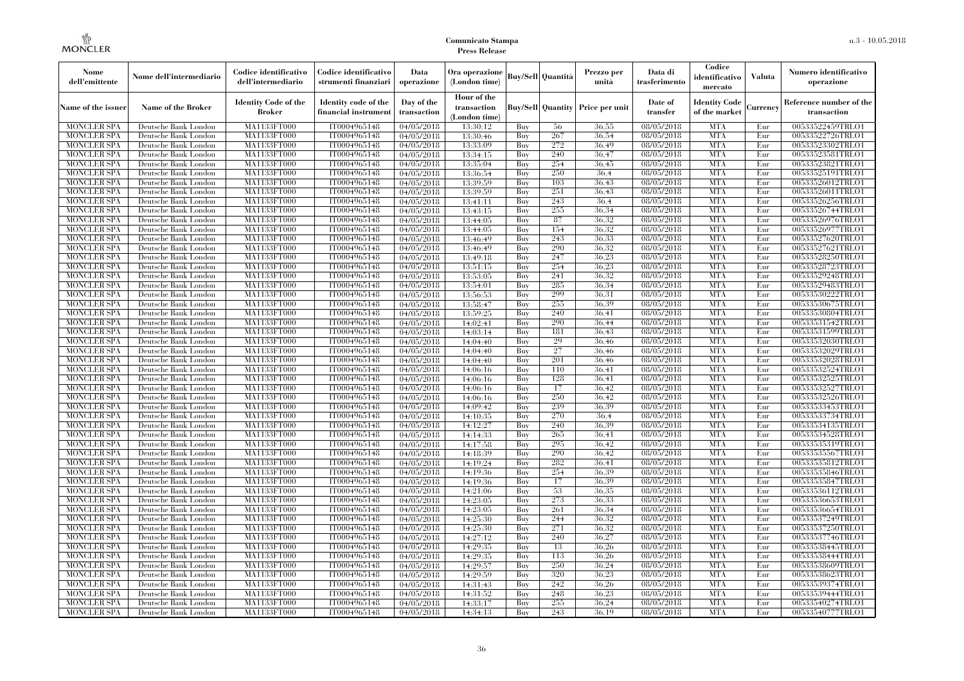| Nome<br>dell'emittente                   | Nome dell'intermediario                      | Codice identificativo<br>dell'intermediario  | Codice identificativo<br>strumenti finanziari | Data<br>operazione        | Ora operazione<br>(London time)             |            | <b>Buy/Sell Quantità</b> | Prezzo per<br>unità                     | Data di<br>trasferimento          | Codice<br>identificativo<br>mercato   | Valuta     | Numero identificativo<br>operazione    |
|------------------------------------------|----------------------------------------------|----------------------------------------------|-----------------------------------------------|---------------------------|---------------------------------------------|------------|--------------------------|-----------------------------------------|-----------------------------------|---------------------------------------|------------|----------------------------------------|
| Name of the issuer                       | Name of the Broker                           | <b>Identity Code of the</b><br><b>Broker</b> | Identity code of the<br>financial instrument  | Day of the<br>transaction | Hour of the<br>transaction<br>(London time) |            |                          | <b>Buy/Sell Quantity Price per unit</b> | Date of<br>transfer               | <b>Identity Code</b><br>of the market | Currencv   | Reference number of the<br>transaction |
| <b>MONCLER SPA</b>                       | Deutsche Bank London                         | MA1133FT000                                  | IT0004965148                                  | 04/05/2018                | 13:30:12                                    | Buy        | 56                       | 36,55                                   | 08/05/2018                        | <b>MTA</b>                            | Eur        | 00533522459TRLO1                       |
| <b>MONCLER SPA</b>                       | Deutsche Bank London                         | <b>MA1133FT000</b>                           | IT0004965148                                  | 04/05/2018                | 13:30:46                                    | Buy        | 267                      | 36.54                                   | 08/05/2018                        | <b>MTA</b>                            | Eur        | 00533522726TRLO1                       |
| <b>MONCLER SPA</b>                       | Deutsche Bank London                         | MA1133FT000                                  | IT0004965148                                  | 04/05/2018                | 13:33:09                                    | Buy        | 272                      | 36.49                                   | 08/05/2018                        | <b>MTA</b>                            | Eur        | 00533523302TRLO1                       |
| <b>MONCLER SPA</b>                       | Deutsche Bank London                         | MA1133FT000                                  | IT0004965148                                  | 04/05/2018                | 13:34:15                                    | Buy        | 240                      | 36.47                                   | 08/05/2018                        | <b>MTA</b>                            | Eur        | 00533523581TRLO1                       |
| <b>MONCLER SPA</b>                       | Deutsche Bank London                         | MA1133FT000<br><b>MA1133FT000</b>            | IT0004965148<br>IT0004965148                  | 04/05/2018                | 13:35:04                                    | Buy        | 254<br>250               | 36,45<br>36.4                           | 08/05/2018<br>$\sqrt{08}/05/2018$ | <b>MTA</b><br><b>MTA</b>              | Eur<br>Eur | 00533523821TRLO1<br>00533525191TRLO1   |
| <b>MONCLER SPA</b><br><b>MONCLER SPA</b> | Deutsche Bank London<br>Deutsche Bank London | MA1133FT000                                  | IT0004965148                                  | 04/05/2018<br>04/05/2018  | 13:36:54<br>13:39:59                        | Buy<br>Buy | 103                      | 36,43                                   | 08/05/2018                        | <b>MTA</b>                            | Eur        | 00533526012TRLO1                       |
| <b>MONCLER SPA</b>                       | Deutsche Bank London                         | MA1133FT000                                  | IT0004965148                                  | 04/05/2018                | 13:39:59                                    | Buv        | 251                      | 36.43                                   | 08/05/2018                        | <b>MTA</b>                            | Eur        | 00533526011TRLO1                       |
| <b>MONCLER SPA</b>                       | Deutsche Bank London                         | MA1133FT000                                  | IT0004965148                                  | 04/05/2018                | 13:41:11                                    | Buy        | 243                      | 36.4                                    | 08/05/2018                        | <b>MTA</b>                            | Eur        | 00533526256TRLO1                       |
| <b>MONCLER SPA</b>                       | Deutsche Bank London                         | <b>MA1133FT000</b>                           | IT0004965148                                  | 04/05/2018                | 13:43:15                                    | Buy        | 255                      | 36.34                                   | 08/05/2018                        | <b>MTA</b>                            | Eur        | 00533526744TRLO1                       |
| <b>MONCLER SPA</b>                       | Deutsche Bank London                         | MA1133FT000                                  | IT0004965148                                  | 04/05/2018                | 13:44:05                                    | Buy        | 87                       | 36.32                                   | 08/05/2018                        | <b>MTA</b>                            | Eur        | 00533526976TRLO1                       |
| <b>MONCLER SPA</b>                       | Deutsche Bank London                         | MA1133FT000                                  | IT0004965148                                  | 04/05/2018                | 13:44:05                                    | Buy        | 154                      | 36,32                                   | 08/05/2018                        | <b>MTA</b>                            | Eur        | 00533526977TRLO1                       |
| <b>MONCLER SPA</b>                       | Deutsche Bank London                         | MA1133FT000                                  | IT0004965148                                  | 04/05/2018                | 13:46:49                                    | Buy        | 243                      | 36.33                                   | 08/05/2018                        | <b>MTA</b>                            | Eur        | 00533527620TRLO1                       |
| <b>MONCLER SPA</b>                       | Deutsche Bank London                         | MA1133FT000                                  | IT0004965148                                  | 04/05/2018                | 13:46:49                                    | Buy        | 290                      | 36.32                                   | 08/05/2018                        | <b>MTA</b>                            | Eur        | 00533527621TRLO1                       |
| <b>MONCLER SPA</b>                       | Deutsche Bank London                         | MA1133FT000                                  | IT0004965148                                  | 04/05/2018                | 13:49:18                                    | Buy        | 247                      | 36,23                                   | 08/05/2018                        | <b>MTA</b>                            | Eur        | 00533528250TRLO1                       |
| <b>MONCLER SPA</b>                       | Deutsche Bank London                         | MA1133FT000                                  | IT0004965148                                  | 04/05/2018                | 13:51:15                                    | Buy        | 254                      | 36,23                                   | 08/05/2018                        | <b>MTA</b>                            | Eur        | 00533528723TRLO1                       |
| <b>MONCLER SPA</b>                       | Deutsche Bank London                         | MA1133FT000                                  | IT0004965148                                  | 04/05/2018                | 13:53:05                                    | Buy        | 241                      | 36.32                                   | 08/05/2018                        | <b>MTA</b>                            | Eur        | 00533529248TRLO1                       |
| <b>MONCLER SPA</b>                       | Deutsche Bank London                         | MA1133FT000                                  | IT0004965148                                  | 04/05/2018                | 13:54:01                                    | Buy        | 285                      | 36,34                                   | 08/05/2018                        | <b>MTA</b>                            | Eur        | 00533529483TRLO1                       |
| <b>MONCLER SPA</b>                       | Deutsche Bank London                         | MA1133FT000                                  | IT0004965148                                  | 04/05/2018                | 13:56:53                                    | Buy        | 299                      | 36.31                                   | 08/05/2018                        | <b>MTA</b>                            | Eur        | 00533530222TRLO1                       |
| <b>MONCLER SPA</b>                       | Deutsche Bank London                         | MA1133FT000                                  | IT0004965148                                  | 04/05/2018                | 13:58:47                                    | Buy        | 255                      | 36.39                                   | 08/05/2018                        | <b>MTA</b>                            | Eur        | 00533530675TRLO1                       |
| <b>MONCLER SPA</b>                       | Deutsche Bank London                         | MA1133FT000                                  | IT0004965148                                  | 04/05/2018                | 13:59:25                                    | Buy        | 240                      | 36,41                                   | $\sqrt{08}/05/2018$               | <b>MTA</b>                            | Eur        | 00533530804TRLO1                       |
| <b>MONCLER SPA</b>                       | Deutsche Bank London                         | MA1133FT000                                  | IT0004965148                                  | 04/05/2018                | 14:02:41                                    | Buy        | 290                      | 36,44                                   | 08/05/2018                        | <b>MTA</b>                            | Eur        | 00533531542TRLO1                       |
| <b>MONCLER SPA</b>                       | Deutsche Bank London                         | MA1133FT000                                  | IT0004965148                                  | 04/05/2018                | 14:03:14                                    | Buy        | 181                      | 36,43                                   | 08/05/2018                        | <b>MTA</b>                            | Eur        | 00533531599TRLO1                       |
| <b>MONCLER SPA</b>                       | Deutsche Bank London                         | MA1133FT000                                  | IT0004965148                                  | 04/05/2018                | 14:04:40                                    | Buy        | 29                       | 36.46                                   | 08/05/2018                        | <b>MTA</b>                            | Eur        | 00533532030TRLO1                       |
| <b>MONCLER SPA</b>                       | Deutsche Bank London                         | MA1133FT000                                  | IT0004965148                                  | 04/05/2018                | 14:04:40                                    | Buy        | 27                       | 36,46                                   | $\sqrt{08}/05/2018$               | <b>MTA</b>                            | Eur        | 00533532029TRLO1                       |
| <b>MONCLER SPA</b>                       | Deutsche Bank London                         | MA1133FT000                                  | IT0004965148                                  | $\sqrt{04}/05/2018$       | 14:04:40                                    | Buy        | 201                      | 36,46                                   | $\sqrt{08}/05/2018$               | <b>MTA</b>                            | Eur        | 00533532028TRLO1                       |
| <b>MONCLER SPA</b>                       | Deutsche Bank London                         | MA1133FT000                                  | IT0004965148                                  | 04/05/2018                | 14:06:16                                    | Buy        | 110                      | 36,41                                   | 08/05/2018                        | <b>MTA</b>                            | Eur        | 00533532524TRLO1                       |
| <b>MONCLER SPA</b>                       | Deutsche Bank London                         | MA1133FT000                                  | IT0004965148                                  | 04/05/2018                | 14:06:16                                    | Buy        | 128                      | 36.41                                   | 08/05/2018                        | <b>MTA</b>                            | Eur        | 00533532525TRLO1                       |
| <b>MONCLER SPA</b>                       | Deutsche Bank London                         | MA1133FT000                                  | IT0004965148                                  | 04/05/2018                | 14:06:16                                    | Buy        | 17                       | 36.42                                   | $\sqrt{08}/05/2018$               | <b>MTA</b>                            | Eur        | 00533532527TRLO1                       |
| <b>MONCLER SPA</b><br><b>MONCLER SPA</b> | Deutsche Bank London                         | <b>MA1133FT000</b>                           | IT0004965148<br>IT0004965148                  | 04/05/2018                | 14:06:16                                    | Buy        | 250<br>239               | 36.42<br>36,39                          | 08/05/2018                        | <b>MTA</b><br><b>MTA</b>              | Eur<br>Eur | 00533532526TRLO1<br>00533533453TRLO1   |
| <b>MONCLER SPA</b>                       | Deutsche Bank London<br>Deutsche Bank London | MA1133FT000<br>MA1133FT000                   | IT0004965148                                  | 04/05/2018                | 14:09:42                                    | Buy<br>Buy | 270                      | 36,4                                    | 08/05/2018<br>08/05/2018          | <b>MTA</b>                            | Eur        | 00533533734TRLO1                       |
| <b>MONCLER SPA</b>                       | Deutsche Bank London                         | MA1133FT000                                  | IT0004965148                                  | 04/05/2018<br>04/05/2018  | 14:10:35<br>14:12:27                        | Buv        | 240                      | 36.39                                   | $\sqrt{08}/05/2018$               | <b>MTA</b>                            | Eur        | 00533534135TRLO1                       |
| <b>MONCLER SPA</b>                       | Deutsche Bank London                         | MA1133FT000                                  | IT0004965148                                  | 04/05/2018                | 14:14:33                                    | Buy        | 265                      | 36.41                                   | 08/05/2018                        | <b>MTA</b>                            | Eur        | 00533534528TRLO1                       |
| <b>MONCLER SPA</b>                       | Deutsche Bank London                         | MA1133FT000                                  | IT0004965148                                  | 04/05/2018                | 14:17:58                                    | Buy        | 295                      | 36.42                                   | 08/05/2018                        | <b>MTA</b>                            | Eur        | 00533535319TRLO1                       |
| <b>MONCLER SPA</b>                       | Deutsche Bank London                         | MA1133FT000                                  | IT0004965148                                  | 04/05/2018                | 14:18:39                                    | Buy        | 290                      | 36,42                                   | 08/05/2018                        | <b>MTA</b>                            | Eur        | 00533535567TRLO1                       |
| <b>MONCLER SPA</b>                       | Deutsche Bank London                         | MA1133FT000                                  | IT0004965148                                  | 04/05/2018                | 14:19:24                                    | Buv        | 282                      | 36,41                                   | 08/05/2018                        | <b>MTA</b>                            | Eur        | 00533535812TRLO1                       |
| <b>MONCLER SPA</b>                       | Deutsche Bank London                         | <b>MA1133FT000</b>                           | IT0004965148                                  | 04/05/2018                | 14:19:36                                    | Buy        | 254                      | 36.39                                   | 08/05/2018                        | <b>MTA</b>                            | Eur        | 00533535846TRLO1                       |
| <b>MONCLER SPA</b>                       | Deutsche Bank London                         | MA1133FT000                                  | IT0004965148                                  | 04/05/2018                | 14:19:36                                    | Buy        | 17                       | 36.39                                   | 08/05/2018                        | <b>MTA</b>                            | Eur        | 00533535847TRLO1                       |
| <b>MONCLER SPA</b>                       | Deutsche Bank London                         | <b>MA1133FT000</b>                           | IT0004965148                                  | 04/05/2018                | 14:21:06                                    | Buy        | 53                       | 36.35                                   | 08/05/2018                        | <b>MTA</b>                            | Eur        | 00533536112TRLO1                       |
| <b>MONCLER SPA</b>                       | Deutsche Bank London                         | MA1133FT000                                  | IT0004965148                                  | 04/05/2018                | 14:23:05                                    | Buy        | 273                      | 36.33                                   | 08/05/2018                        | <b>MTA</b>                            | Eur        | 00533536653TRLO1                       |
| <b>MONCLER SPA</b>                       | Deutsche Bank London                         | MA1133FT000                                  | IT0004965148                                  | 04/05/2018                | 14:23:05                                    | Buy        | 261                      | 36,34                                   | 08/05/2018                        | <b>MTA</b>                            | Eur        | 00533536654TRLO1                       |
| <b>MONCLER SPA</b>                       | Deutsche Bank London                         | MA1133FT000                                  | IT0004965148                                  | 04/05/2018                | 14:25:30                                    | Buy        | 244                      | 36.32                                   | 08/05/2018                        | <b>MTA</b>                            | Eur        | 00533537249TRLO1                       |
| <b>MONCLER SPA</b>                       | Deutsche Bank London                         | MA1133FT000                                  | IT0004965148                                  | 04/05/2018                | 14:25:30                                    | Buy        | 271                      | 36.32                                   | 08/05/2018                        | <b>MTA</b>                            | Eur        | 00533537250TRLO1                       |
| <b>MONCLER SPA</b>                       | Deutsche Bank London                         | MA1133FT000                                  | IT0004965148                                  | 04/05/2018                | 14:27:12                                    | Buy        | 240                      | 36,27                                   | 08/05/2018                        | <b>MTA</b>                            | Eur        | 00533537746TRLO1                       |
| <b>MONCLER SPA</b>                       | Deutsche Bank London                         | MA1133FT000                                  | IT0004965148                                  | 04/05/2018                | 14:29:35                                    | Buy        | 13                       | 36.26                                   | 08/05/2018                        | <b>MTA</b>                            | Eur        | 00533538445TRLO1                       |
| <b>MONCLER SPA</b>                       | Deutsche Bank London                         | MA1133FT000                                  | IT0004965148                                  | 04/05/2018                | 14:29:35                                    | Buy        | 113                      | 36.26                                   | 08/05/2018                        | <b>MTA</b>                            | Eur        | 00533538444TRLO1                       |
| <b>MONCLER SPA</b>                       | Deutsche Bank London                         | MA1133FT000                                  | IT0004965148                                  | 04/05/2018                | 14:29:57                                    | Buy        | 250                      | 36.24                                   | 08/05/2018                        | <b>MTA</b>                            | Eur        | 00533538609TRLO1                       |
| <b>MONCLER SPA</b>                       | Deutsche Bank London                         | MA1133FT000                                  | IT0004965148                                  | 04/05/2018                | 14:29:59                                    | Buy        | 320                      | 36,23                                   | 08/05/2018                        | <b>MTA</b>                            | Eur        | 00533538623TRLO1                       |
| <b>MONCLER SPA</b>                       | Deutsche Bank London                         | MA1133FT000                                  | IT0004965148                                  | 04/05/2018                | 14:31:43                                    | Buy        | 242                      | 36,26                                   | 08/05/2018                        | <b>MTA</b>                            | Eur        | 00533539374TRLO1                       |
| <b>MONCLER SPA</b>                       | Deutsche Bank London                         | MA1133FT000                                  | IT0004965148                                  | 04/05/2018                | 14:31:52                                    | Buy        | 248                      | 36,23                                   | 08/05/2018                        | <b>MTA</b>                            | Eur        | 00533539444TRLO1                       |
| <b>MONCLER SPA</b>                       | Deutsche Bank London                         | <b>MA1133FT000</b>                           | IT0004965148                                  | 04/05/2018                | 14:33:17                                    | Buy        | 255                      | 36.24                                   | 08/05/2018                        | <b>MTA</b>                            | Eur        | 00533540274TRLO1                       |
| <b>MONCLER SPA</b>                       | Deutsche Bank London                         | MA1133FT000                                  | IT0004965148                                  | 04/05/2018                | 14:34:13                                    | Buy        | 243                      | 36.19                                   | 08/05/2018                        | <b>MTA</b>                            | Eur        | 00533540777TRLO1                       |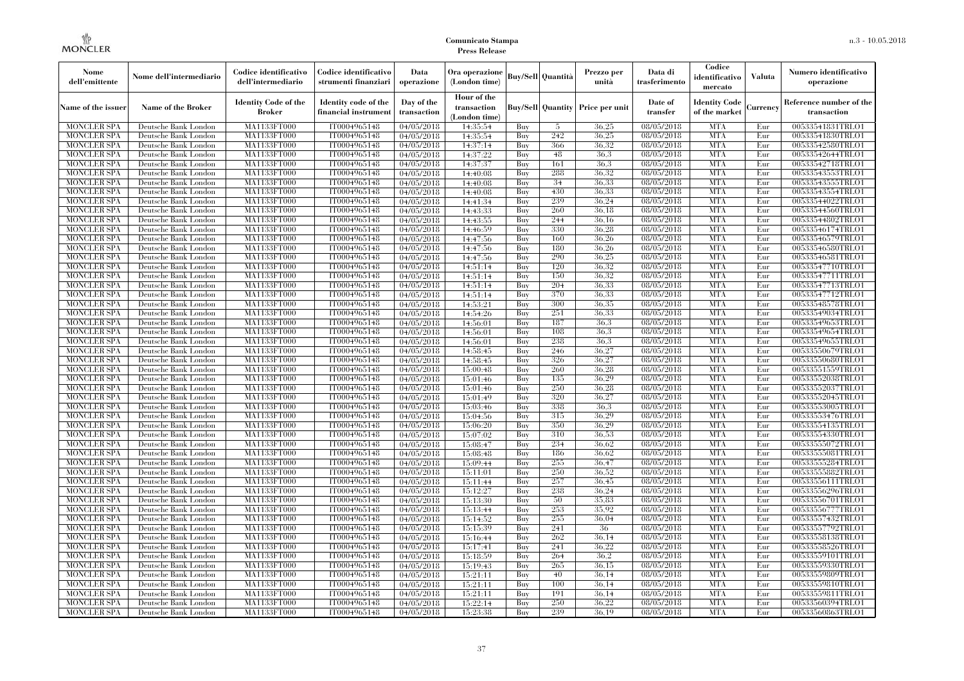| Nome<br>dell'emittente                   | Nome dell'intermediario                      | Codice identificativo<br>dell'intermediario  | Codice identificativo<br>strumenti finanziari | Data<br>operazione        | Ora operazione<br>(London time)             |            | <b>Buy/Sell Quantità</b> | Prezzo per<br>unità | Data di<br>trasferimento | Codice<br>identificativo<br>mercato   | <b>Valuta</b> | Numero identificativo<br>operazione    |
|------------------------------------------|----------------------------------------------|----------------------------------------------|-----------------------------------------------|---------------------------|---------------------------------------------|------------|--------------------------|---------------------|--------------------------|---------------------------------------|---------------|----------------------------------------|
| Name of the issuer                       | Name of the Broker                           | <b>Identity Code of the</b><br><b>Broker</b> | Identity code of the<br>financial instrumen   | Day of the<br>transaction | Hour of the<br>transaction<br>(London time) |            | <b>Buy/Sell Quantity</b> | Price per unit      | Date of<br>transfer      | <b>Identity Code</b><br>of the market | Currency      | Reference number of the<br>transaction |
| <b>MONCLER SPA</b>                       | Deutsche Bank London                         | MA1133FT000                                  | IT0004965148                                  | 04/05/2018                | 14:35:54                                    | Buy        | -5                       | 36,25               | 08/05/2018               | <b>MTA</b>                            | Eur           | 00533541831TRLO1                       |
| <b>MONCLER SPA</b>                       | Deutsche Bank London                         | MA1133FT000                                  | IT0004965148                                  | 04/05/2018                | 14:35:54                                    | Buy        | 242                      | 36.25               | 08/05/2018               | <b>MTA</b>                            | Eur           | 00533541830TRLO1                       |
| <b>MONCLER SPA</b>                       | Deutsche Bank London                         | MA1133FT000                                  | IT0004965148                                  | 04/05/2018                | 14:37:14                                    | Buy        | 366                      | 36.32               | 08/05/2018               | <b>MTA</b>                            | Eur           | 00533542580TRLO1                       |
| <b>MONCLER SPA</b>                       | Deutsche Bank London                         | <b>MA1133FT000</b>                           | IT0004965148                                  | 04/05/2018                | 14:37:22                                    | Buy        | 48                       | 36.3                | 08/05/2018               | <b>MTA</b>                            | Eur           | 00533542644TRLO1                       |
| MONCLER SPA                              | Deutsche Bank London                         | MA1133FT000                                  | IT0004965148                                  | 04/05/2018                | 14:37:37                                    | Buy        | 161                      | 36.3                | 08/05/2018               | <b>MTA</b>                            | Eur           | 00533542718TRLO1                       |
| <b>MONCLER SPA</b><br><b>MONCLER SPA</b> | Deutsche Bank London                         | MA1133FT000<br>MA1133FT000                   | IT0004965148<br>IT0004965148                  | 04/05/2018                | 14:40:08                                    | Buy<br>Buy | 288<br>34                | 36,32<br>36.33      | 08/05/2018<br>08/05/2018 | <b>MTA</b><br><b>MTA</b>              | Eur<br>Eur    | 00533543553TRLO1<br>00533543555TRLO1   |
| <b>MONCLER SPA</b>                       | Deutsche Bank London<br>Deutsche Bank London | MA1133FT000                                  | IT0004965148                                  | 04/05/2018<br>04/05/2018  | 14:40:08<br>14:40:08                        | Buy        | 430                      | 36,33               | 08/05/2018               | <b>MTA</b>                            | Eur           | 00533543554TRLO1                       |
| MONCLER SPA                              | Deutsche Bank London                         | MA1133FT000                                  | IT0004965148                                  | 04/05/2018                | 14:41:34                                    | Buy        | 239                      | 36,24               | 08/05/2018               | <b>MTA</b>                            | Eur           | 00533544022TRLO1                       |
| <b>MONCLER SPA</b>                       | Deutsche Bank London                         | MA1133FT000                                  | IT0004965148                                  | 04/05/2018                | 14:43:33                                    | Buy        | 260                      | 36,18               | 08/05/2018               | <b>MTA</b>                            | Eur           | 00533544560TRLO1                       |
| <b>MONCLER SPA</b>                       | Deutsche Bank London                         | MA1133FT000                                  | IT0004965148                                  | 04/05/2018                | 14:43:55                                    | Buy        | 244                      | 36.16               | 08/05/2018               | <b>MTA</b>                            | Eur           | 00533544802TRLO1                       |
| <b>MONCLER SPA</b>                       | Deutsche Bank London                         | MA1133FT000                                  | IT0004965148                                  | 04/05/2018                | 14:46:59                                    | Buy        | 330                      | 36,28               | 08/05/2018               | <b>MTA</b>                            | Eur           | 00533546174TRLO1                       |
| MONCLER SPA                              | Deutsche Bank London                         | MA1133FT000                                  | IT0004965148                                  | 04/05/2018                | 14:47:56                                    | Buy        | 160                      | 36.26               | 08/05/2018               | <b>MTA</b>                            | Eur           | 00533546579TRLO1                       |
| <b>MONCLER SPA</b>                       | Deutsche Bank London                         | <b>MA1133FT000</b>                           | IT0004965148                                  | 04/05/2018                | 14:47:56                                    | Buy        | 180                      | 36,26               | 08/05/2018               | <b>MTA</b>                            | Eur           | 00533546580TRLO1                       |
| <b>MONCLER SPA</b>                       | Deutsche Bank London                         | MA1133FT000                                  | IT0004965148                                  | 04/05/2018                | 14:47:56                                    | Buy        | 290                      | 36,25               | 08/05/2018               | <b>MTA</b>                            | Eur           | 00533546581TRLO1                       |
| <b>MONCLER SPA</b>                       | Deutsche Bank London                         | MA1133FT000                                  | IT0004965148                                  | 04/05/2018                | 14:51:14                                    | Buy        | 120                      | 36.32               | 08/05/2018               | <b>MTA</b>                            | Eur           | 00533547710TRLO1                       |
| MONCLER SPA                              | Deutsche Bank London                         | MA1133FT000                                  | IT0004965148                                  | 04/05/2018                | 14:51:14                                    | Buy        | 150                      | 36.32               | 08/05/2018               | <b>MTA</b>                            | Eur           | 00533547711TRLO1                       |
| <b>MONCLER SPA</b>                       | Deutsche Bank London                         | MA1133FT000                                  | IT0004965148                                  | 04/05/2018                | 14:51:14                                    | Buy        | 204                      | 36.33               | 08/05/2018               | <b>MTA</b>                            | Eur           | 00533547713TRLO1                       |
| <b>MONCLER SPA</b>                       | Deutsche Bank London                         | MA1133FT000                                  | IT0004965148                                  | 04/05/2018                | 14:51:14                                    | Buy        | 370                      | 36.33               | 08/05/2018               | <b>MTA</b>                            | Eur           | 00533547712TRLO1                       |
| <b>MONCLER SPA</b>                       | Deutsche Bank London                         | MA1133FT000                                  | IT0004965148                                  | 04/05/2018                | 14:53:21                                    | Buy        | 300                      | 36.35               | 08/05/2018               | <b>MTA</b>                            | Eur           | 00533548578TRLO1                       |
| <b>MONCLER SPA</b>                       | Deutsche Bank London                         | MA1133FT000                                  | IT0004965148                                  | 04/05/2018                | 14:54:26                                    | Buy        | 251                      | 36.33               | 08/05/2018               | <b>MTA</b>                            | Eur           | 00533549034TRLO1                       |
| <b>MONCLER SPA</b>                       | Deutsche Bank London                         | MA1133FT000                                  | IT0004965148                                  | 04/05/2018                | 14:56:01                                    | Buy        | 187                      | 36.3                | 08/05/2018               | <b>MTA</b>                            | Eur           | 00533549653TRLO1                       |
| <b>MONCLER SPA</b>                       | Deutsche Bank London                         | MA1133FT000                                  | IT0004965148                                  | 04/05/2018                | 14:56:01                                    | Buy        | 108                      | 36.3                | 08/05/2018               | <b>MTA</b>                            | Eur           | 00533549654TRLO1                       |
| <b>MONCLER SPA</b>                       | Deutsche Bank London                         | MA1133FT000                                  | IT0004965148                                  | 04/05/2018                | 14:56:01                                    | Buy        | 238                      | 36.3                | 08/05/2018               | <b>MTA</b>                            | Eur           | 00533549655TRLO1                       |
| <b>MONCLER SPA</b>                       | Deutsche Bank London                         | MA1133FT000                                  | IT0004965148                                  | 04/05/2018                | 14:58:45                                    | Buy        | 246                      | 36.27               | 08/05/2018               | <b>MTA</b>                            | Eur           | 00533550679TRLO1                       |
| <b>MONCLER SPA</b>                       | Deutsche Bank London                         | <b>MA1133FT000</b>                           | IT0004965148                                  | 04/05/2018                | 14:58:45                                    | Buy        | 326                      | 36,27               | 08/05/2018               | <b>MTA</b>                            | Eur           | 00533550680TRLO1                       |
| <b>MONCLER SPA</b>                       | Deutsche Bank London                         | MA1133FT000                                  | IT0004965148                                  | 04/05/2018                | 15:00:48                                    | Buy        | 260                      | 36,28               | 08/05/2018               | <b>MTA</b>                            | Eur           | 00533551559TRLO1                       |
| <b>MONCLER SPA</b>                       | Deutsche Bank London                         | MA1133FT000                                  | IT0004965148                                  | 04/05/2018                | 15:01:46                                    | Buy        | 135                      | 36.29               | 08/05/2018               | <b>MTA</b>                            | Eur           | 00533552038TRLO1                       |
| <b>MONCLER SPA</b>                       | Deutsche Bank London                         | MA1133FT000                                  | IT0004965148                                  | 04/05/2018                | 15:01:46                                    | Buv        | 250                      | 36,28               | 08/05/2018               | <b>MTA</b>                            | Eur           | 00533552037TRLO1                       |
| <b>MONCLER SPA</b>                       | Deutsche Bank London                         | MA1133FT000                                  | IT0004965148                                  | 04/05/2018                | 15:01:49                                    | Buy        | 320                      | 36,27               | 08/05/2018               | <b>MTA</b>                            | Eur           | 00533552045TRLO1                       |
| <b>MONCLER SPA</b>                       | Deutsche Bank London                         | MA1133FT000                                  | IT0004965148                                  | 04/05/2018                | 15:03:46                                    | Buy        | 338                      | 36.3                | 08/05/2018               | <b>MTA</b>                            | Eur           | 00533553005TRLO1                       |
| <b>MONCLER SPA</b>                       | Deutsche Bank London                         | MA1133FT000                                  | IT0004965148                                  | 04/05/2018                | 15:04:56                                    | Buy        | 315                      | 36.29               | 08/05/2018               | <b>MTA</b>                            | Eur           | 00533553476TRLO1                       |
| <b>MONCLER SPA</b>                       | Deutsche Bank London                         | MA1133FT000                                  | IT0004965148                                  | 04/05/2018                | 15:06:20                                    | Buy        | 350                      | 36.29               | 08/05/2018               | <b>MTA</b>                            | Eur           | 00533554135TRLO1                       |
| <b>MONCLER SPA</b>                       | Deutsche Bank London                         | MA1133FT000                                  | IT0004965148                                  | 04/05/2018                | 15:07:02                                    | Buy        | 310                      | 36.53               | 08/05/2018               | <b>MTA</b>                            | Eur           | 00533554330TRLO1                       |
| <b>MONCLER SPA</b><br><b>MONCLER SPA</b> | Deutsche Bank London                         | MA1133FT000<br>MA1133FT000                   | IT0004965148<br>IT0004965148                  | 04/05/2018                | 15:08:47                                    | Buy        | 234<br>186               | 36.62<br>36.62      | 08/05/2018<br>08/05/2018 | <b>MTA</b><br><b>MTA</b>              | Eur           | 00533555072TRLO1<br>00533555081TRLO1   |
| <b>MONCLER SPA</b>                       | Deutsche Bank London<br>Deutsche Bank London | MA1133FT000                                  | IT0004965148                                  | 04/05/2018                | 15:08:48<br>15:09:44                        | Buy<br>Buy | 255                      | 36,47               | 08/05/2018               | <b>MTA</b>                            | Eur<br>Eur    | 00533555284TRLO1                       |
| <b>MONCLER SPA</b>                       | Deutsche Bank London                         | MA1133FT000                                  | IT0004965148                                  | 04/05/2018<br>04/05/2018  | 15:11:01                                    | Buy        | 250                      | 36.52               | 08/05/2018               | <b>MTA</b>                            | Eur           | 00533555882TRLO1                       |
| <b>MONCLER SPA</b>                       | Deutsche Bank London                         | MA1133FT000                                  | IT0004965148                                  | 04/05/2018                | 15:11:44                                    | Buy        | 257                      | 36.45               | 08/05/2018               | <b>MTA</b>                            | Eur           | 00533556111TRLO1                       |
| <b>MONCLER SPA</b>                       | Deutsche Bank London                         | MA1133FT000                                  | IT0004965148                                  | 04/05/2018                | 15:12:27                                    | Buy        | 238                      | 36,24               | 08/05/2018               | <b>MTA</b>                            | Eur           | 00533556296TRLO1                       |
| <b>MONCLER SPA</b>                       | Deutsche Bank London                         | MA1133FT000                                  | IT0004965148                                  | 04/05/2018                | 15:13:30                                    | Buy        | 50                       | 35,83               | 08/05/2018               | <b>MTA</b>                            | Eur           | 00533556701TRLO1                       |
| <b>MONCLER SPA</b>                       | Deutsche Bank London                         | MA1133FT000                                  | IT0004965148                                  | 04/05/2018                | 15:13:44                                    | Buy        | 253                      | 35.92               | 08/05/2018               | <b>MTA</b>                            | Eur           | 00533556777TRLO1                       |
| <b>MONCLER SPA</b>                       | Deutsche Bank London                         | MA1133FT000                                  | IT0004965148                                  | 04/05/2018                | 15:14:52                                    | Buy        | 255                      | 36,04               | 08/05/2018               | <b>MTA</b>                            | Eur           | 00533557432TRLO1                       |
| <b>MONCLER SPA</b>                       | Deutsche Bank London                         | MA1133FT000                                  | IT0004965148                                  | 04/05/2018                | 15:15:39                                    | Buy        | 241                      | 36                  | 08/05/2018               | <b>MTA</b>                            | Eur           | 00533557792TRLO1                       |
| <b>MONCLER SPA</b>                       | Deutsche Bank London                         | MA1133FT000                                  | IT0004965148                                  | 04/05/2018                | 15:16:44                                    | Buy        | 262                      | 36.14               | 08/05/2018               | <b>MTA</b>                            | Eur           | 00533558138TRLO1                       |
| <b>MONCLER SPA</b>                       | Deutsche Bank London                         | MA1133FT000                                  | IT0004965148                                  | 04/05/2018                | 15:17:41                                    | Buy        | 241                      | 36,22               | 08/05/2018               | <b>MTA</b>                            | Eur           | 00533558526TRLO1                       |
| MONCLER SPA                              | Deutsche Bank London                         | MA1133FT000                                  | IT0004965148                                  | 04/05/2018                | 15:18:59                                    | Buy        | 264                      | 36,2                | 08/05/2018               | <b>MTA</b>                            | Eur           | 00533559101TRLO1                       |
| <b>MONCLER SPA</b>                       | Deutsche Bank London                         | MA1133FT000                                  | IT0004965148                                  | 04/05/2018                | 15:19:43                                    | Buy        | 265                      | 36.15               | 08/05/2018               | <b>MTA</b>                            | Eur           | 00533559330TRLO1                       |
| <b>MONCLER SPA</b>                       | Deutsche Bank London                         | MA1133FT000                                  | IT0004965148                                  | 04/05/2018                | 15:21:11                                    | Buy        | 40                       | 36.14               | 08/05/2018               | <b>MTA</b>                            | Eur           | 00533559809TRLO1                       |
| <b>MONCLER SPA</b>                       | Deutsche Bank London                         | MA1133FT000                                  | IT0004965148                                  | 04/05/2018                | 15:21:11                                    | Buy        | 100                      | 36.14               | 08/05/2018               | <b>MTA</b>                            | Eur           | 00533559810TRLO1                       |
| MONCLER SPA                              | Deutsche Bank London                         | MA1133FT000                                  | IT0004965148                                  | 04/05/2018                | 15:21:11                                    | Buy        | 191                      | 36.14               | 08/05/2018               | <b>MTA</b>                            | Eur           | 00533559811TRLO1                       |
| <b>MONCLER SPA</b>                       | Deutsche Bank London                         | MA1133FT000                                  | IT0004965148                                  | 04/05/2018                | 15:22:14                                    | Buy        | 250                      | 36,22               | 08/05/2018               | <b>MTA</b>                            | Eur           | 00533560394TRLO1                       |
| <b>MONCLER SPA</b>                       | Deutsche Bank London                         | MA1133FT000                                  | IT0004965148                                  | 04/05/2018                | 15:23:38                                    | Buy        | 239                      | 36.19               | 08/05/2018               | <b>MTA</b>                            | Eur           | 00533560863TRLO1                       |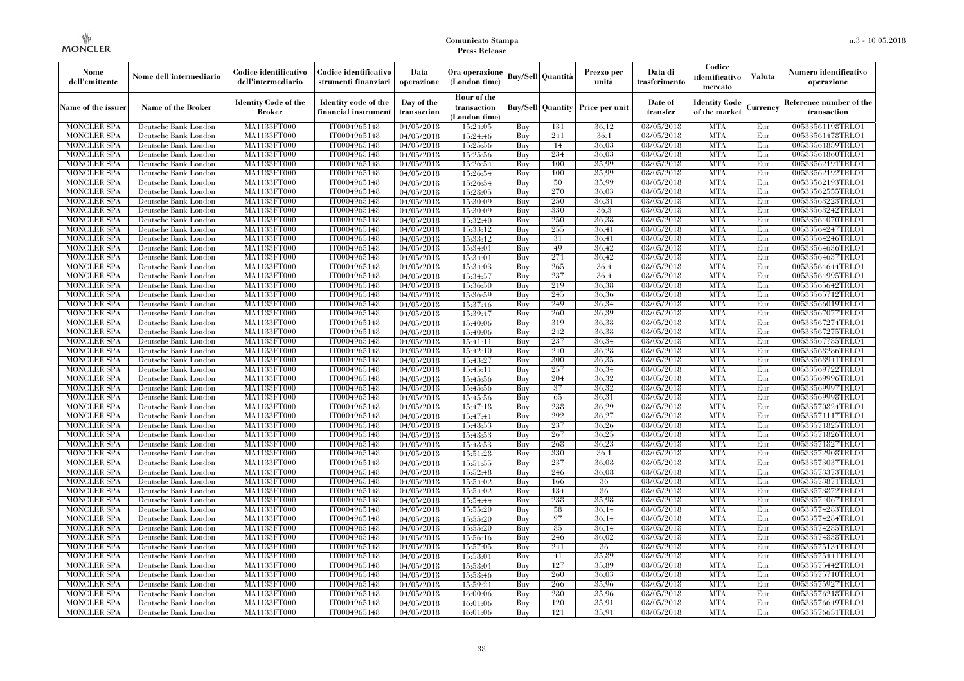| Nome<br>dell'emittente                   | Nome dell'intermediario                      | Codice identificativo<br>dell'intermediario  | Codice identificativo<br>strumenti finanziari | Data<br>operazione        | Ora operazione<br>(London time)             |            | <b>Buy/Sell Quantità</b> | Prezzo per<br>unità                     | Data di<br>trasferimento          | Codice<br>identificativo<br>mercato   | Valuta     | Numero identificativo<br>operazione    |
|------------------------------------------|----------------------------------------------|----------------------------------------------|-----------------------------------------------|---------------------------|---------------------------------------------|------------|--------------------------|-----------------------------------------|-----------------------------------|---------------------------------------|------------|----------------------------------------|
| Name of the issuer                       | Name of the Broker                           | <b>Identity Code of the</b><br><b>Broker</b> | Identity code of the<br>financial instrument  | Day of the<br>transaction | Hour of the<br>transaction<br>(London time) |            |                          | <b>Buy/Sell Quantity Price per unit</b> | Date of<br>transfer               | <b>Identity Code</b><br>of the market | Currencv   | Reference number of the<br>transaction |
| <b>MONCLER SPA</b>                       | Deutsche Bank London                         | MA1133FT000                                  | IT0004965148                                  | 04/05/2018                | 15:24:05                                    | Buy        | 131                      | 36,12                                   | 08/05/2018                        | <b>MTA</b>                            | Eur        | 00533561198TRLO1                       |
| <b>MONCLER SPA</b>                       | Deutsche Bank London                         | <b>MA1133FT000</b>                           | IT0004965148                                  | 04/05/2018                | 15:24:46                                    | Buy        | 241                      | 36.1                                    | 08/05/2018                        | <b>MTA</b>                            | Eur        | 00533561478TRLO1                       |
| <b>MONCLER SPA</b>                       | Deutsche Bank London                         | MA1133FT000                                  | IT0004965148                                  | 04/05/2018                | 15:25:56                                    | Buy        | 14                       | 36.03                                   | 08/05/2018                        | <b>MTA</b>                            | Eur        | 00533561859TRLO1                       |
| <b>MONCLER SPA</b>                       | Deutsche Bank London                         | MA1133FT000                                  | IT0004965148                                  | 04/05/2018                | 15:25:56                                    | Buy        | 234                      | 36,03                                   | 08/05/2018                        | <b>MTA</b>                            | Eur        | 00533561860TRLO1                       |
| <b>MONCLER SPA</b>                       | Deutsche Bank London                         | MA1133FT000<br><b>MA1133FT000</b>            | IT0004965148<br>IT0004965148                  | 04/05/2018                | 15:26:54                                    | Buy        | 100                      | 35.99<br>35.99                          | 08/05/2018<br>$\sqrt{08}/05/2018$ | <b>MTA</b><br><b>MTA</b>              | Eur<br>Eur | 00533562191TRLO1                       |
| <b>MONCLER SPA</b><br><b>MONCLER SPA</b> | Deutsche Bank London<br>Deutsche Bank London | MA1133FT000                                  | IT0004965148                                  | 04/05/2018                | 15:26:54<br>15:26:54                        | Buy<br>Buy | 100<br>50                | 35,99                                   | 08/05/2018                        | <b>MTA</b>                            | Eur        | 00533562192TRLO1<br>00533562193TRLO1   |
| <b>MONCLER SPA</b>                       | Deutsche Bank London                         | MA1133FT000                                  | IT0004965148                                  | 04/05/2018<br>04/05/2018  | 15:28:05                                    | Buy        | 270                      | 36.03                                   | 08/05/2018                        | <b>MTA</b>                            | Eur        | 00533562555TRLO1                       |
| <b>MONCLER SPA</b>                       | Deutsche Bank London                         | MA1133FT000                                  | IT0004965148                                  | 04/05/2018                | 15:30:09                                    | Buy        | 250                      | 36.31                                   | 08/05/2018                        | <b>MTA</b>                            | Eur        | 00533563223TRLO1                       |
| <b>MONCLER SPA</b>                       | Deutsche Bank London                         | <b>MA1133FT000</b>                           | IT0004965148                                  | 04/05/2018                | 15:30:09                                    | Buy        | 330                      | 36.3                                    | 08/05/2018                        | <b>MTA</b>                            | Eur        | 00533563242TRLO1                       |
| <b>MONCLER SPA</b>                       | Deutsche Bank London                         | MA1133FT000                                  | IT0004965148                                  | 04/05/2018                | 15:32:40                                    | Buy        | 250                      | 36,38                                   | 08/05/2018                        | <b>MTA</b>                            | Eur        | 00533564070TRLO1                       |
| <b>MONCLER SPA</b>                       | Deutsche Bank London                         | MA1133FT000                                  | IT0004965148                                  | 04/05/2018                | 15:33:12                                    | Buy        | 255                      | 36.41                                   | 08/05/2018                        | <b>MTA</b>                            | Eur        | 00533564247TRLO1                       |
| <b>MONCLER SPA</b>                       | Deutsche Bank London                         | MA1133FT000                                  | IT0004965148                                  | 04/05/2018                | 15:33:12                                    | Buy        | 31                       | 36.41                                   | 08/05/2018                        | <b>MTA</b>                            | Eur        | 00533564246TRLO1                       |
| <b>MONCLER SPA</b>                       | Deutsche Bank London                         | MA1133FT000                                  | IT0004965148                                  | 04/05/2018                | 15:34:01                                    | Buy        | 49                       | 36.42                                   | 08/05/2018                        | <b>MTA</b>                            | Eur        | 00533564636TRLO1                       |
| <b>MONCLER SPA</b>                       | Deutsche Bank London                         | MA1133FT000                                  | IT0004965148                                  | 04/05/2018                | 15:34:01                                    | Buy        | 271                      | 36.42                                   | 08/05/2018                        | <b>MTA</b>                            | Eur        | 00533564637TRLO1                       |
| <b>MONCLER SPA</b>                       | Deutsche Bank London                         | MA1133FT000                                  | IT0004965148                                  | 04/05/2018                | 15:34:03                                    | Buy        | 265                      | 36.4                                    | 08/05/2018                        | <b>MTA</b>                            | Eur        | 00533564644TRLO1                       |
| <b>MONCLER SPA</b>                       | Deutsche Bank London                         | MA1133FT000                                  | IT0004965148                                  | 04/05/2018                | 15:34:57                                    | Buy        | 237                      | 36.4                                    | 08/05/2018                        | <b>MTA</b>                            | Eur        | 00533564995TRLO1                       |
| <b>MONCLER SPA</b>                       | Deutsche Bank London                         | MA1133FT000                                  | IT0004965148                                  | 04/05/2018                | 15:36:50                                    | Buy        | 219                      | 36.38                                   | 08/05/2018                        | <b>MTA</b>                            | Eur        | 00533565642TRLO1                       |
| <b>MONCLER SPA</b>                       | Deutsche Bank London                         | MA1133FT000                                  | IT0004965148                                  | 04/05/2018                | 15:36:59                                    | Buy        | 245                      | 36.36                                   | 08/05/2018                        | <b>MTA</b>                            | Eur        | 00533565712TRLO1                       |
| <b>MONCLER SPA</b>                       | Deutsche Bank London                         | MA1133FT000                                  | IT0004965148                                  | 04/05/2018                | 15:37:46                                    | Buy        | 249                      | 36.34                                   | 08/05/2018                        | <b>MTA</b>                            | Eur        | 00533566019TRLO1                       |
| MONCLER SPA                              | Deutsche Bank London                         | MA1133FT000                                  | IT0004965148                                  | 04/05/2018                | 15:39:47                                    | Buy        | 260                      | 36.39                                   | $\sqrt{08}/05/2018$               | <b>MTA</b>                            | Eur        | 00533567077TRLO1                       |
| <b>MONCLER SPA</b>                       | Deutsche Bank London                         | MA1133FT000                                  | IT0004965148                                  | 04/05/2018                | 15:40:06                                    | Buy        | 319                      | 36,38                                   | 08/05/2018                        | <b>MTA</b>                            | Eur        | 00533567274TRLO1                       |
| <b>MONCLER SPA</b>                       | Deutsche Bank London                         | MA1133FT000                                  | IT0004965148                                  | 04/05/2018                | 15:40:06                                    | Buy        | 242                      | 36.38                                   | 08/05/2018                        | <b>MTA</b>                            | Eur        | 00533567275TRLO1                       |
| <b>MONCLER SPA</b>                       | Deutsche Bank London                         | MA1133FT000                                  | IT0004965148                                  | 04/05/2018                | 15:41:11                                    | Buy        | 237                      | 36,34                                   | 08/05/2018                        | <b>MTA</b>                            | Eur        | 00533567785TRLO1                       |
| <b>MONCLER SPA</b>                       | Deutsche Bank London                         | MA1133FT000                                  | IT0004965148                                  | 04/05/2018                | 15:42:10                                    | Buy        | 240                      | 36,28                                   | $\sqrt{08}/05/2018$               | <b>MTA</b>                            | Eur        | 00533568286TRLO1                       |
| <b>MONCLER SPA</b>                       | Deutsche Bank London                         | MA1133FT000                                  | IT0004965148                                  | $\sqrt{04}/05/2018$       | 15:43:27                                    | Buy        | 300                      | 36,35                                   | $\sqrt{08}/05/2018$               | <b>MTA</b>                            | Eur        | 00533568941TRLO1                       |
| <b>MONCLER SPA</b>                       | Deutsche Bank London                         | MA1133FT000                                  | IT0004965148                                  | 04/05/2018                | 15:45:11                                    | Buy        | 257                      | 36,34                                   | 08/05/2018                        | <b>MTA</b>                            | Eur        | 00533569722TRLO1                       |
| <b>MONCLER SPA</b>                       | Deutsche Bank London                         | MA1133FT000                                  | IT0004965148                                  | 04/05/2018                | 15:45:56                                    | Buy        | 204                      | 36.32                                   | 08/05/2018                        | <b>MTA</b>                            | Eur        | 00533569996TRLO1                       |
| <b>MONCLER SPA</b>                       | Deutsche Bank London                         | MA1133FT000                                  | IT0004965148                                  | 04/05/2018                | 15:45:56                                    | Buy        | 37                       | 36,32                                   | $\sqrt{08}/05/2018$               | <b>MTA</b>                            | Eur        | 00533569997TRLO1                       |
| <b>MONCLER SPA</b>                       | Deutsche Bank London                         | <b>MA1133FT000</b>                           | IT0004965148                                  | 04/05/2018                | 15:45:56                                    | Buy        | -65                      | 36.31                                   | 08/05/2018                        | <b>MTA</b>                            | Eur        | 00533569998TRLO1                       |
| MONCLER SPA                              | Deutsche Bank London                         | MA1133FT000                                  | IT0004965148                                  | 04/05/2018                | 15:47:18                                    | Buy        | 238                      | 36,29                                   | 08/05/2018                        | <b>MTA</b>                            | Eur        | 00533570824TRLO1                       |
| <b>MONCLER SPA</b><br><b>MONCLER SPA</b> | Deutsche Bank London                         | MA1133FT000<br>MA1133FT000                   | IT0004965148                                  | 04/05/2018                | 15:47:41                                    | Buy<br>Buv | 292<br>237               | 36,27<br>36,26                          | 08/05/2018<br>$\sqrt{08}/05/2018$ | <b>MTA</b><br><b>MTA</b>              | Eur<br>Eur | 00533571117TRLO1<br>00533571825TRLO1   |
| <b>MONCLER SPA</b>                       | Deutsche Bank London<br>Deutsche Bank London | MA1133FT000                                  | IT0004965148<br>IT0004965148                  | 04/05/2018                | 15:48:53                                    | Buy        | 267                      | 36.25                                   | 08/05/2018                        | <b>MTA</b>                            | Eur        | 00533571826TRLO1                       |
| <b>MONCLER SPA</b>                       | Deutsche Bank London                         | MA1133FT000                                  | IT0004965148                                  | 04/05/2018<br>04/05/2018  | 15:48:53<br>15:48:53                        | Buy        | 268                      | 36,23                                   | 08/05/2018                        | <b>MTA</b>                            | Eur        | 00533571827TRLO1                       |
| <b>MONCLER SPA</b>                       | Deutsche Bank London                         | MA1133FT000                                  | IT0004965148                                  | 04/05/2018                | 15:51:28                                    | Buy        | 330                      | 36,1                                    | 08/05/2018                        | <b>MTA</b>                            | Eur        | 00533572908TRLO1                       |
| <b>MONCLER SPA</b>                       | Deutsche Bank London                         | MA1133FT000                                  | IT0004965148                                  | 04/05/2018                | 15:51:55                                    | Buy        | 237                      | 36.08                                   | 08/05/2018                        | <b>MTA</b>                            | Eur        | 00533573037TRLO1                       |
| <b>MONCLER SPA</b>                       | Deutsche Bank London                         | <b>MA1133FT000</b>                           | IT0004965148                                  | 04/05/2018                | 15:52:48                                    | Buy        | 246                      | 36,08                                   | 08/05/2018                        | <b>MTA</b>                            | Eur        | 00533573373TRLO1                       |
| <b>MONCLER SPA</b>                       | Deutsche Bank London                         | MA1133FT000                                  | IT0004965148                                  | 04/05/2018                | 15:54:02                                    | Buy        | 166                      | 36                                      | 08/05/2018                        | <b>MTA</b>                            | Eur        | 00533573871TRLO1                       |
| <b>MONCLER SPA</b>                       | Deutsche Bank London                         | <b>MA1133FT000</b>                           | IT0004965148                                  | 04/05/2018                | 15:54:02                                    | Buy        | 134                      | 36                                      | 08/05/2018                        | <b>MTA</b>                            | Eur        | 00533573872TRLO1                       |
| <b>MONCLER SPA</b>                       | Deutsche Bank London                         | <b>MA1133FT000</b>                           | IT0004965148                                  | 04/05/2018                | 15:54:44                                    | Buy        | 238                      | 35.98                                   | 08/05/2018                        | <b>MTA</b>                            | Eur        | 00533574067TRLO1                       |
| <b>MONCLER SPA</b>                       | Deutsche Bank London                         | MA1133FT000                                  | IT0004965148                                  | 04/05/2018                | 15:55:20                                    | Buy        | 58                       | 36,14                                   | 08/05/2018                        | <b>MTA</b>                            | Eur        | 00533574283TRLO1                       |
| <b>MONCLER SPA</b>                       | Deutsche Bank London                         | MA1133FT000                                  | IT0004965148                                  | 04/05/2018                | 15:55:20                                    | Buy        | 97                       | 36.14                                   | 08/05/2018                        | <b>MTA</b>                            | Eur        | 00533574284TRLO1                       |
| <b>MONCLER SPA</b>                       | Deutsche Bank London                         | MA1133FT000                                  | IT0004965148                                  | 04/05/2018                | 15:55:20                                    | Buy        | 85                       | 36.14                                   | 08/05/2018                        | <b>MTA</b>                            | Eur        | 00533574285TRLO1                       |
| <b>MONCLER SPA</b>                       | Deutsche Bank London                         | MA1133FT000                                  | IT0004965148                                  | 04/05/2018                | 15:56:16                                    | Buy        | 246                      | 36.02                                   | 08/05/2018                        | <b>MTA</b>                            | Eur        | 00533574838TRLO1                       |
| <b>MONCLER SPA</b>                       | Deutsche Bank London                         | MA1133FT000                                  | IT0004965148                                  | 04/05/2018                | 15:57:05                                    | Buy        | 241                      | 36                                      | 08/05/2018                        | <b>MTA</b>                            | Eur        | 00533575134TRLO1                       |
| <b>MONCLER SPA</b>                       | Deutsche Bank London                         | MA1133FT000                                  | IT0004965148                                  | 04/05/2018                | 15:58:01                                    | Buy        | 41                       | 35.89                                   | 08/05/2018                        | <b>MTA</b>                            | Eur        | 00533575441TRLO1                       |
| <b>MONCLER SPA</b>                       | Deutsche Bank London                         | MA1133FT000                                  | IT0004965148                                  | 04/05/2018                | 15:58:01                                    | Buy        | 127                      | 35,89                                   | 08/05/2018                        | <b>MTA</b>                            | Eur        | 00533575442TRLO1                       |
| <b>MONCLER SPA</b>                       | Deutsche Bank London                         | MA1133FT000                                  | IT0004965148                                  | 04/05/2018                | 15:58:46                                    | Buy        | 260                      | 36,03                                   | 08/05/2018                        | <b>MTA</b>                            | Eur        | 00533575710TRLO1                       |
| <b>MONCLER SPA</b>                       | Deutsche Bank London                         | MA1133FT000                                  | IT0004965148                                  | 04/05/2018                | 15:59:21                                    | Buy        | 266                      | 35.96                                   | 08/05/2018                        | <b>MTA</b>                            | Eur        | 00533575927TRLO1                       |
| <b>MONCLER SPA</b>                       | Deutsche Bank London                         | MA1133FT000                                  | IT0004965148                                  | 04/05/2018                | 16:00:06                                    | Buy        | 280                      | 35,96                                   | 08/05/2018                        | <b>MTA</b>                            | Eur        | 00533576218TRLO1                       |
| <b>MONCLER SPA</b>                       | Deutsche Bank London                         | <b>MA1133FT000</b>                           | IT0004965148                                  | 04/05/2018                | 16:01:06                                    | Buy        | 120                      | 35,91                                   | 08/05/2018                        | <b>MTA</b>                            | Eur        | 00533576649TRLO1                       |
| <b>MONCLER SPA</b>                       | Deutsche Bank London                         | MA1133FT000                                  | IT0004965148                                  | 04/05/2018                | 16:01:06                                    | Buy        | 121                      | 35.91                                   | 08/05/2018                        | <b>MTA</b>                            | Eur        | 00533576651TRLO1                       |